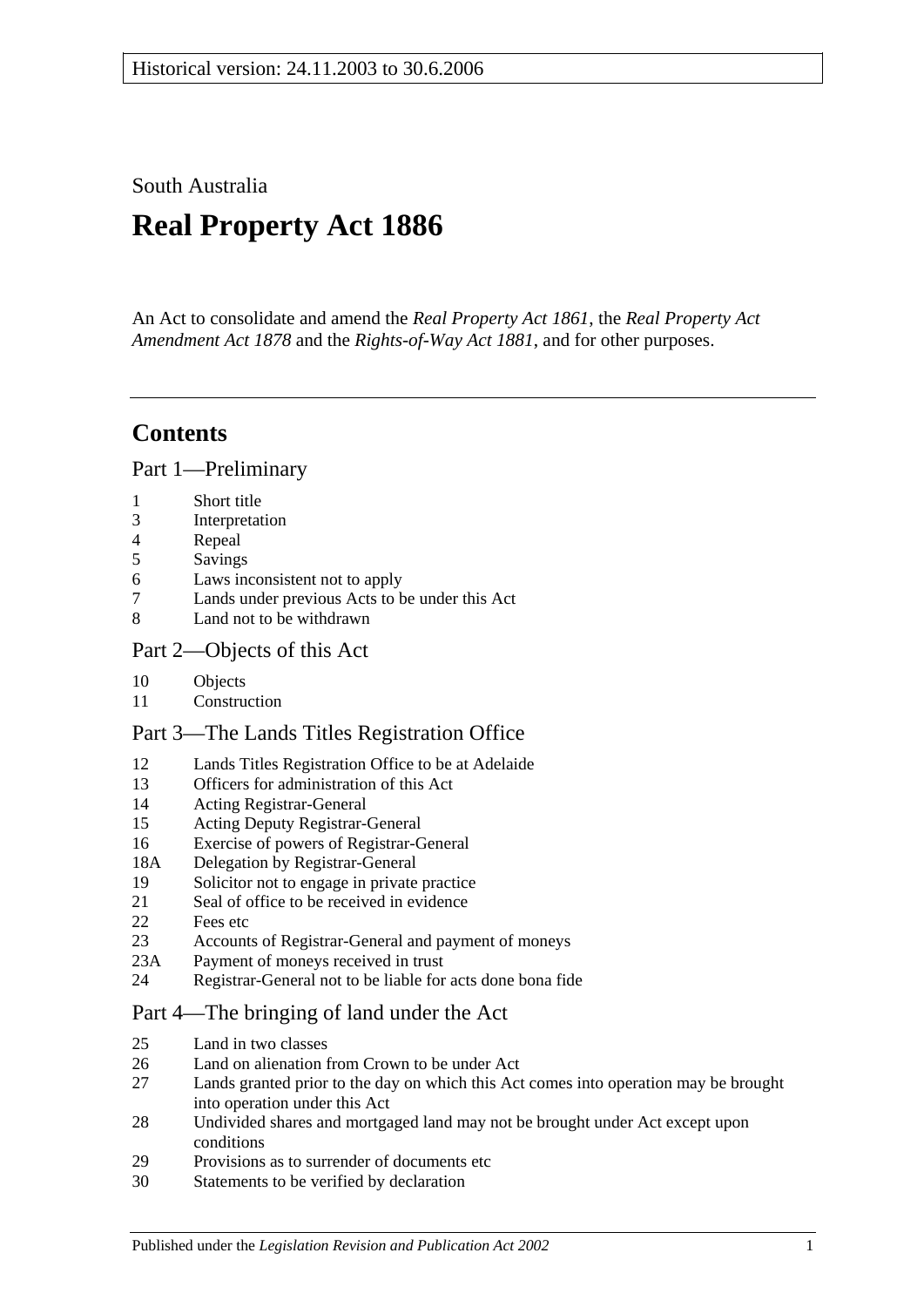South Australia

# **Real Property Act 1886**

An Act to consolidate and amend the *[Real Property Act](http://www.legislation.sa.gov.au/index.aspx?action=legref&type=act&legtitle=Real%20Property%20Act%201861) 1861*, the *[Real Property Act](http://www.legislation.sa.gov.au/index.aspx?action=legref&type=act&legtitle=Real%20Property%20Act%20Amendment%20Act%201878)  [Amendment Act](http://www.legislation.sa.gov.au/index.aspx?action=legref&type=act&legtitle=Real%20Property%20Act%20Amendment%20Act%201878) 1878* and the *[Rights-of-Way Act](http://www.legislation.sa.gov.au/index.aspx?action=legref&type=act&legtitle=Rights-of-Way%20Act%201881) 1881*, and for other purposes.

# **Contents**

[Part 1—Preliminary](#page-10-0)

- 1 [Short title](#page-10-1)
- 3 [Interpretation](#page-10-2)
- 4 [Repeal](#page-11-0)
- 5 [Savings](#page-12-0)
- 6 [Laws inconsistent not to apply](#page-12-1)
- 7 [Lands under previous Acts to be under this Act](#page-12-2)
- 8 [Land not to be withdrawn](#page-12-3)

### [Part 2—Objects of this Act](#page-14-0)

- 10 [Objects](#page-14-1)
- 11 [Construction](#page-14-2)

### [Part 3—The Lands Titles Registration Office](#page-16-0)

- 12 [Lands Titles Registration Office to be at Adelaide](#page-16-1)
- 13 [Officers for administration of this Act](#page-16-2)
- 14 [Acting Registrar-General](#page-16-3)
- 15 [Acting Deputy Registrar-General](#page-16-4)
- 16 [Exercise of powers of Registrar-General](#page-16-5)
- 18A [Delegation by Registrar-General](#page-17-0)
- 19 [Solicitor not to engage in private practice](#page-17-1)
- 21 [Seal of office to be received in evidence](#page-17-2)
- 22 [Fees etc](#page-17-3)
- 23 [Accounts of Registrar-General and payment of moneys](#page-17-4)
- 23A [Payment of moneys received in trust](#page-17-5)
- 24 [Registrar-General not to be liable for acts done bona fide](#page-18-0)

### [Part 4—The bringing of land under the Act](#page-20-0)

- 25 [Land in two classes](#page-20-1)
- 26 [Land on alienation from Crown to be under Act](#page-20-2)<br>27 Lands granted prior to the day on which this Act
- Lands granted prior to the day on which this Act comes into operation may be brought [into operation under this Act](#page-20-3)
- 28 [Undivided shares and mortgaged land may not be brought under Act except upon](#page-21-0)  [conditions](#page-21-0)
- 29 [Provisions as to surrender of documents etc](#page-21-1)
- 30 [Statements to be verified by declaration](#page-21-2)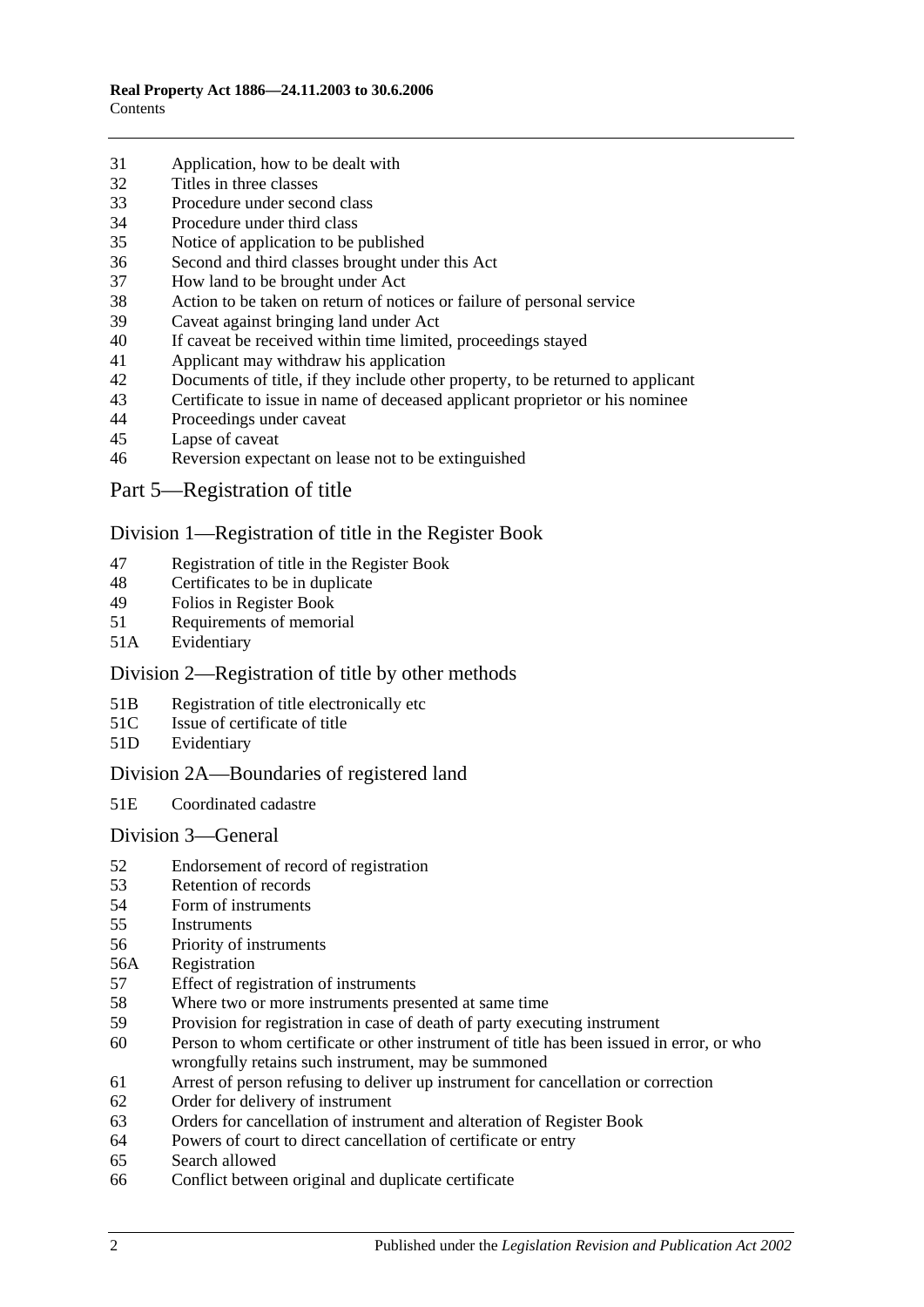- [Application, how to be dealt with](#page-21-3)
- [Titles in three classes](#page-22-0)
- [Procedure under second class](#page-22-1)
- [Procedure under third class](#page-23-0)
- [Notice of application to be published](#page-23-1)
- [Second and third classes brought under this](#page-23-2) Act
- [How land to be brought under Act](#page-23-3)
- [Action to be taken on return of notices or failure of personal service](#page-24-0)
- [Caveat against bringing land under Act](#page-24-1)
- [If caveat be received within time limited, proceedings stayed](#page-24-2)
- [Applicant may withdraw his application](#page-24-3)
- [Documents of title, if they include other property, to be returned to applicant](#page-24-4)<br>43 Certificate to issue in name of deceased applicant proprietor or his nominee
- [Certificate to issue in name of deceased applicant proprietor or his nominee](#page-25-0)
- [Proceedings under caveat](#page-25-1)
- [Lapse of caveat](#page-25-2)
- [Reversion expectant on lease not to be extinguished](#page-25-3)
- [Part 5—Registration of title](#page-26-0)

#### [Division 1—Registration of title in the Register Book](#page-26-1)

- [Registration of title in the Register Book](#page-26-2)
- [Certificates to be in duplicate](#page-26-3)
- [Folios in Register Book](#page-26-4)
- [Requirements of memorial](#page-26-5)
- 51A [Evidentiary](#page-26-6)

### Division [2—Registration of title by other methods](#page-26-7)

- 51B [Registration of title electronically etc](#page-26-8)
- 51C [Issue of certificate of title](#page-27-0)
- 51D [Evidentiary](#page-28-0)

### [Division 2A—Boundaries](#page-28-1) of registered land

51E [Coordinated cadastre](#page-28-2)

#### [Division 3—General](#page-28-3)

- [Endorsement of record of registration](#page-28-4)
- [Retention of records](#page-29-0)
- [Form of instruments](#page-29-1)<br>55 Instruments
- **[Instruments](#page-29-2)**
- [Priority of instruments](#page-29-3)
- 56A [Registration](#page-30-0)
- [Effect of registration of instruments](#page-30-1)
- [Where two or more instruments presented at same time](#page-30-2)
- [Provision for registration in case of death of party executing instrument](#page-30-3)
- [Person to whom certificate or other instrument of title has been issued in error, or who](#page-30-4)  [wrongfully retains such instrument, may be summoned](#page-30-4)
- [Arrest of person refusing to deliver up instrument for cancellation or correction](#page-31-0)
- [Order for delivery of instrument](#page-31-1)
- [Orders for cancellation of instrument and alteration of Register Book](#page-31-2)
- [Powers of court to direct cancellation of certificate or entry](#page-31-3)
- [Search allowed](#page-31-4)
- [Conflict between original and duplicate certificate](#page-31-5)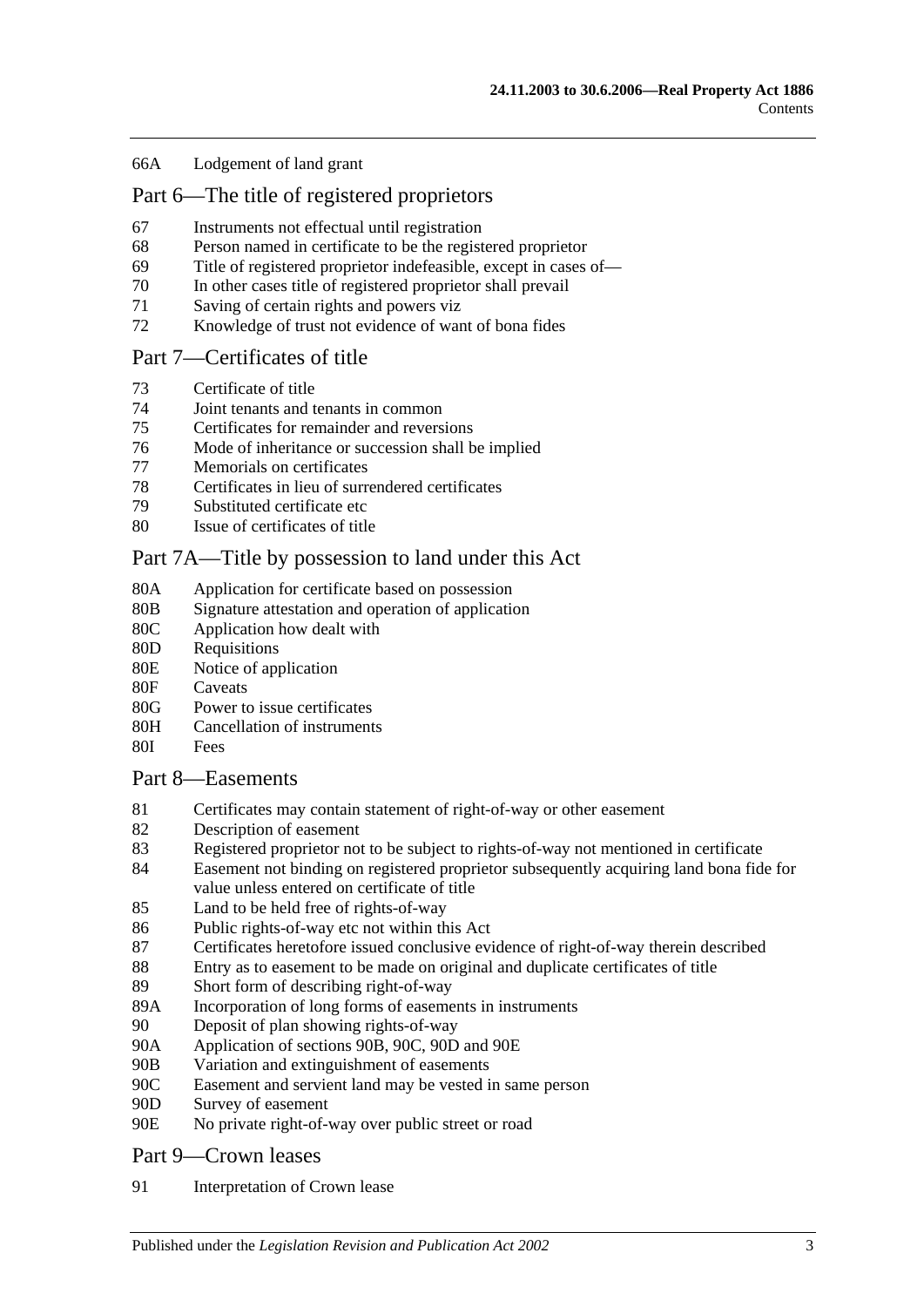#### 66A [Lodgement of land grant](#page-32-0)

### [Part 6—The title of registered proprietors](#page-34-0)

- 67 [Instruments not effectual until registration](#page-34-1)
- 68 [Person named in certificate to be the registered proprietor](#page-34-2)
- 69 [Title of registered proprietor indefeasible, except in cases of—](#page-34-3)
- 70 [In other cases title of registered proprietor shall prevail](#page-35-0)
- 71 [Saving of certain rights and powers viz](#page-36-0)
- 72 [Knowledge of trust not evidence of want of bona fides](#page-36-1)

#### [Part 7—Certificates of title](#page-38-0)

- 73 [Certificate of title](#page-38-1)
- 74 [Joint tenants and tenants in common](#page-38-2)
- 75 [Certificates for remainder and reversions](#page-38-3)
- 76 [Mode of inheritance or succession shall be implied](#page-38-4)
- 77 [Memorials on certificates](#page-38-5)<br>78 Certificates in lieu of surr
- [Certificates in lieu of surrendered certificates](#page-38-6)
- 79 [Substituted certificate etc](#page-39-0)
- 80 [Issue of certificates of title](#page-39-1)

### [Part 7A—Title by possession to land under this Act](#page-40-0)

- 80A [Application for certificate based on possession](#page-40-1)
- 80B [Signature attestation and operation of application](#page-40-2)
- 80C [Application how dealt with](#page-40-3)
- 80D [Requisitions](#page-40-4)
- 80E [Notice of application](#page-40-5)
- 80F [Caveats](#page-41-0)
- 80G [Power to issue certificates](#page-41-1)
- 80H [Cancellation of instruments](#page-42-0)
- 80I [Fees](#page-42-1)

#### [Part 8—Easements](#page-44-0)

- 81 [Certificates may contain statement of right-of-way or other easement](#page-44-1)
- 82 [Description of easement](#page-44-2)
- 83 [Registered proprietor not to be subject to rights-of-way not mentioned in certificate](#page-44-3)
- 84 [Easement not binding on registered proprietor subsequently acquiring land bona fide for](#page-44-4)  [value unless entered on certificate of title](#page-44-4)
- 85 Land to [be held free of rights-of-way](#page-44-5)
- 86 [Public rights-of-way etc not within this Act](#page-44-6)
- 87 [Certificates heretofore issued conclusive evidence of right-of-way therein described](#page-45-0)
- 88 [Entry as to easement to be made on original and duplicate certificates of title](#page-45-1)
- 89 [Short form of describing right-of-way](#page-45-2)
- 89A [Incorporation of long forms of easements in instruments](#page-45-3)
- 90 [Deposit of plan showing rights-of-way](#page-45-4)
- 90A [Application of sections](#page-45-5) 90B, [90C, 90D](#page-45-5) and [90E](#page-45-5)
- 90B [Variation and extinguishment of easements](#page-46-0)
- 90C [Easement and servient land may be vested in same person](#page-48-0)
- 90D [Survey of easement](#page-49-0)
- 90E [No private right-of-way over public street or road](#page-49-1)

#### [Part 9—Crown leases](#page-50-0)

91 [Interpretation of Crown lease](#page-50-1)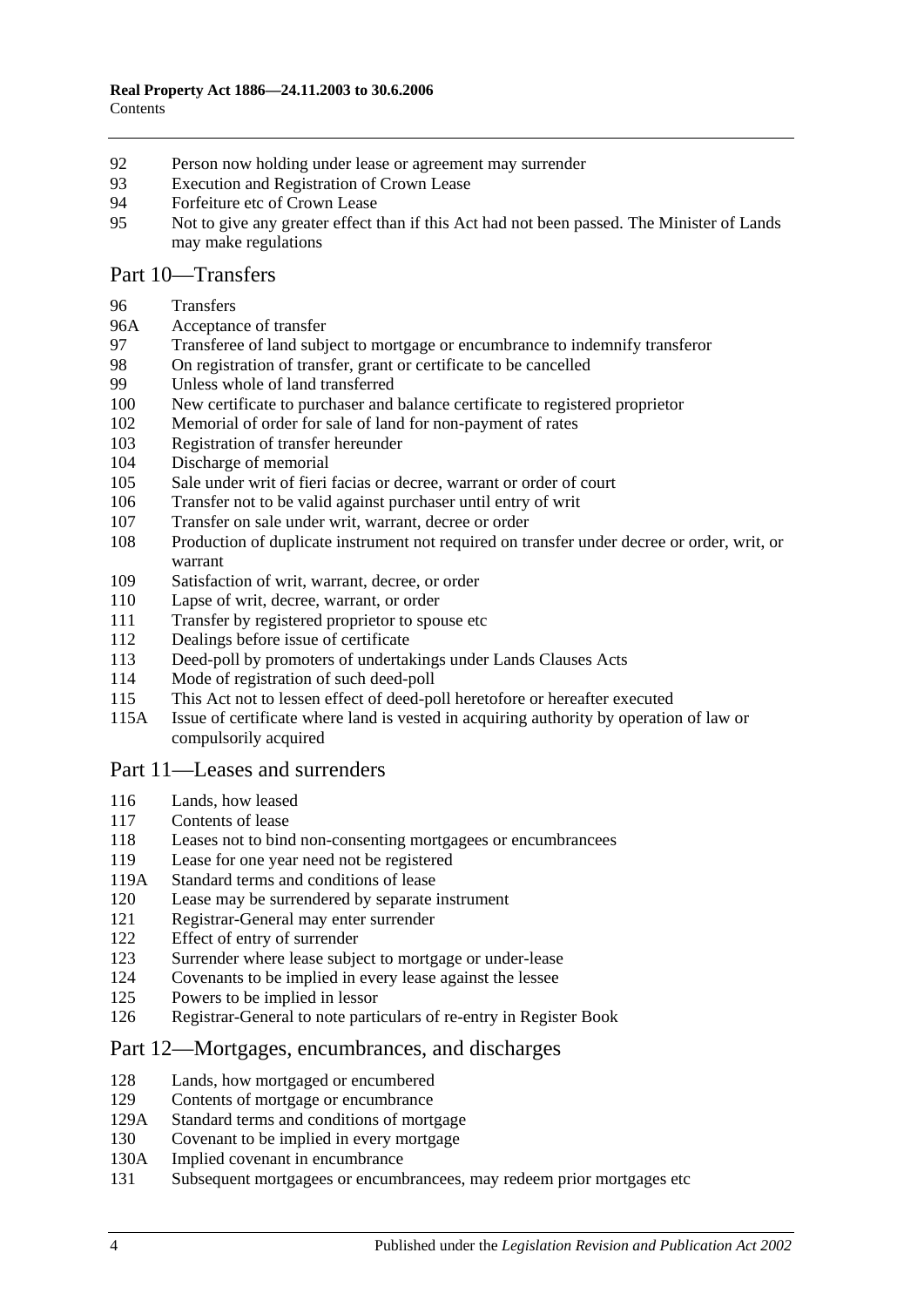- [Person now holding under lease or agreement may surrender](#page-50-2)
- [Execution and Registration of Crown Lease](#page-50-3)
- [Forfeiture etc of Crown Lease](#page-50-4)
- [Not to give any greater effect than if this Act had not been passed. The Minister of Lands](#page-50-5)  [may make regulations](#page-50-5)

### [Part 10—Transfers](#page-52-0)

#### [Transfers](#page-52-1)

- 96A [Acceptance of transfer](#page-52-2)
- [Transferee of land subject to mortgage or encumbrance to indemnify transferor](#page-52-3)
- [On registration of transfer, grant or certificate to be cancelled](#page-52-4)
- [Unless whole of land transferred](#page-53-0)
- [New certificate to purchaser and balance certificate to registered proprietor](#page-53-1)
- [Memorial of order for sale of land for non-payment of rates](#page-53-2)
- [Registration of transfer hereunder](#page-53-3)
- [Discharge of memorial](#page-53-4)
- [Sale under writ of fieri facias or decree, warrant or order of court](#page-54-0)
- [Transfer not to be valid against purchaser until entry of writ](#page-54-1)
- [Transfer on sale under writ, warrant, decree or order](#page-54-2)
- [Production of duplicate instrument not required on transfer under decree or order, writ, or](#page-54-3)  [warrant](#page-54-3)
- [Satisfaction of writ, warrant, decree, or order](#page-54-4)
- [Lapse of writ, decree, warrant, or order](#page-54-5)
- [Transfer by registered proprietor to spouse etc](#page-55-0)
- [Dealings before issue of certificate](#page-55-1)
- [Deed-poll by promoters of undertakings under Lands Clauses Acts](#page-55-2)
- [Mode of registration of such deed-poll](#page-55-3)
- [This Act not to lessen effect of deed-poll heretofore or hereafter executed](#page-56-0)
- 115A [Issue of certificate where land is vested in acquiring authority by operation of law or](#page-56-1)  [compulsorily acquired](#page-56-1)

#### [Part 11—Leases and surrenders](#page-58-0)

- [Lands, how leased](#page-58-1)
- [Contents of lease](#page-58-2)
- [Leases not to bind non-consenting mortgagees or encumbrancees](#page-58-3)
- [Lease for one year need not be registered](#page-58-4)
- 119A [Standard terms and conditions of lease](#page-58-5)
- [Lease may be surrendered by separate instrument](#page-59-0)
- [Registrar-General may enter surrender](#page-59-1)
- [Effect of entry of surrender](#page-59-2)
- [Surrender where lease subject to mortgage or under-lease](#page-59-3)
- [Covenants to be implied in every lease against the lessee](#page-59-4)
- [Powers to be implied in lessor](#page-59-5)
- [Registrar-General to note particulars of re-entry in Register Book](#page-60-0)

#### [Part 12—Mortgages, encumbrances, and discharges](#page-62-0)

- [Lands, how mortgaged or encumbered](#page-62-1)
- [Contents of mortgage or encumbrance](#page-62-2)
- 129A [Standard terms and conditions of mortgage](#page-62-3)
- [Covenant to be implied in every mortgage](#page-63-0)
- 130A [Implied covenant in encumbrance](#page-63-1)
- [Subsequent mortgagees or encumbrancees, may redeem prior mortgages etc](#page-63-2)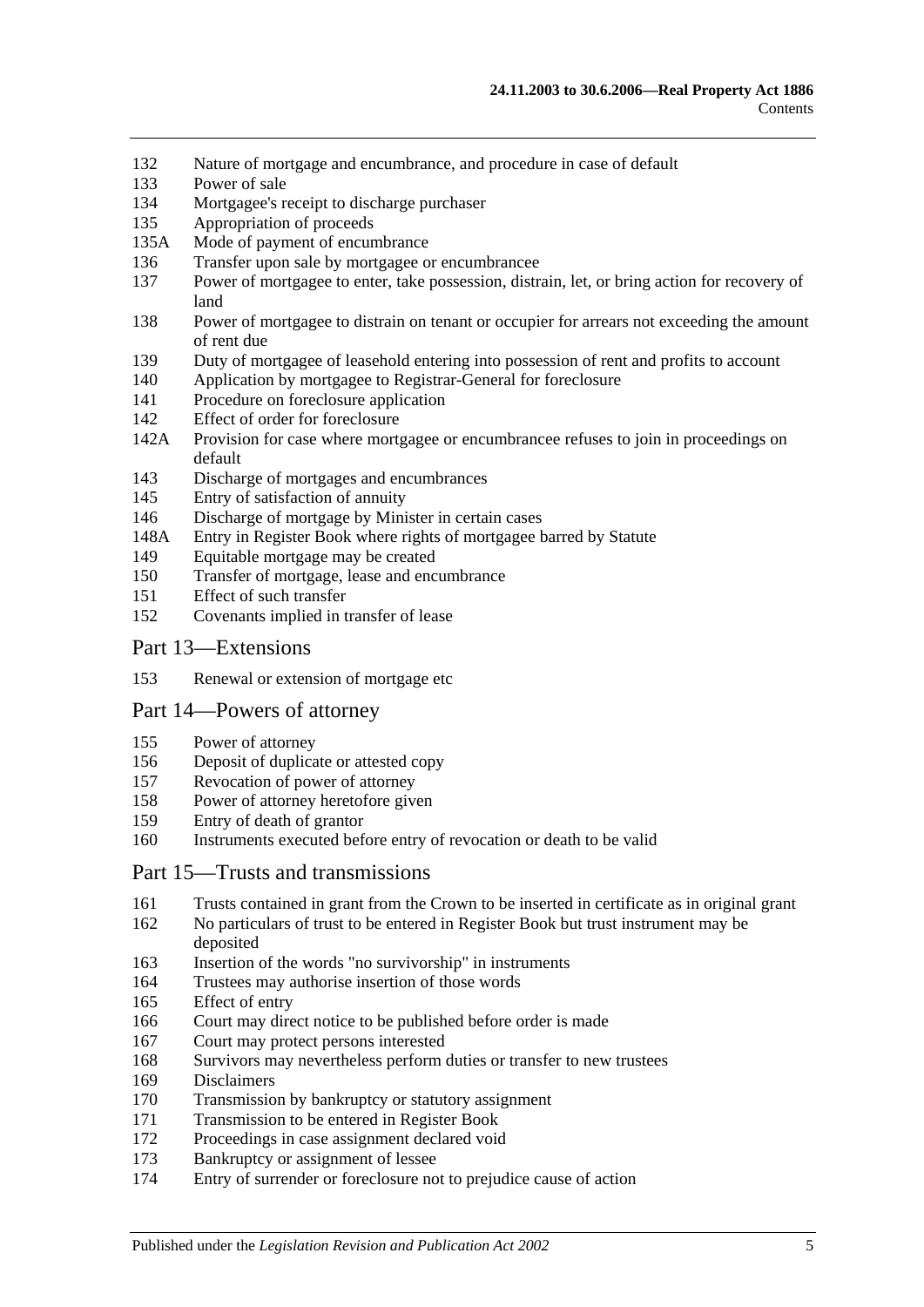- [Nature of mortgage and encumbrance, and procedure in case of default](#page-63-3)
- [Power of sale](#page-64-0)
- [Mortgagee's receipt to discharge purchaser](#page-64-1)
- [Appropriation of proceeds](#page-64-2)
- 135A [Mode of payment of encumbrance](#page-64-3)
- [Transfer upon sale by mortgagee or encumbrancee](#page-64-4)
- [Power of mortgagee to enter, take possession, distrain, let, or bring action for recovery of](#page-65-0)  [land](#page-65-0)
- [Power of mortgagee to distrain on tenant or occupier for arrears not exceeding the amount](#page-65-1)  [of rent due](#page-65-1)
- [Duty of mortgagee of leasehold entering into possession of rent and profits to account](#page-66-0)
- [Application by mortgagee to Registrar-General for foreclosure](#page-66-1)
- [Procedure on foreclosure application](#page-66-2)
- [Effect of order for foreclosure](#page-67-0)
- 142A [Provision for case where mortgagee or encumbrancee refuses to join in proceedings on](#page-67-1)  [default](#page-67-1)
- [Discharge of mortgages and encumbrances](#page-67-2)
- [Entry of satisfaction of annuity](#page-68-0)
- [Discharge of mortgage by Minister in certain cases](#page-68-1)
- 148A [Entry in Register Book where rights of mortgagee barred by Statute](#page-69-0)
- [Equitable mortgage may be created](#page-69-1)
- [Transfer of mortgage, lease and encumbrance](#page-69-2)
- [Effect of such transfer](#page-69-3)
- [Covenants implied in transfer of lease](#page-70-0)

#### [Part 13—Extensions](#page-72-0)

[Renewal or extension of mortgage etc](#page-72-1)

#### [Part 14—Powers of attorney](#page-74-0)

- [Power of attorney](#page-74-1)
- [Deposit of duplicate or attested copy](#page-74-2)
- [Revocation of power of attorney](#page-74-3)
- [Power of attorney heretofore given](#page-74-4)
- [Entry of death of grantor](#page-74-5)
- [Instruments executed before entry of revocation or death to be valid](#page-74-6)

#### [Part 15—Trusts and transmissions](#page-76-0)

- [Trusts contained in grant from the Crown to be inserted in certificate as in original grant](#page-76-1)
- [No particulars of trust to be entered in Register Book but trust instrument may be](#page-76-2)  [deposited](#page-76-2)
- [Insertion of the words "no survivorship" in instruments](#page-76-3)
- [Trustees may authorise insertion of those words](#page-76-4)
- [Effect of entry](#page-77-0)
- [Court may direct notice to be published before order is made](#page-77-1)
- [Court may protect persons interested](#page-77-2)
- [Survivors may nevertheless perform duties or transfer to new trustees](#page-77-3)
- [Disclaimers](#page-77-4)
- [Transmission by bankruptcy or statutory assignment](#page-78-0)
- [Transmission to be entered in Register Book](#page-79-0)
- [Proceedings in case assignment declared void](#page-79-1)
- [Bankruptcy or assignment of lessee](#page-79-2)
- [Entry of surrender or foreclosure not to prejudice cause of action](#page-81-0)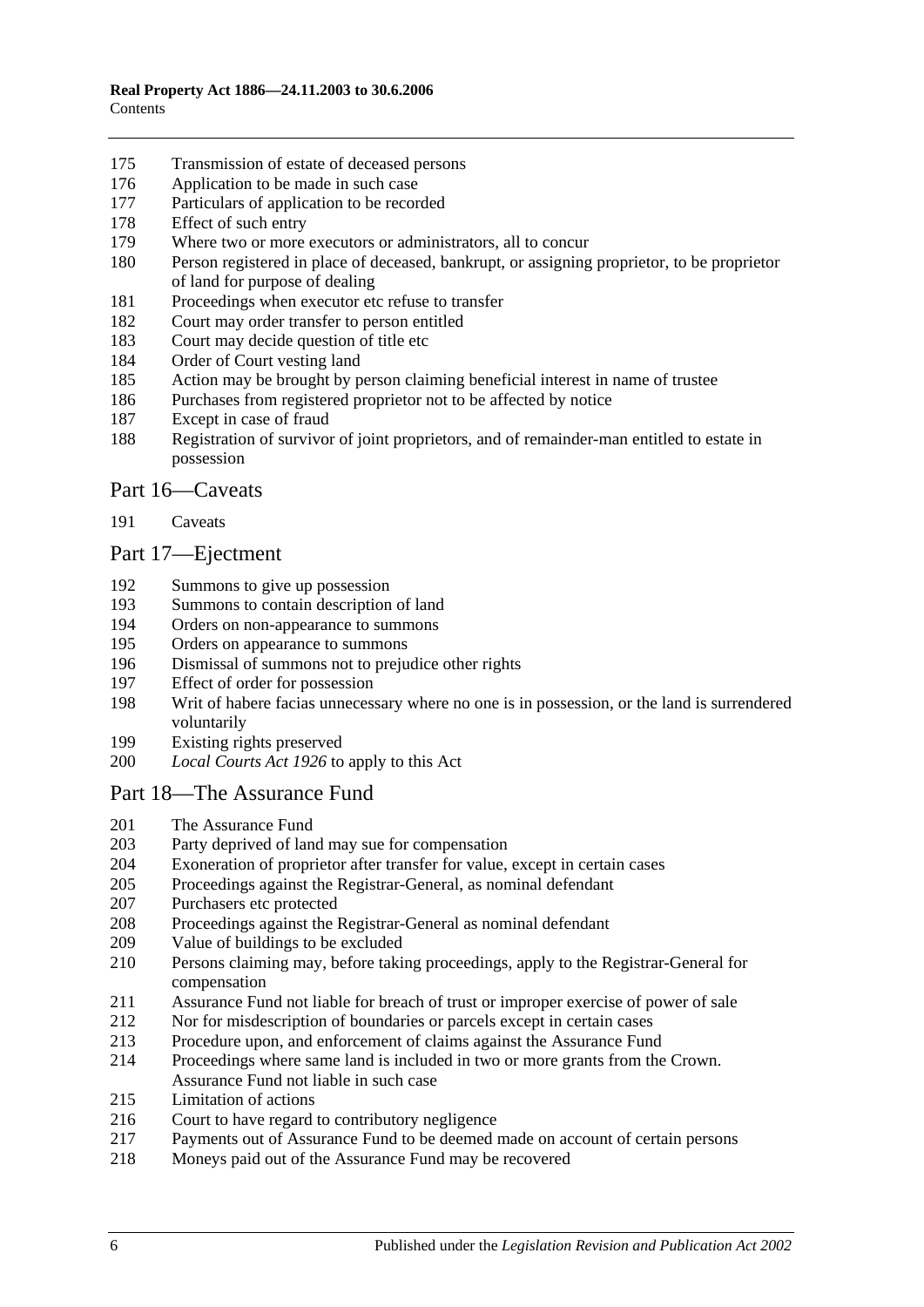- [Transmission of estate of deceased persons](#page-81-1)
- [Application to be made in such case](#page-81-2)
- [Particulars of application to be recorded](#page-81-3)
- [Effect of such entry](#page-81-4)
- [Where two or more executors or administrators, all to concur](#page-81-5)
- [Person registered in place of deceased, bankrupt, or assigning proprietor, to be proprietor](#page-81-6)  [of land for purpose of dealing](#page-81-6)
- [Proceedings when executor etc refuse to transfer](#page-82-0)
- [Court may order transfer to person entitled](#page-82-1)
- [Court may decide question of title etc](#page-82-2)
- [Order of Court vesting land](#page-82-3)
- [Action may be brought by person claiming beneficial interest in name of trustee](#page-82-4)
- [Purchases from registered proprietor not to be affected by](#page-82-5) notice
- [Except in case of fraud](#page-83-0)
- [Registration of survivor of joint proprietors, and of remainder-man entitled to estate in](#page-83-1)  [possession](#page-83-1)

#### [Part 16—Caveats](#page-84-0)

[Caveats](#page-84-1)

### [Part 17—Ejectment](#page-86-0)

- [Summons to give up possession](#page-86-1)<br>193 Summons to contain description
- [Summons to contain description of land](#page-86-2)
- [Orders on non-appearance to summons](#page-86-3)
- [Orders on appearance to summons](#page-86-4)
- [Dismissal of summons not to prejudice other rights](#page-86-5)
- [Effect of order for possession](#page-86-6)
- [Writ of habere facias unnecessary where no one is in possession, or the land is surrendered](#page-87-0)  [voluntarily](#page-87-0)
- [Existing rights preserved](#page-87-1)
- *Local Courts Act 1926* [to apply to this Act](#page-87-2)

### [Part 18—The Assurance Fund](#page-88-0)

- [The Assurance Fund](#page-88-1)
- [Party deprived of land may sue for compensation](#page-89-0)
- [Exoneration of proprietor after transfer for value, except in certain cases](#page-89-1)
- [Proceedings against the Registrar-General, as nominal defendant](#page-89-2)
- [Purchasers etc protected](#page-89-3)
- [Proceedings against the Registrar-General as nominal defendant](#page-90-0)
- [Value of buildings to be excluded](#page-90-1)
- [Persons claiming may, before taking proceedings, apply to the Registrar-General for](#page-90-2)  [compensation](#page-90-2)
- [Assurance Fund not liable for breach of trust or improper exercise of power of sale](#page-90-3)
- [Nor for misdescription of boundaries or parcels except](#page-91-0) in certain cases
- [Procedure upon, and enforcement of claims against the Assurance Fund](#page-91-1)
- [Proceedings where same land is included in two or more grants from the Crown.](#page-92-0)  [Assurance Fund not liable in such case](#page-92-0)
- [Limitation of actions](#page-92-1)
- [Court to have regard to contributory negligence](#page-93-0)
- [Payments out of Assurance Fund to be deemed made on account of certain persons](#page-93-1)
- [Moneys paid out of the Assurance Fund may be recovered](#page-93-2)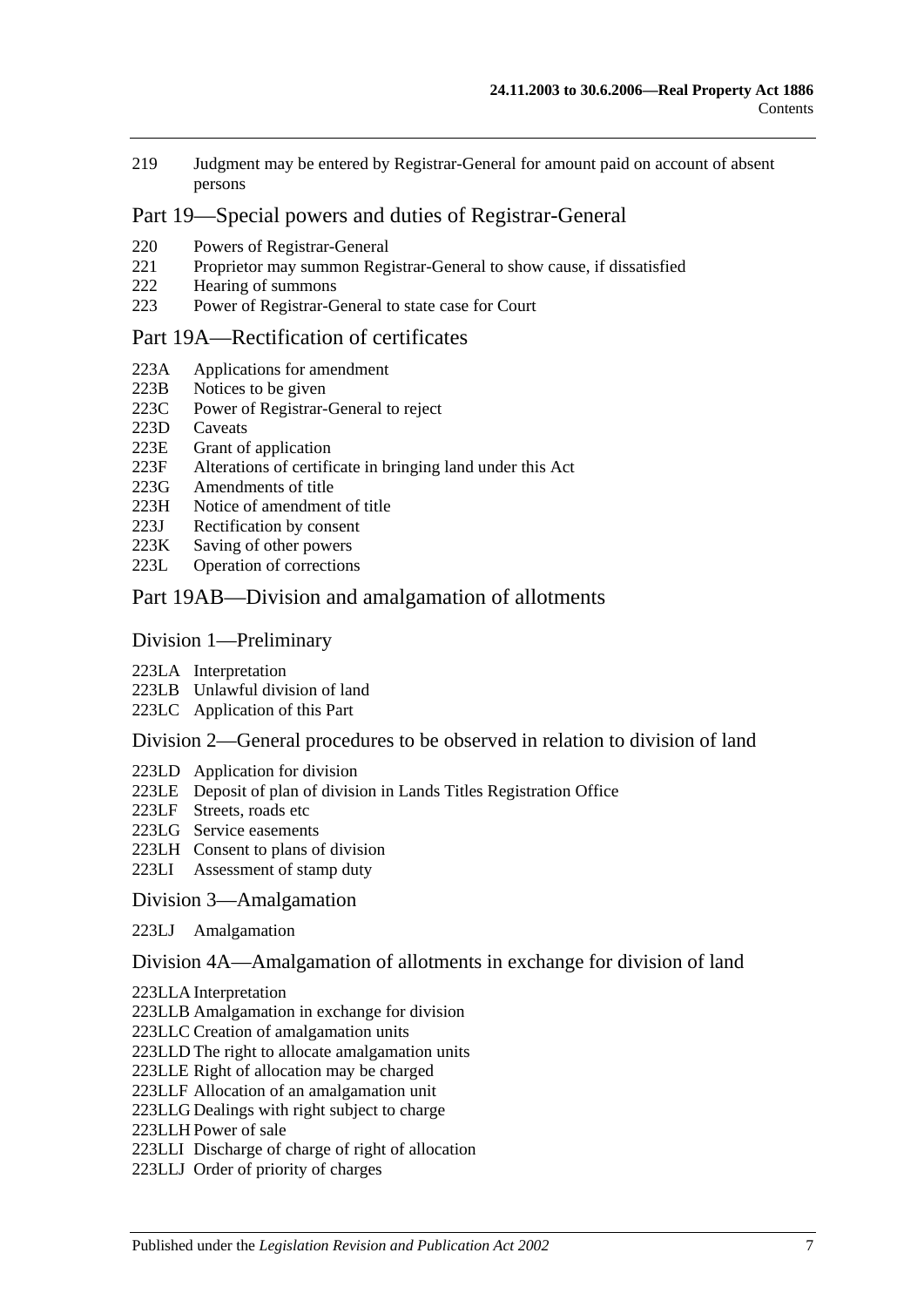219 [Judgment may be entered by Registrar-General for amount paid on account of absent](#page-93-3)  [persons](#page-93-3)

### [Part 19—Special powers and duties of Registrar-General](#page-94-0)

- 220 [Powers of Registrar-General](#page-94-1)
- 221 [Proprietor may summon Registrar-General to show cause, if dissatisfied](#page-97-0)<br>222 Hearing of summons
- [Hearing of summons](#page-97-1)
- 223 [Power of Registrar-General to state case for Court](#page-97-2)

#### [Part 19A—Rectification of certificates](#page-98-0)

- 223A [Applications for amendment](#page-98-1)
- 223B [Notices to be given](#page-98-2)
- 223C [Power of Registrar-General to reject](#page-98-3)
- 223D [Caveats](#page-98-4)
- 223E [Grant of application](#page-99-0)
- 223F [Alterations of certificate in bringing land under this Act](#page-99-1)
- 223G [Amendments of title](#page-99-2)<br>223H Notice of amendmen
- [Notice of amendment of title](#page-99-3)
- 223J [Rectification by consent](#page-100-0)
- 223K [Saving of other powers](#page-100-1)
- 223L [Operation of corrections](#page-100-2)

#### [Part 19AB—Division and amalgamation of allotments](#page-102-0)

#### [Division 1—Preliminary](#page-102-1)

- 223LA [Interpretation](#page-102-2)
- 223LB [Unlawful division of land](#page-104-0)
- 223LC [Application of this Part](#page-105-0)

#### [Division 2—General procedures to be observed in relation to division of land](#page-105-1)

- 223LD [Application for division](#page-105-2)
- 223LE [Deposit of plan of division in Lands Titles Registration Office](#page-107-0)
- 223LF [Streets, roads etc](#page-107-1)
- 223LG [Service easements](#page-108-0)
- 223LH [Consent to plans of division](#page-110-0)
- 223LI [Assessment of stamp duty](#page-110-1)

#### [Division 3—Amalgamation](#page-110-2)

223LJ [Amalgamation](#page-110-3)

#### [Division 4A—Amalgamation of allotments in exchange for division of land](#page-112-0)

- 223LLA [Interpretation](#page-112-1)
- 223LLB [Amalgamation in exchange for division](#page-112-2)
- 223LLC [Creation of amalgamation units](#page-113-0)
- 223LLD [The right to allocate amalgamation units](#page-113-1)
- 223LLE [Right of allocation may be charged](#page-114-0)
- 223LLF [Allocation of an amalgamation unit](#page-114-1)
- 223LLG [Dealings with right subject to charge](#page-114-2)
- 223LLH [Power of sale](#page-114-3)
- 223LLI [Discharge of charge of right of allocation](#page-115-0)
- 223LLJ [Order of priority of charges](#page-115-1)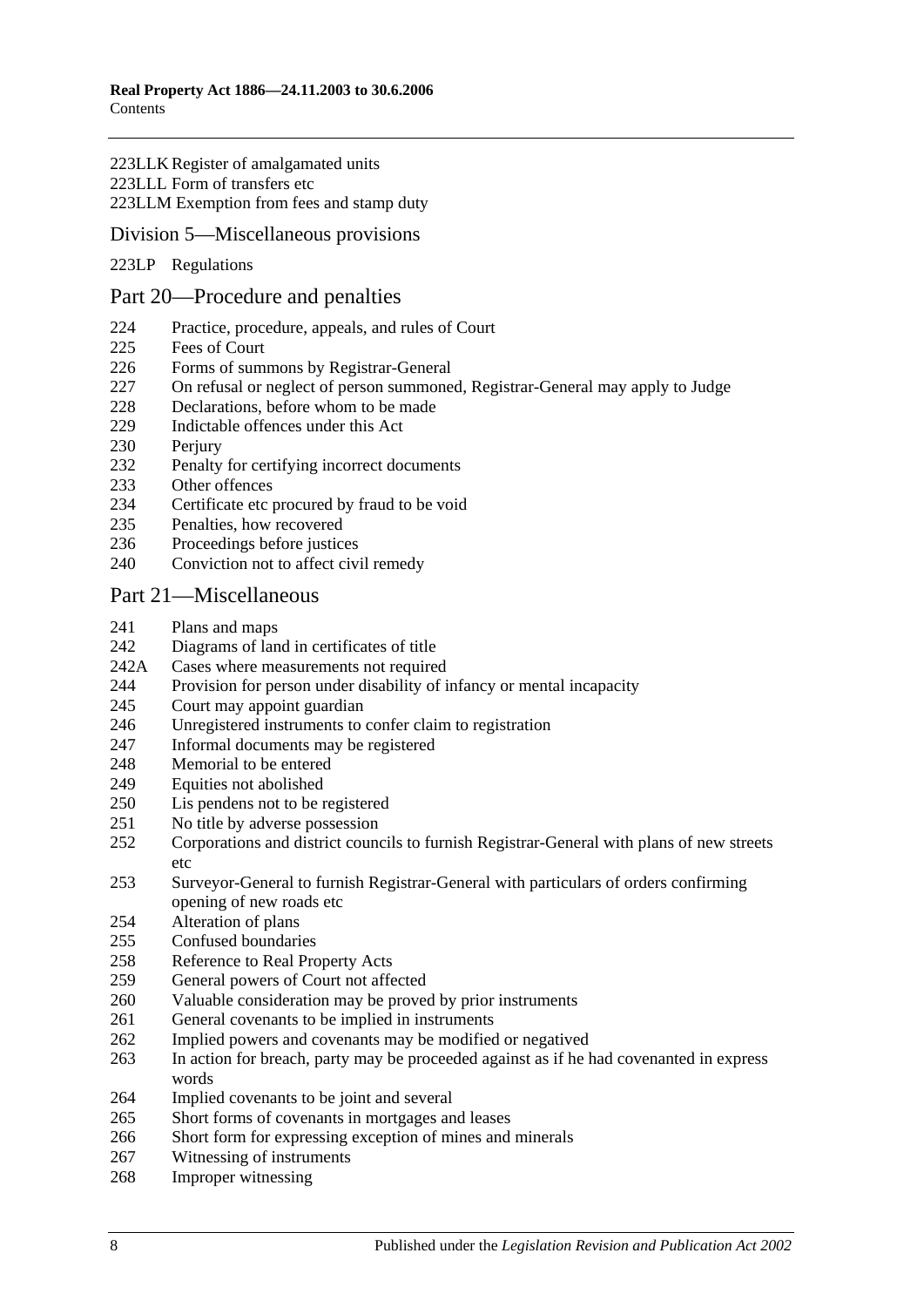#### 223LLK [Register of amalgamated units](#page-115-2) 223LLL [Form of transfers etc](#page-116-0) 223LLM [Exemption from fees and stamp duty](#page-116-1)

### [Division 5—Miscellaneous provisions](#page-116-2)

223LP [Regulations](#page-116-3)

#### [Part 20—Procedure and penalties](#page-118-0)

- [Practice, procedure, appeals, and rules of Court](#page-118-1)
- [Fees of Court](#page-118-2)
- [Forms of summons by Registrar-General](#page-118-3)
- [On refusal or neglect of person summoned, Registrar-General may apply to Judge](#page-118-4)
- [Declarations, before whom to be made](#page-118-5)
- [Indictable offences under this Act](#page-118-6)
- 230 Periury
- [Penalty for certifying incorrect documents](#page-119-1)
- [Other offences](#page-119-2)
- [Certificate etc procured by fraud to be void](#page-120-0)
- [Penalties, how recovered](#page-120-1)
- [Proceedings before justices](#page-120-2)
- [Conviction not to affect civil remedy](#page-120-3)

#### [Part 21—Miscellaneous](#page-122-0)

- [Plans and maps](#page-122-1)
- [Diagrams of land in certificates of title](#page-122-2)
- 242A [Cases where measurements not required](#page-122-3)
- [Provision for person under disability of infancy or mental incapacity](#page-122-4)
- [Court may appoint guardian](#page-123-0)
- [Unregistered instruments to confer claim to registration](#page-123-1)
- [Informal documents may be registered](#page-123-2)
- [Memorial to be entered](#page-123-3)<br>249 Equities not abolished
- [Equities not abolished](#page-123-4)
- [Lis pendens not to be registered](#page-124-0)
- [No title by adverse possession](#page-124-1)
- [Corporations and district councils to furnish Registrar-General with plans of new streets](#page-124-2)  [etc](#page-124-2)
- [Surveyor-General to furnish Registrar-General with particulars of orders confirming](#page-124-3)  [opening of new roads etc](#page-124-3)
- [Alteration of plans](#page-124-4)
- [Confused boundaries](#page-125-0)
- [Reference to Real Property Acts](#page-125-1)
- [General powers of Court not affected](#page-125-2)
- [Valuable consideration may be proved by prior instruments](#page-125-3)
- [General covenants to be implied in instruments](#page-126-0)
- [Implied powers and covenants may be modified](#page-126-1) or negatived
- [In action for breach, party may be proceeded against as if he had covenanted in express](#page-126-2)  [words](#page-126-2)
- [Implied covenants to be joint and several](#page-126-3)
- [Short forms of covenants in mortgages and leases](#page-126-4)
- [Short form for expressing exception of mines and minerals](#page-126-5)
- [Witnessing of instruments](#page-127-0)
- [Improper witnessing](#page-127-1)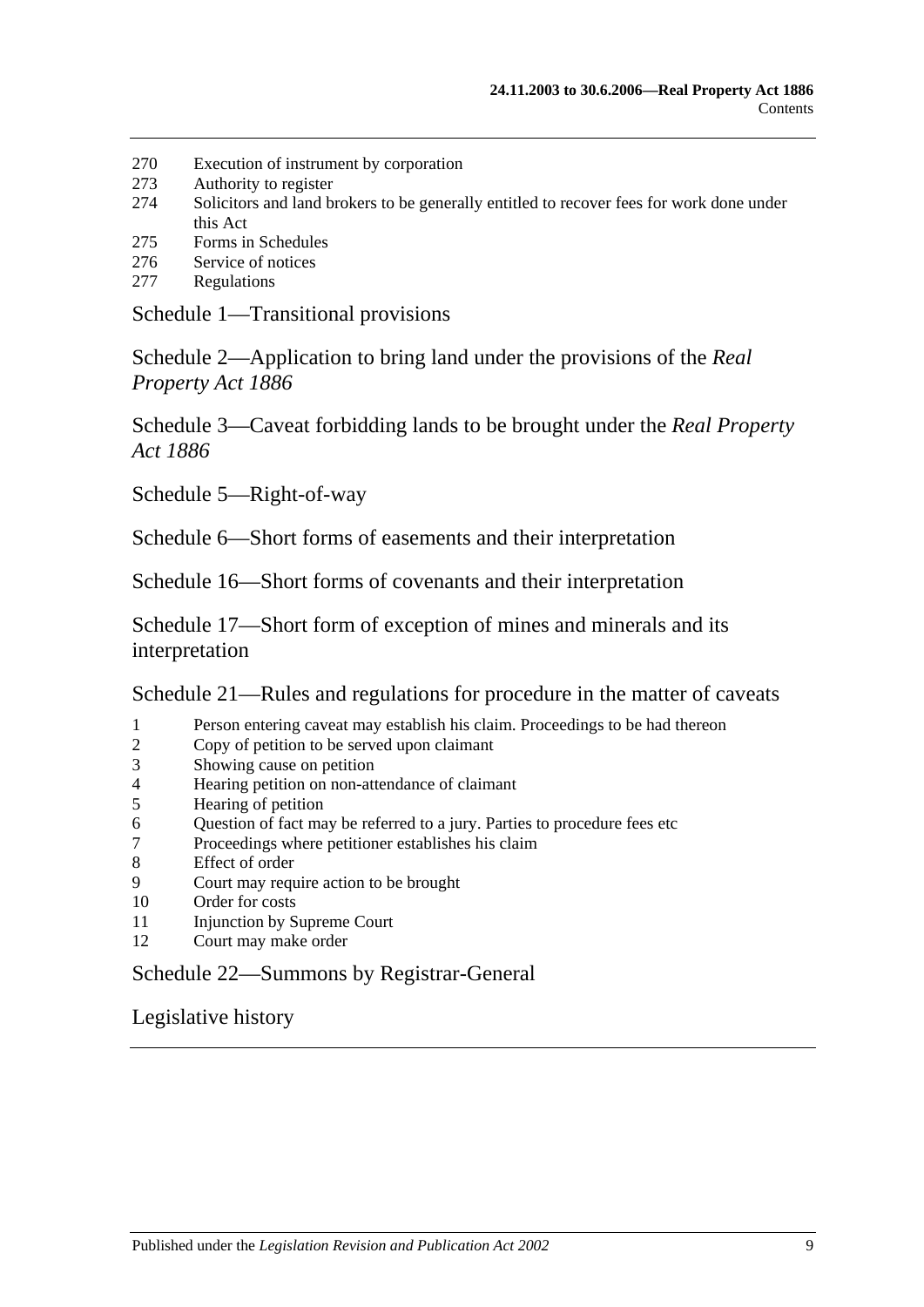- 270 [Execution of instrument by corporation](#page-127-2)
- 273 [Authority to register](#page-127-3)
- 274 [Solicitors and land brokers to be generally entitled to recover fees for work done under](#page-128-0)  [this Act](#page-128-0)
- 275 [Forms in Schedules](#page-128-1)
- 276 [Service of notices](#page-128-2)
- 277 [Regulations](#page-128-3)

[Schedule 1—Transitional provisions](#page-130-0)

[Schedule 2—Application to bring land under the provisions of the](#page-133-0) *Real [Property Act](#page-133-0) 1886*

[Schedule 3—Caveat forbidding lands to be brought under the](#page-134-0) *Real Property Act [1886](#page-134-0)*

[Schedule 5—Right-of-way](#page-134-1)

[Schedule 6—Short forms of easements and their interpretation](#page-134-2)

[Schedule 16—Short forms of covenants and their interpretation](#page-136-0)

[Schedule 17—Short form of exception of mines and minerals and its](#page-138-0)  [interpretation](#page-138-0)

[Schedule 21—Rules and regulations for procedure in the matter of caveats](#page-138-1)

- 1 [Person entering caveat may establish his claim. Proceedings to be had thereon](#page-138-2)
- 2 [Copy of petition to be served upon claimant](#page-138-3)
- 3 [Showing cause on petition](#page-138-4)
- 4 [Hearing petition on non-attendance of claimant](#page-139-0)
- 5 [Hearing of petition](#page-139-1)
- 6 [Question of fact may be referred to a jury. Parties to procedure fees etc](#page-139-2)
- 7 [Proceedings where petitioner establishes his claim](#page-139-3)
- 8 [Effect of order](#page-140-0)
- 9 [Court may require action to be brought](#page-140-1)
- 10 [Order for costs](#page-140-2)
- 11 [Injunction by Supreme Court](#page-140-3)
- 12 [Court may make order](#page-140-4)

### [Schedule 22—Summons by Registrar-General](#page-140-5)

[Legislative history](#page-142-0)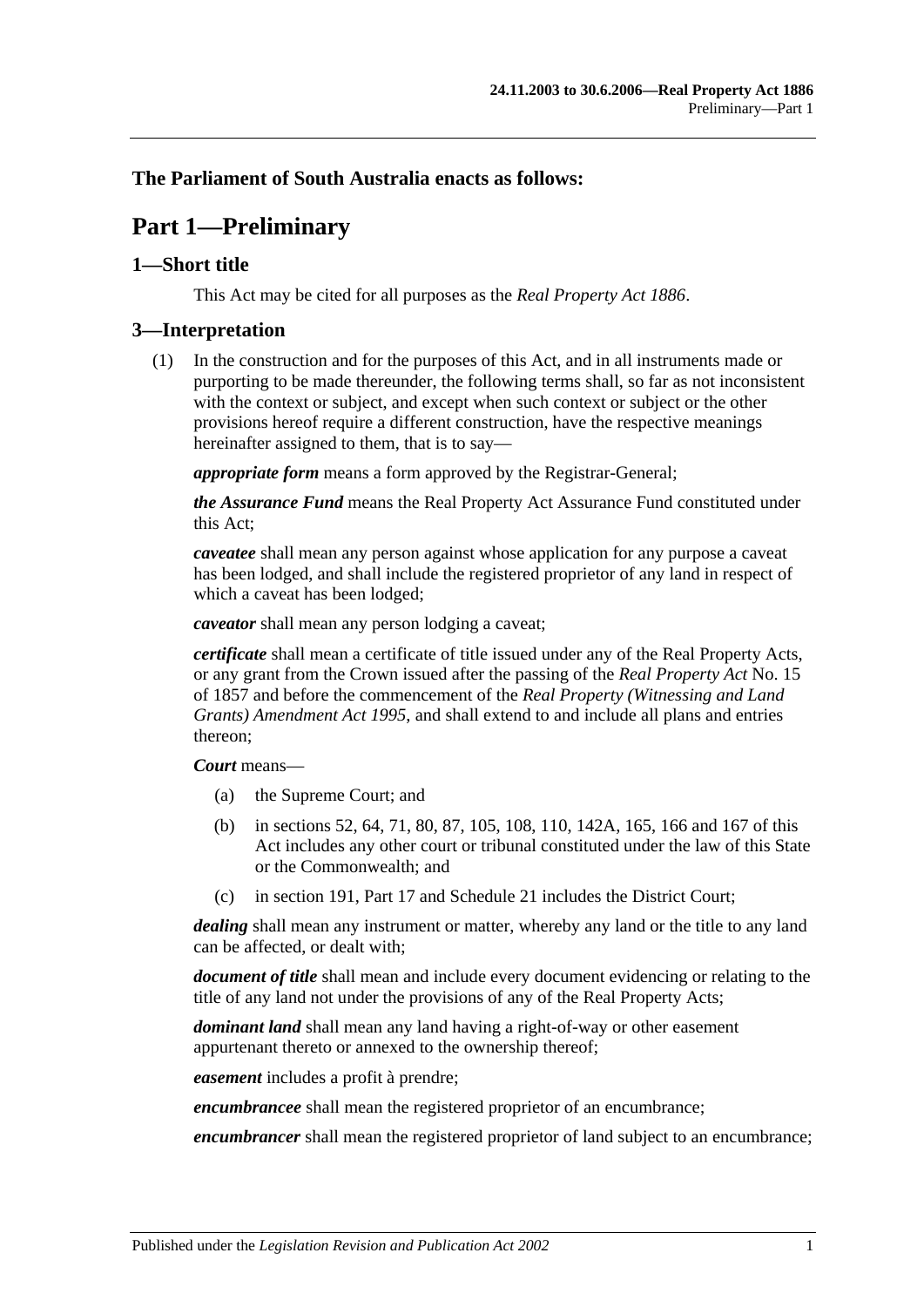### <span id="page-10-0"></span>**The Parliament of South Australia enacts as follows:**

# **Part 1—Preliminary**

### <span id="page-10-1"></span>**1—Short title**

This Act may be cited for all purposes as the *[Real Property Act](http://www.legislation.sa.gov.au/index.aspx?action=legref&type=act&legtitle=Real%20Property%20Act%201886) 1886*.

### <span id="page-10-2"></span>**3—Interpretation**

(1) In the construction and for the purposes of this Act, and in all instruments made or purporting to be made thereunder, the following terms shall, so far as not inconsistent with the context or subject, and except when such context or subject or the other provisions hereof require a different construction, have the respective meanings hereinafter assigned to them, that is to say—

*appropriate form* means a form approved by the Registrar-General;

*the Assurance Fund* means the Real Property Act Assurance Fund constituted under this Act;

*caveatee* shall mean any person against whose application for any purpose a caveat has been lodged, and shall include the registered proprietor of any land in respect of which a caveat has been lodged;

*caveator* shall mean any person lodging a caveat;

*certificate* shall mean a certificate of title issued under any of the Real Property Acts, or any grant from the Crown issued after the passing of the *[Real Property Act](http://www.legislation.sa.gov.au/index.aspx?action=legref&type=act&legtitle=Real%20Property%20Act)* No. 15 of 1857 and before the commencement of the *[Real Property \(Witnessing and Land](http://www.legislation.sa.gov.au/index.aspx?action=legref&type=act&legtitle=Real%20Property%20(Witnessing%20and%20Land%20Grants)%20Amendment%20Act%201995)  [Grants\) Amendment Act](http://www.legislation.sa.gov.au/index.aspx?action=legref&type=act&legtitle=Real%20Property%20(Witnessing%20and%20Land%20Grants)%20Amendment%20Act%201995) 1995*, and shall extend to and include all plans and entries thereon;

#### *Court* means—

- (a) the Supreme Court; and
- (b) in [sections](#page-28-4) 52, [64,](#page-31-3) [71,](#page-36-0) [80,](#page-39-1) [87,](#page-45-0) [105,](#page-54-0) [108,](#page-54-3) [110,](#page-54-5) [142A,](#page-67-1) [165,](#page-77-0) [166](#page-77-1) and [167](#page-77-2) of this Act includes any other court or tribunal constituted under the law of this State or the Commonwealth; and
- (c) in [section](#page-84-1) 191, [Part 17](#page-86-0) and [Schedule 21](#page-138-1) includes the District Court;

*dealing* shall mean any instrument or matter, whereby any land or the title to any land can be affected, or dealt with;

*document of title* shall mean and include every document evidencing or relating to the title of any land not under the provisions of any of the Real Property Acts;

*dominant land* shall mean any land having a right-of-way or other easement appurtenant thereto or annexed to the ownership thereof;

*easement* includes a profit à prendre;

*encumbrancee* shall mean the registered proprietor of an encumbrance;

*encumbrancer* shall mean the registered proprietor of land subject to an encumbrance;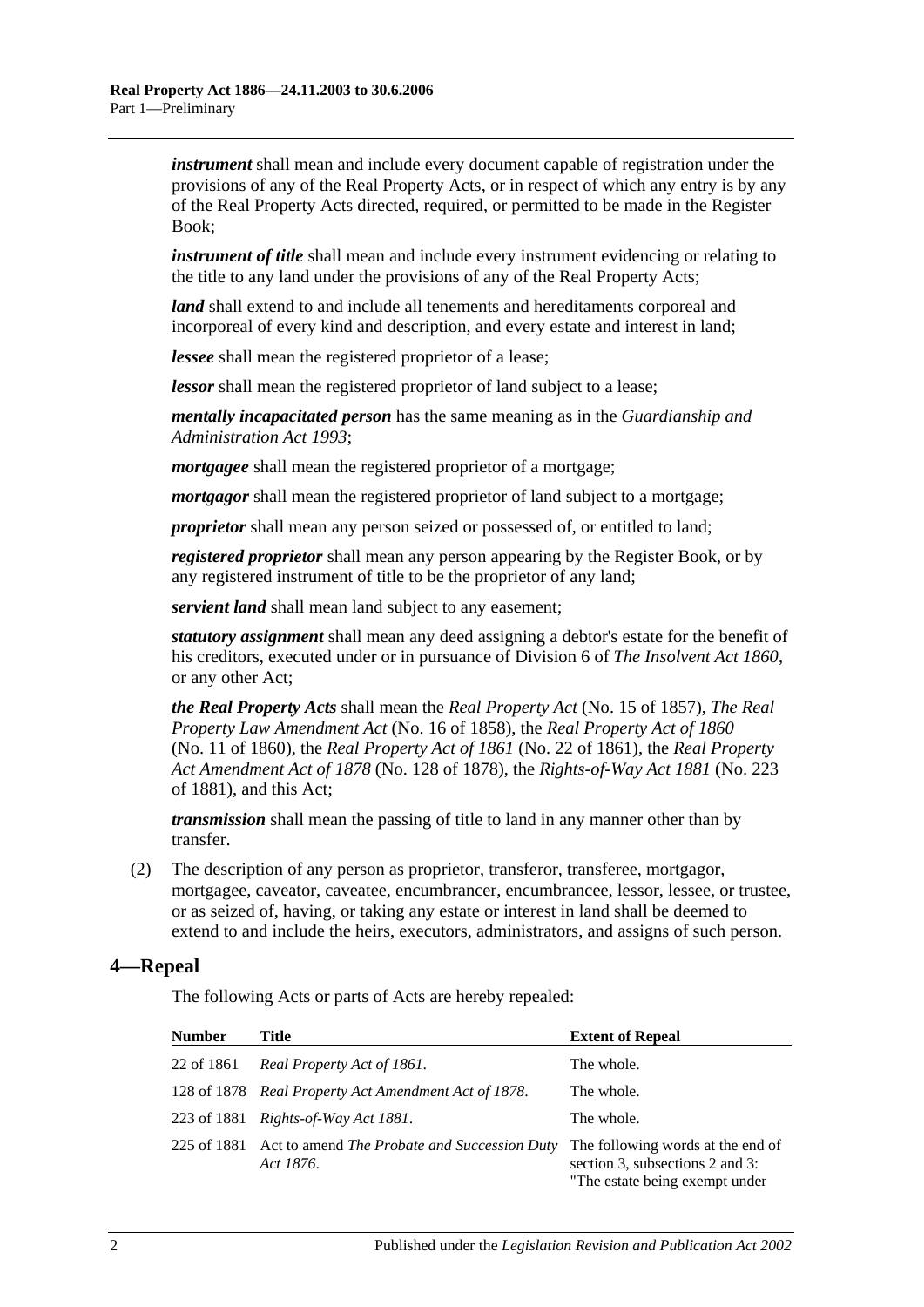*instrument* shall mean and include every document capable of registration under the provisions of any of the Real Property Acts, or in respect of which any entry is by any of the Real Property Acts directed, required, or permitted to be made in the Register Book;

*instrument of title* shall mean and include every instrument evidencing or relating to the title to any land under the provisions of any of the Real Property Acts;

*land* shall extend to and include all tenements and hereditaments corporeal and incorporeal of every kind and description, and every estate and interest in land;

*lessee* shall mean the registered proprietor of a lease;

*lessor* shall mean the registered proprietor of land subject to a lease;

*mentally incapacitated person* has the same meaning as in the *[Guardianship and](http://www.legislation.sa.gov.au/index.aspx?action=legref&type=act&legtitle=Guardianship%20and%20Administration%20Act%201993)  [Administration Act](http://www.legislation.sa.gov.au/index.aspx?action=legref&type=act&legtitle=Guardianship%20and%20Administration%20Act%201993) 1993*;

*mortgagee* shall mean the registered proprietor of a mortgage;

*mortgagor* shall mean the registered proprietor of land subject to a mortgage;

*proprietor* shall mean any person seized or possessed of, or entitled to land;

*registered proprietor* shall mean any person appearing by the Register Book, or by any registered instrument of title to be the proprietor of any land;

*servient land* shall mean land subject to any easement;

*statutory assignment* shall mean any deed assigning a debtor's estate for the benefit of his creditors, executed under or in pursuance of Division 6 of *[The Insolvent Act](http://www.legislation.sa.gov.au/index.aspx?action=legref&type=act&legtitle=The%20Insolvent%20Act%201860) 1860*, or any other Act;

*the Real Property Acts* shall mean the *[Real Property Act](http://www.legislation.sa.gov.au/index.aspx?action=legref&type=act&legtitle=Real%20Property%20Act)* (No. 15 of 1857), *[The Real](http://www.legislation.sa.gov.au/index.aspx?action=legref&type=act&legtitle=The%20Real%20Property%20Law%20Amendment%20Act)  [Property Law Amendment Act](http://www.legislation.sa.gov.au/index.aspx?action=legref&type=act&legtitle=The%20Real%20Property%20Law%20Amendment%20Act)* (No. 16 of 1858), the *[Real Property Act of](http://www.legislation.sa.gov.au/index.aspx?action=legref&type=act&legtitle=Real%20Property%20Act%20of%201860) 1860* (No. 11 of 1860), the *[Real Property Act of](http://www.legislation.sa.gov.au/index.aspx?action=legref&type=act&legtitle=Real%20Property%20Act%20of%201861) 1861* (No. 22 of 1861), the *[Real Property](http://www.legislation.sa.gov.au/index.aspx?action=legref&type=act&legtitle=Real%20Property%20Act%20Amendment%20Act%20of%201878)  [Act Amendment Act of](http://www.legislation.sa.gov.au/index.aspx?action=legref&type=act&legtitle=Real%20Property%20Act%20Amendment%20Act%20of%201878) 1878* (No. 128 of 1878), the *[Rights-of-Way Act](http://www.legislation.sa.gov.au/index.aspx?action=legref&type=act&legtitle=Rights-of-Way%20Act%201881) 1881* (No. 223 of 1881), and this Act;

*transmission* shall mean the passing of title to land in any manner other than by transfer.

(2) The description of any person as proprietor, transferor, transferee, mortgagor, mortgagee, caveator, caveatee, encumbrancer, encumbrancee, lessor, lessee, or trustee, or as seized of, having, or taking any estate or interest in land shall be deemed to extend to and include the heirs, executors, administrators, and assigns of such person.

### <span id="page-11-0"></span>**4—Repeal**

The following Acts or parts of Acts are hereby repealed:

| <b>Number</b> | Title                                                            | <b>Extent of Repeal</b>                                                                                |
|---------------|------------------------------------------------------------------|--------------------------------------------------------------------------------------------------------|
| 22 of 1861    | Real Property Act of 1861.                                       | The whole.                                                                                             |
|               | 128 of 1878 Real Property Act Amendment Act of 1878.             | The whole.                                                                                             |
| 223 of 1881   | Rights-of-Way Act 1881.                                          | The whole.                                                                                             |
| 225 of 1881   | Act to amend <i>The Probate and Succession Duty</i><br>Act 1876. | The following words at the end of<br>section 3, subsections 2 and 3:<br>"The estate being exempt under |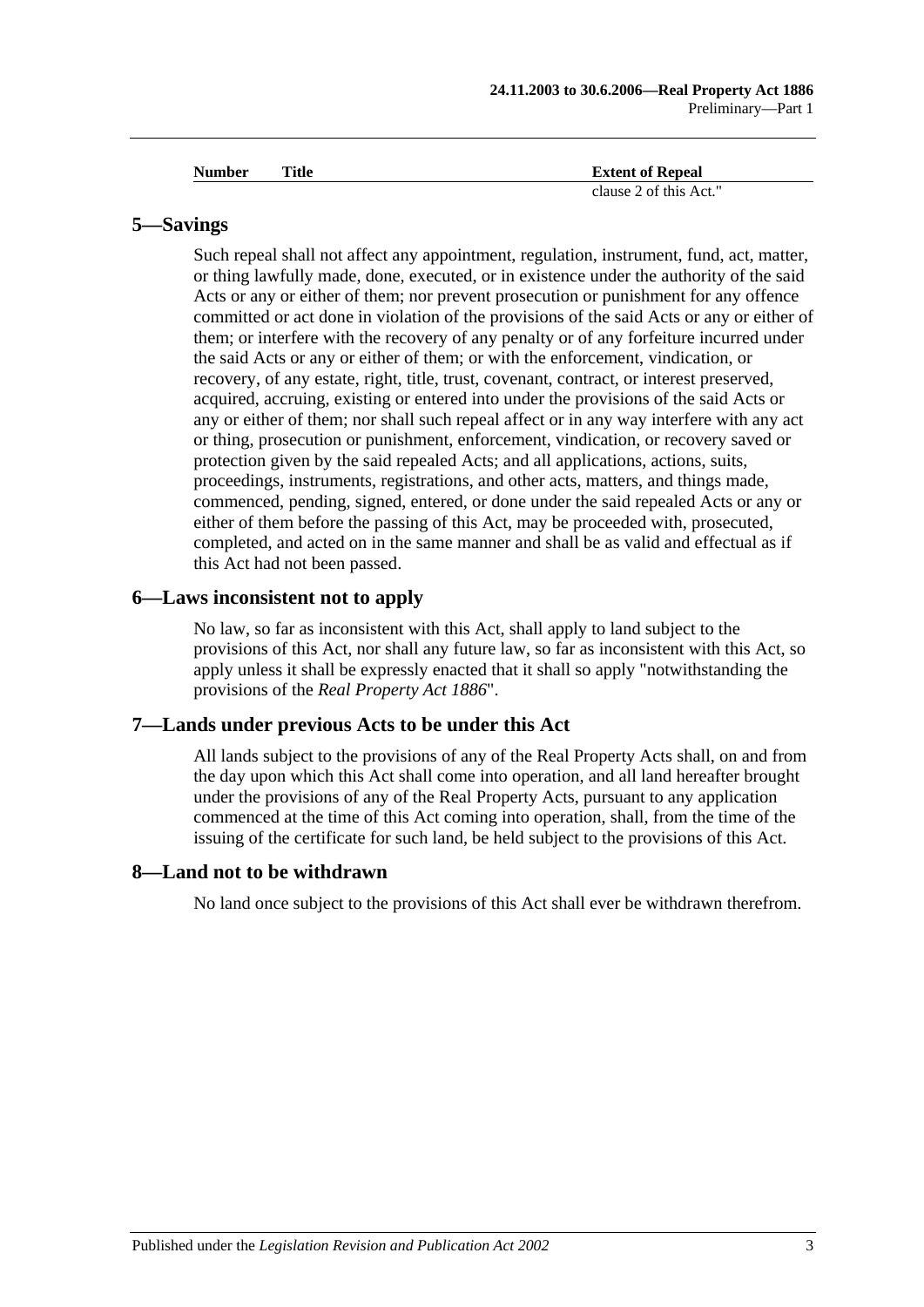| <b>Number</b> | Title | <b>Extent of Repeal</b> |
|---------------|-------|-------------------------|
|               |       | clause 2 of this Act."  |

#### <span id="page-12-0"></span>**5—Savings**

Such repeal shall not affect any appointment, regulation, instrument, fund, act, matter, or thing lawfully made, done, executed, or in existence under the authority of the said Acts or any or either of them; nor prevent prosecution or punishment for any offence committed or act done in violation of the provisions of the said Acts or any or either of them; or interfere with the recovery of any penalty or of any forfeiture incurred under the said Acts or any or either of them; or with the enforcement, vindication, or recovery, of any estate, right, title, trust, covenant, contract, or interest preserved, acquired, accruing, existing or entered into under the provisions of the said Acts or any or either of them; nor shall such repeal affect or in any way interfere with any act or thing, prosecution or punishment, enforcement, vindication, or recovery saved or protection given by the said repealed Acts; and all applications, actions, suits, proceedings, instruments, registrations, and other acts, matters, and things made, commenced, pending, signed, entered, or done under the said repealed Acts or any or either of them before the passing of this Act, may be proceeded with, prosecuted, completed, and acted on in the same manner and shall be as valid and effectual as if this Act had not been passed.

#### <span id="page-12-1"></span>**6—Laws inconsistent not to apply**

No law, so far as inconsistent with this Act, shall apply to land subject to the provisions of this Act, nor shall any future law, so far as inconsistent with this Act, so apply unless it shall be expressly enacted that it shall so apply "notwithstanding the provisions of the *[Real Property Act](http://www.legislation.sa.gov.au/index.aspx?action=legref&type=act&legtitle=Real%20Property%20Act%201886) 1886*".

#### <span id="page-12-2"></span>**7—Lands under previous Acts to be under this Act**

All lands subject to the provisions of any of the Real Property Acts shall, on and from the day upon which this Act shall come into operation, and all land hereafter brought under the provisions of any of the Real Property Acts, pursuant to any application commenced at the time of this Act coming into operation, shall, from the time of the issuing of the certificate for such land, be held subject to the provisions of this Act.

#### <span id="page-12-3"></span>**8—Land not to be withdrawn**

No land once subject to the provisions of this Act shall ever be withdrawn therefrom.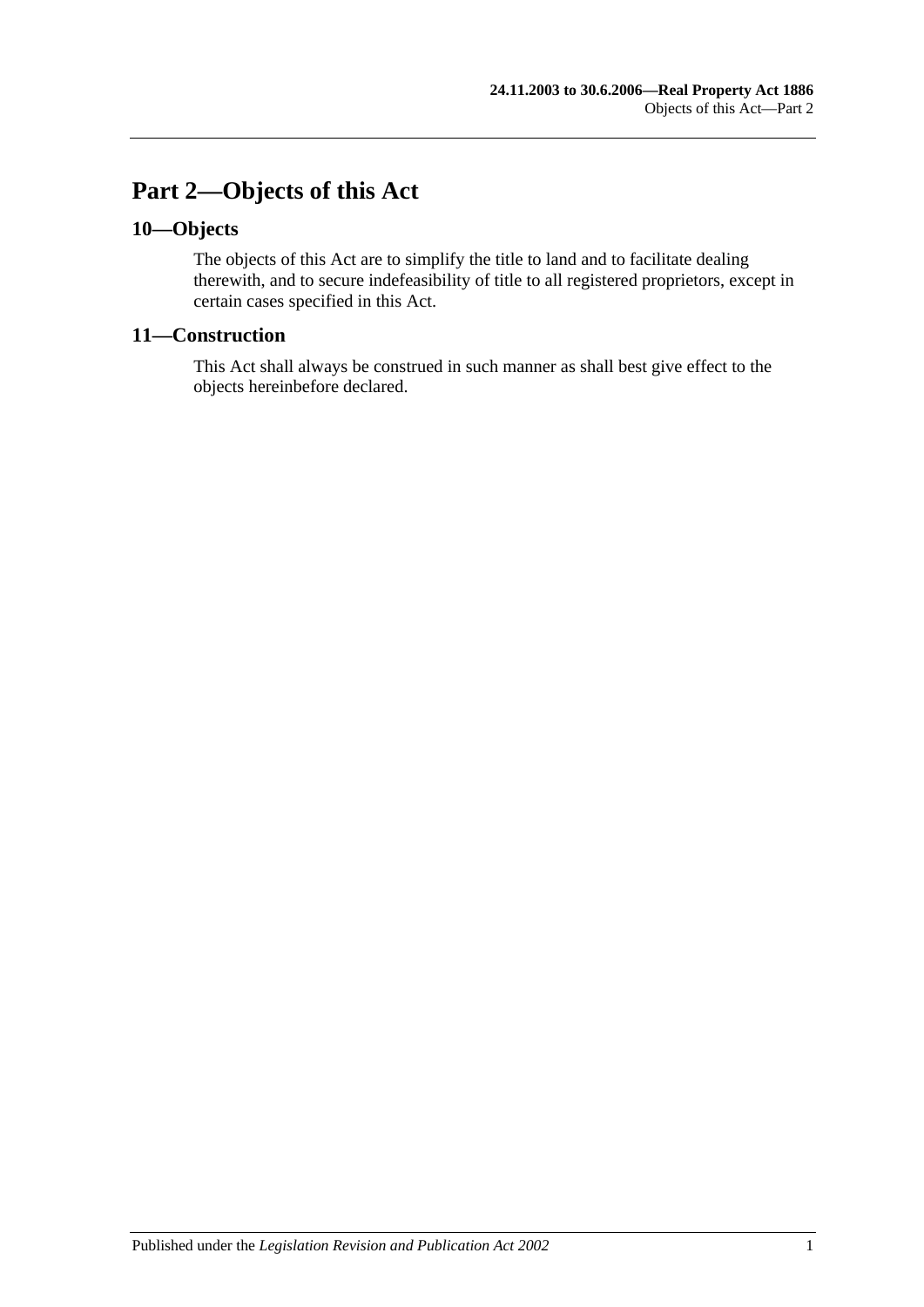# <span id="page-14-0"></span>**Part 2—Objects of this Act**

### <span id="page-14-1"></span>**10—Objects**

The objects of this Act are to simplify the title to land and to facilitate dealing therewith, and to secure indefeasibility of title to all registered proprietors, except in certain cases specified in this Act.

### <span id="page-14-2"></span>**11—Construction**

This Act shall always be construed in such manner as shall best give effect to the objects hereinbefore declared.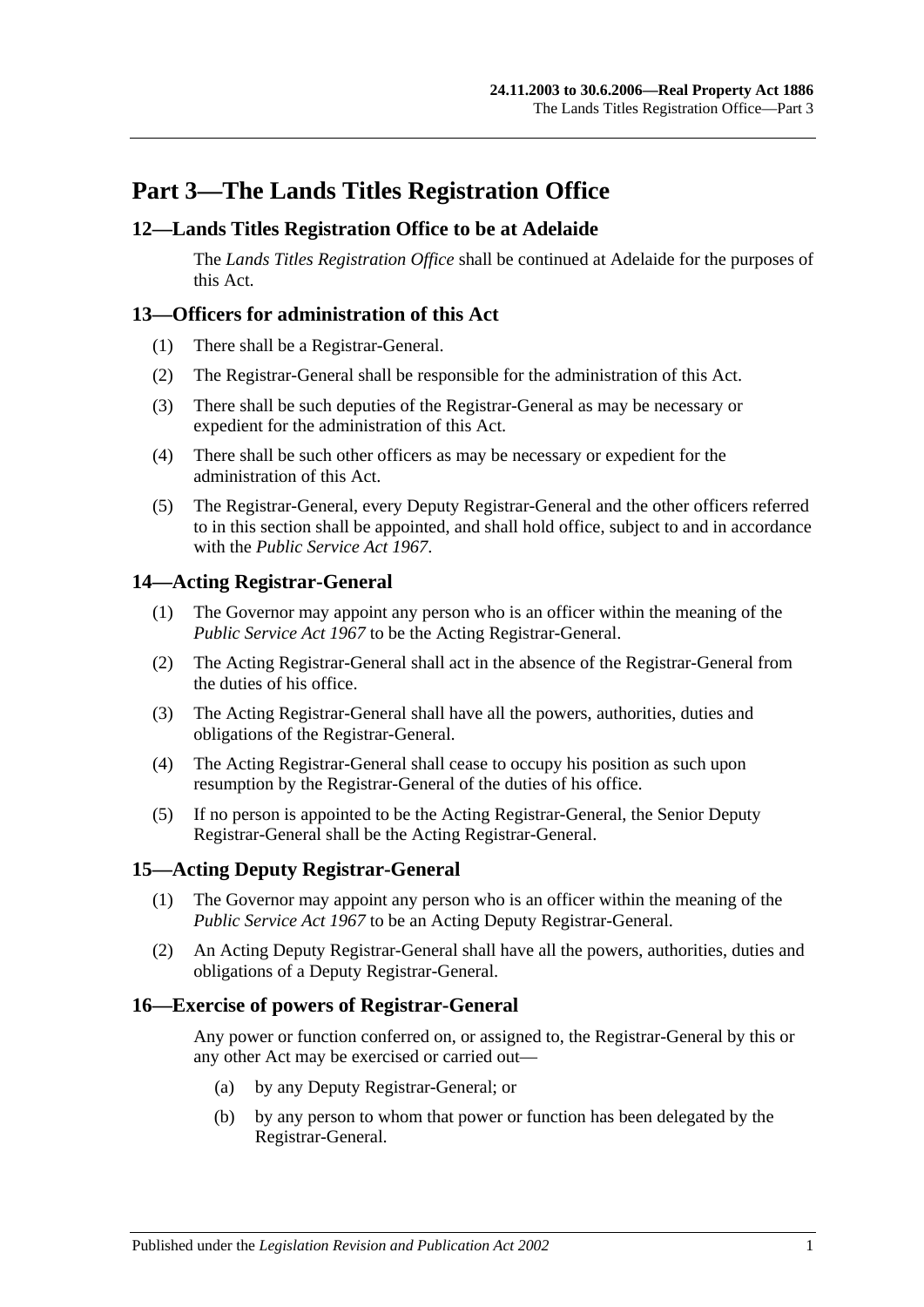# <span id="page-16-0"></span>**Part 3—The Lands Titles Registration Office**

### <span id="page-16-1"></span>**12—Lands Titles Registration Office to be at Adelaide**

The *Lands Titles Registration Office* shall be continued at Adelaide for the purposes of this Act.

### <span id="page-16-2"></span>**13—Officers for administration of this Act**

- (1) There shall be a Registrar-General.
- (2) The Registrar-General shall be responsible for the administration of this Act.
- (3) There shall be such deputies of the Registrar-General as may be necessary or expedient for the administration of this Act.
- (4) There shall be such other officers as may be necessary or expedient for the administration of this Act.
- (5) The Registrar-General, every Deputy Registrar-General and the other officers referred to in this section shall be appointed, and shall hold office, subject to and in accordance with the *[Public Service Act](http://www.legislation.sa.gov.au/index.aspx?action=legref&type=act&legtitle=Public%20Service%20Act%201967) 1967*.

### <span id="page-16-3"></span>**14—Acting Registrar-General**

- (1) The Governor may appoint any person who is an officer within the meaning of the *[Public Service Act](http://www.legislation.sa.gov.au/index.aspx?action=legref&type=act&legtitle=Public%20Service%20Act%201967) 1967* to be the Acting Registrar-General.
- (2) The Acting Registrar-General shall act in the absence of the Registrar-General from the duties of his office.
- (3) The Acting Registrar-General shall have all the powers, authorities, duties and obligations of the Registrar-General.
- (4) The Acting Registrar-General shall cease to occupy his position as such upon resumption by the Registrar-General of the duties of his office.
- (5) If no person is appointed to be the Acting Registrar-General, the Senior Deputy Registrar-General shall be the Acting Registrar-General.

### <span id="page-16-4"></span>**15—Acting Deputy Registrar-General**

- (1) The Governor may appoint any person who is an officer within the meaning of the *[Public Service Act](http://www.legislation.sa.gov.au/index.aspx?action=legref&type=act&legtitle=Public%20Service%20Act%201967) 1967* to be an Acting Deputy Registrar-General.
- (2) An Acting Deputy Registrar-General shall have all the powers, authorities, duties and obligations of a Deputy Registrar-General.

#### <span id="page-16-5"></span>**16—Exercise of powers of Registrar-General**

Any power or function conferred on, or assigned to, the Registrar-General by this or any other Act may be exercised or carried out—

- (a) by any Deputy Registrar-General; or
- (b) by any person to whom that power or function has been delegated by the Registrar-General.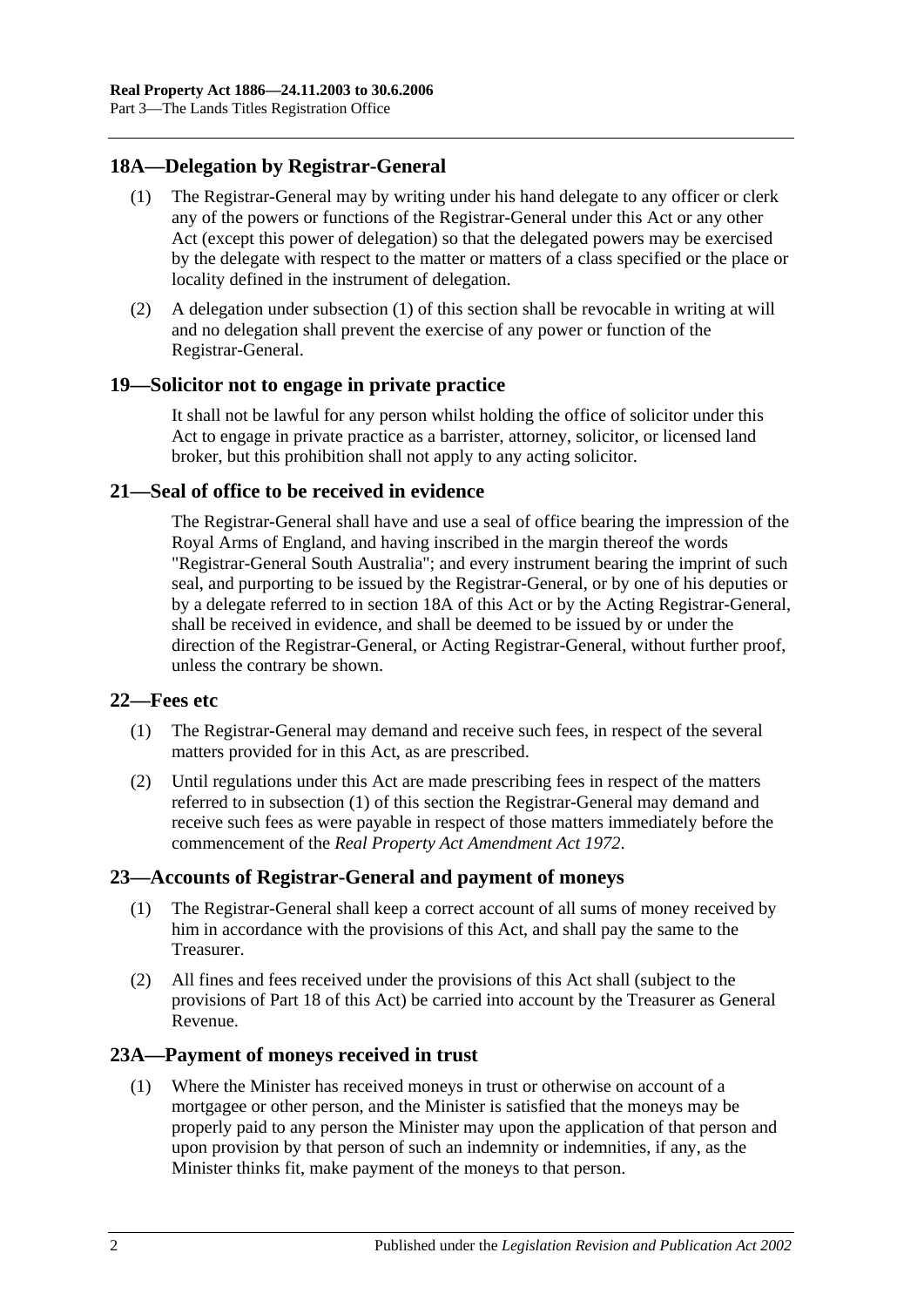### <span id="page-17-6"></span><span id="page-17-0"></span>**18A—Delegation by Registrar-General**

- (1) The Registrar-General may by writing under his hand delegate to any officer or clerk any of the powers or functions of the Registrar-General under this Act or any other Act (except this power of delegation) so that the delegated powers may be exercised by the delegate with respect to the matter or matters of a class specified or the place or locality defined in the instrument of delegation.
- (2) A delegation under [subsection](#page-17-6) (1) of this section shall be revocable in writing at will and no delegation shall prevent the exercise of any power or function of the Registrar-General.

### <span id="page-17-1"></span>**19—Solicitor not to engage in private practice**

It shall not be lawful for any person whilst holding the office of solicitor under this Act to engage in private practice as a barrister, attorney, solicitor, or licensed land broker, but this prohibition shall not apply to any acting solicitor.

### <span id="page-17-2"></span>**21—Seal of office to be received in evidence**

The Registrar-General shall have and use a seal of office bearing the impression of the Royal Arms of England, and having inscribed in the margin thereof the words "Registrar-General South Australia"; and every instrument bearing the imprint of such seal, and purporting to be issued by the Registrar-General, or by one of his deputies or by a delegate referred to in [section](#page-17-0) 18A of this Act or by the Acting Registrar-General, shall be received in evidence, and shall be deemed to be issued by or under the direction of the Registrar-General, or Acting Registrar-General, without further proof, unless the contrary be shown.

### <span id="page-17-7"></span><span id="page-17-3"></span>**22—Fees etc**

- (1) The Registrar-General may demand and receive such fees, in respect of the several matters provided for in this Act, as are prescribed.
- (2) Until regulations under this Act are made prescribing fees in respect of the matters referred to in [subsection](#page-17-7) (1) of this section the Registrar-General may demand and receive such fees as were payable in respect of those matters immediately before the commencement of the *[Real Property Act Amendment Act](http://www.legislation.sa.gov.au/index.aspx?action=legref&type=act&legtitle=Real%20Property%20Act%20Amendment%20Act%201972) 1972*.

### <span id="page-17-4"></span>**23—Accounts of Registrar-General and payment of moneys**

- (1) The Registrar-General shall keep a correct account of all sums of money received by him in accordance with the provisions of this Act, and shall pay the same to the Treasurer.
- (2) All fines and fees received under the provisions of this Act shall (subject to the provisions of [Part 18](#page-88-0) of this Act) be carried into account by the Treasurer as General Revenue.

### <span id="page-17-8"></span><span id="page-17-5"></span>**23A—Payment of moneys received in trust**

(1) Where the Minister has received moneys in trust or otherwise on account of a mortgagee or other person, and the Minister is satisfied that the moneys may be properly paid to any person the Minister may upon the application of that person and upon provision by that person of such an indemnity or indemnities, if any, as the Minister thinks fit, make payment of the moneys to that person.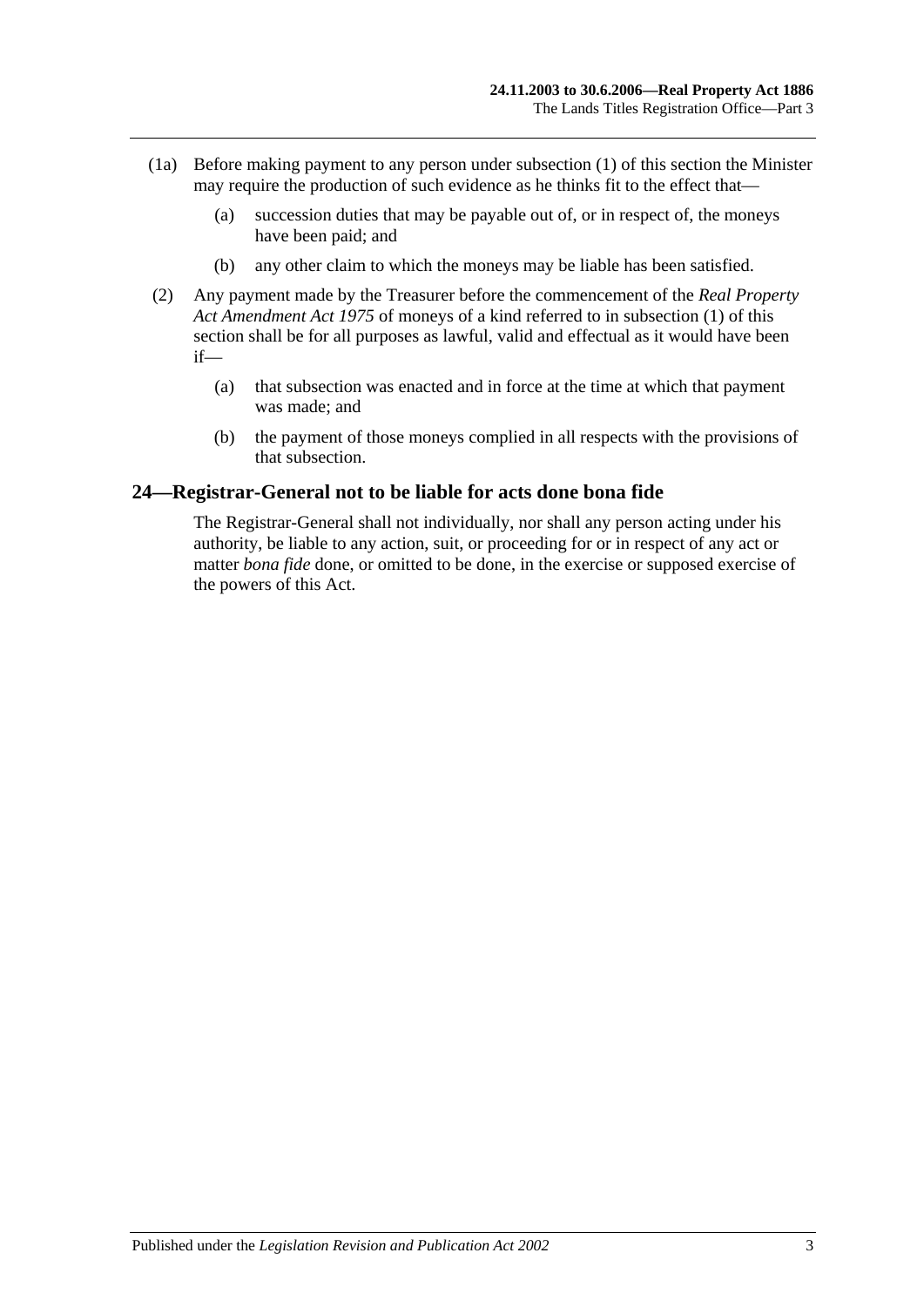- (1a) Before making payment to any person under [subsection](#page-17-8) (1) of this section the Minister may require the production of such evidence as he thinks fit to the effect that—
	- (a) succession duties that may be payable out of, or in respect of, the moneys have been paid; and
	- (b) any other claim to which the moneys may be liable has been satisfied.
- (2) Any payment made by the Treasurer before the commencement of the *[Real Property](http://www.legislation.sa.gov.au/index.aspx?action=legref&type=act&legtitle=Real%20Property%20Act%20Amendment%20Act%201975)  [Act Amendment Act](http://www.legislation.sa.gov.au/index.aspx?action=legref&type=act&legtitle=Real%20Property%20Act%20Amendment%20Act%201975) 1975* of moneys of a kind referred to in [subsection](#page-17-8) (1) of this section shall be for all purposes as lawful, valid and effectual as it would have been if—
	- (a) that subsection was enacted and in force at the time at which that payment was made; and
	- (b) the payment of those moneys complied in all respects with the provisions of that subsection.

#### <span id="page-18-0"></span>**24—Registrar-General not to be liable for acts done bona fide**

The Registrar-General shall not individually, nor shall any person acting under his authority, be liable to any action, suit, or proceeding for or in respect of any act or matter *bona fide* done, or omitted to be done, in the exercise or supposed exercise of the powers of this Act.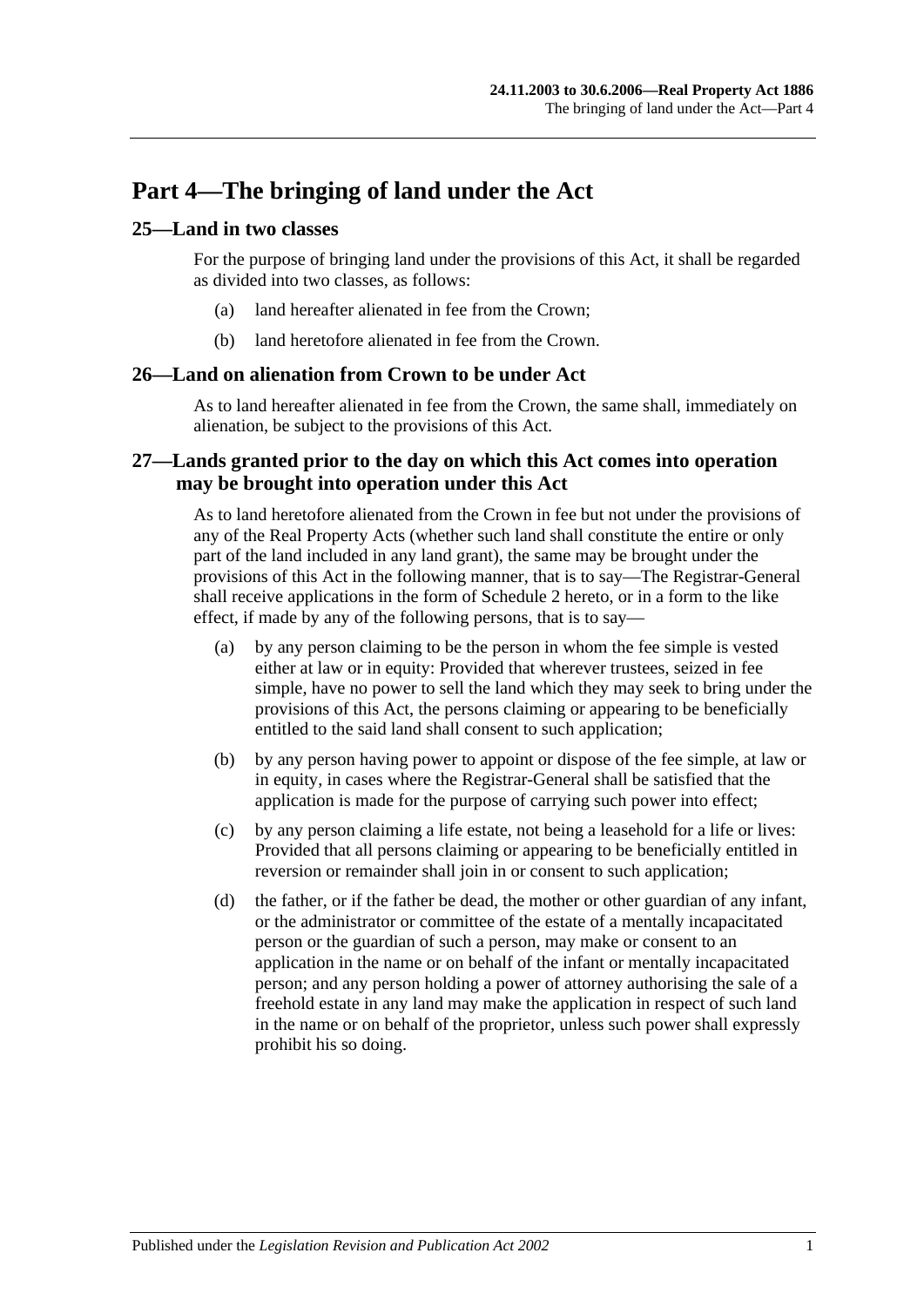# <span id="page-20-0"></span>**Part 4—The bringing of land under the Act**

### <span id="page-20-1"></span>**25—Land in two classes**

For the purpose of bringing land under the provisions of this Act, it shall be regarded as divided into two classes, as follows:

- (a) land hereafter alienated in fee from the Crown;
- (b) land heretofore alienated in fee from the Crown.

#### <span id="page-20-2"></span>**26—Land on alienation from Crown to be under Act**

As to land hereafter alienated in fee from the Crown, the same shall, immediately on alienation, be subject to the provisions of this Act.

### <span id="page-20-3"></span>**27—Lands granted prior to the day on which this Act comes into operation may be brought into operation under this Act**

As to land heretofore alienated from the Crown in fee but not under the provisions of any of the Real Property Acts (whether such land shall constitute the entire or only part of the land included in any land grant), the same may be brought under the provisions of this Act in the following manner, that is to say—The Registrar-General shall receive applications in the form of [Schedule 2](#page-133-0) hereto, or in a form to the like effect, if made by any of the following persons, that is to say—

- (a) by any person claiming to be the person in whom the fee simple is vested either at law or in equity: Provided that wherever trustees, seized in fee simple, have no power to sell the land which they may seek to bring under the provisions of this Act, the persons claiming or appearing to be beneficially entitled to the said land shall consent to such application;
- (b) by any person having power to appoint or dispose of the fee simple, at law or in equity, in cases where the Registrar-General shall be satisfied that the application is made for the purpose of carrying such power into effect;
- (c) by any person claiming a life estate, not being a leasehold for a life or lives: Provided that all persons claiming or appearing to be beneficially entitled in reversion or remainder shall join in or consent to such application;
- (d) the father, or if the father be dead, the mother or other guardian of any infant, or the administrator or committee of the estate of a mentally incapacitated person or the guardian of such a person, may make or consent to an application in the name or on behalf of the infant or mentally incapacitated person; and any person holding a power of attorney authorising the sale of a freehold estate in any land may make the application in respect of such land in the name or on behalf of the proprietor, unless such power shall expressly prohibit his so doing.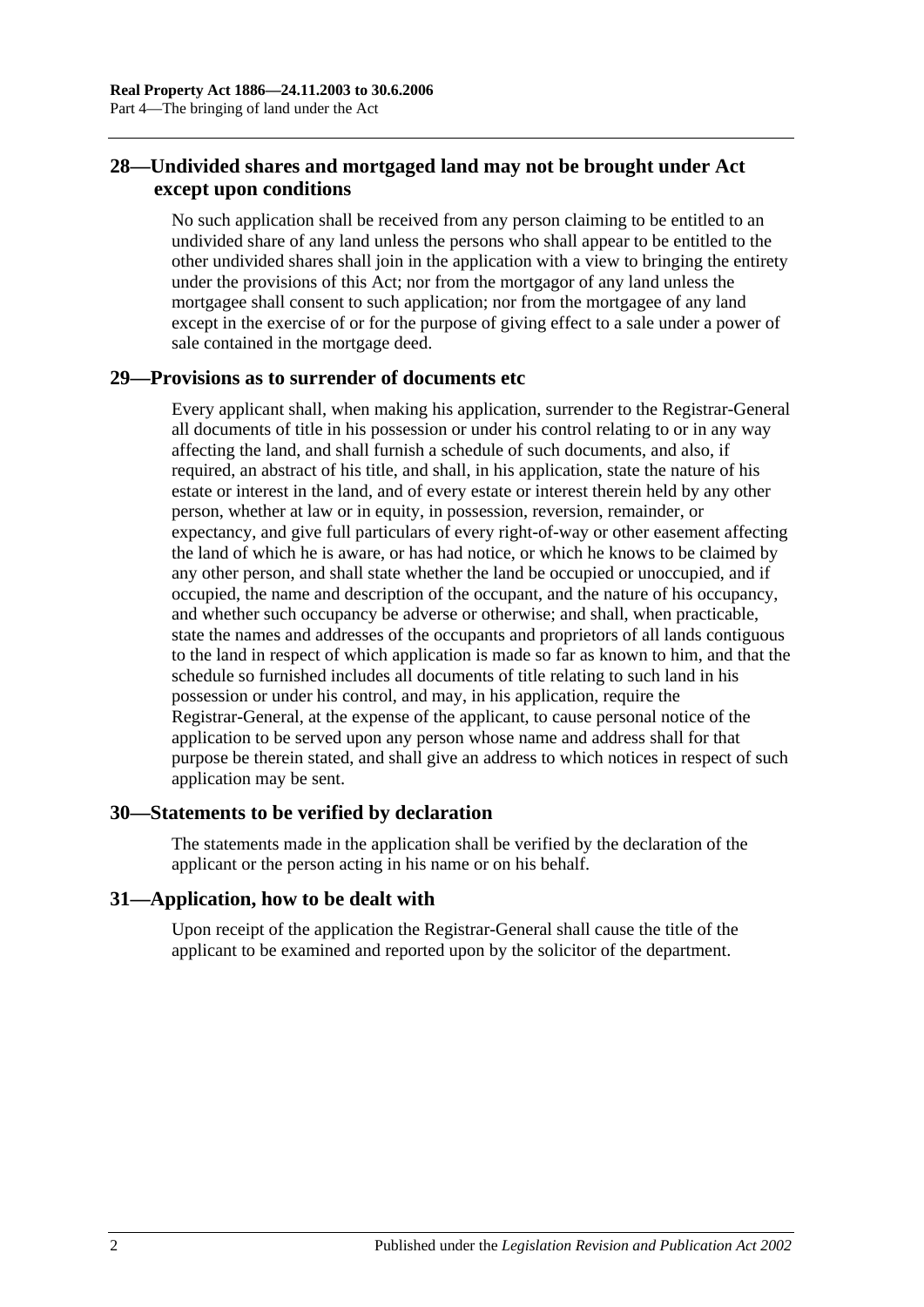### <span id="page-21-0"></span>**28—Undivided shares and mortgaged land may not be brought under Act except upon conditions**

No such application shall be received from any person claiming to be entitled to an undivided share of any land unless the persons who shall appear to be entitled to the other undivided shares shall join in the application with a view to bringing the entirety under the provisions of this Act; nor from the mortgagor of any land unless the mortgagee shall consent to such application; nor from the mortgagee of any land except in the exercise of or for the purpose of giving effect to a sale under a power of sale contained in the mortgage deed.

### <span id="page-21-1"></span>**29—Provisions as to surrender of documents etc**

Every applicant shall, when making his application, surrender to the Registrar-General all documents of title in his possession or under his control relating to or in any way affecting the land, and shall furnish a schedule of such documents, and also, if required, an abstract of his title, and shall, in his application, state the nature of his estate or interest in the land, and of every estate or interest therein held by any other person, whether at law or in equity, in possession, reversion, remainder, or expectancy, and give full particulars of every right-of-way or other easement affecting the land of which he is aware, or has had notice, or which he knows to be claimed by any other person, and shall state whether the land be occupied or unoccupied, and if occupied, the name and description of the occupant, and the nature of his occupancy, and whether such occupancy be adverse or otherwise; and shall, when practicable, state the names and addresses of the occupants and proprietors of all lands contiguous to the land in respect of which application is made so far as known to him, and that the schedule so furnished includes all documents of title relating to such land in his possession or under his control, and may, in his application, require the Registrar-General, at the expense of the applicant, to cause personal notice of the application to be served upon any person whose name and address shall for that purpose be therein stated, and shall give an address to which notices in respect of such application may be sent.

### <span id="page-21-2"></span>**30—Statements to be verified by declaration**

The statements made in the application shall be verified by the declaration of the applicant or the person acting in his name or on his behalf.

#### <span id="page-21-3"></span>**31—Application, how to be dealt with**

Upon receipt of the application the Registrar-General shall cause the title of the applicant to be examined and reported upon by the solicitor of the department.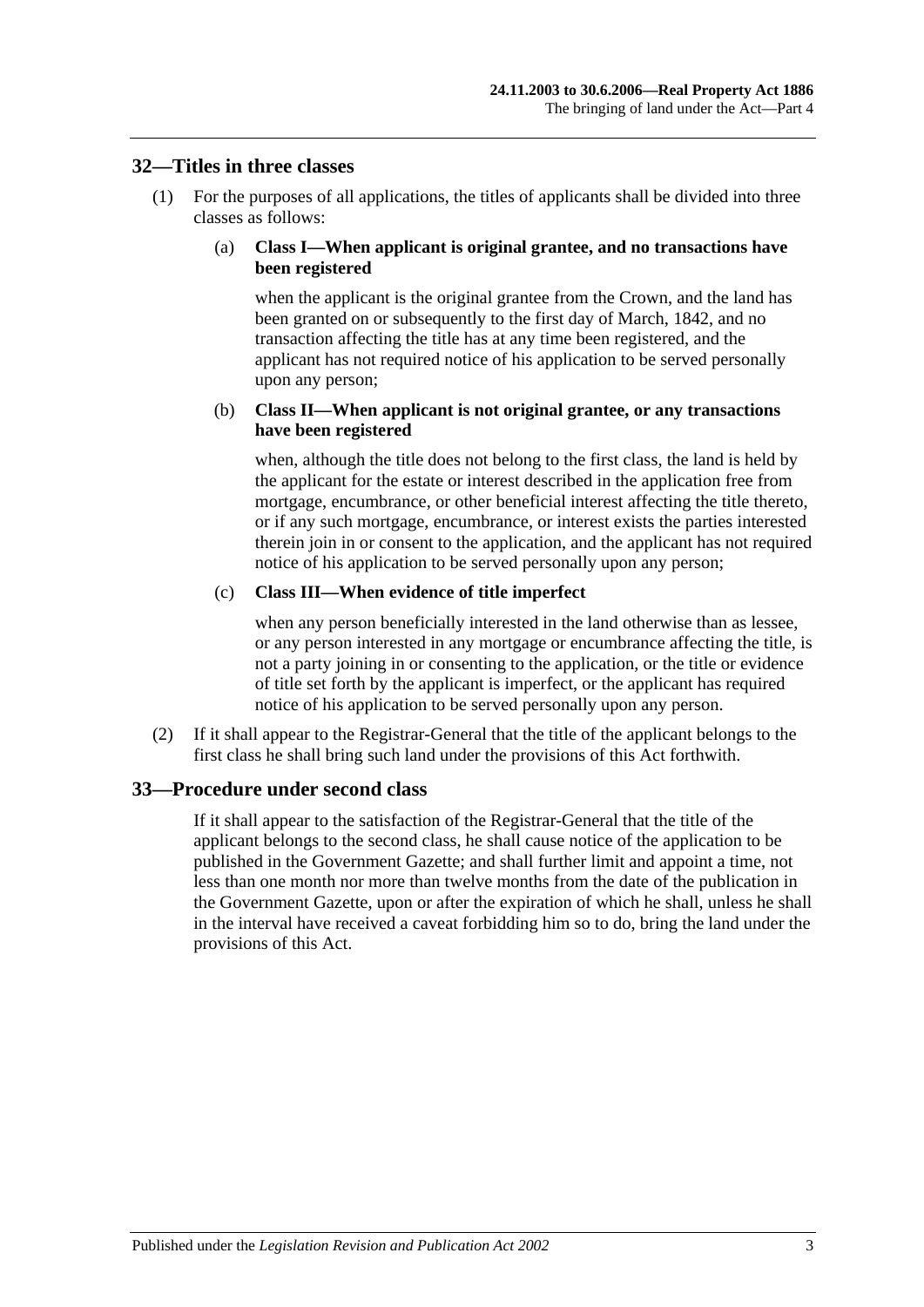#### <span id="page-22-0"></span>**32—Titles in three classes**

(1) For the purposes of all applications, the titles of applicants shall be divided into three classes as follows:

#### (a) **Class I—When applicant is original grantee, and no transactions have been registered**

when the applicant is the original grantee from the Crown, and the land has been granted on or subsequently to the first day of March, 1842, and no transaction affecting the title has at any time been registered, and the applicant has not required notice of his application to be served personally upon any person;

#### (b) **Class II—When applicant is not original grantee, or any transactions have been registered**

when, although the title does not belong to the first class, the land is held by the applicant for the estate or interest described in the application free from mortgage, encumbrance, or other beneficial interest affecting the title thereto, or if any such mortgage, encumbrance, or interest exists the parties interested therein join in or consent to the application, and the applicant has not required notice of his application to be served personally upon any person;

#### (c) **Class III—When evidence of title imperfect**

when any person beneficially interested in the land otherwise than as lessee, or any person interested in any mortgage or encumbrance affecting the title, is not a party joining in or consenting to the application, or the title or evidence of title set forth by the applicant is imperfect, or the applicant has required notice of his application to be served personally upon any person.

(2) If it shall appear to the Registrar-General that the title of the applicant belongs to the first class he shall bring such land under the provisions of this Act forthwith.

### <span id="page-22-1"></span>**33—Procedure under second class**

If it shall appear to the satisfaction of the Registrar-General that the title of the applicant belongs to the second class, he shall cause notice of the application to be published in the Government Gazette; and shall further limit and appoint a time, not less than one month nor more than twelve months from the date of the publication in the Government Gazette, upon or after the expiration of which he shall, unless he shall in the interval have received a caveat forbidding him so to do, bring the land under the provisions of this Act.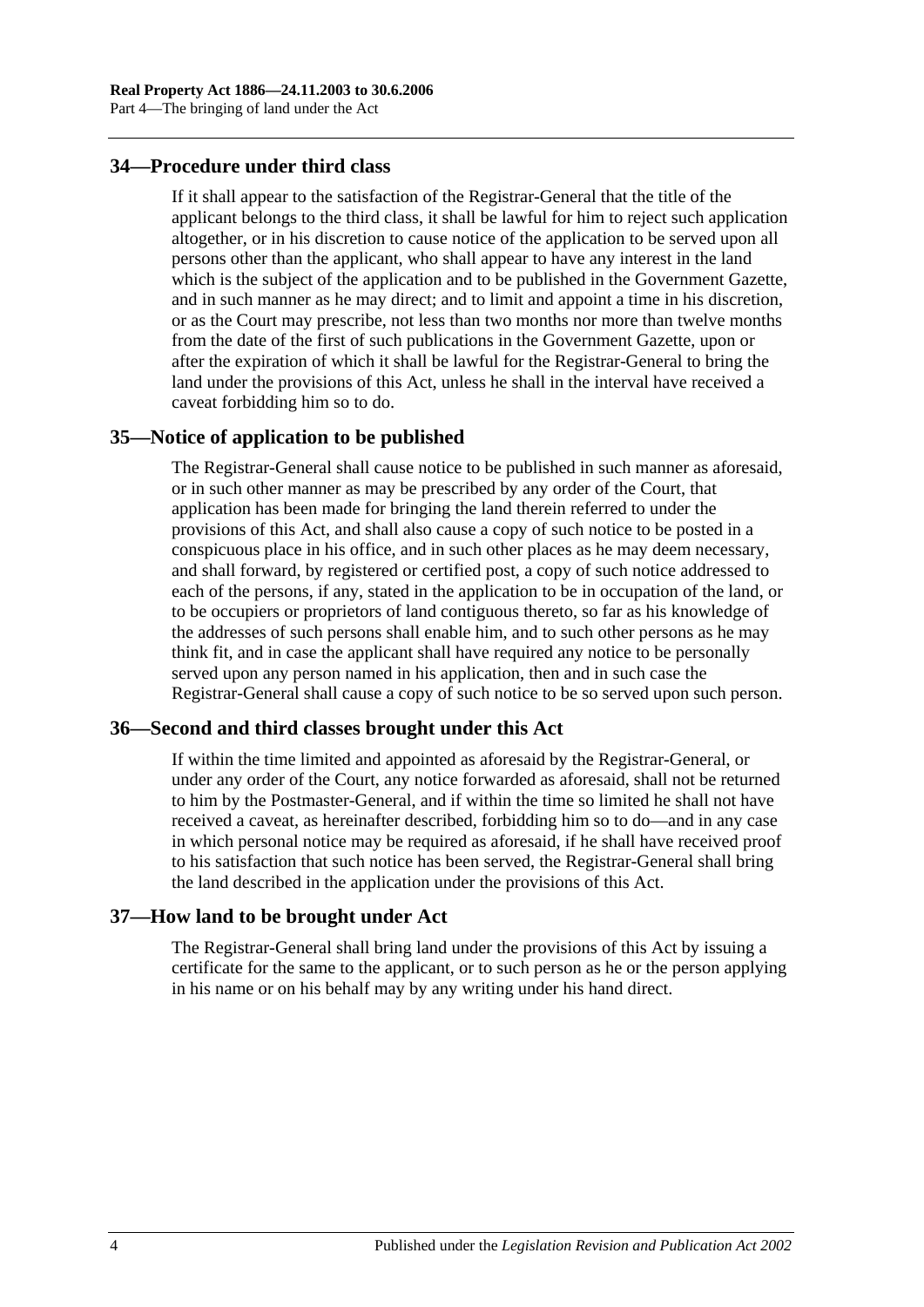### <span id="page-23-0"></span>**34—Procedure under third class**

If it shall appear to the satisfaction of the Registrar-General that the title of the applicant belongs to the third class, it shall be lawful for him to reject such application altogether, or in his discretion to cause notice of the application to be served upon all persons other than the applicant, who shall appear to have any interest in the land which is the subject of the application and to be published in the Government Gazette, and in such manner as he may direct; and to limit and appoint a time in his discretion, or as the Court may prescribe, not less than two months nor more than twelve months from the date of the first of such publications in the Government Gazette, upon or after the expiration of which it shall be lawful for the Registrar-General to bring the land under the provisions of this Act, unless he shall in the interval have received a caveat forbidding him so to do.

#### <span id="page-23-1"></span>**35—Notice of application to be published**

The Registrar-General shall cause notice to be published in such manner as aforesaid, or in such other manner as may be prescribed by any order of the Court, that application has been made for bringing the land therein referred to under the provisions of this Act, and shall also cause a copy of such notice to be posted in a conspicuous place in his office, and in such other places as he may deem necessary, and shall forward, by registered or certified post, a copy of such notice addressed to each of the persons, if any, stated in the application to be in occupation of the land, or to be occupiers or proprietors of land contiguous thereto, so far as his knowledge of the addresses of such persons shall enable him, and to such other persons as he may think fit, and in case the applicant shall have required any notice to be personally served upon any person named in his application, then and in such case the Registrar-General shall cause a copy of such notice to be so served upon such person.

#### <span id="page-23-2"></span>**36—Second and third classes brought under this Act**

If within the time limited and appointed as aforesaid by the Registrar-General, or under any order of the Court, any notice forwarded as aforesaid, shall not be returned to him by the Postmaster-General, and if within the time so limited he shall not have received a caveat, as hereinafter described, forbidding him so to do—and in any case in which personal notice may be required as aforesaid, if he shall have received proof to his satisfaction that such notice has been served, the Registrar-General shall bring the land described in the application under the provisions of this Act.

#### <span id="page-23-3"></span>**37—How land to be brought under Act**

The Registrar-General shall bring land under the provisions of this Act by issuing a certificate for the same to the applicant, or to such person as he or the person applying in his name or on his behalf may by any writing under his hand direct.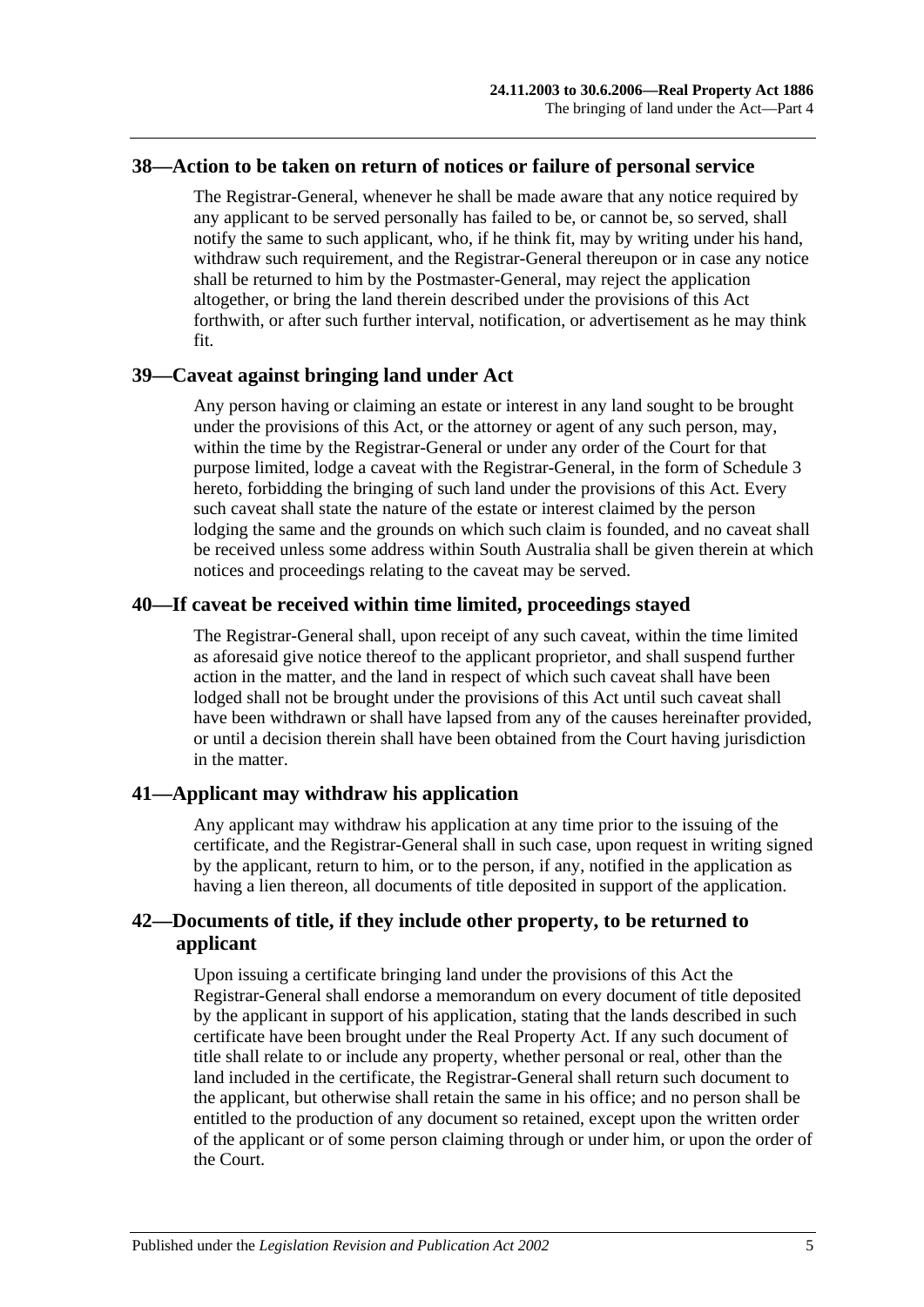#### <span id="page-24-0"></span>**38—Action to be taken on return of notices or failure of personal service**

The Registrar-General, whenever he shall be made aware that any notice required by any applicant to be served personally has failed to be, or cannot be, so served, shall notify the same to such applicant, who, if he think fit, may by writing under his hand, withdraw such requirement, and the Registrar-General thereupon or in case any notice shall be returned to him by the Postmaster-General, may reject the application altogether, or bring the land therein described under the provisions of this Act forthwith, or after such further interval, notification, or advertisement as he may think fit.

#### <span id="page-24-1"></span>**39—Caveat against bringing land under Act**

Any person having or claiming an estate or interest in any land sought to be brought under the provisions of this Act, or the attorney or agent of any such person, may, within the time by the Registrar-General or under any order of the Court for that purpose limited, lodge a caveat with the Registrar-General, in the form of [Schedule 3](#page-134-0) hereto, forbidding the bringing of such land under the provisions of this Act. Every such caveat shall state the nature of the estate or interest claimed by the person lodging the same and the grounds on which such claim is founded, and no caveat shall be received unless some address within South Australia shall be given therein at which notices and proceedings relating to the caveat may be served.

### <span id="page-24-2"></span>**40—If caveat be received within time limited, proceedings stayed**

The Registrar-General shall, upon receipt of any such caveat, within the time limited as aforesaid give notice thereof to the applicant proprietor, and shall suspend further action in the matter, and the land in respect of which such caveat shall have been lodged shall not be brought under the provisions of this Act until such caveat shall have been withdrawn or shall have lapsed from any of the causes hereinafter provided, or until a decision therein shall have been obtained from the Court having jurisdiction in the matter.

### <span id="page-24-3"></span>**41—Applicant may withdraw his application**

Any applicant may withdraw his application at any time prior to the issuing of the certificate, and the Registrar-General shall in such case, upon request in writing signed by the applicant, return to him, or to the person, if any, notified in the application as having a lien thereon, all documents of title deposited in support of the application.

### <span id="page-24-4"></span>**42—Documents of title, if they include other property, to be returned to applicant**

Upon issuing a certificate bringing land under the provisions of this Act the Registrar-General shall endorse a memorandum on every document of title deposited by the applicant in support of his application, stating that the lands described in such certificate have been brought under the Real Property Act. If any such document of title shall relate to or include any property, whether personal or real, other than the land included in the certificate, the Registrar-General shall return such document to the applicant, but otherwise shall retain the same in his office; and no person shall be entitled to the production of any document so retained, except upon the written order of the applicant or of some person claiming through or under him, or upon the order of the Court.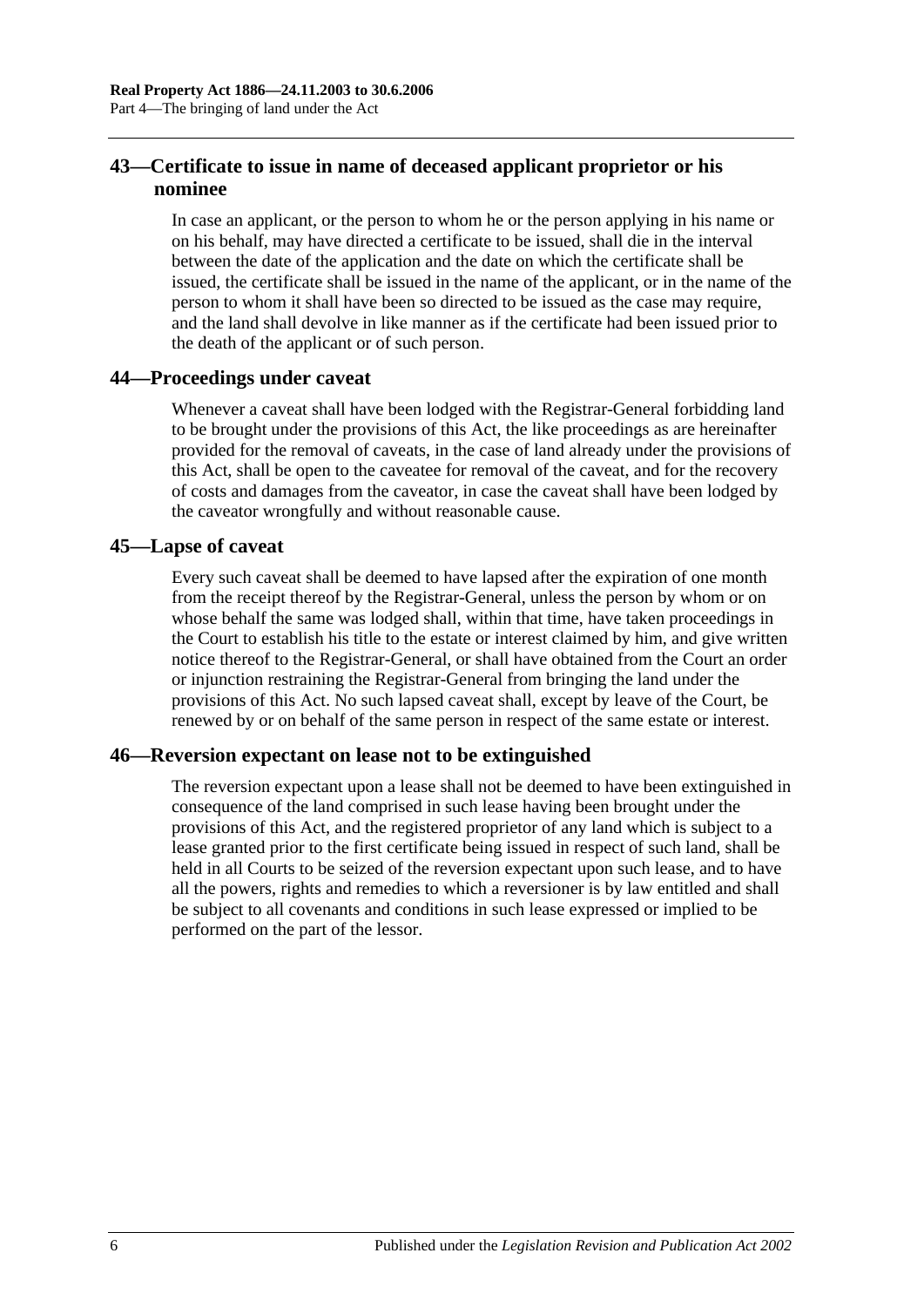### <span id="page-25-0"></span>**43—Certificate to issue in name of deceased applicant proprietor or his nominee**

In case an applicant, or the person to whom he or the person applying in his name or on his behalf, may have directed a certificate to be issued, shall die in the interval between the date of the application and the date on which the certificate shall be issued, the certificate shall be issued in the name of the applicant, or in the name of the person to whom it shall have been so directed to be issued as the case may require, and the land shall devolve in like manner as if the certificate had been issued prior to the death of the applicant or of such person.

### <span id="page-25-1"></span>**44—Proceedings under caveat**

Whenever a caveat shall have been lodged with the Registrar-General forbidding land to be brought under the provisions of this Act, the like proceedings as are hereinafter provided for the removal of caveats, in the case of land already under the provisions of this Act, shall be open to the caveatee for removal of the caveat, and for the recovery of costs and damages from the caveator, in case the caveat shall have been lodged by the caveator wrongfully and without reasonable cause.

### <span id="page-25-2"></span>**45—Lapse of caveat**

Every such caveat shall be deemed to have lapsed after the expiration of one month from the receipt thereof by the Registrar-General, unless the person by whom or on whose behalf the same was lodged shall, within that time, have taken proceedings in the Court to establish his title to the estate or interest claimed by him, and give written notice thereof to the Registrar-General, or shall have obtained from the Court an order or injunction restraining the Registrar-General from bringing the land under the provisions of this Act. No such lapsed caveat shall, except by leave of the Court, be renewed by or on behalf of the same person in respect of the same estate or interest.

### <span id="page-25-3"></span>**46—Reversion expectant on lease not to be extinguished**

The reversion expectant upon a lease shall not be deemed to have been extinguished in consequence of the land comprised in such lease having been brought under the provisions of this Act, and the registered proprietor of any land which is subject to a lease granted prior to the first certificate being issued in respect of such land, shall be held in all Courts to be seized of the reversion expectant upon such lease, and to have all the powers, rights and remedies to which a reversioner is by law entitled and shall be subject to all covenants and conditions in such lease expressed or implied to be performed on the part of the lessor.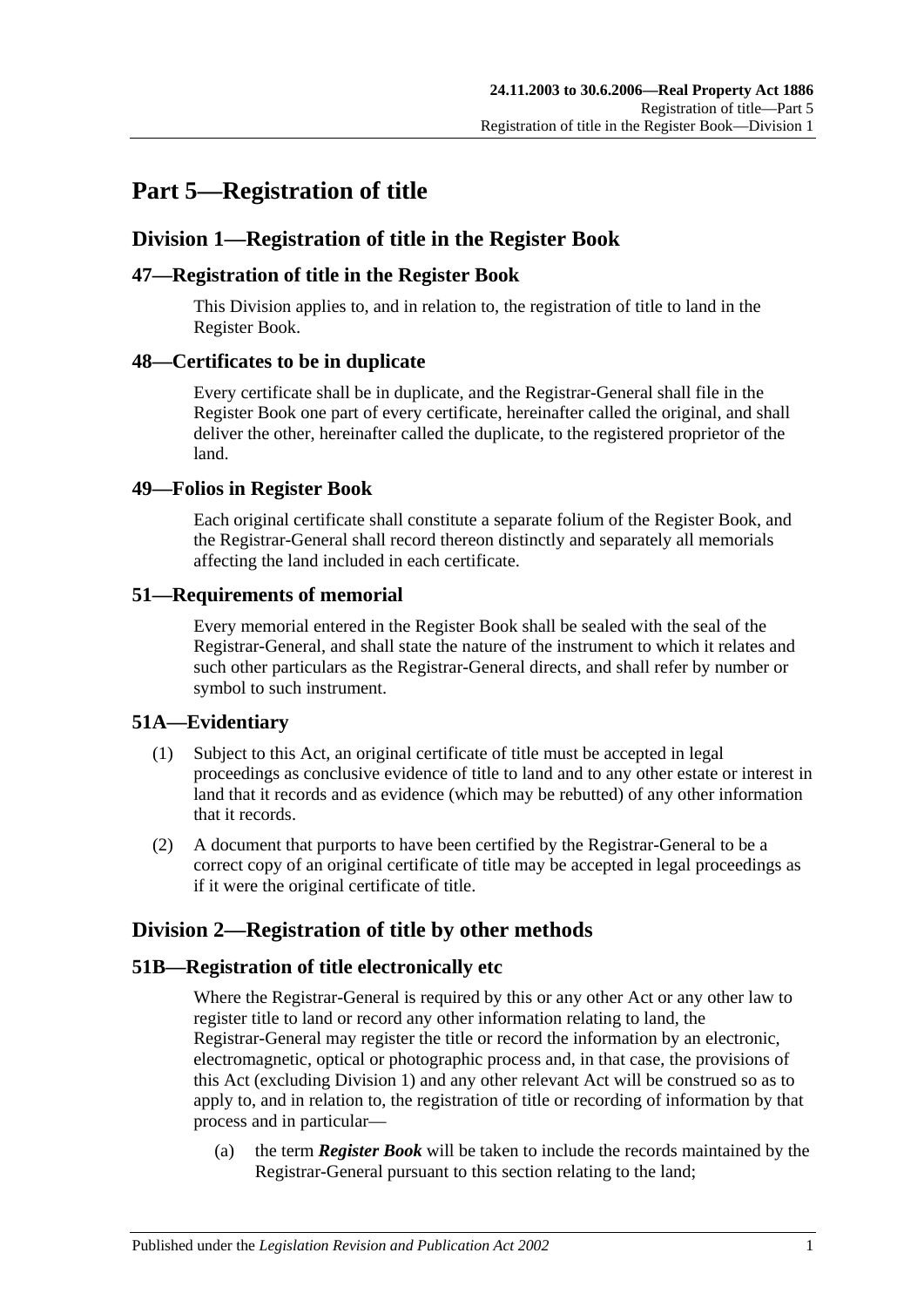# <span id="page-26-0"></span>**Part 5—Registration of title**

### <span id="page-26-1"></span>**Division 1—Registration of title in the Register Book**

### <span id="page-26-2"></span>**47—Registration of title in the Register Book**

This Division applies to, and in relation to, the registration of title to land in the Register Book.

### <span id="page-26-3"></span>**48—Certificates to be in duplicate**

Every certificate shall be in duplicate, and the Registrar-General shall file in the Register Book one part of every certificate, hereinafter called the original, and shall deliver the other, hereinafter called the duplicate, to the registered proprietor of the land.

### <span id="page-26-4"></span>**49—Folios in Register Book**

Each original certificate shall constitute a separate folium of the Register Book, and the Registrar-General shall record thereon distinctly and separately all memorials affecting the land included in each certificate.

### <span id="page-26-5"></span>**51—Requirements of memorial**

Every memorial entered in the Register Book shall be sealed with the seal of the Registrar-General, and shall state the nature of the instrument to which it relates and such other particulars as the Registrar-General directs, and shall refer by number or symbol to such instrument.

### <span id="page-26-6"></span>**51A—Evidentiary**

- (1) Subject to this Act, an original certificate of title must be accepted in legal proceedings as conclusive evidence of title to land and to any other estate or interest in land that it records and as evidence (which may be rebutted) of any other information that it records.
- (2) A document that purports to have been certified by the Registrar-General to be a correct copy of an original certificate of title may be accepted in legal proceedings as if it were the original certificate of title.

### <span id="page-26-7"></span>**Division 2—Registration of title by other methods**

### <span id="page-26-8"></span>**51B—Registration of title electronically etc**

Where the Registrar-General is required by this or any other Act or any other law to register title to land or record any other information relating to land, the Registrar-General may register the title or record the information by an electronic, electromagnetic, optical or photographic process and, in that case, the provisions of this Act (excluding [Division 1\)](#page-26-1) and any other relevant Act will be construed so as to apply to, and in relation to, the registration of title or recording of information by that process and in particular—

(a) the term *Register Book* will be taken to include the records maintained by the Registrar-General pursuant to this section relating to the land;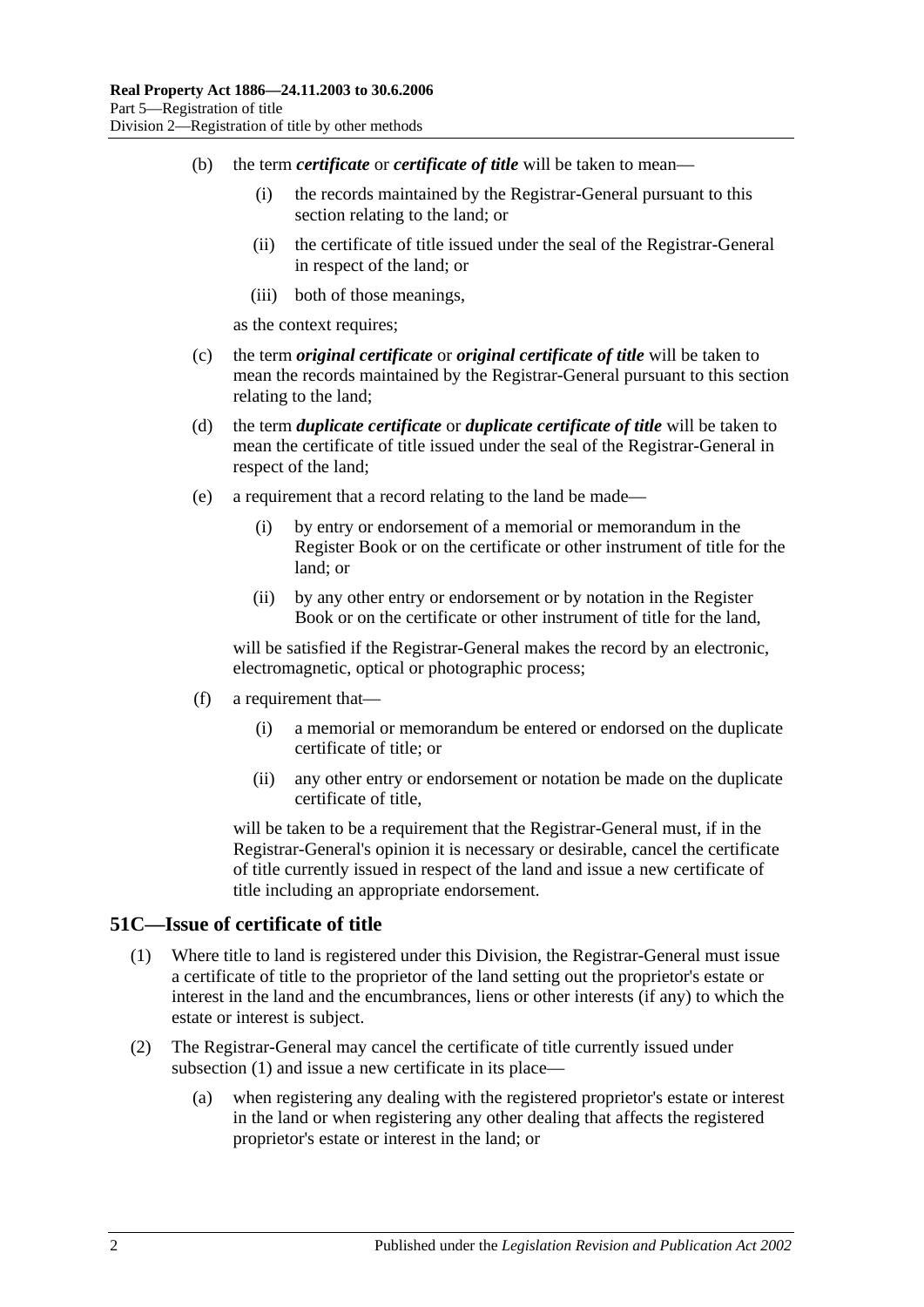- (b) the term *certificate* or *certificate of title* will be taken to mean—
	- (i) the records maintained by the Registrar-General pursuant to this section relating to the land; or
	- (ii) the certificate of title issued under the seal of the Registrar-General in respect of the land; or
	- (iii) both of those meanings,

as the context requires;

- (c) the term *original certificate* or *original certificate of title* will be taken to mean the records maintained by the Registrar-General pursuant to this section relating to the land;
- (d) the term *duplicate certificate* or *duplicate certificate of title* will be taken to mean the certificate of title issued under the seal of the Registrar-General in respect of the land;
- (e) a requirement that a record relating to the land be made—
	- (i) by entry or endorsement of a memorial or memorandum in the Register Book or on the certificate or other instrument of title for the land; or
	- (ii) by any other entry or endorsement or by notation in the Register Book or on the certificate or other instrument of title for the land,

will be satisfied if the Registrar-General makes the record by an electronic, electromagnetic, optical or photographic process;

- (f) a requirement that—
	- (i) a memorial or memorandum be entered or endorsed on the duplicate certificate of title; or
	- (ii) any other entry or endorsement or notation be made on the duplicate certificate of title,

will be taken to be a requirement that the Registrar-General must, if in the Registrar-General's opinion it is necessary or desirable, cancel the certificate of title currently issued in respect of the land and issue a new certificate of title including an appropriate endorsement.

#### <span id="page-27-1"></span><span id="page-27-0"></span>**51C—Issue of certificate of title**

- (1) Where title to land is registered under this Division, the Registrar-General must issue a certificate of title to the proprietor of the land setting out the proprietor's estate or interest in the land and the encumbrances, liens or other interests (if any) to which the estate or interest is subject.
- (2) The Registrar-General may cancel the certificate of title currently issued under [subsection](#page-27-1) (1) and issue a new certificate in its place—
	- (a) when registering any dealing with the registered proprietor's estate or interest in the land or when registering any other dealing that affects the registered proprietor's estate or interest in the land; or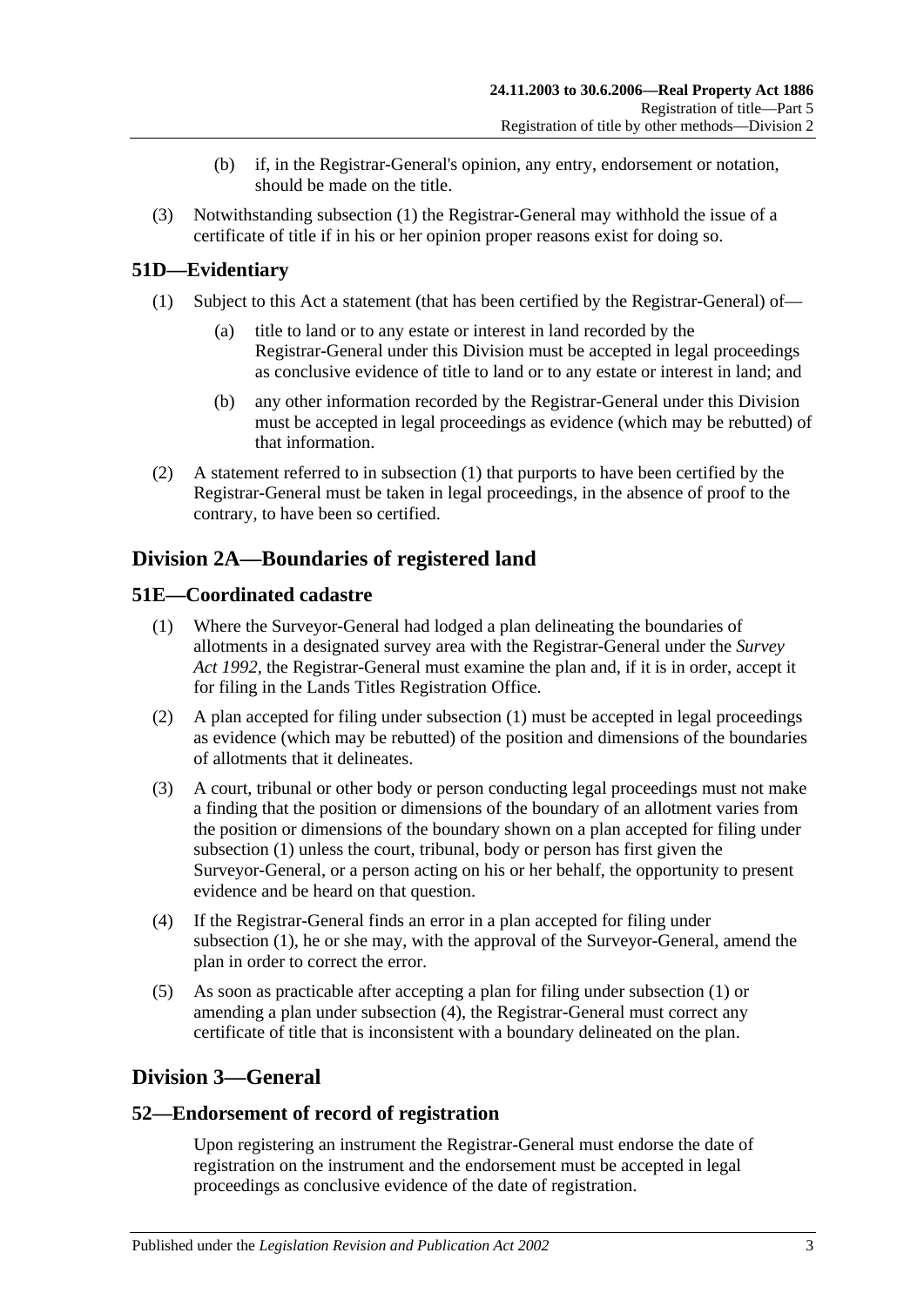- (b) if, in the Registrar-General's opinion, any entry, endorsement or notation, should be made on the title.
- (3) Notwithstanding [subsection](#page-27-1) (1) the Registrar-General may withhold the issue of a certificate of title if in his or her opinion proper reasons exist for doing so.

### <span id="page-28-5"></span><span id="page-28-0"></span>**51D—Evidentiary**

- (1) Subject to this Act a statement (that has been certified by the Registrar-General) of
	- title to land or to any estate or interest in land recorded by the Registrar-General under this Division must be accepted in legal proceedings as conclusive evidence of title to land or to any estate or interest in land; and
	- (b) any other information recorded by the Registrar-General under this Division must be accepted in legal proceedings as evidence (which may be rebutted) of that information.
- (2) A statement referred to in [subsection](#page-28-5) (1) that purports to have been certified by the Registrar-General must be taken in legal proceedings, in the absence of proof to the contrary, to have been so certified.

# <span id="page-28-1"></span>**Division 2A—Boundaries of registered land**

### <span id="page-28-6"></span><span id="page-28-2"></span>**51E—Coordinated cadastre**

- (1) Where the Surveyor-General had lodged a plan delineating the boundaries of allotments in a designated survey area with the Registrar-General under the *[Survey](http://www.legislation.sa.gov.au/index.aspx?action=legref&type=act&legtitle=Survey%20Act%201992)  Act [1992](http://www.legislation.sa.gov.au/index.aspx?action=legref&type=act&legtitle=Survey%20Act%201992)*, the Registrar-General must examine the plan and, if it is in order, accept it for filing in the Lands Titles Registration Office.
- (2) A plan accepted for filing under [subsection](#page-28-6) (1) must be accepted in legal proceedings as evidence (which may be rebutted) of the position and dimensions of the boundaries of allotments that it delineates.
- (3) A court, tribunal or other body or person conducting legal proceedings must not make a finding that the position or dimensions of the boundary of an allotment varies from the position or dimensions of the boundary shown on a plan accepted for filing under [subsection](#page-28-6) (1) unless the court, tribunal, body or person has first given the Surveyor-General, or a person acting on his or her behalf, the opportunity to present evidence and be heard on that question.
- <span id="page-28-7"></span>(4) If the Registrar-General finds an error in a plan accepted for filing under [subsection](#page-28-6) (1), he or she may, with the approval of the Surveyor-General, amend the plan in order to correct the error.
- (5) As soon as practicable after accepting a plan for filing under [subsection](#page-28-6) (1) or amending a plan under [subsection](#page-28-7) (4), the Registrar-General must correct any certificate of title that is inconsistent with a boundary delineated on the plan.

### <span id="page-28-3"></span>**Division 3—General**

### <span id="page-28-4"></span>**52—Endorsement of record of registration**

Upon registering an instrument the Registrar-General must endorse the date of registration on the instrument and the endorsement must be accepted in legal proceedings as conclusive evidence of the date of registration.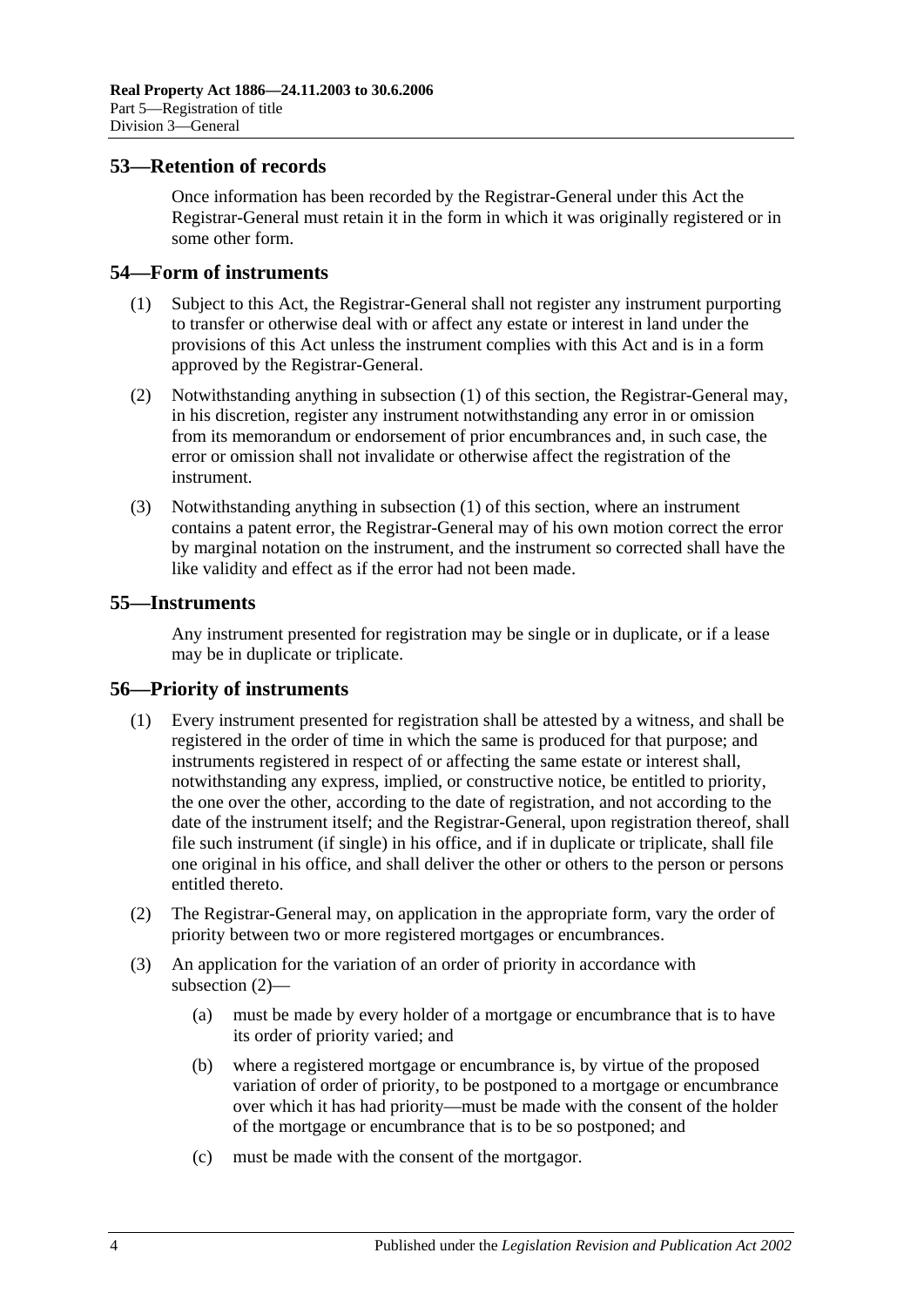#### <span id="page-29-0"></span>**53—Retention of records**

Once information has been recorded by the Registrar-General under this Act the Registrar-General must retain it in the form in which it was originally registered or in some other form.

#### <span id="page-29-4"></span><span id="page-29-1"></span>**54—Form of instruments**

- (1) Subject to this Act, the Registrar-General shall not register any instrument purporting to transfer or otherwise deal with or affect any estate or interest in land under the provisions of this Act unless the instrument complies with this Act and is in a form approved by the Registrar-General.
- (2) Notwithstanding anything in [subsection](#page-29-4) (1) of this section, the Registrar-General may, in his discretion, register any instrument notwithstanding any error in or omission from its memorandum or endorsement of prior encumbrances and, in such case, the error or omission shall not invalidate or otherwise affect the registration of the instrument.
- (3) Notwithstanding anything in [subsection](#page-29-4) (1) of this section, where an instrument contains a patent error, the Registrar-General may of his own motion correct the error by marginal notation on the instrument, and the instrument so corrected shall have the like validity and effect as if the error had not been made.

### <span id="page-29-2"></span>**55—Instruments**

Any instrument presented for registration may be single or in duplicate, or if a lease may be in duplicate or triplicate.

#### <span id="page-29-3"></span>**56—Priority of instruments**

- (1) Every instrument presented for registration shall be attested by a witness, and shall be registered in the order of time in which the same is produced for that purpose; and instruments registered in respect of or affecting the same estate or interest shall, notwithstanding any express, implied, or constructive notice, be entitled to priority, the one over the other, according to the date of registration, and not according to the date of the instrument itself; and the Registrar-General, upon registration thereof, shall file such instrument (if single) in his office, and if in duplicate or triplicate, shall file one original in his office, and shall deliver the other or others to the person or persons entitled thereto.
- <span id="page-29-5"></span>(2) The Registrar-General may, on application in the appropriate form, vary the order of priority between two or more registered mortgages or encumbrances.
- (3) An application for the variation of an order of priority in accordance with [subsection](#page-29-5) (2)—
	- (a) must be made by every holder of a mortgage or encumbrance that is to have its order of priority varied; and
	- (b) where a registered mortgage or encumbrance is, by virtue of the proposed variation of order of priority, to be postponed to a mortgage or encumbrance over which it has had priority—must be made with the consent of the holder of the mortgage or encumbrance that is to be so postponed; and
	- (c) must be made with the consent of the mortgagor.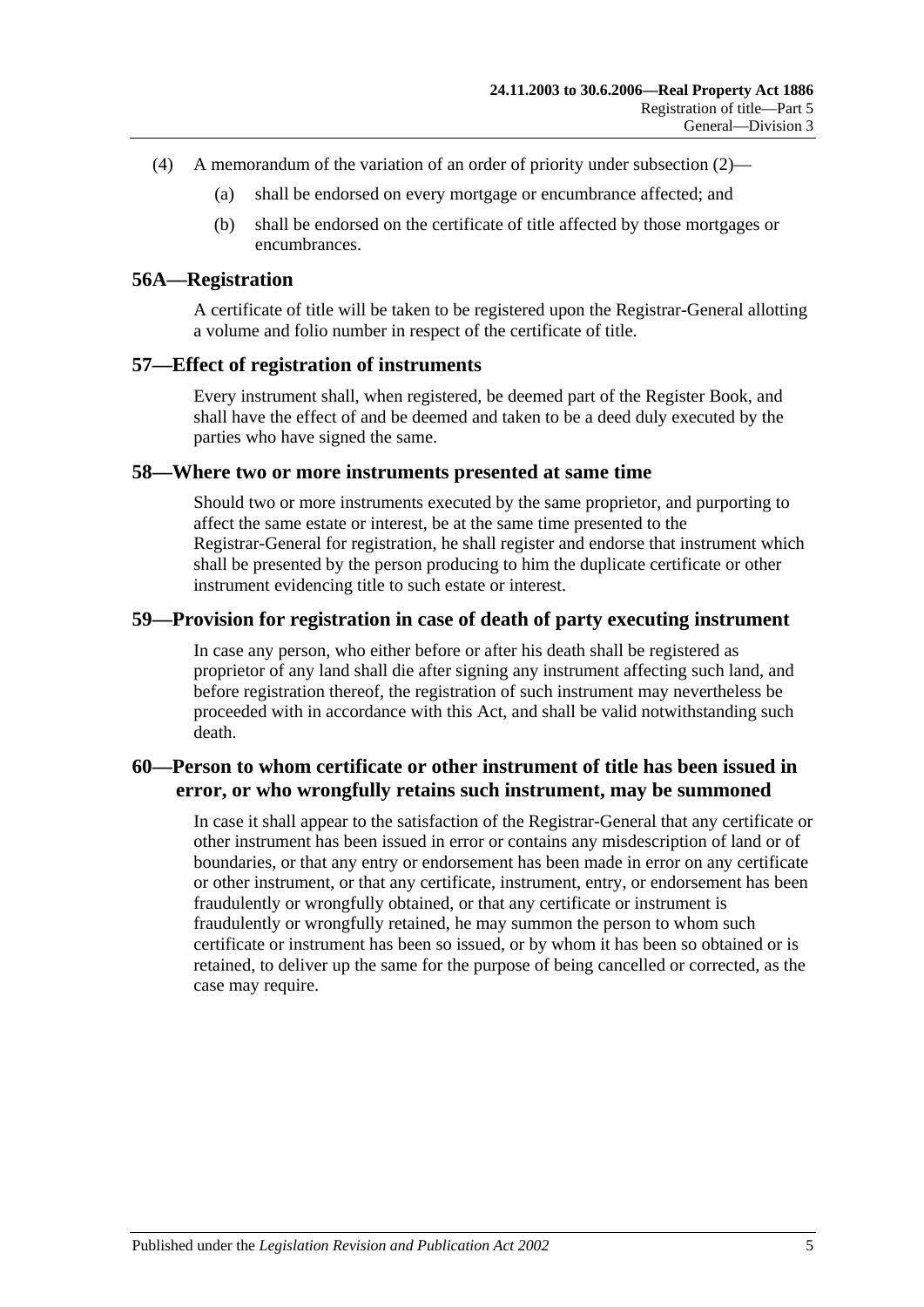- (4) A memorandum of the variation of an order of priority under [subsection](#page-29-5) (2)—
	- (a) shall be endorsed on every mortgage or encumbrance affected; and
	- (b) shall be endorsed on the certificate of title affected by those mortgages or encumbrances.

#### <span id="page-30-0"></span>**56A—Registration**

A certificate of title will be taken to be registered upon the Registrar-General allotting a volume and folio number in respect of the certificate of title.

#### <span id="page-30-1"></span>**57—Effect of registration of instruments**

Every instrument shall, when registered, be deemed part of the Register Book, and shall have the effect of and be deemed and taken to be a deed duly executed by the parties who have signed the same.

#### <span id="page-30-2"></span>**58—Where two or more instruments presented at same time**

Should two or more instruments executed by the same proprietor, and purporting to affect the same estate or interest, be at the same time presented to the Registrar-General for registration, he shall register and endorse that instrument which shall be presented by the person producing to him the duplicate certificate or other instrument evidencing title to such estate or interest.

#### <span id="page-30-3"></span>**59—Provision for registration in case of death of party executing instrument**

In case any person, who either before or after his death shall be registered as proprietor of any land shall die after signing any instrument affecting such land, and before registration thereof, the registration of such instrument may nevertheless be proceeded with in accordance with this Act, and shall be valid notwithstanding such death.

### <span id="page-30-4"></span>**60—Person to whom certificate or other instrument of title has been issued in error, or who wrongfully retains such instrument, may be summoned**

In case it shall appear to the satisfaction of the Registrar-General that any certificate or other instrument has been issued in error or contains any misdescription of land or of boundaries, or that any entry or endorsement has been made in error on any certificate or other instrument, or that any certificate, instrument, entry, or endorsement has been fraudulently or wrongfully obtained, or that any certificate or instrument is fraudulently or wrongfully retained, he may summon the person to whom such certificate or instrument has been so issued, or by whom it has been so obtained or is retained, to deliver up the same for the purpose of being cancelled or corrected, as the case may require.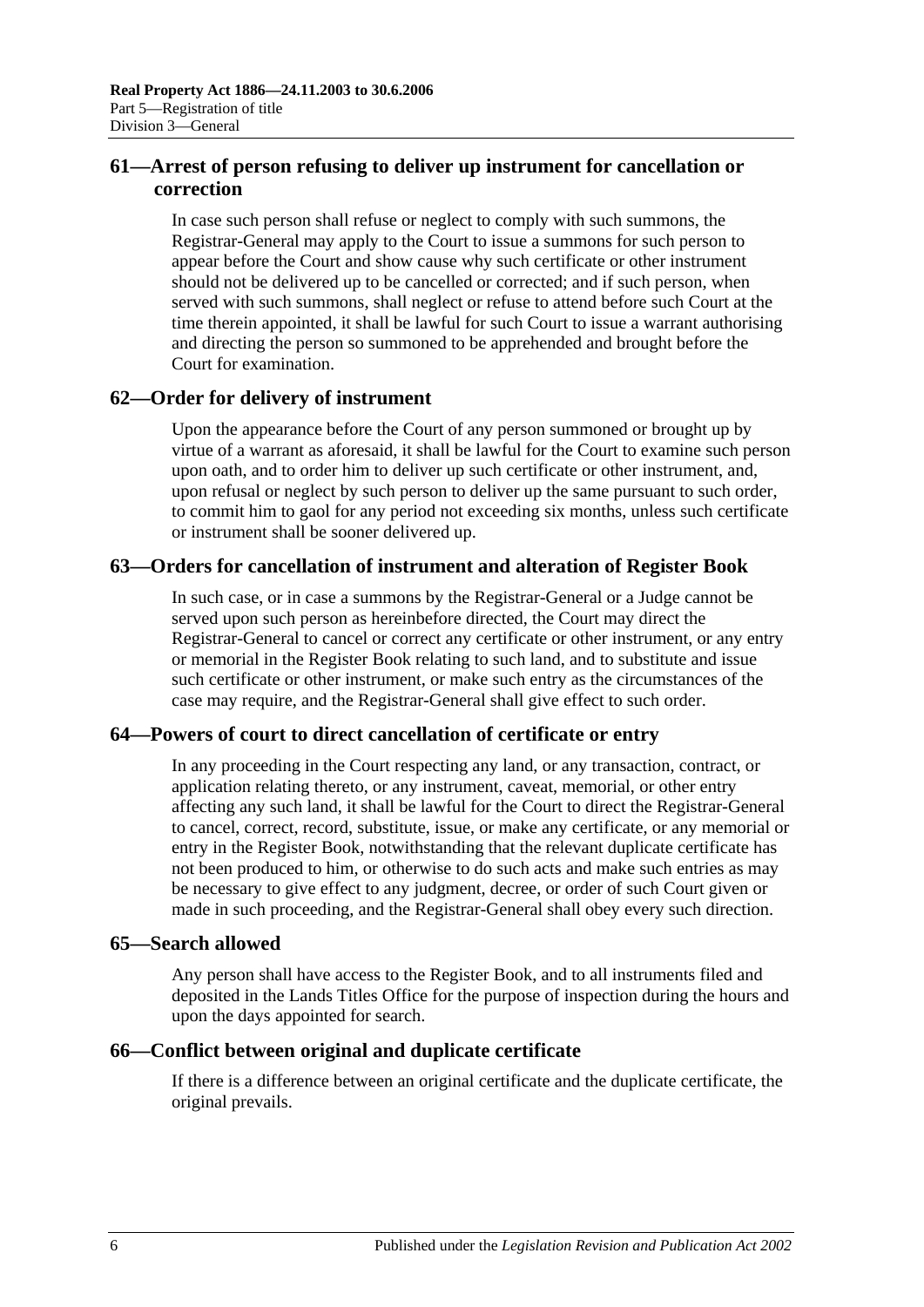### <span id="page-31-0"></span>**61—Arrest of person refusing to deliver up instrument for cancellation or correction**

In case such person shall refuse or neglect to comply with such summons, the Registrar-General may apply to the Court to issue a summons for such person to appear before the Court and show cause why such certificate or other instrument should not be delivered up to be cancelled or corrected; and if such person, when served with such summons, shall neglect or refuse to attend before such Court at the time therein appointed, it shall be lawful for such Court to issue a warrant authorising and directing the person so summoned to be apprehended and brought before the Court for examination.

### <span id="page-31-1"></span>**62—Order for delivery of instrument**

Upon the appearance before the Court of any person summoned or brought up by virtue of a warrant as aforesaid, it shall be lawful for the Court to examine such person upon oath, and to order him to deliver up such certificate or other instrument, and, upon refusal or neglect by such person to deliver up the same pursuant to such order, to commit him to gaol for any period not exceeding six months, unless such certificate or instrument shall be sooner delivered up.

### <span id="page-31-2"></span>**63—Orders for cancellation of instrument and alteration of Register Book**

In such case, or in case a summons by the Registrar-General or a Judge cannot be served upon such person as hereinbefore directed, the Court may direct the Registrar-General to cancel or correct any certificate or other instrument, or any entry or memorial in the Register Book relating to such land, and to substitute and issue such certificate or other instrument, or make such entry as the circumstances of the case may require, and the Registrar-General shall give effect to such order.

### <span id="page-31-3"></span>**64—Powers of court to direct cancellation of certificate or entry**

In any proceeding in the Court respecting any land, or any transaction, contract, or application relating thereto, or any instrument, caveat, memorial, or other entry affecting any such land, it shall be lawful for the Court to direct the Registrar-General to cancel, correct, record, substitute, issue, or make any certificate, or any memorial or entry in the Register Book, notwithstanding that the relevant duplicate certificate has not been produced to him, or otherwise to do such acts and make such entries as may be necessary to give effect to any judgment, decree, or order of such Court given or made in such proceeding, and the Registrar-General shall obey every such direction.

### <span id="page-31-4"></span>**65—Search allowed**

Any person shall have access to the Register Book, and to all instruments filed and deposited in the Lands Titles Office for the purpose of inspection during the hours and upon the days appointed for search.

### <span id="page-31-5"></span>**66—Conflict between original and duplicate certificate**

If there is a difference between an original certificate and the duplicate certificate, the original prevails.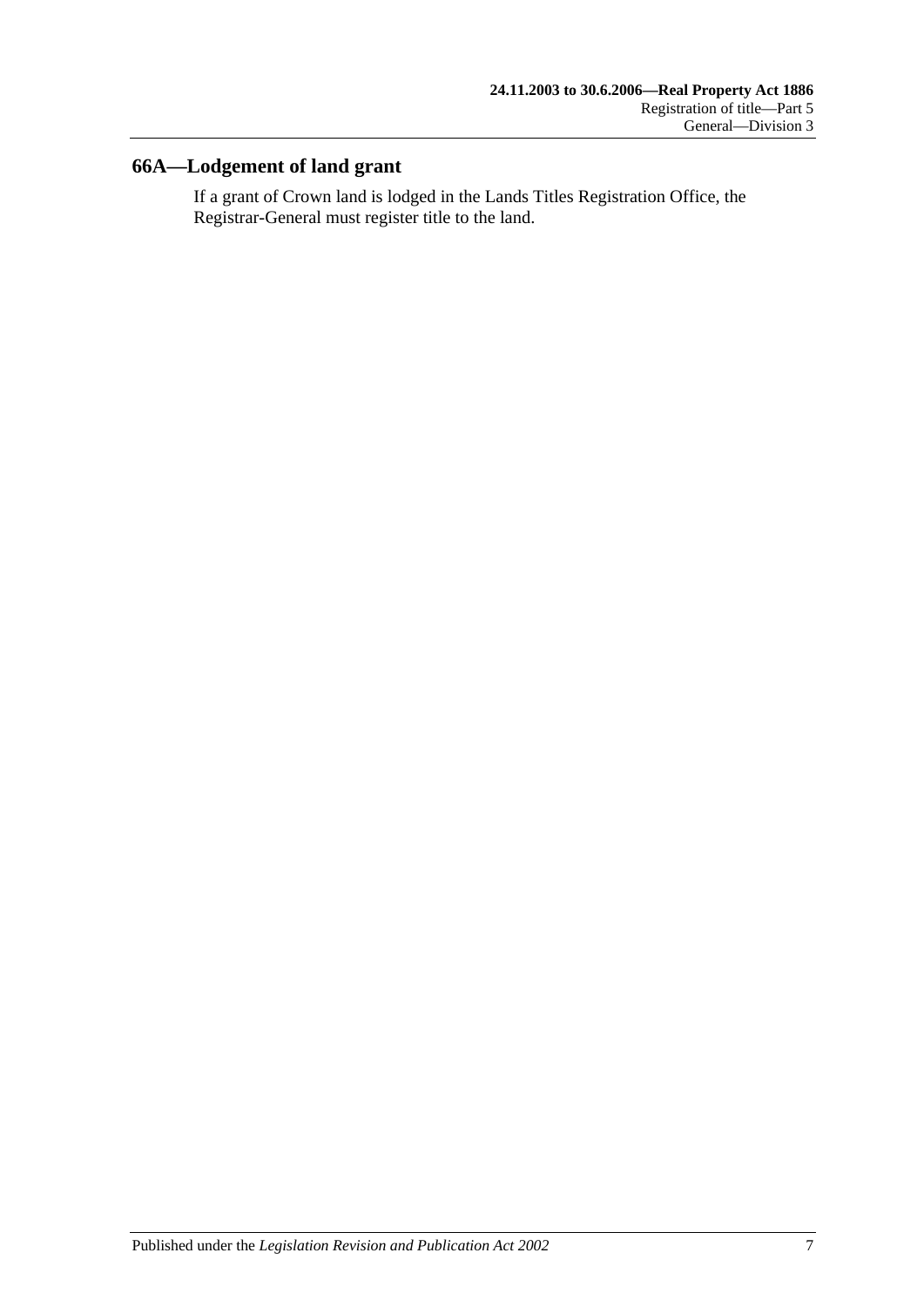## <span id="page-32-0"></span>**66A—Lodgement of land grant**

If a grant of Crown land is lodged in the Lands Titles Registration Office, the Registrar-General must register title to the land.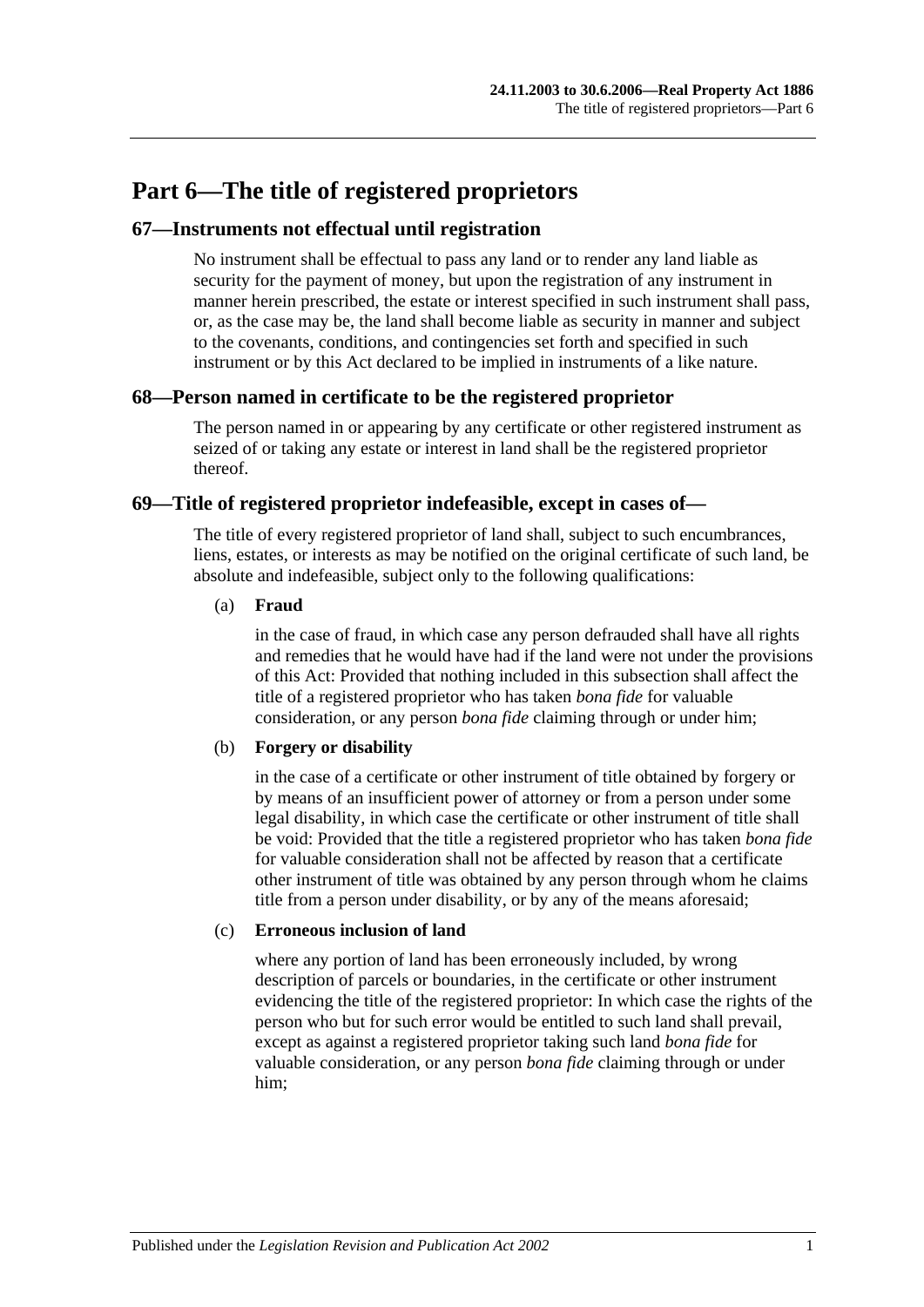# <span id="page-34-0"></span>**Part 6—The title of registered proprietors**

#### <span id="page-34-1"></span>**67—Instruments not effectual until registration**

No instrument shall be effectual to pass any land or to render any land liable as security for the payment of money, but upon the registration of any instrument in manner herein prescribed, the estate or interest specified in such instrument shall pass, or, as the case may be, the land shall become liable as security in manner and subject to the covenants, conditions, and contingencies set forth and specified in such instrument or by this Act declared to be implied in instruments of a like nature.

#### <span id="page-34-2"></span>**68—Person named in certificate to be the registered proprietor**

The person named in or appearing by any certificate or other registered instrument as seized of or taking any estate or interest in land shall be the registered proprietor thereof.

#### <span id="page-34-3"></span>**69—Title of registered proprietor indefeasible, except in cases of—**

The title of every registered proprietor of land shall, subject to such encumbrances, liens, estates, or interests as may be notified on the original certificate of such land, be absolute and indefeasible, subject only to the following qualifications:

#### (a) **Fraud**

in the case of fraud, in which case any person defrauded shall have all rights and remedies that he would have had if the land were not under the provisions of this Act: Provided that nothing included in this subsection shall affect the title of a registered proprietor who has taken *bona fide* for valuable consideration, or any person *bona fide* claiming through or under him;

#### (b) **Forgery or disability**

in the case of a certificate or other instrument of title obtained by forgery or by means of an insufficient power of attorney or from a person under some legal disability, in which case the certificate or other instrument of title shall be void: Provided that the title a registered proprietor who has taken *bona fide* for valuable consideration shall not be affected by reason that a certificate other instrument of title was obtained by any person through whom he claims title from a person under disability, or by any of the means aforesaid;

#### (c) **Erroneous inclusion of land**

where any portion of land has been erroneously included, by wrong description of parcels or boundaries, in the certificate or other instrument evidencing the title of the registered proprietor: In which case the rights of the person who but for such error would be entitled to such land shall prevail, except as against a registered proprietor taking such land *bona fide* for valuable consideration, or any person *bona fide* claiming through or under him;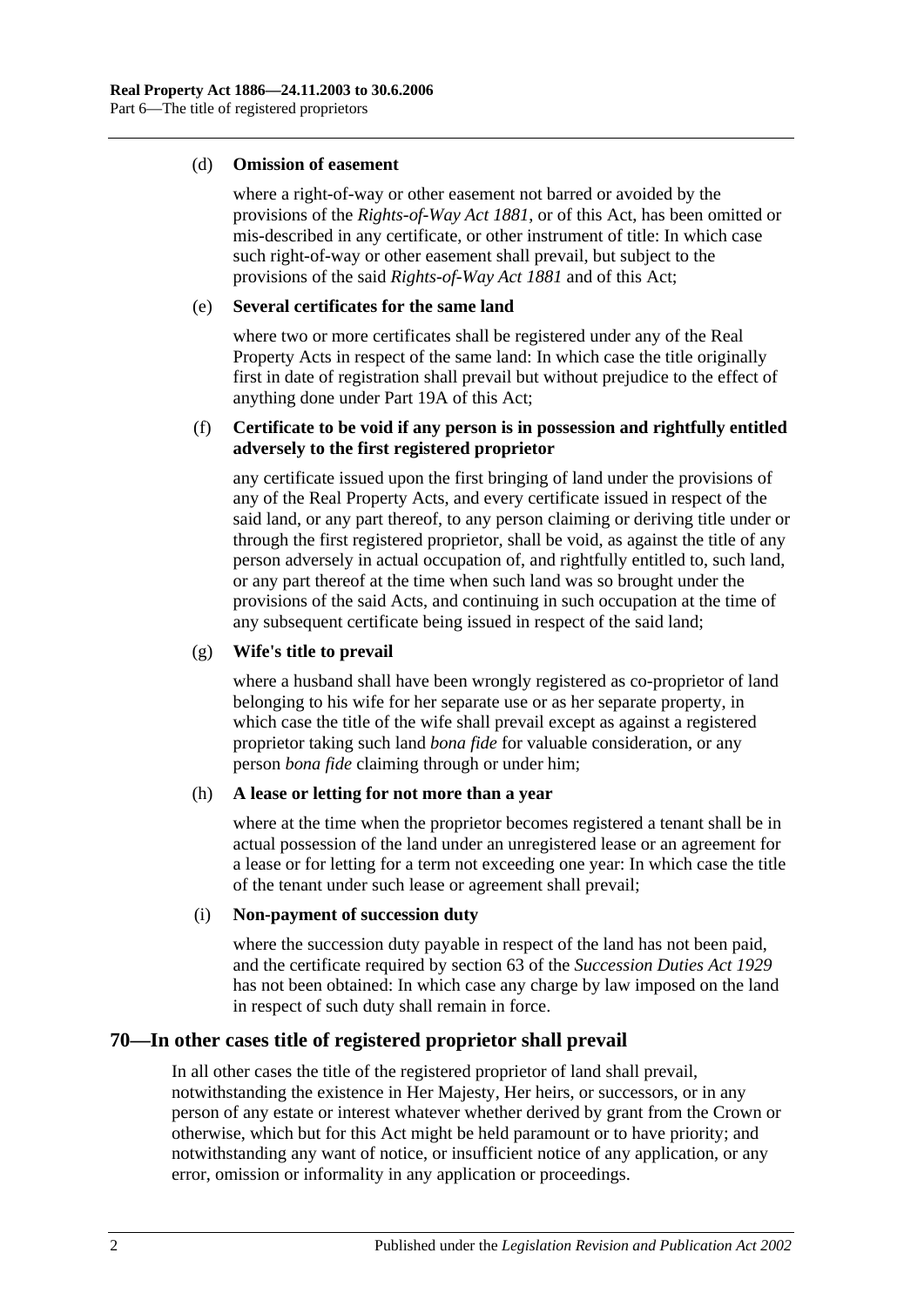#### (d) **Omission of easement**

where a right-of-way or other easement not barred or avoided by the provisions of the *[Rights-of-Way Act](http://www.legislation.sa.gov.au/index.aspx?action=legref&type=act&legtitle=Rights-of-Way%20Act%201881) 1881*, or of this Act, has been omitted or mis-described in any certificate, or other instrument of title: In which case such right-of-way or other easement shall prevail, but subject to the provisions of the said *[Rights-of-Way Act](http://www.legislation.sa.gov.au/index.aspx?action=legref&type=act&legtitle=Rights-of-Way%20Act%201881) 1881* and of this Act;

#### (e) **Several certificates for the same land**

where two or more certificates shall be registered under any of the Real Property Acts in respect of the same land: In which case the title originally first in date of registration shall prevail but without prejudice to the effect of anything done under [Part 19A](#page-98-0) of this Act;

#### (f) **Certificate to be void if any person is in possession and rightfully entitled adversely to the first registered proprietor**

any certificate issued upon the first bringing of land under the provisions of any of the Real Property Acts, and every certificate issued in respect of the said land, or any part thereof, to any person claiming or deriving title under or through the first registered proprietor, shall be void, as against the title of any person adversely in actual occupation of, and rightfully entitled to, such land, or any part thereof at the time when such land was so brought under the provisions of the said Acts, and continuing in such occupation at the time of any subsequent certificate being issued in respect of the said land;

#### (g) **Wife's title to prevail**

where a husband shall have been wrongly registered as co-proprietor of land belonging to his wife for her separate use or as her separate property, in which case the title of the wife shall prevail except as against a registered proprietor taking such land *bona fide* for valuable consideration, or any person *bona fide* claiming through or under him;

#### (h) **A lease or letting for not more than a year**

where at the time when the proprietor becomes registered a tenant shall be in actual possession of the land under an unregistered lease or an agreement for a lease or for letting for a term not exceeding one year: In which case the title of the tenant under such lease or agreement shall prevail;

#### (i) **Non-payment of succession duty**

where the succession duty payable in respect of the land has not been paid, and the certificate required by section 63 of the *[Succession Duties Act](http://www.legislation.sa.gov.au/index.aspx?action=legref&type=act&legtitle=Succession%20Duties%20Act%201929) 1929* has not been obtained: In which case any charge by law imposed on the land in respect of such duty shall remain in force.

### <span id="page-35-0"></span>**70—In other cases title of registered proprietor shall prevail**

In all other cases the title of the registered proprietor of land shall prevail, notwithstanding the existence in Her Majesty, Her heirs, or successors, or in any person of any estate or interest whatever whether derived by grant from the Crown or otherwise, which but for this Act might be held paramount or to have priority; and notwithstanding any want of notice, or insufficient notice of any application, or any error, omission or informality in any application or proceedings.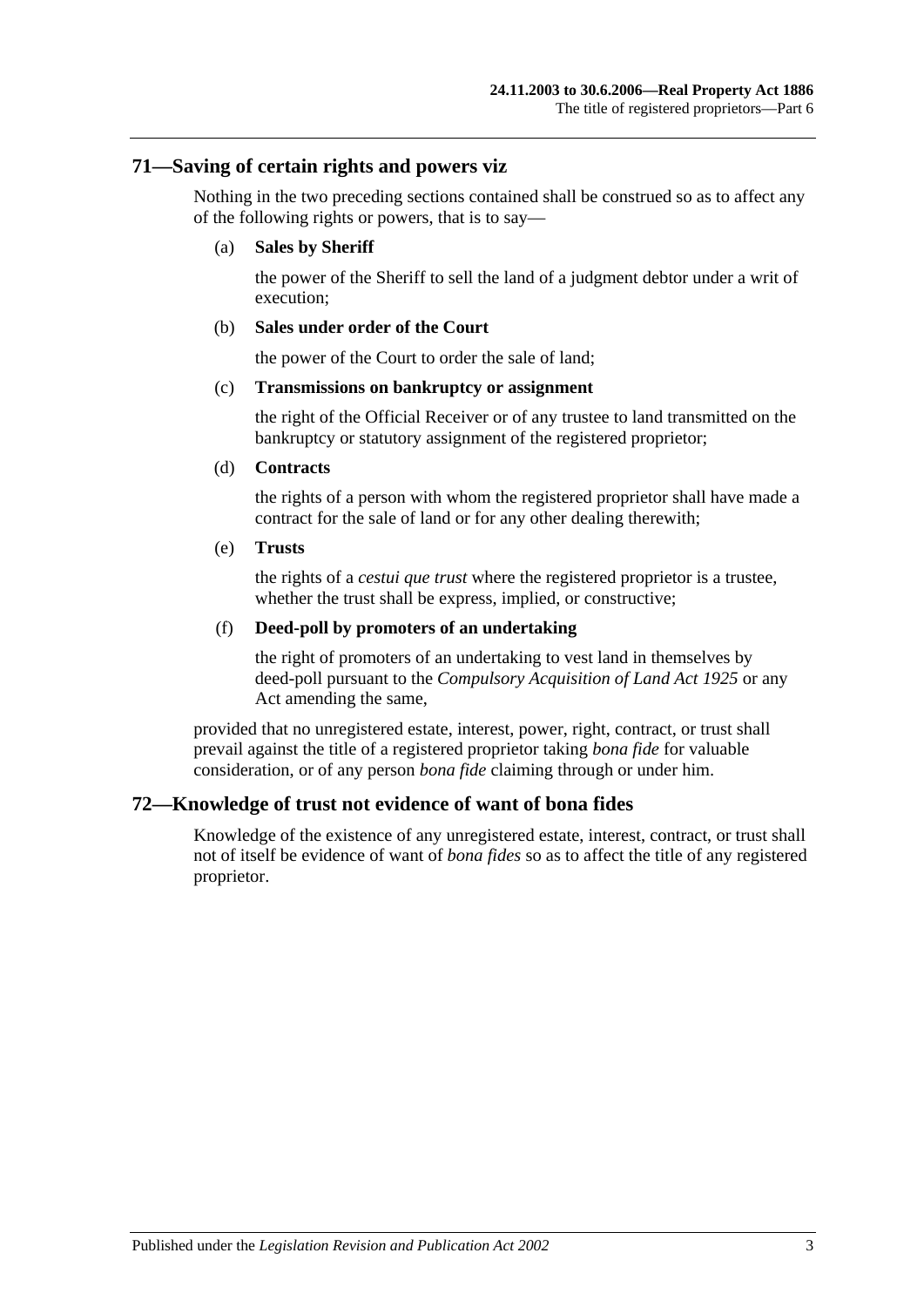## **71—Saving of certain rights and powers viz**

Nothing in the two preceding sections contained shall be construed so as to affect any of the following rights or powers, that is to say—

#### (a) **Sales by Sheriff**

the power of the Sheriff to sell the land of a judgment debtor under a writ of execution;

#### (b) **Sales under order of the Court**

the power of the Court to order the sale of land;

#### (c) **Transmissions on bankruptcy or assignment**

the right of the Official Receiver or of any trustee to land transmitted on the bankruptcy or statutory assignment of the registered proprietor;

#### (d) **Contracts**

the rights of a person with whom the registered proprietor shall have made a contract for the sale of land or for any other dealing therewith;

#### (e) **Trusts**

the rights of a *cestui que trust* where the registered proprietor is a trustee, whether the trust shall be express, implied, or constructive;

#### (f) **Deed-poll by promoters of an undertaking**

the right of promoters of an undertaking to vest land in themselves by deed-poll pursuant to the *[Compulsory Acquisition of Land Act](http://www.legislation.sa.gov.au/index.aspx?action=legref&type=act&legtitle=Compulsory%20Acquisition%20of%20Land%20Act%201925) 1925* or any Act amending the same,

provided that no unregistered estate, interest, power, right, contract, or trust shall prevail against the title of a registered proprietor taking *bona fide* for valuable consideration, or of any person *bona fide* claiming through or under him.

# **72—Knowledge of trust not evidence of want of bona fides**

Knowledge of the existence of any unregistered estate, interest, contract, or trust shall not of itself be evidence of want of *bona fides* so as to affect the title of any registered proprietor.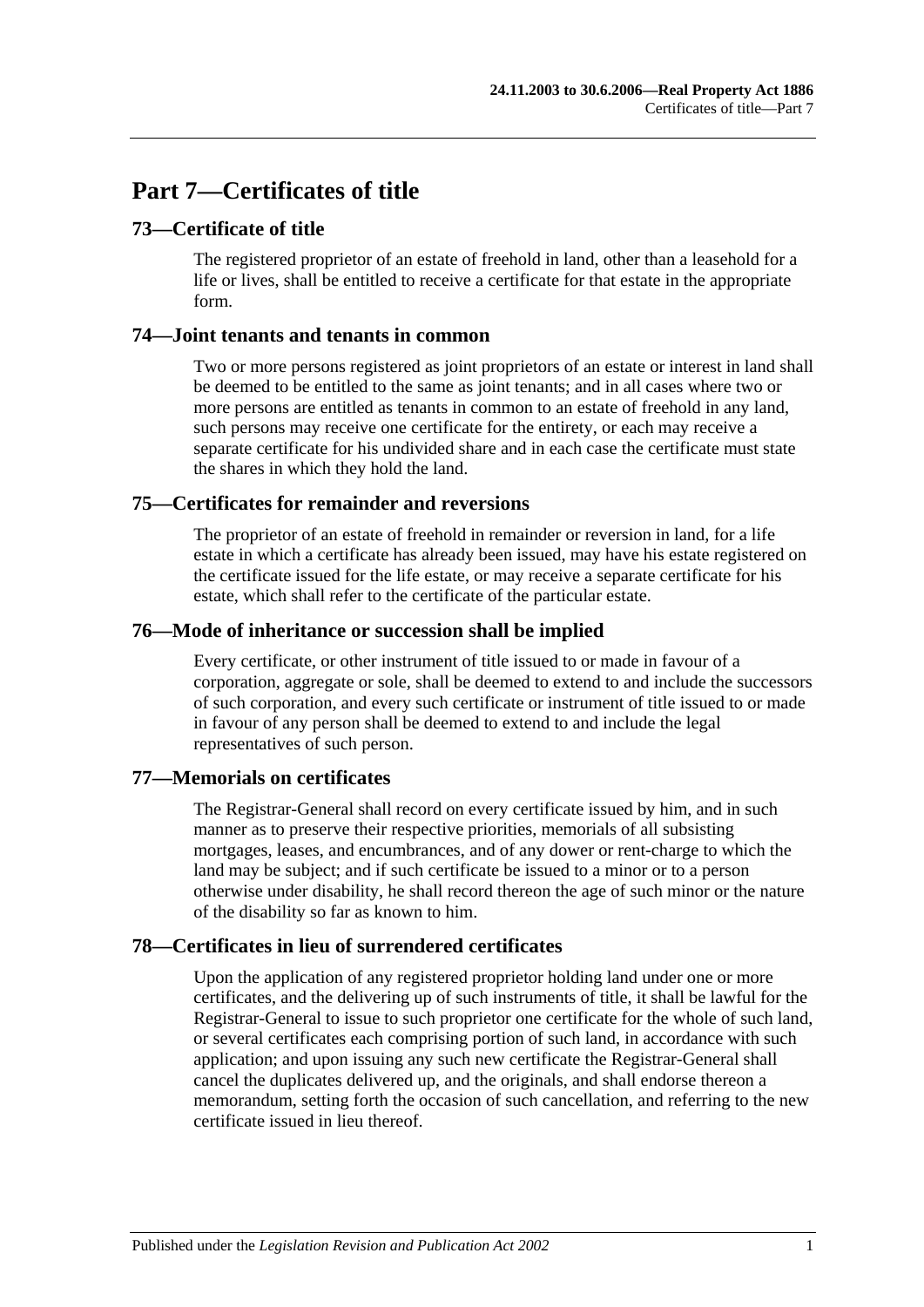# **Part 7—Certificates of title**

# **73—Certificate of title**

The registered proprietor of an estate of freehold in land, other than a leasehold for a life or lives, shall be entitled to receive a certificate for that estate in the appropriate form.

## **74—Joint tenants and tenants in common**

Two or more persons registered as joint proprietors of an estate or interest in land shall be deemed to be entitled to the same as joint tenants; and in all cases where two or more persons are entitled as tenants in common to an estate of freehold in any land, such persons may receive one certificate for the entirety, or each may receive a separate certificate for his undivided share and in each case the certificate must state the shares in which they hold the land.

# **75—Certificates for remainder and reversions**

The proprietor of an estate of freehold in remainder or reversion in land, for a life estate in which a certificate has already been issued, may have his estate registered on the certificate issued for the life estate, or may receive a separate certificate for his estate, which shall refer to the certificate of the particular estate.

## **76—Mode of inheritance or succession shall be implied**

Every certificate, or other instrument of title issued to or made in favour of a corporation, aggregate or sole, shall be deemed to extend to and include the successors of such corporation, and every such certificate or instrument of title issued to or made in favour of any person shall be deemed to extend to and include the legal representatives of such person.

# **77—Memorials on certificates**

The Registrar-General shall record on every certificate issued by him, and in such manner as to preserve their respective priorities, memorials of all subsisting mortgages, leases, and encumbrances, and of any dower or rent-charge to which the land may be subject; and if such certificate be issued to a minor or to a person otherwise under disability, he shall record thereon the age of such minor or the nature of the disability so far as known to him.

# **78—Certificates in lieu of surrendered certificates**

Upon the application of any registered proprietor holding land under one or more certificates, and the delivering up of such instruments of title, it shall be lawful for the Registrar-General to issue to such proprietor one certificate for the whole of such land, or several certificates each comprising portion of such land, in accordance with such application; and upon issuing any such new certificate the Registrar-General shall cancel the duplicates delivered up, and the originals, and shall endorse thereon a memorandum, setting forth the occasion of such cancellation, and referring to the new certificate issued in lieu thereof.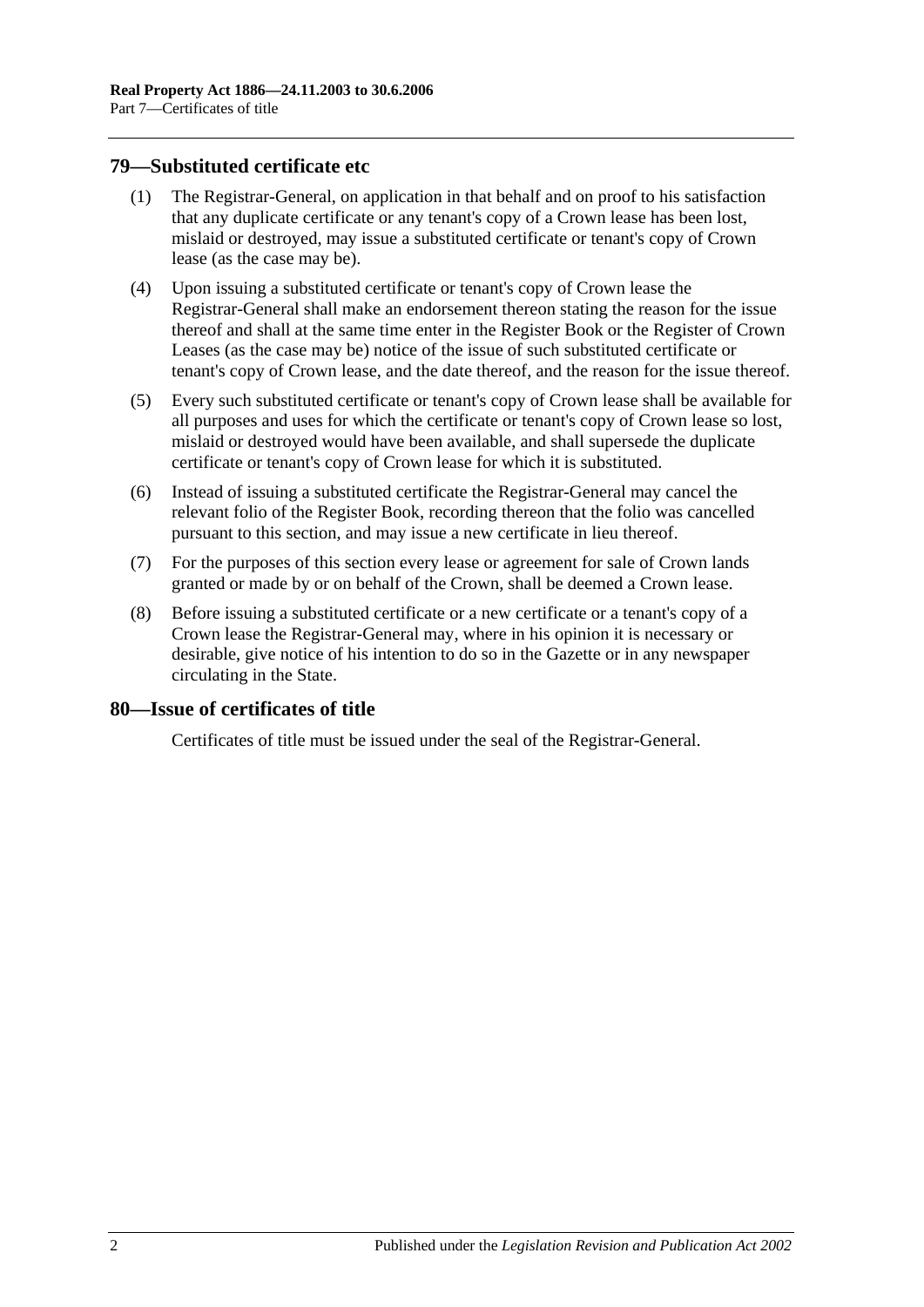## <span id="page-39-0"></span>**79—Substituted certificate etc**

- (1) The Registrar-General, on application in that behalf and on proof to his satisfaction that any duplicate certificate or any tenant's copy of a Crown lease has been lost, mislaid or destroyed, may issue a substituted certificate or tenant's copy of Crown lease (as the case may be).
- (4) Upon issuing a substituted certificate or tenant's copy of Crown lease the Registrar-General shall make an endorsement thereon stating the reason for the issue thereof and shall at the same time enter in the Register Book or the Register of Crown Leases (as the case may be) notice of the issue of such substituted certificate or tenant's copy of Crown lease, and the date thereof, and the reason for the issue thereof.
- (5) Every such substituted certificate or tenant's copy of Crown lease shall be available for all purposes and uses for which the certificate or tenant's copy of Crown lease so lost, mislaid or destroyed would have been available, and shall supersede the duplicate certificate or tenant's copy of Crown lease for which it is substituted.
- (6) Instead of issuing a substituted certificate the Registrar-General may cancel the relevant folio of the Register Book, recording thereon that the folio was cancelled pursuant to this section, and may issue a new certificate in lieu thereof.
- (7) For the purposes of this section every lease or agreement for sale of Crown lands granted or made by or on behalf of the Crown, shall be deemed a Crown lease.
- (8) Before issuing a substituted certificate or a new certificate or a tenant's copy of a Crown lease the Registrar-General may, where in his opinion it is necessary or desirable, give notice of his intention to do so in the Gazette or in any newspaper circulating in the State.

# **80—Issue of certificates of title**

Certificates of title must be issued under the seal of the Registrar-General.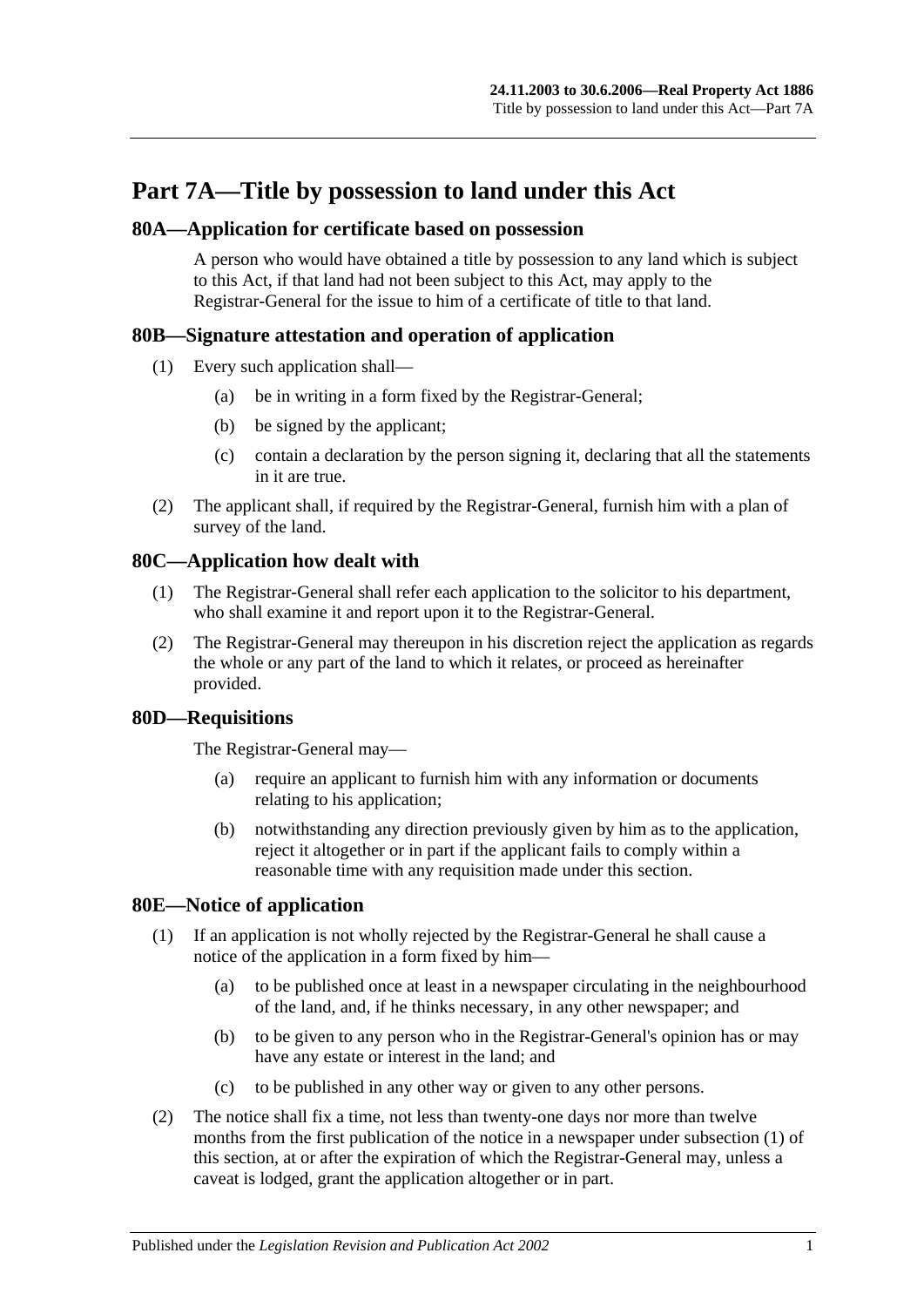# **Part 7A—Title by possession to land under this Act**

## **80A—Application for certificate based on possession**

A person who would have obtained a title by possession to any land which is subject to this Act, if that land had not been subject to this Act, may apply to the Registrar-General for the issue to him of a certificate of title to that land.

# **80B—Signature attestation and operation of application**

- (1) Every such application shall—
	- (a) be in writing in a form fixed by the Registrar-General;
	- (b) be signed by the applicant;
	- (c) contain a declaration by the person signing it, declaring that all the statements in it are true.
- (2) The applicant shall, if required by the Registrar-General, furnish him with a plan of survey of the land.

# **80C—Application how dealt with**

- (1) The Registrar-General shall refer each application to the solicitor to his department, who shall examine it and report upon it to the Registrar-General.
- (2) The Registrar-General may thereupon in his discretion reject the application as regards the whole or any part of the land to which it relates, or proceed as hereinafter provided.

# **80D—Requisitions**

The Registrar-General may—

- (a) require an applicant to furnish him with any information or documents relating to his application;
- (b) notwithstanding any direction previously given by him as to the application, reject it altogether or in part if the applicant fails to comply within a reasonable time with any requisition made under this section.

# <span id="page-40-1"></span><span id="page-40-0"></span>**80E—Notice of application**

- (1) If an application is not wholly rejected by the Registrar-General he shall cause a notice of the application in a form fixed by him—
	- (a) to be published once at least in a newspaper circulating in the neighbourhood of the land, and, if he thinks necessary, in any other newspaper; and
	- (b) to be given to any person who in the Registrar-General's opinion has or may have any estate or interest in the land; and
	- (c) to be published in any other way or given to any other persons.
- (2) The notice shall fix a time, not less than twenty-one days nor more than twelve months from the first publication of the notice in a newspaper under [subsection](#page-40-0) (1) of this section, at or after the expiration of which the Registrar-General may, unless a caveat is lodged, grant the application altogether or in part.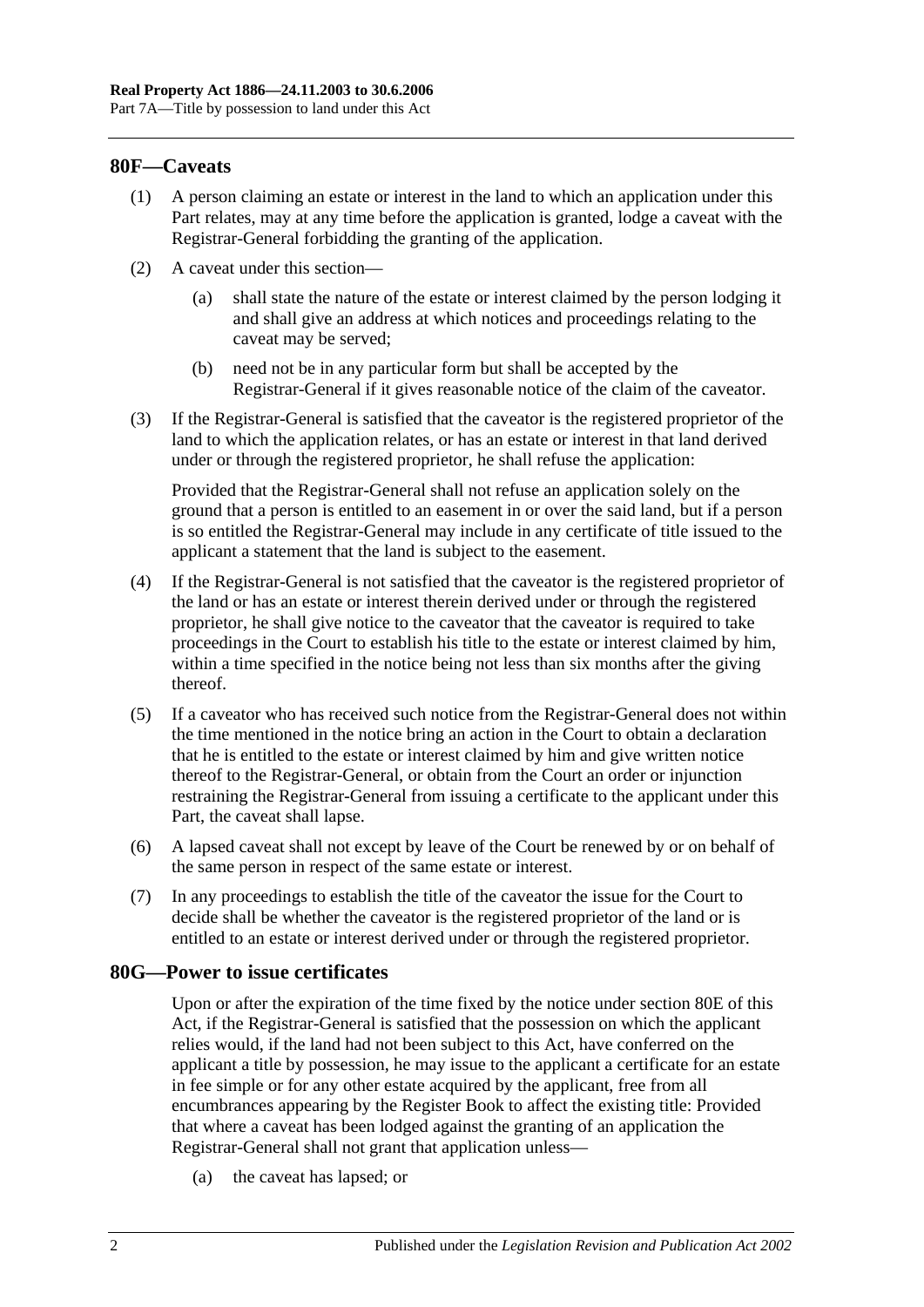## **80F—Caveats**

- (1) A person claiming an estate or interest in the land to which an application under this Part relates, may at any time before the application is granted, lodge a caveat with the Registrar-General forbidding the granting of the application.
- (2) A caveat under this section—
	- (a) shall state the nature of the estate or interest claimed by the person lodging it and shall give an address at which notices and proceedings relating to the caveat may be served;
	- (b) need not be in any particular form but shall be accepted by the Registrar-General if it gives reasonable notice of the claim of the caveator.
- (3) If the Registrar-General is satisfied that the caveator is the registered proprietor of the land to which the application relates, or has an estate or interest in that land derived under or through the registered proprietor, he shall refuse the application:

Provided that the Registrar-General shall not refuse an application solely on the ground that a person is entitled to an easement in or over the said land, but if a person is so entitled the Registrar-General may include in any certificate of title issued to the applicant a statement that the land is subject to the easement.

- (4) If the Registrar-General is not satisfied that the caveator is the registered proprietor of the land or has an estate or interest therein derived under or through the registered proprietor, he shall give notice to the caveator that the caveator is required to take proceedings in the Court to establish his title to the estate or interest claimed by him, within a time specified in the notice being not less than six months after the giving thereof.
- (5) If a caveator who has received such notice from the Registrar-General does not within the time mentioned in the notice bring an action in the Court to obtain a declaration that he is entitled to the estate or interest claimed by him and give written notice thereof to the Registrar-General, or obtain from the Court an order or injunction restraining the Registrar-General from issuing a certificate to the applicant under this Part, the caveat shall lapse.
- (6) A lapsed caveat shall not except by leave of the Court be renewed by or on behalf of the same person in respect of the same estate or interest.
- (7) In any proceedings to establish the title of the caveator the issue for the Court to decide shall be whether the caveator is the registered proprietor of the land or is entitled to an estate or interest derived under or through the registered proprietor.

#### **80G—Power to issue certificates**

Upon or after the expiration of the time fixed by the notice under [section](#page-40-1) 80E of this Act, if the Registrar-General is satisfied that the possession on which the applicant relies would, if the land had not been subject to this Act, have conferred on the applicant a title by possession, he may issue to the applicant a certificate for an estate in fee simple or for any other estate acquired by the applicant, free from all encumbrances appearing by the Register Book to affect the existing title: Provided that where a caveat has been lodged against the granting of an application the Registrar-General shall not grant that application unless—

(a) the caveat has lapsed; or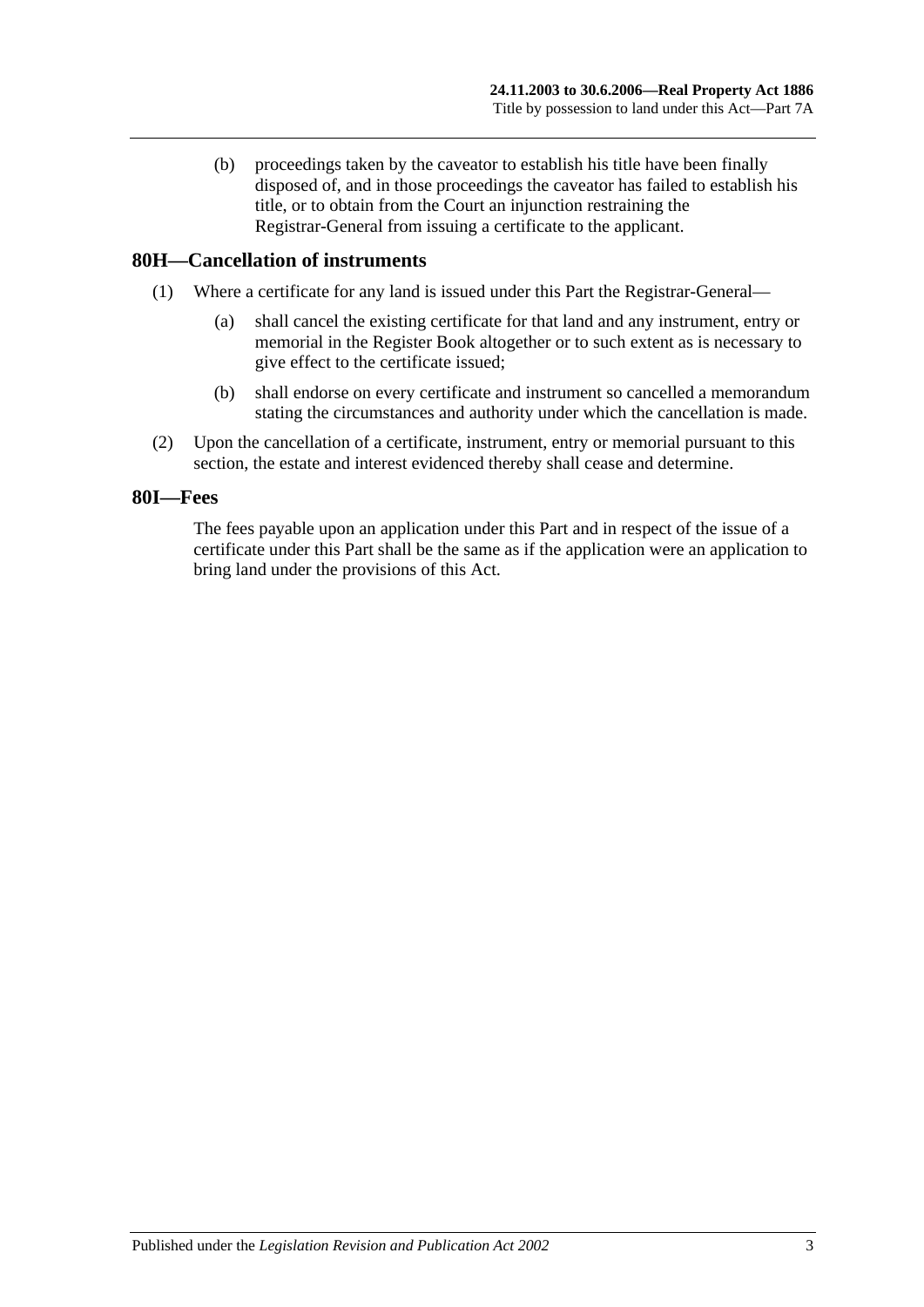(b) proceedings taken by the caveator to establish his title have been finally disposed of, and in those proceedings the caveator has failed to establish his title, or to obtain from the Court an injunction restraining the Registrar-General from issuing a certificate to the applicant.

# **80H—Cancellation of instruments**

- (1) Where a certificate for any land is issued under this Part the Registrar-General—
	- (a) shall cancel the existing certificate for that land and any instrument, entry or memorial in the Register Book altogether or to such extent as is necessary to give effect to the certificate issued;
	- (b) shall endorse on every certificate and instrument so cancelled a memorandum stating the circumstances and authority under which the cancellation is made.
- (2) Upon the cancellation of a certificate, instrument, entry or memorial pursuant to this section, the estate and interest evidenced thereby shall cease and determine.

#### **80I—Fees**

The fees payable upon an application under this Part and in respect of the issue of a certificate under this Part shall be the same as if the application were an application to bring land under the provisions of this Act.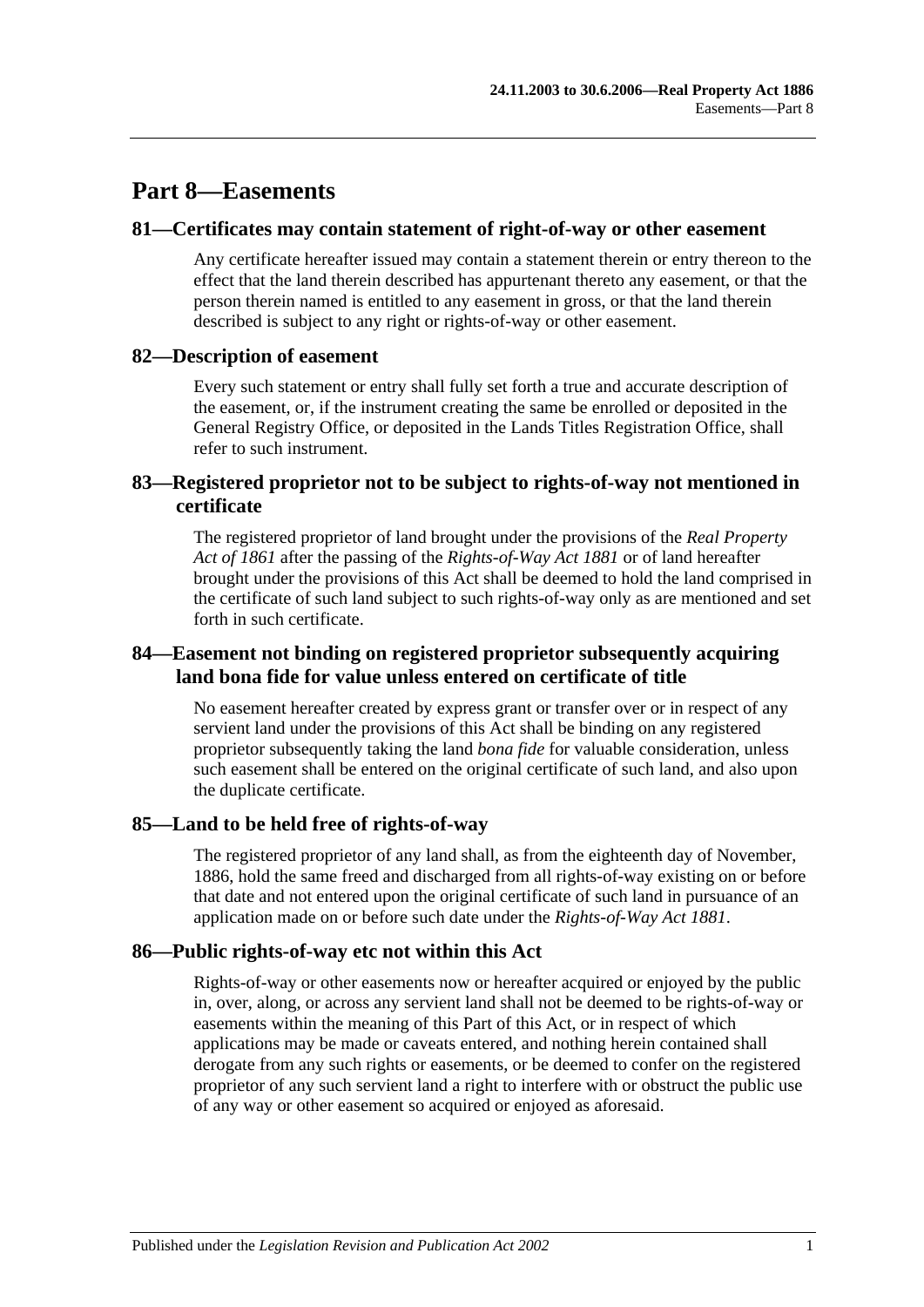# **Part 8—Easements**

## **81—Certificates may contain statement of right-of-way or other easement**

Any certificate hereafter issued may contain a statement therein or entry thereon to the effect that the land therein described has appurtenant thereto any easement, or that the person therein named is entitled to any easement in gross, or that the land therein described is subject to any right or rights-of-way or other easement.

## **82—Description of easement**

Every such statement or entry shall fully set forth a true and accurate description of the easement, or, if the instrument creating the same be enrolled or deposited in the General Registry Office, or deposited in the Lands Titles Registration Office, shall refer to such instrument.

# **83—Registered proprietor not to be subject to rights-of-way not mentioned in certificate**

The registered proprietor of land brought under the provisions of the *[Real Property](http://www.legislation.sa.gov.au/index.aspx?action=legref&type=act&legtitle=Real%20Property%20Act%20of%201861)  [Act of](http://www.legislation.sa.gov.au/index.aspx?action=legref&type=act&legtitle=Real%20Property%20Act%20of%201861) 1861* after the passing of the *[Rights-of-Way Act](http://www.legislation.sa.gov.au/index.aspx?action=legref&type=act&legtitle=Rights-of-Way%20Act%201881) 1881* or of land hereafter brought under the provisions of this Act shall be deemed to hold the land comprised in the certificate of such land subject to such rights-of-way only as are mentioned and set forth in such certificate.

# **84—Easement not binding on registered proprietor subsequently acquiring land bona fide for value unless entered on certificate of title**

No easement hereafter created by express grant or transfer over or in respect of any servient land under the provisions of this Act shall be binding on any registered proprietor subsequently taking the land *bona fide* for valuable consideration, unless such easement shall be entered on the original certificate of such land, and also upon the duplicate certificate.

# **85—Land to be held free of rights-of-way**

The registered proprietor of any land shall, as from the eighteenth day of November, 1886, hold the same freed and discharged from all rights-of-way existing on or before that date and not entered upon the original certificate of such land in pursuance of an application made on or before such date under the *[Rights-of-Way Act](http://www.legislation.sa.gov.au/index.aspx?action=legref&type=act&legtitle=Rights-of-Way%20Act%201881) 1881*.

# **86—Public rights-of-way etc not within this Act**

Rights-of-way or other easements now or hereafter acquired or enjoyed by the public in, over, along, or across any servient land shall not be deemed to be rights-of-way or easements within the meaning of this Part of this Act, or in respect of which applications may be made or caveats entered, and nothing herein contained shall derogate from any such rights or easements, or be deemed to confer on the registered proprietor of any such servient land a right to interfere with or obstruct the public use of any way or other easement so acquired or enjoyed as aforesaid.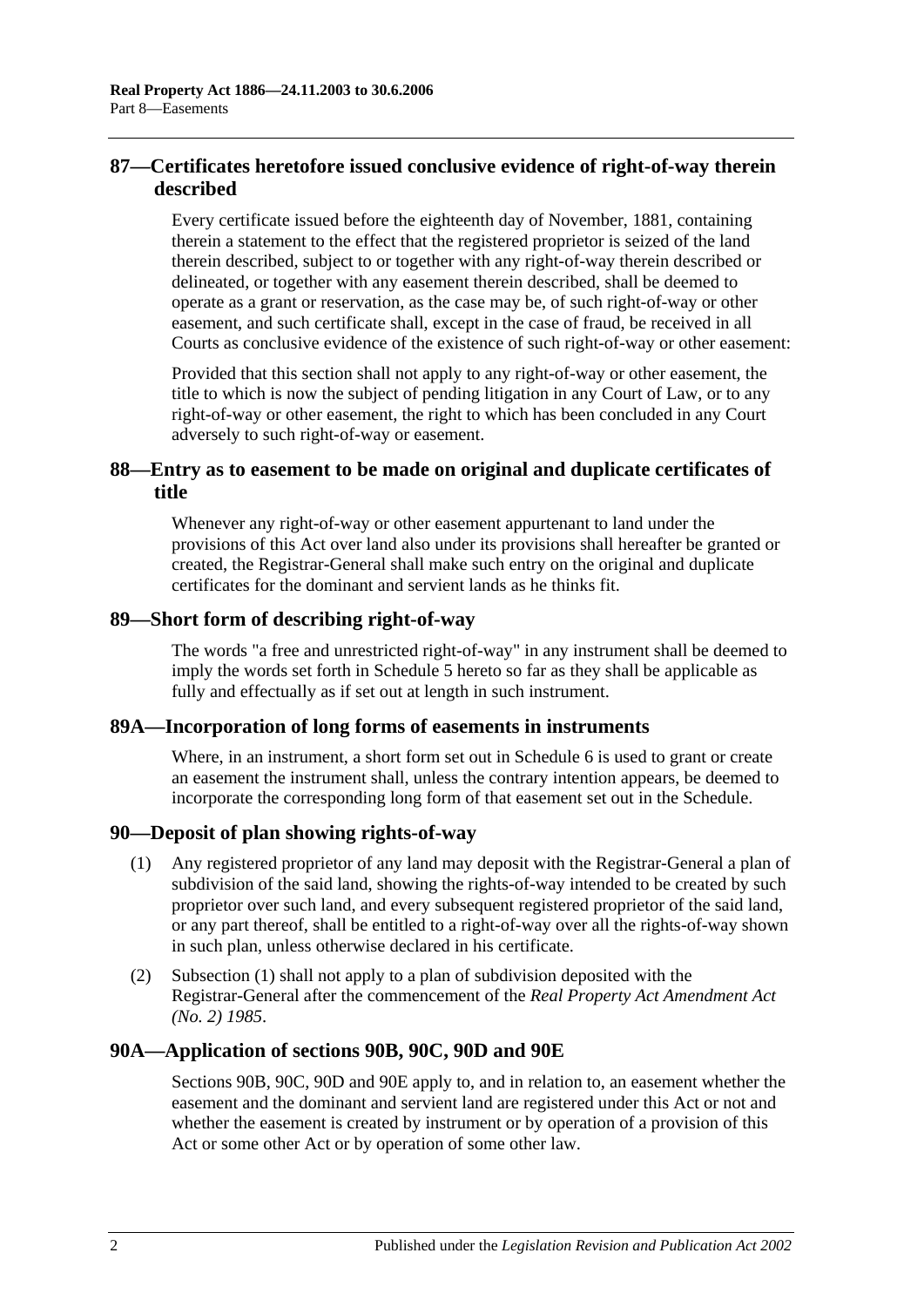# **87—Certificates heretofore issued conclusive evidence of right-of-way therein described**

Every certificate issued before the eighteenth day of November, 1881, containing therein a statement to the effect that the registered proprietor is seized of the land therein described, subject to or together with any right-of-way therein described or delineated, or together with any easement therein described, shall be deemed to operate as a grant or reservation, as the case may be, of such right-of-way or other easement, and such certificate shall, except in the case of fraud, be received in all Courts as conclusive evidence of the existence of such right-of-way or other easement:

Provided that this section shall not apply to any right-of-way or other easement, the title to which is now the subject of pending litigation in any Court of Law, or to any right-of-way or other easement, the right to which has been concluded in any Court adversely to such right-of-way or easement.

# **88—Entry as to easement to be made on original and duplicate certificates of title**

Whenever any right-of-way or other easement appurtenant to land under the provisions of this Act over land also under its provisions shall hereafter be granted or created, the Registrar-General shall make such entry on the original and duplicate certificates for the dominant and servient lands as he thinks fit.

## **89—Short form of describing right-of-way**

The words "a free and unrestricted right-of-way" in any instrument shall be deemed to imply the words set forth in [Schedule 5](#page-134-0) hereto so far as they shall be applicable as fully and effectually as if set out at length in such instrument.

# **89A—Incorporation of long forms of easements in instruments**

Where, in an instrument, a short form set out in [Schedule 6](#page-134-1) is used to grant or create an easement the instrument shall, unless the contrary intention appears, be deemed to incorporate the corresponding long form of that easement set out in the Schedule.

# <span id="page-45-0"></span>**90—Deposit of plan showing rights-of-way**

- (1) Any registered proprietor of any land may deposit with the Registrar-General a plan of subdivision of the said land, showing the rights-of-way intended to be created by such proprietor over such land, and every subsequent registered proprietor of the said land, or any part thereof, shall be entitled to a right-of-way over all the rights-of-way shown in such plan, unless otherwise declared in his certificate.
- (2) [Subsection](#page-45-0) (1) shall not apply to a plan of subdivision deposited with the Registrar-General after the commencement of the *[Real Property Act Amendment Act](http://www.legislation.sa.gov.au/index.aspx?action=legref&type=act&legtitle=Real%20Property%20Act%20Amendment%20Act%20(No.%202)%201985)  (No. 2) [1985](http://www.legislation.sa.gov.au/index.aspx?action=legref&type=act&legtitle=Real%20Property%20Act%20Amendment%20Act%20(No.%202)%201985)*.

# **90A—Application of [sections](#page-46-0) 90B, [90C,](#page-48-0) [90D](#page-49-0) and [90E](#page-49-1)**

[Sections](#page-46-0) 90B, [90C,](#page-48-0) [90D](#page-49-0) and [90E](#page-49-1) apply to, and in relation to, an easement whether the easement and the dominant and servient land are registered under this Act or not and whether the easement is created by instrument or by operation of a provision of this Act or some other Act or by operation of some other law.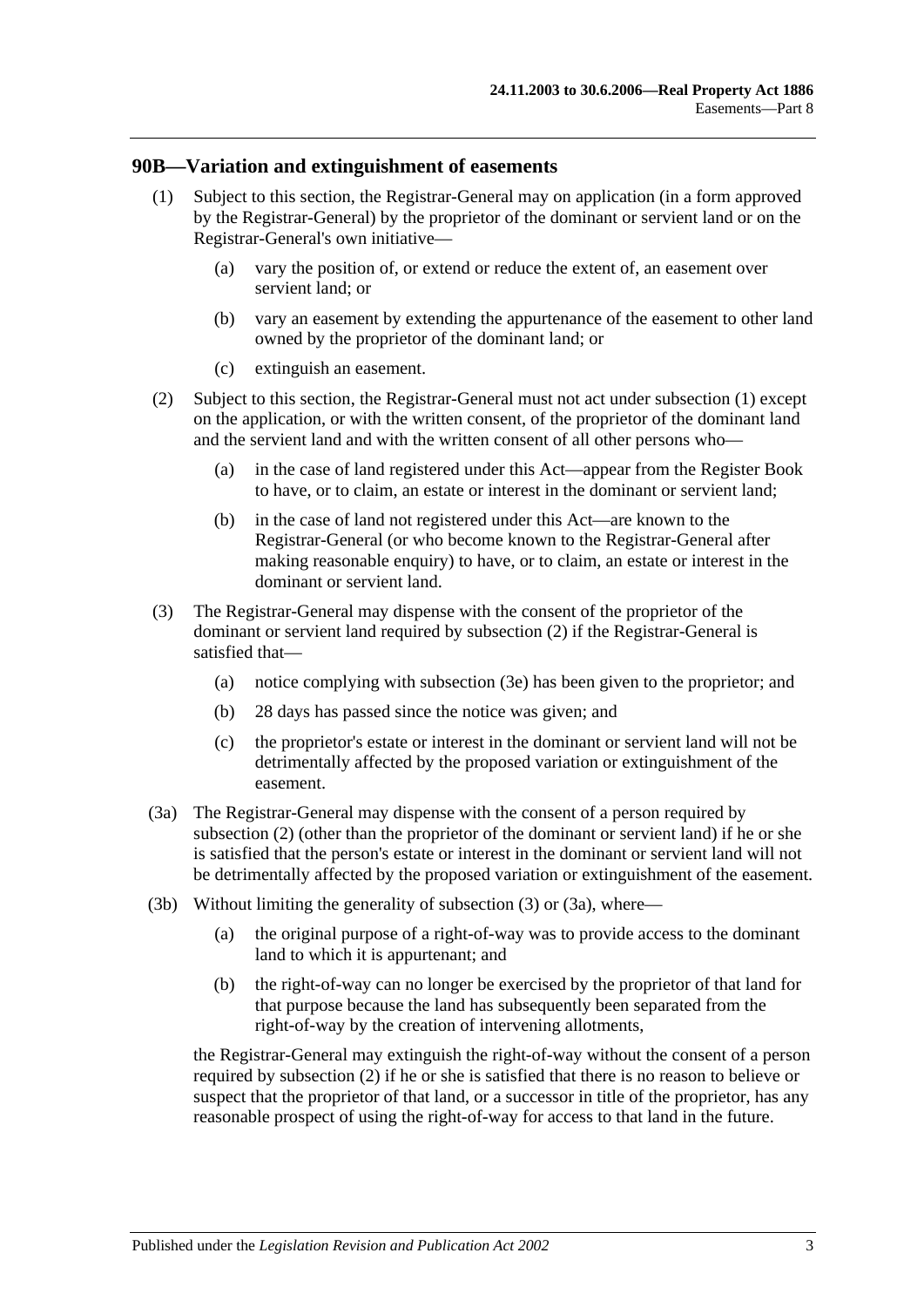#### <span id="page-46-1"></span><span id="page-46-0"></span>**90B—Variation and extinguishment of easements**

- (1) Subject to this section, the Registrar-General may on application (in a form approved by the Registrar-General) by the proprietor of the dominant or servient land or on the Registrar-General's own initiative—
	- (a) vary the position of, or extend or reduce the extent of, an easement over servient land; or
	- (b) vary an easement by extending the appurtenance of the easement to other land owned by the proprietor of the dominant land; or
	- (c) extinguish an easement.
- <span id="page-46-2"></span>(2) Subject to this section, the Registrar-General must not act under [subsection](#page-46-1) (1) except on the application, or with the written consent, of the proprietor of the dominant land and the servient land and with the written consent of all other persons who—
	- (a) in the case of land registered under this Act—appear from the Register Book to have, or to claim, an estate or interest in the dominant or servient land;
	- (b) in the case of land not registered under this Act—are known to the Registrar-General (or who become known to the Registrar-General after making reasonable enquiry) to have, or to claim, an estate or interest in the dominant or servient land.
- <span id="page-46-3"></span>(3) The Registrar-General may dispense with the consent of the proprietor of the dominant or servient land required by [subsection](#page-46-2) (2) if the Registrar-General is satisfied that—
	- (a) notice complying with [subsection](#page-47-0) (3e) has been given to the proprietor; and
	- (b) 28 days has passed since the notice was given; and
	- (c) the proprietor's estate or interest in the dominant or servient land will not be detrimentally affected by the proposed variation or extinguishment of the easement.
- <span id="page-46-4"></span>(3a) The Registrar-General may dispense with the consent of a person required by [subsection](#page-46-2) (2) (other than the proprietor of the dominant or servient land) if he or she is satisfied that the person's estate or interest in the dominant or servient land will not be detrimentally affected by the proposed variation or extinguishment of the easement.
- <span id="page-46-5"></span>(3b) Without limiting the generality of [subsection](#page-46-3) (3) or [\(3a\),](#page-46-4) where—
	- (a) the original purpose of a right-of-way was to provide access to the dominant land to which it is appurtenant; and
	- (b) the right-of-way can no longer be exercised by the proprietor of that land for that purpose because the land has subsequently been separated from the right-of-way by the creation of intervening allotments,

the Registrar-General may extinguish the right-of-way without the consent of a person required by [subsection](#page-46-2) (2) if he or she is satisfied that there is no reason to believe or suspect that the proprietor of that land, or a successor in title of the proprietor, has any reasonable prospect of using the right-of-way for access to that land in the future.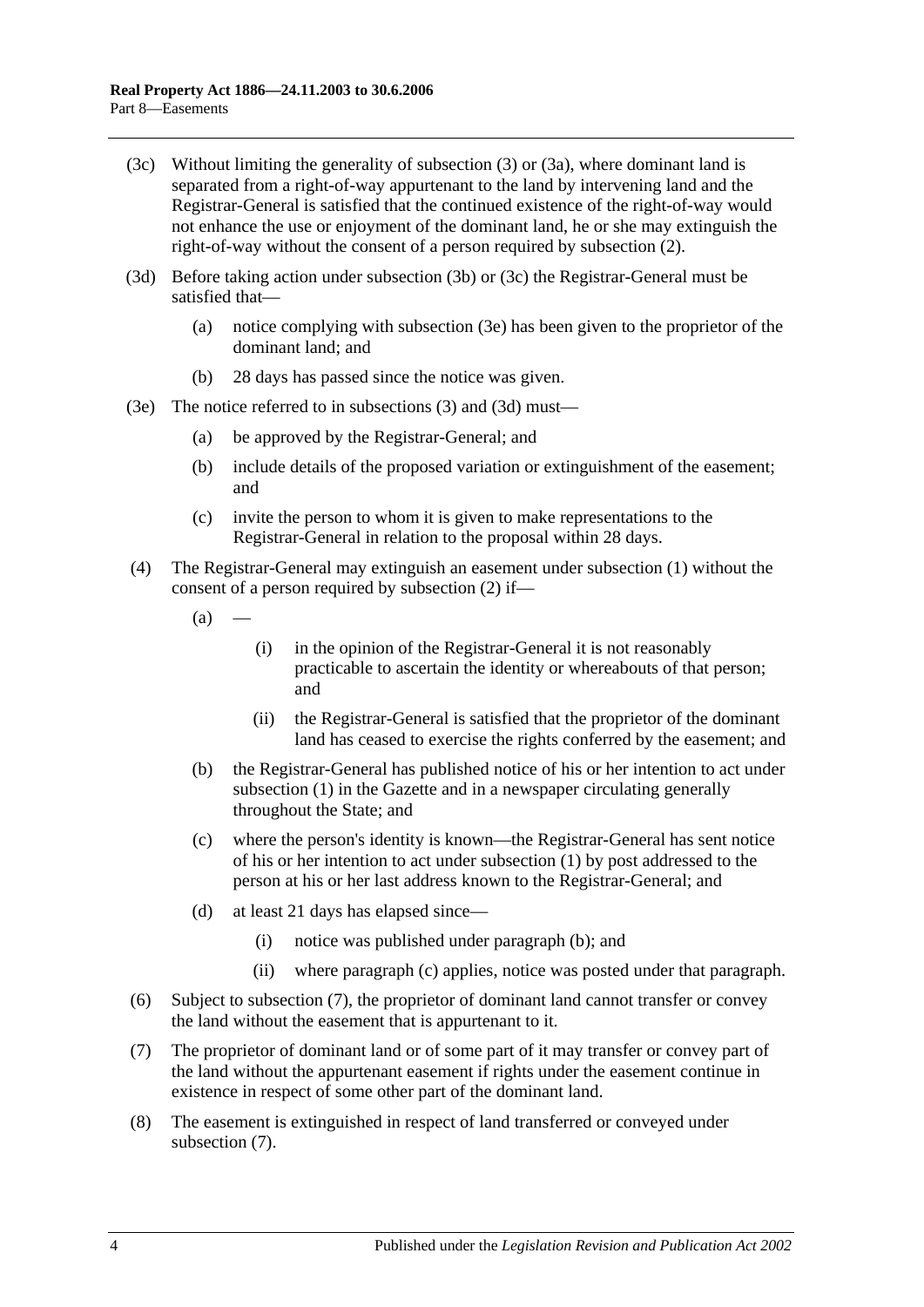- <span id="page-47-1"></span>(3c) Without limiting the generality of [subsection](#page-46-3) (3) or [\(3a\),](#page-46-4) where dominant land is separated from a right-of-way appurtenant to the land by intervening land and the Registrar-General is satisfied that the continued existence of the right-of-way would not enhance the use or enjoyment of the dominant land, he or she may extinguish the right-of-way without the consent of a person required by [subsection](#page-46-2) (2).
- <span id="page-47-2"></span>(3d) Before taking action under [subsection](#page-46-5) (3b) or [\(3c\)](#page-47-1) the Registrar-General must be satisfied that—
	- (a) notice complying with [subsection](#page-47-0) (3e) has been given to the proprietor of the dominant land; and
	- (b) 28 days has passed since the notice was given.
- <span id="page-47-0"></span>(3e) The notice referred to in [subsections](#page-46-3) (3) and [\(3d\)](#page-47-2) must—
	- (a) be approved by the Registrar-General; and
	- (b) include details of the proposed variation or extinguishment of the easement; and
	- (c) invite the person to whom it is given to make representations to the Registrar-General in relation to the proposal within 28 days.
- (4) The Registrar-General may extinguish an easement under [subsection](#page-46-1) (1) without the consent of a person required by [subsection](#page-46-2) (2) if—
	- $(a)$
- (i) in the opinion of the Registrar-General it is not reasonably practicable to ascertain the identity or whereabouts of that person; and
- (ii) the Registrar-General is satisfied that the proprietor of the dominant land has ceased to exercise the rights conferred by the easement; and
- <span id="page-47-3"></span>(b) the Registrar-General has published notice of his or her intention to act under [subsection](#page-46-1) (1) in the Gazette and in a newspaper circulating generally throughout the State; and
- <span id="page-47-4"></span>(c) where the person's identity is known—the Registrar-General has sent notice of his or her intention to act under [subsection](#page-46-1) (1) by post addressed to the person at his or her last address known to the Registrar-General; and
- (d) at least 21 days has elapsed since—
	- (i) notice was published under [paragraph](#page-47-3) (b); and
	- (ii) where [paragraph](#page-47-4) (c) applies, notice was posted under that paragraph.
- (6) Subject to [subsection](#page-47-5) (7), the proprietor of dominant land cannot transfer or convey the land without the easement that is appurtenant to it.
- <span id="page-47-5"></span>(7) The proprietor of dominant land or of some part of it may transfer or convey part of the land without the appurtenant easement if rights under the easement continue in existence in respect of some other part of the dominant land.
- (8) The easement is extinguished in respect of land transferred or conveyed under [subsection](#page-47-5) (7).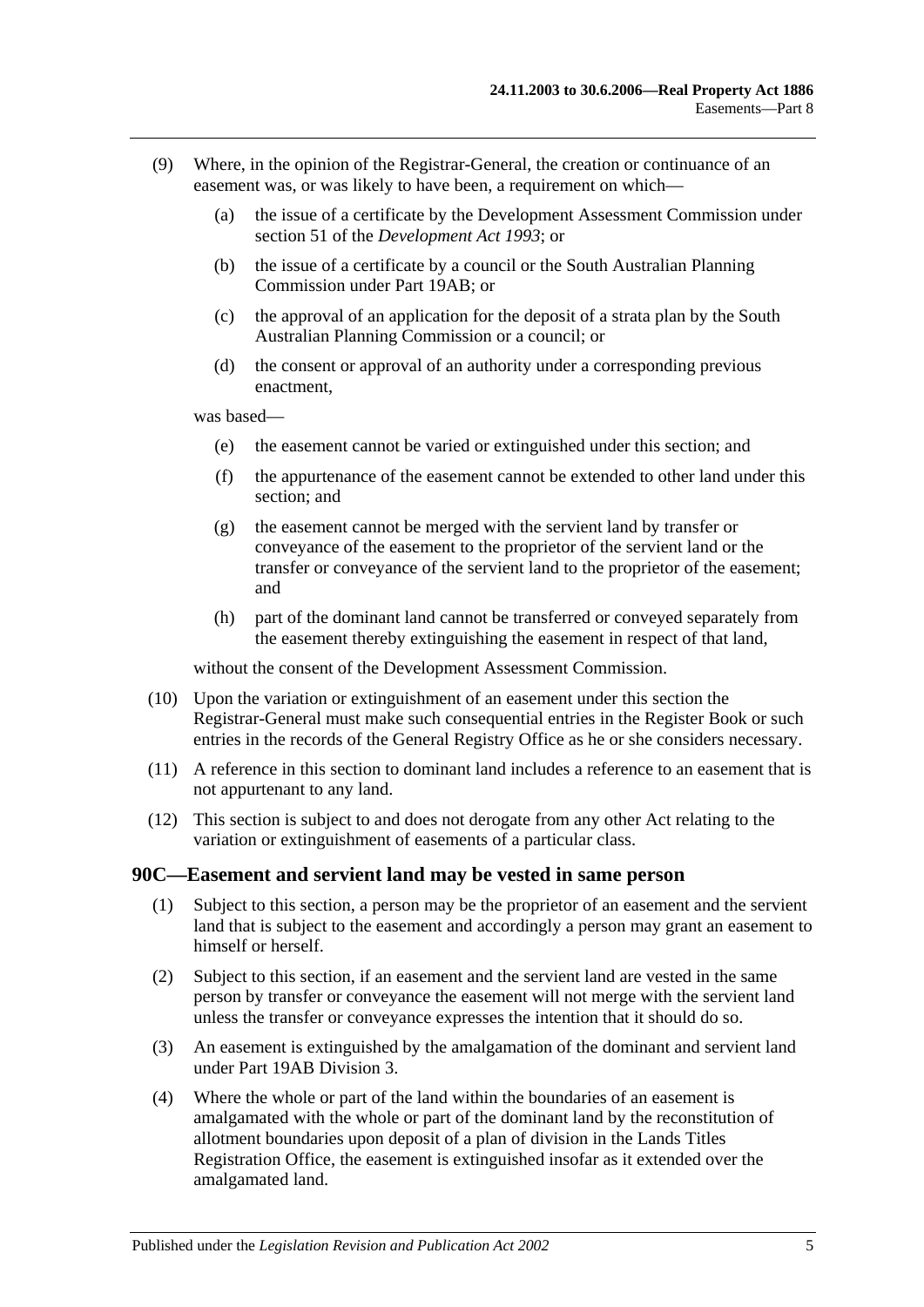- (9) Where, in the opinion of the Registrar-General, the creation or continuance of an easement was, or was likely to have been, a requirement on which—
	- (a) the issue of a certificate by the Development Assessment Commission under section 51 of the *[Development Act](http://www.legislation.sa.gov.au/index.aspx?action=legref&type=act&legtitle=Development%20Act%201993) 1993*; or
	- (b) the issue of a certificate by a council or the South Australian Planning Commission under [Part 19AB;](#page-102-0) or
	- (c) the approval of an application for the deposit of a strata plan by the South Australian Planning Commission or a council; or
	- (d) the consent or approval of an authority under a corresponding previous enactment,

was based—

- (e) the easement cannot be varied or extinguished under this section; and
- (f) the appurtenance of the easement cannot be extended to other land under this section; and
- (g) the easement cannot be merged with the servient land by transfer or conveyance of the easement to the proprietor of the servient land or the transfer or conveyance of the servient land to the proprietor of the easement; and
- (h) part of the dominant land cannot be transferred or conveyed separately from the easement thereby extinguishing the easement in respect of that land,

without the consent of the Development Assessment Commission.

- (10) Upon the variation or extinguishment of an easement under this section the Registrar-General must make such consequential entries in the Register Book or such entries in the records of the General Registry Office as he or she considers necessary.
- (11) A reference in this section to dominant land includes a reference to an easement that is not appurtenant to any land.
- (12) This section is subject to and does not derogate from any other Act relating to the variation or extinguishment of easements of a particular class.

#### <span id="page-48-0"></span>**90C—Easement and servient land may be vested in same person**

- (1) Subject to this section, a person may be the proprietor of an easement and the servient land that is subject to the easement and accordingly a person may grant an easement to himself or herself.
- (2) Subject to this section, if an easement and the servient land are vested in the same person by transfer or conveyance the easement will not merge with the servient land unless the transfer or conveyance expresses the intention that it should do so.
- (3) An easement is extinguished by the amalgamation of the dominant and servient land under [Part 19AB](#page-102-0) [Division 3.](#page-110-0)
- (4) Where the whole or part of the land within the boundaries of an easement is amalgamated with the whole or part of the dominant land by the reconstitution of allotment boundaries upon deposit of a plan of division in the Lands Titles Registration Office, the easement is extinguished insofar as it extended over the amalgamated land.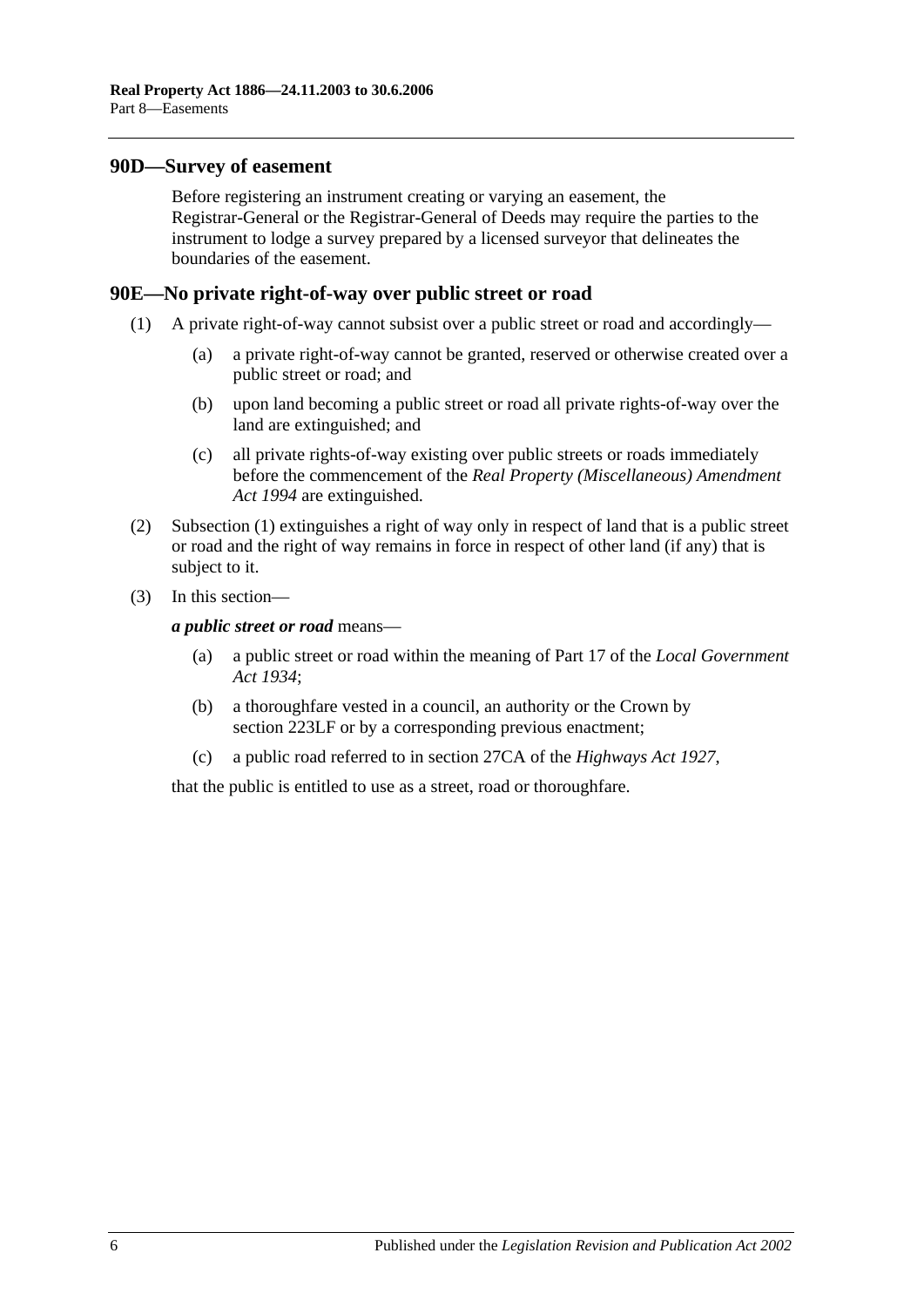#### <span id="page-49-0"></span>**90D—Survey of easement**

Before registering an instrument creating or varying an easement, the Registrar-General or the Registrar-General of Deeds may require the parties to the instrument to lodge a survey prepared by a licensed surveyor that delineates the boundaries of the easement.

#### <span id="page-49-2"></span><span id="page-49-1"></span>**90E—No private right-of-way over public street or road**

- (1) A private right-of-way cannot subsist over a public street or road and accordingly—
	- (a) a private right-of-way cannot be granted, reserved or otherwise created over a public street or road; and
	- (b) upon land becoming a public street or road all private rights-of-way over the land are extinguished; and
	- (c) all private rights-of-way existing over public streets or roads immediately before the commencement of the *[Real Property \(Miscellaneous\) Amendment](http://www.legislation.sa.gov.au/index.aspx?action=legref&type=act&legtitle=Real%20Property%20(Miscellaneous)%20Amendment%20Act%201994)  Act [1994](http://www.legislation.sa.gov.au/index.aspx?action=legref&type=act&legtitle=Real%20Property%20(Miscellaneous)%20Amendment%20Act%201994)* are extinguished.
- (2) [Subsection](#page-49-2) (1) extinguishes a right of way only in respect of land that is a public street or road and the right of way remains in force in respect of other land (if any) that is subject to it.
- (3) In this section—

*a public street or road* means—

- (a) a public street or road within the meaning of Part 17 of the *[Local Government](http://www.legislation.sa.gov.au/index.aspx?action=legref&type=act&legtitle=Local%20Government%20Act%201934)  Act [1934](http://www.legislation.sa.gov.au/index.aspx?action=legref&type=act&legtitle=Local%20Government%20Act%201934)*;
- (b) a thoroughfare vested in a council, an authority or the Crown by [section](#page-107-0) 223LF or by a corresponding previous enactment;
- (c) a public road referred to in section 27CA of the *[Highways Act](http://www.legislation.sa.gov.au/index.aspx?action=legref&type=act&legtitle=Highways%20Act%201927) 1927*,

that the public is entitled to use as a street, road or thoroughfare.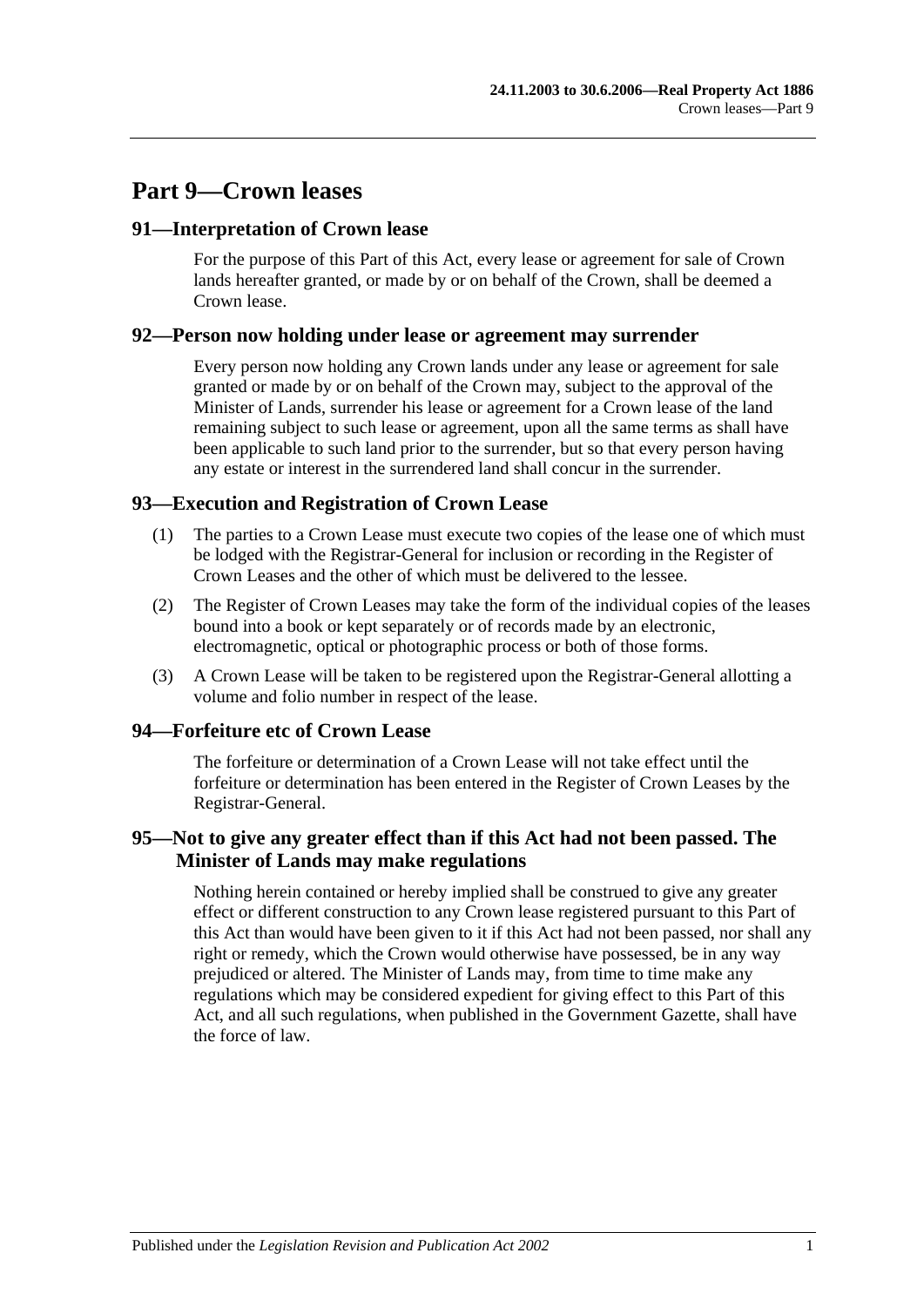# **Part 9—Crown leases**

# **91—Interpretation of Crown lease**

For the purpose of this Part of this Act, every lease or agreement for sale of Crown lands hereafter granted, or made by or on behalf of the Crown, shall be deemed a Crown lease.

## **92—Person now holding under lease or agreement may surrender**

Every person now holding any Crown lands under any lease or agreement for sale granted or made by or on behalf of the Crown may, subject to the approval of the Minister of Lands, surrender his lease or agreement for a Crown lease of the land remaining subject to such lease or agreement, upon all the same terms as shall have been applicable to such land prior to the surrender, but so that every person having any estate or interest in the surrendered land shall concur in the surrender.

# **93—Execution and Registration of Crown Lease**

- (1) The parties to a Crown Lease must execute two copies of the lease one of which must be lodged with the Registrar-General for inclusion or recording in the Register of Crown Leases and the other of which must be delivered to the lessee.
- (2) The Register of Crown Leases may take the form of the individual copies of the leases bound into a book or kept separately or of records made by an electronic, electromagnetic, optical or photographic process or both of those forms.
- (3) A Crown Lease will be taken to be registered upon the Registrar-General allotting a volume and folio number in respect of the lease.

# **94—Forfeiture etc of Crown Lease**

The forfeiture or determination of a Crown Lease will not take effect until the forfeiture or determination has been entered in the Register of Crown Leases by the Registrar-General.

# **95—Not to give any greater effect than if this Act had not been passed. The Minister of Lands may make regulations**

Nothing herein contained or hereby implied shall be construed to give any greater effect or different construction to any Crown lease registered pursuant to this Part of this Act than would have been given to it if this Act had not been passed, nor shall any right or remedy, which the Crown would otherwise have possessed, be in any way prejudiced or altered. The Minister of Lands may, from time to time make any regulations which may be considered expedient for giving effect to this Part of this Act, and all such regulations, when published in the Government Gazette, shall have the force of law.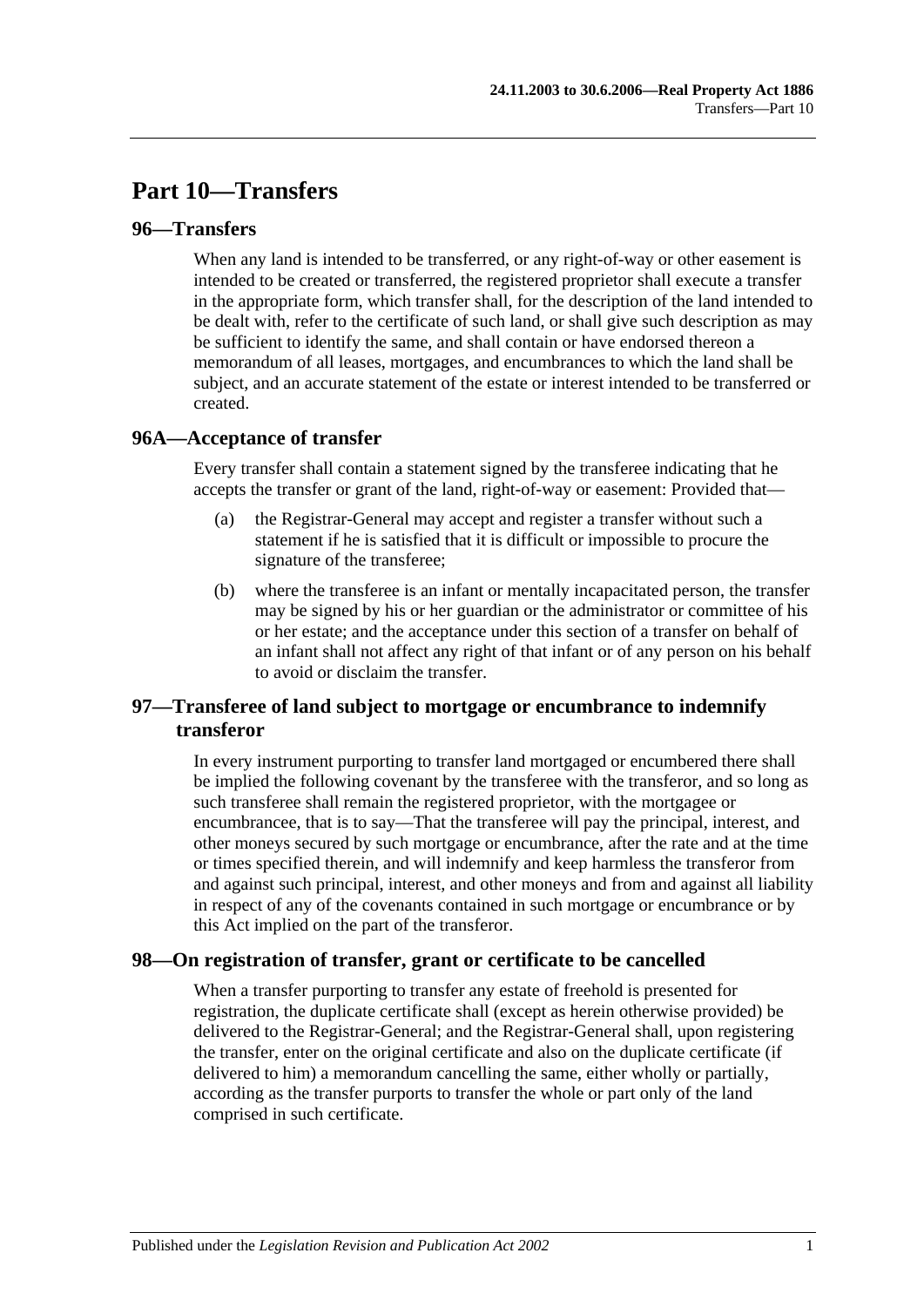# **Part 10—Transfers**

# **96—Transfers**

When any land is intended to be transferred, or any right-of-way or other easement is intended to be created or transferred, the registered proprietor shall execute a transfer in the appropriate form, which transfer shall, for the description of the land intended to be dealt with, refer to the certificate of such land, or shall give such description as may be sufficient to identify the same, and shall contain or have endorsed thereon a memorandum of all leases, mortgages, and encumbrances to which the land shall be subject, and an accurate statement of the estate or interest intended to be transferred or created.

## **96A—Acceptance of transfer**

Every transfer shall contain a statement signed by the transferee indicating that he accepts the transfer or grant of the land, right-of-way or easement: Provided that—

- (a) the Registrar-General may accept and register a transfer without such a statement if he is satisfied that it is difficult or impossible to procure the signature of the transferee;
- (b) where the transferee is an infant or mentally incapacitated person, the transfer may be signed by his or her guardian or the administrator or committee of his or her estate; and the acceptance under this section of a transfer on behalf of an infant shall not affect any right of that infant or of any person on his behalf to avoid or disclaim the transfer.

# **97—Transferee of land subject to mortgage or encumbrance to indemnify transferor**

In every instrument purporting to transfer land mortgaged or encumbered there shall be implied the following covenant by the transferee with the transferor, and so long as such transferee shall remain the registered proprietor, with the mortgagee or encumbrancee, that is to say—That the transferee will pay the principal, interest, and other moneys secured by such mortgage or encumbrance, after the rate and at the time or times specified therein, and will indemnify and keep harmless the transferor from and against such principal, interest, and other moneys and from and against all liability in respect of any of the covenants contained in such mortgage or encumbrance or by this Act implied on the part of the transferor.

# **98—On registration of transfer, grant or certificate to be cancelled**

When a transfer purporting to transfer any estate of freehold is presented for registration, the duplicate certificate shall (except as herein otherwise provided) be delivered to the Registrar-General; and the Registrar-General shall, upon registering the transfer, enter on the original certificate and also on the duplicate certificate (if delivered to him) a memorandum cancelling the same, either wholly or partially, according as the transfer purports to transfer the whole or part only of the land comprised in such certificate.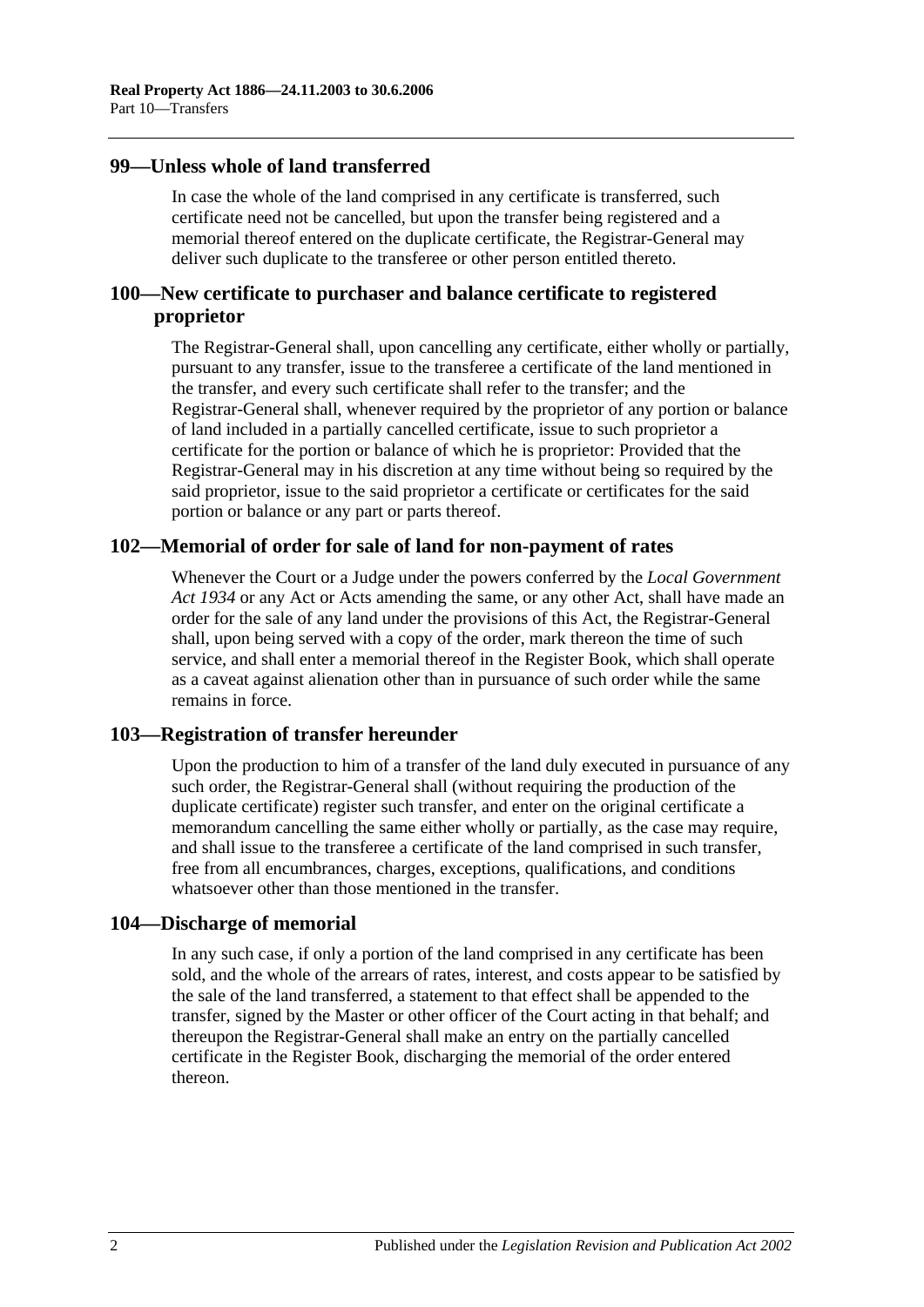## **99—Unless whole of land transferred**

In case the whole of the land comprised in any certificate is transferred, such certificate need not be cancelled, but upon the transfer being registered and a memorial thereof entered on the duplicate certificate, the Registrar-General may deliver such duplicate to the transferee or other person entitled thereto.

# **100—New certificate to purchaser and balance certificate to registered proprietor**

The Registrar-General shall, upon cancelling any certificate, either wholly or partially, pursuant to any transfer, issue to the transferee a certificate of the land mentioned in the transfer, and every such certificate shall refer to the transfer; and the Registrar-General shall, whenever required by the proprietor of any portion or balance of land included in a partially cancelled certificate, issue to such proprietor a certificate for the portion or balance of which he is proprietor: Provided that the Registrar-General may in his discretion at any time without being so required by the said proprietor, issue to the said proprietor a certificate or certificates for the said portion or balance or any part or parts thereof.

## **102—Memorial of order for sale of land for non-payment of rates**

Whenever the Court or a Judge under the powers conferred by the *[Local Government](http://www.legislation.sa.gov.au/index.aspx?action=legref&type=act&legtitle=Local%20Government%20Act%201934)  Act [1934](http://www.legislation.sa.gov.au/index.aspx?action=legref&type=act&legtitle=Local%20Government%20Act%201934)* or any Act or Acts amending the same, or any other Act, shall have made an order for the sale of any land under the provisions of this Act, the Registrar-General shall, upon being served with a copy of the order, mark thereon the time of such service, and shall enter a memorial thereof in the Register Book, which shall operate as a caveat against alienation other than in pursuance of such order while the same remains in force.

# **103—Registration of transfer hereunder**

Upon the production to him of a transfer of the land duly executed in pursuance of any such order, the Registrar-General shall (without requiring the production of the duplicate certificate) register such transfer, and enter on the original certificate a memorandum cancelling the same either wholly or partially, as the case may require, and shall issue to the transferee a certificate of the land comprised in such transfer, free from all encumbrances, charges, exceptions, qualifications, and conditions whatsoever other than those mentioned in the transfer.

#### **104—Discharge of memorial**

In any such case, if only a portion of the land comprised in any certificate has been sold, and the whole of the arrears of rates, interest, and costs appear to be satisfied by the sale of the land transferred, a statement to that effect shall be appended to the transfer, signed by the Master or other officer of the Court acting in that behalf; and thereupon the Registrar-General shall make an entry on the partially cancelled certificate in the Register Book, discharging the memorial of the order entered thereon.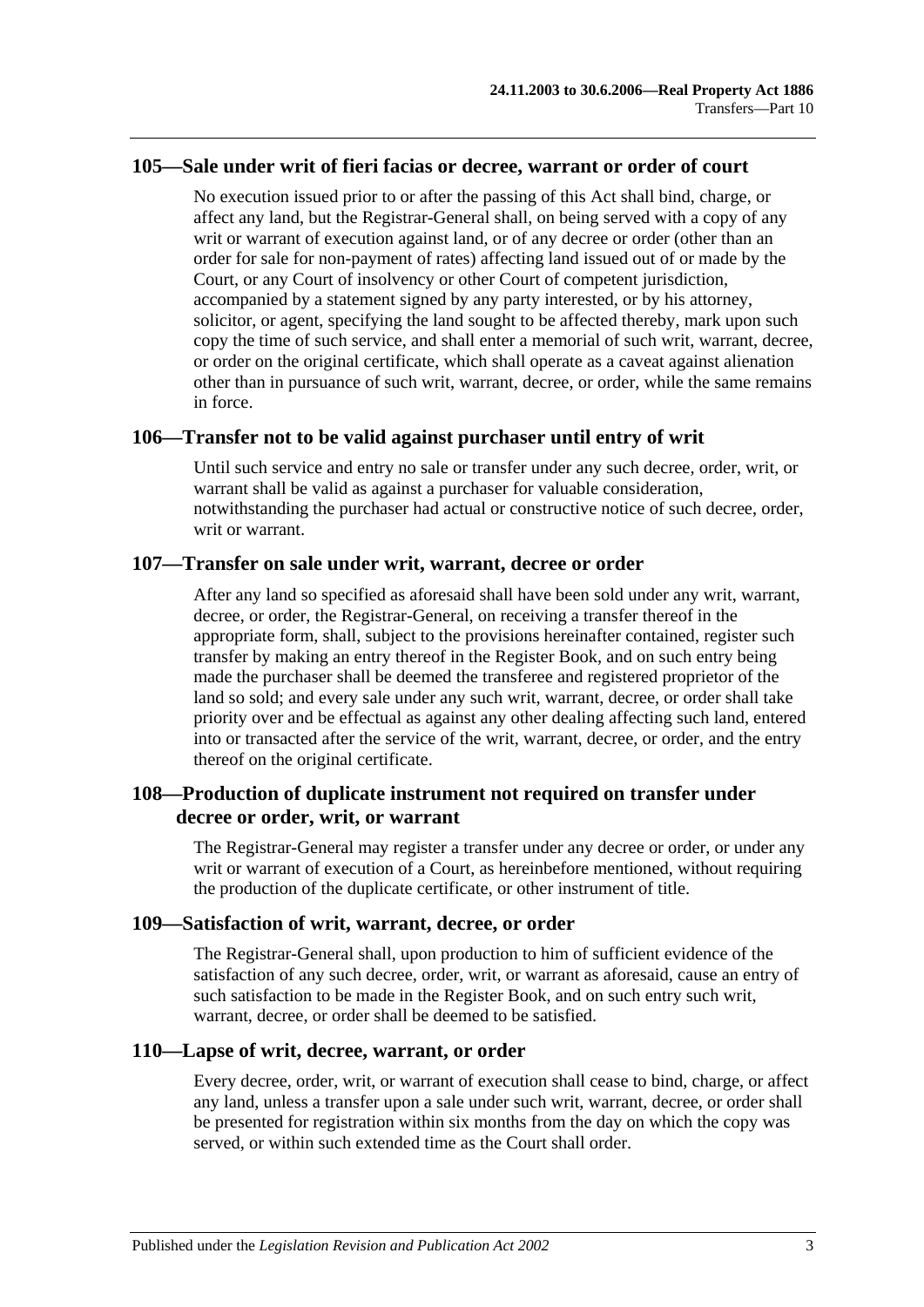#### **105—Sale under writ of fieri facias or decree, warrant or order of court**

No execution issued prior to or after the passing of this Act shall bind, charge, or affect any land, but the Registrar-General shall, on being served with a copy of any writ or warrant of execution against land, or of any decree or order (other than an order for sale for non-payment of rates) affecting land issued out of or made by the Court, or any Court of insolvency or other Court of competent jurisdiction, accompanied by a statement signed by any party interested, or by his attorney, solicitor, or agent, specifying the land sought to be affected thereby, mark upon such copy the time of such service, and shall enter a memorial of such writ, warrant, decree, or order on the original certificate, which shall operate as a caveat against alienation other than in pursuance of such writ, warrant, decree, or order, while the same remains in force.

#### **106—Transfer not to be valid against purchaser until entry of writ**

Until such service and entry no sale or transfer under any such decree, order, writ, or warrant shall be valid as against a purchaser for valuable consideration, notwithstanding the purchaser had actual or constructive notice of such decree, order, writ or warrant.

#### **107—Transfer on sale under writ, warrant, decree or order**

After any land so specified as aforesaid shall have been sold under any writ, warrant, decree, or order, the Registrar-General, on receiving a transfer thereof in the appropriate form, shall, subject to the provisions hereinafter contained, register such transfer by making an entry thereof in the Register Book, and on such entry being made the purchaser shall be deemed the transferee and registered proprietor of the land so sold; and every sale under any such writ, warrant, decree, or order shall take priority over and be effectual as against any other dealing affecting such land, entered into or transacted after the service of the writ, warrant, decree, or order, and the entry thereof on the original certificate.

# **108—Production of duplicate instrument not required on transfer under decree or order, writ, or warrant**

The Registrar-General may register a transfer under any decree or order, or under any writ or warrant of execution of a Court, as hereinbefore mentioned, without requiring the production of the duplicate certificate, or other instrument of title.

#### **109—Satisfaction of writ, warrant, decree, or order**

The Registrar-General shall, upon production to him of sufficient evidence of the satisfaction of any such decree, order, writ, or warrant as aforesaid, cause an entry of such satisfaction to be made in the Register Book, and on such entry such writ, warrant, decree, or order shall be deemed to be satisfied.

#### **110—Lapse of writ, decree, warrant, or order**

Every decree, order, writ, or warrant of execution shall cease to bind, charge, or affect any land, unless a transfer upon a sale under such writ, warrant, decree, or order shall be presented for registration within six months from the day on which the copy was served, or within such extended time as the Court shall order.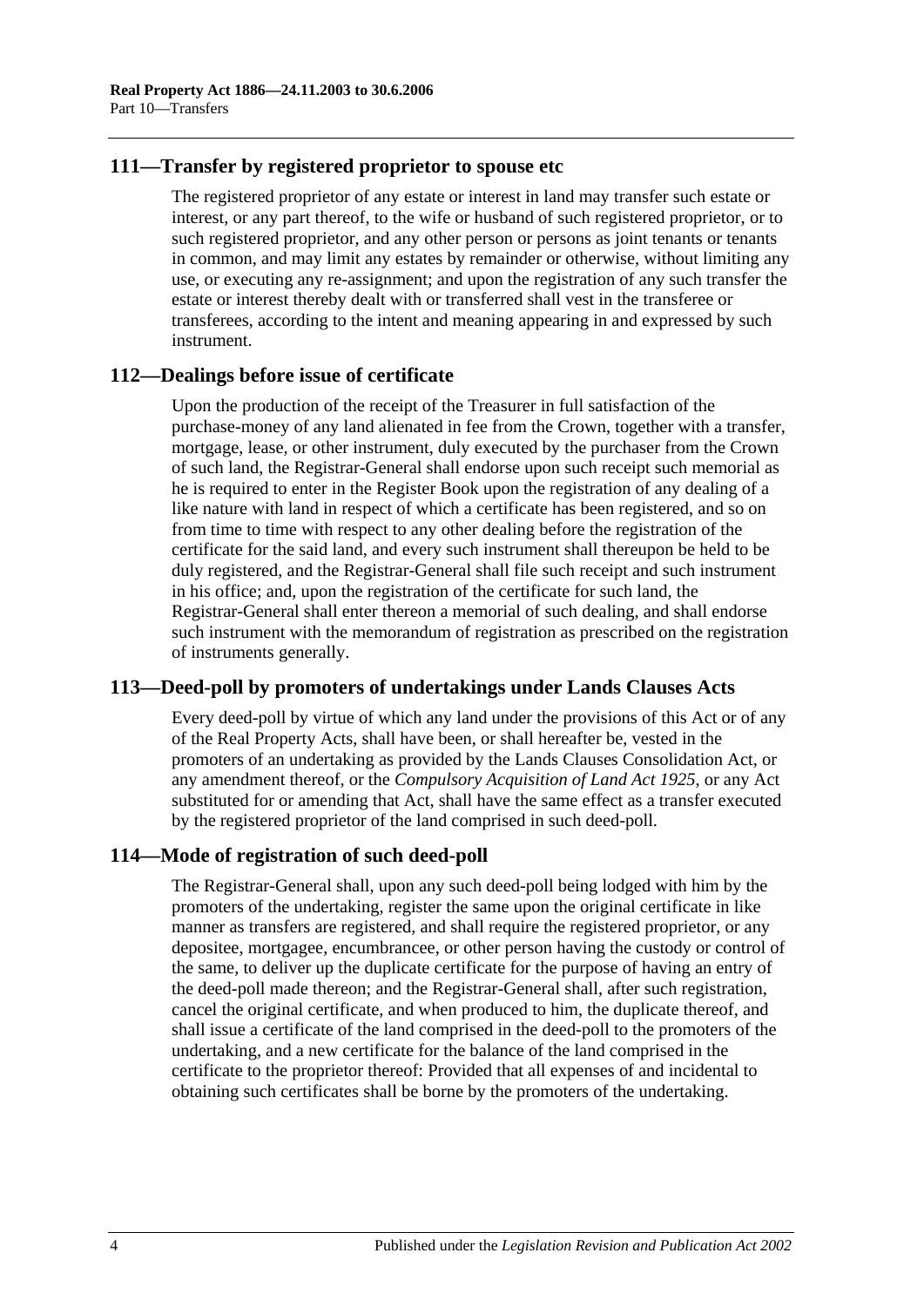# **111—Transfer by registered proprietor to spouse etc**

The registered proprietor of any estate or interest in land may transfer such estate or interest, or any part thereof, to the wife or husband of such registered proprietor, or to such registered proprietor, and any other person or persons as joint tenants or tenants in common, and may limit any estates by remainder or otherwise, without limiting any use, or executing any re-assignment; and upon the registration of any such transfer the estate or interest thereby dealt with or transferred shall vest in the transferee or transferees, according to the intent and meaning appearing in and expressed by such instrument.

#### **112—Dealings before issue of certificate**

Upon the production of the receipt of the Treasurer in full satisfaction of the purchase-money of any land alienated in fee from the Crown, together with a transfer, mortgage, lease, or other instrument, duly executed by the purchaser from the Crown of such land, the Registrar-General shall endorse upon such receipt such memorial as he is required to enter in the Register Book upon the registration of any dealing of a like nature with land in respect of which a certificate has been registered, and so on from time to time with respect to any other dealing before the registration of the certificate for the said land, and every such instrument shall thereupon be held to be duly registered, and the Registrar-General shall file such receipt and such instrument in his office; and, upon the registration of the certificate for such land, the Registrar-General shall enter thereon a memorial of such dealing, and shall endorse such instrument with the memorandum of registration as prescribed on the registration of instruments generally.

# **113—Deed-poll by promoters of undertakings under Lands Clauses Acts**

Every deed-poll by virtue of which any land under the provisions of this Act or of any of the Real Property Acts, shall have been, or shall hereafter be, vested in the promoters of an undertaking as provided by the Lands Clauses Consolidation Act, or any amendment thereof, or the *[Compulsory Acquisition of Land Act](http://www.legislation.sa.gov.au/index.aspx?action=legref&type=act&legtitle=Compulsory%20Acquisition%20of%20Land%20Act%201925) 1925*, or any Act substituted for or amending that Act, shall have the same effect as a transfer executed by the registered proprietor of the land comprised in such deed-poll.

# **114—Mode of registration of such deed-poll**

The Registrar-General shall, upon any such deed-poll being lodged with him by the promoters of the undertaking, register the same upon the original certificate in like manner as transfers are registered, and shall require the registered proprietor, or any depositee, mortgagee, encumbrancee, or other person having the custody or control of the same, to deliver up the duplicate certificate for the purpose of having an entry of the deed-poll made thereon; and the Registrar-General shall, after such registration, cancel the original certificate, and when produced to him, the duplicate thereof, and shall issue a certificate of the land comprised in the deed-poll to the promoters of the undertaking, and a new certificate for the balance of the land comprised in the certificate to the proprietor thereof: Provided that all expenses of and incidental to obtaining such certificates shall be borne by the promoters of the undertaking.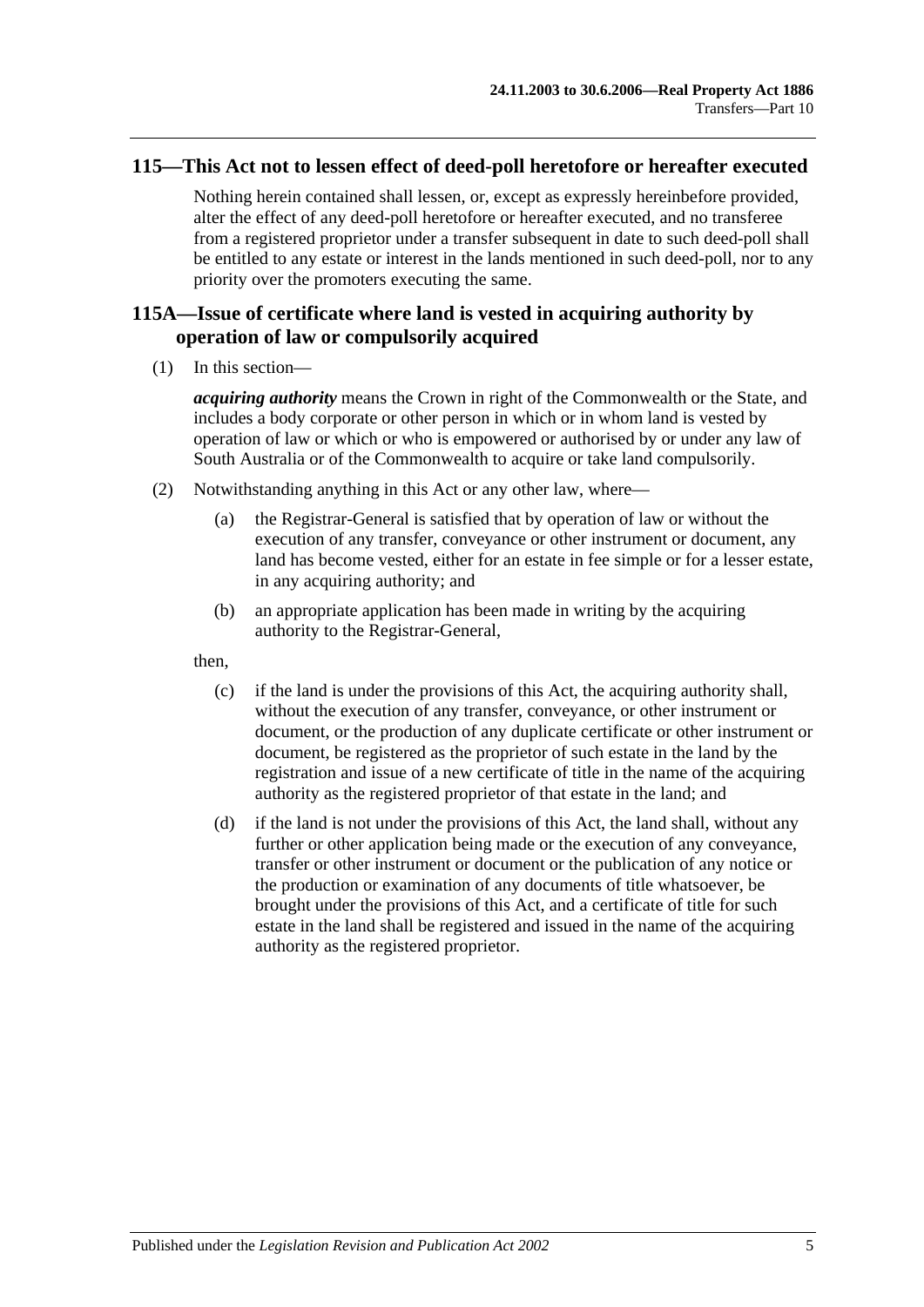## **115—This Act not to lessen effect of deed-poll heretofore or hereafter executed**

Nothing herein contained shall lessen, or, except as expressly hereinbefore provided, alter the effect of any deed-poll heretofore or hereafter executed, and no transferee from a registered proprietor under a transfer subsequent in date to such deed-poll shall be entitled to any estate or interest in the lands mentioned in such deed-poll, nor to any priority over the promoters executing the same.

# **115A—Issue of certificate where land is vested in acquiring authority by operation of law or compulsorily acquired**

(1) In this section—

*acquiring authority* means the Crown in right of the Commonwealth or the State, and includes a body corporate or other person in which or in whom land is vested by operation of law or which or who is empowered or authorised by or under any law of South Australia or of the Commonwealth to acquire or take land compulsorily.

- (2) Notwithstanding anything in this Act or any other law, where—
	- (a) the Registrar-General is satisfied that by operation of law or without the execution of any transfer, conveyance or other instrument or document, any land has become vested, either for an estate in fee simple or for a lesser estate, in any acquiring authority; and
	- (b) an appropriate application has been made in writing by the acquiring authority to the Registrar-General,

then,

- (c) if the land is under the provisions of this Act, the acquiring authority shall, without the execution of any transfer, conveyance, or other instrument or document, or the production of any duplicate certificate or other instrument or document, be registered as the proprietor of such estate in the land by the registration and issue of a new certificate of title in the name of the acquiring authority as the registered proprietor of that estate in the land; and
- (d) if the land is not under the provisions of this Act, the land shall, without any further or other application being made or the execution of any conveyance, transfer or other instrument or document or the publication of any notice or the production or examination of any documents of title whatsoever, be brought under the provisions of this Act, and a certificate of title for such estate in the land shall be registered and issued in the name of the acquiring authority as the registered proprietor.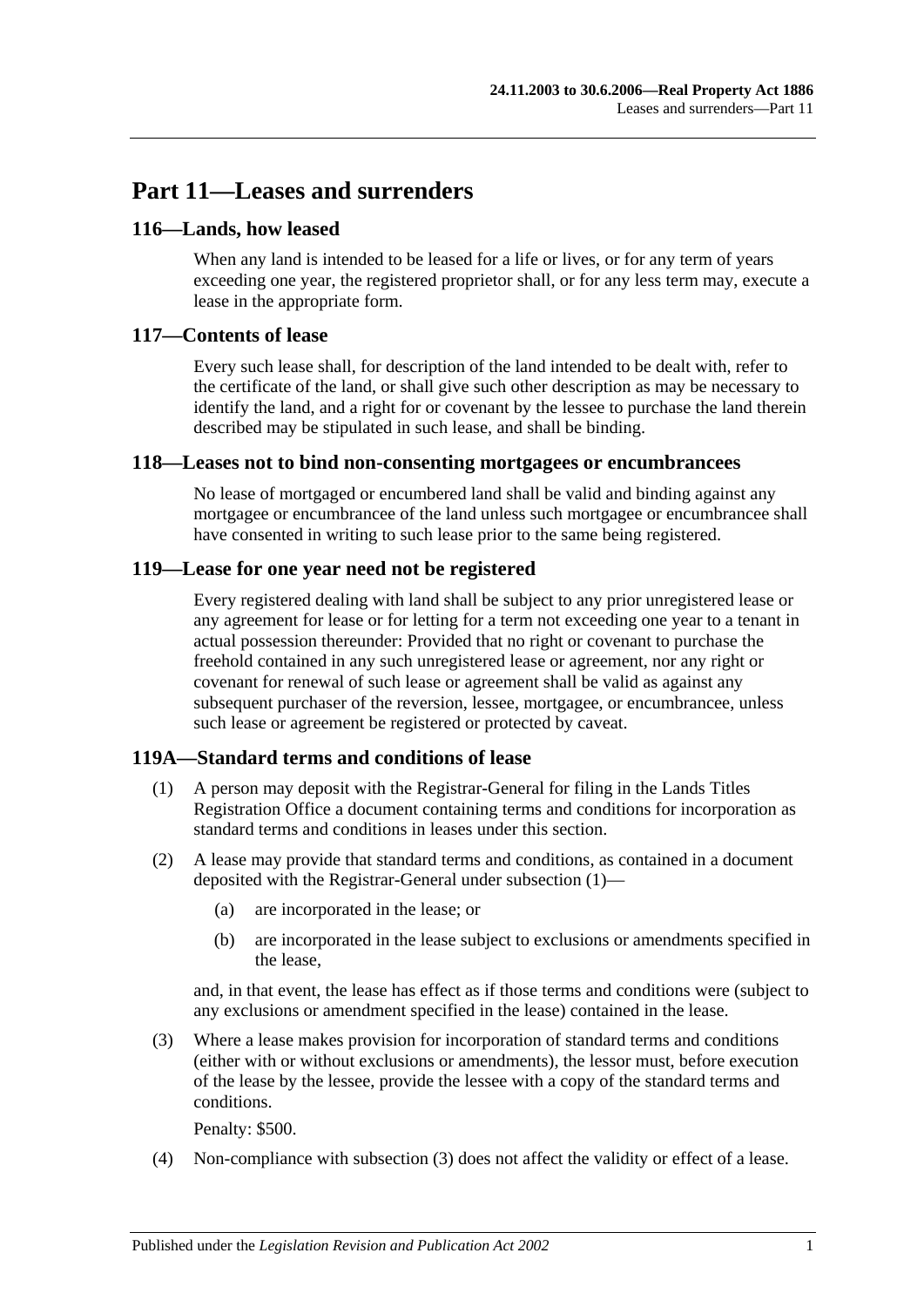# **Part 11—Leases and surrenders**

# **116—Lands, how leased**

When any land is intended to be leased for a life or lives, or for any term of years exceeding one year, the registered proprietor shall, or for any less term may, execute a lease in the appropriate form.

# **117—Contents of lease**

Every such lease shall, for description of the land intended to be dealt with, refer to the certificate of the land, or shall give such other description as may be necessary to identify the land, and a right for or covenant by the lessee to purchase the land therein described may be stipulated in such lease, and shall be binding.

# **118—Leases not to bind non-consenting mortgagees or encumbrancees**

No lease of mortgaged or encumbered land shall be valid and binding against any mortgagee or encumbrancee of the land unless such mortgagee or encumbrancee shall have consented in writing to such lease prior to the same being registered.

# **119—Lease for one year need not be registered**

Every registered dealing with land shall be subject to any prior unregistered lease or any agreement for lease or for letting for a term not exceeding one year to a tenant in actual possession thereunder: Provided that no right or covenant to purchase the freehold contained in any such unregistered lease or agreement, nor any right or covenant for renewal of such lease or agreement shall be valid as against any subsequent purchaser of the reversion, lessee, mortgagee, or encumbrancee, unless such lease or agreement be registered or protected by caveat.

# <span id="page-58-0"></span>**119A—Standard terms and conditions of lease**

- (1) A person may deposit with the Registrar-General for filing in the Lands Titles Registration Office a document containing terms and conditions for incorporation as standard terms and conditions in leases under this section.
- (2) A lease may provide that standard terms and conditions, as contained in a document deposited with the Registrar-General under [subsection](#page-58-0) (1)—
	- (a) are incorporated in the lease; or
	- (b) are incorporated in the lease subject to exclusions or amendments specified in the lease,

and, in that event, the lease has effect as if those terms and conditions were (subject to any exclusions or amendment specified in the lease) contained in the lease.

<span id="page-58-1"></span>(3) Where a lease makes provision for incorporation of standard terms and conditions (either with or without exclusions or amendments), the lessor must, before execution of the lease by the lessee, provide the lessee with a copy of the standard terms and conditions.

Penalty: \$500.

(4) Non-compliance with [subsection](#page-58-1) (3) does not affect the validity or effect of a lease.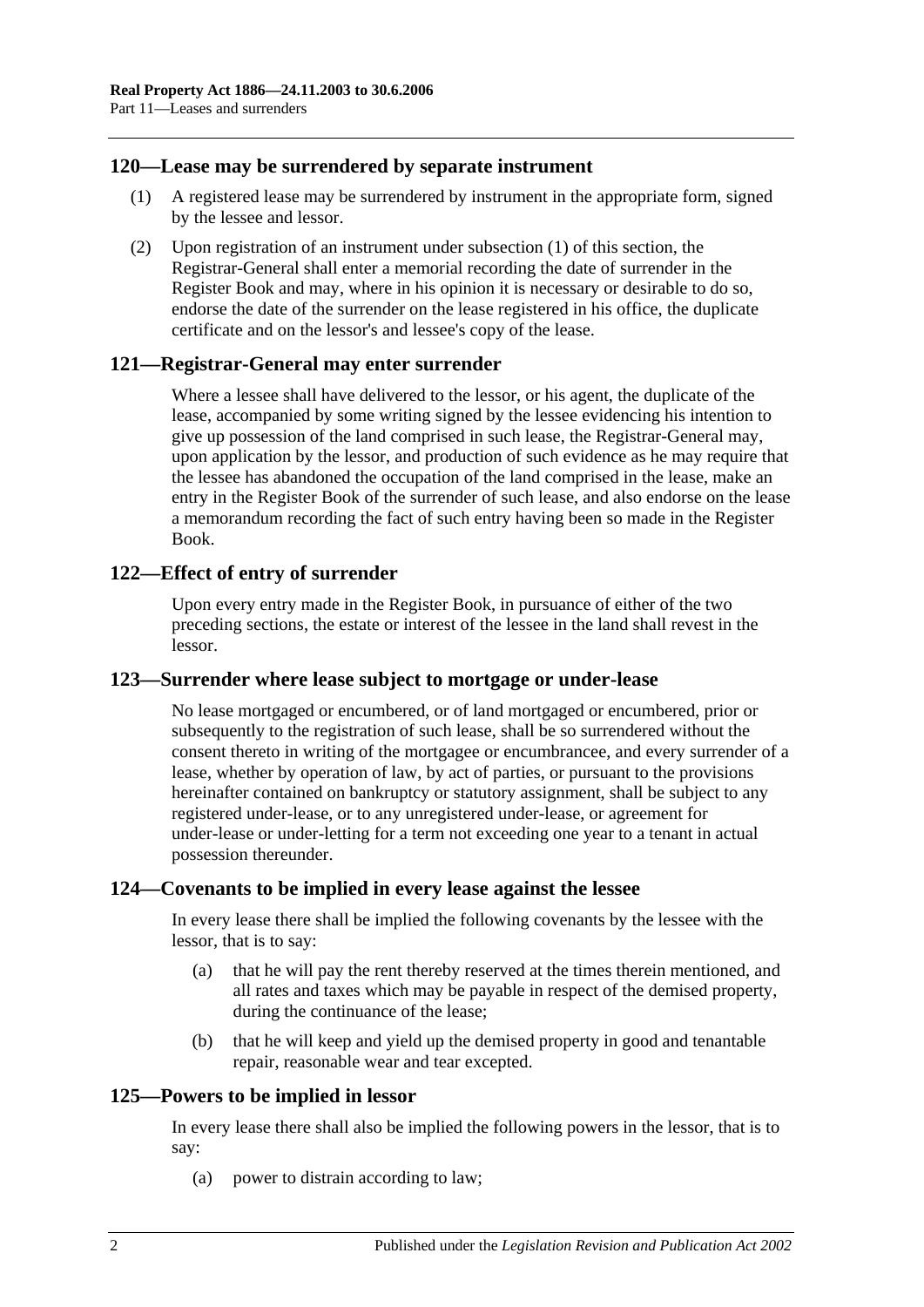## <span id="page-59-0"></span>**120—Lease may be surrendered by separate instrument**

- (1) A registered lease may be surrendered by instrument in the appropriate form, signed by the lessee and lessor.
- (2) Upon registration of an instrument under [subsection](#page-59-0) (1) of this section, the Registrar-General shall enter a memorial recording the date of surrender in the Register Book and may, where in his opinion it is necessary or desirable to do so, endorse the date of the surrender on the lease registered in his office, the duplicate certificate and on the lessor's and lessee's copy of the lease.

#### **121—Registrar-General may enter surrender**

Where a lessee shall have delivered to the lessor, or his agent, the duplicate of the lease, accompanied by some writing signed by the lessee evidencing his intention to give up possession of the land comprised in such lease, the Registrar-General may, upon application by the lessor, and production of such evidence as he may require that the lessee has abandoned the occupation of the land comprised in the lease, make an entry in the Register Book of the surrender of such lease, and also endorse on the lease a memorandum recording the fact of such entry having been so made in the Register Book.

## **122—Effect of entry of surrender**

Upon every entry made in the Register Book, in pursuance of either of the two preceding sections, the estate or interest of the lessee in the land shall revest in the lessor.

#### **123—Surrender where lease subject to mortgage or under-lease**

No lease mortgaged or encumbered, or of land mortgaged or encumbered, prior or subsequently to the registration of such lease, shall be so surrendered without the consent thereto in writing of the mortgagee or encumbrancee, and every surrender of a lease, whether by operation of law, by act of parties, or pursuant to the provisions hereinafter contained on bankruptcy or statutory assignment, shall be subject to any registered under-lease, or to any unregistered under-lease, or agreement for under-lease or under-letting for a term not exceeding one year to a tenant in actual possession thereunder.

#### **124—Covenants to be implied in every lease against the lessee**

In every lease there shall be implied the following covenants by the lessee with the lessor, that is to say:

- (a) that he will pay the rent thereby reserved at the times therein mentioned, and all rates and taxes which may be payable in respect of the demised property, during the continuance of the lease;
- (b) that he will keep and yield up the demised property in good and tenantable repair, reasonable wear and tear excepted.

## **125—Powers to be implied in lessor**

In every lease there shall also be implied the following powers in the lessor, that is to say:

(a) power to distrain according to law;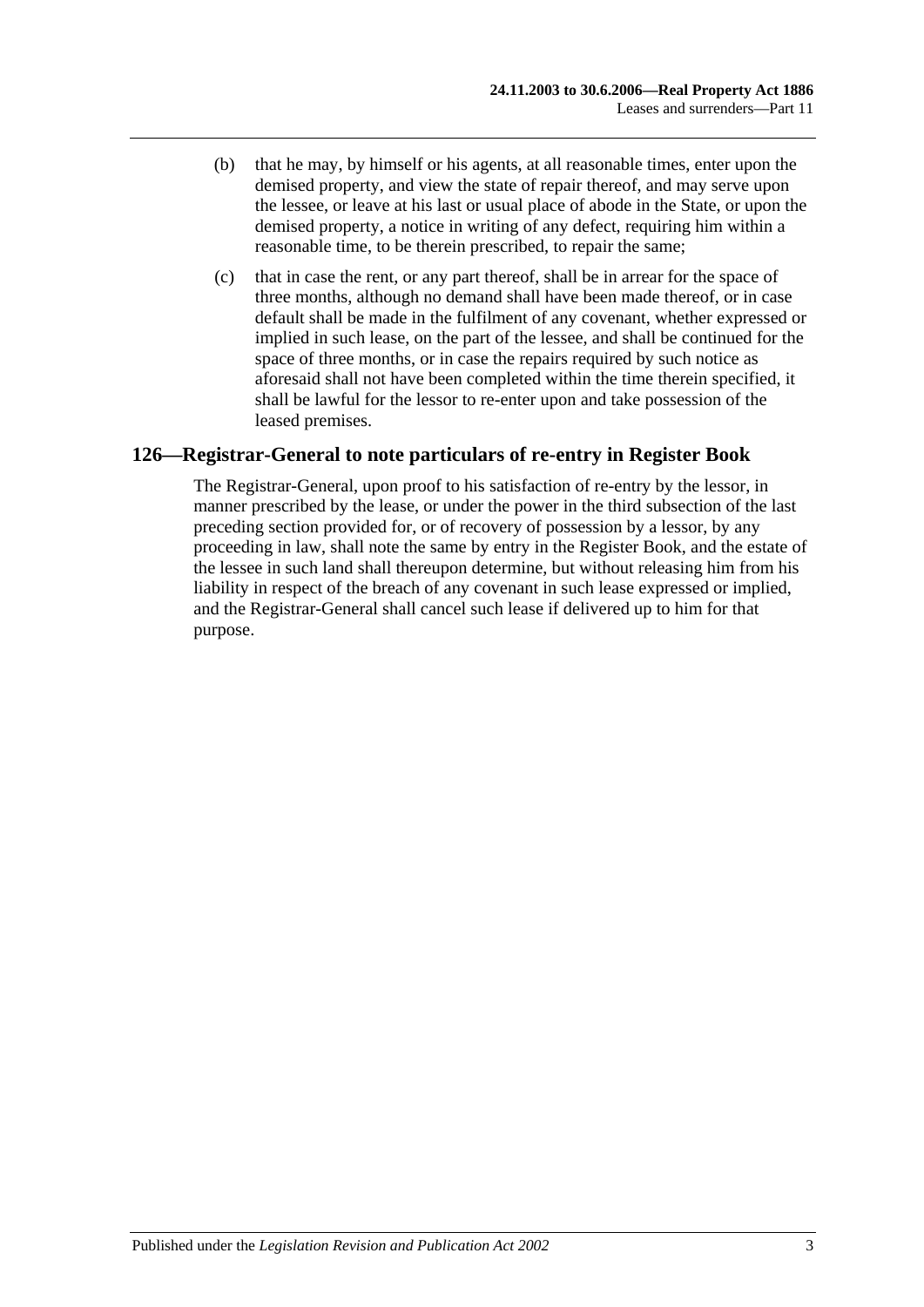- (b) that he may, by himself or his agents, at all reasonable times, enter upon the demised property, and view the state of repair thereof, and may serve upon the lessee, or leave at his last or usual place of abode in the State, or upon the demised property, a notice in writing of any defect, requiring him within a reasonable time, to be therein prescribed, to repair the same;
- (c) that in case the rent, or any part thereof, shall be in arrear for the space of three months, although no demand shall have been made thereof, or in case default shall be made in the fulfilment of any covenant, whether expressed or implied in such lease, on the part of the lessee, and shall be continued for the space of three months, or in case the repairs required by such notice as aforesaid shall not have been completed within the time therein specified, it shall be lawful for the lessor to re-enter upon and take possession of the leased premises.

# **126—Registrar-General to note particulars of re-entry in Register Book**

The Registrar-General, upon proof to his satisfaction of re-entry by the lessor, in manner prescribed by the lease, or under the power in the third subsection of the last preceding section provided for, or of recovery of possession by a lessor, by any proceeding in law, shall note the same by entry in the Register Book, and the estate of the lessee in such land shall thereupon determine, but without releasing him from his liability in respect of the breach of any covenant in such lease expressed or implied, and the Registrar-General shall cancel such lease if delivered up to him for that purpose.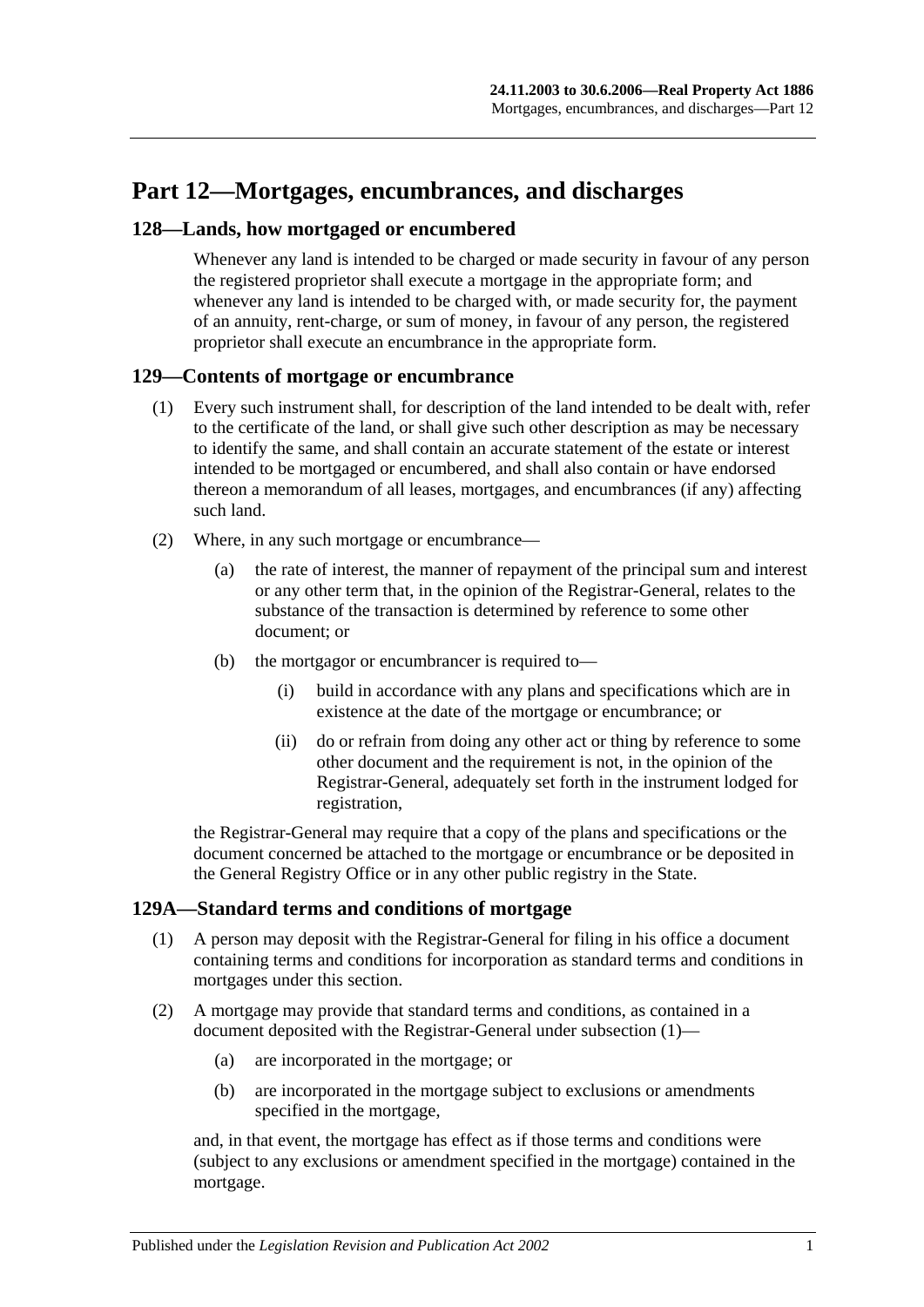# **Part 12—Mortgages, encumbrances, and discharges**

## **128—Lands, how mortgaged or encumbered**

Whenever any land is intended to be charged or made security in favour of any person the registered proprietor shall execute a mortgage in the appropriate form; and whenever any land is intended to be charged with, or made security for, the payment of an annuity, rent-charge, or sum of money, in favour of any person, the registered proprietor shall execute an encumbrance in the appropriate form.

#### **129—Contents of mortgage or encumbrance**

- (1) Every such instrument shall, for description of the land intended to be dealt with, refer to the certificate of the land, or shall give such other description as may be necessary to identify the same, and shall contain an accurate statement of the estate or interest intended to be mortgaged or encumbered, and shall also contain or have endorsed thereon a memorandum of all leases, mortgages, and encumbrances (if any) affecting such land.
- (2) Where, in any such mortgage or encumbrance—
	- (a) the rate of interest, the manner of repayment of the principal sum and interest or any other term that, in the opinion of the Registrar-General, relates to the substance of the transaction is determined by reference to some other document; or
	- (b) the mortgagor or encumbrancer is required to—
		- (i) build in accordance with any plans and specifications which are in existence at the date of the mortgage or encumbrance; or
		- (ii) do or refrain from doing any other act or thing by reference to some other document and the requirement is not, in the opinion of the Registrar-General, adequately set forth in the instrument lodged for registration,

the Registrar-General may require that a copy of the plans and specifications or the document concerned be attached to the mortgage or encumbrance or be deposited in the General Registry Office or in any other public registry in the State.

#### <span id="page-62-0"></span>**129A—Standard terms and conditions of mortgage**

- (1) A person may deposit with the Registrar-General for filing in his office a document containing terms and conditions for incorporation as standard terms and conditions in mortgages under this section.
- (2) A mortgage may provide that standard terms and conditions, as contained in a document deposited with the Registrar-General under [subsection](#page-62-0) (1)—
	- (a) are incorporated in the mortgage; or
	- (b) are incorporated in the mortgage subject to exclusions or amendments specified in the mortgage,

and, in that event, the mortgage has effect as if those terms and conditions were (subject to any exclusions or amendment specified in the mortgage) contained in the mortgage.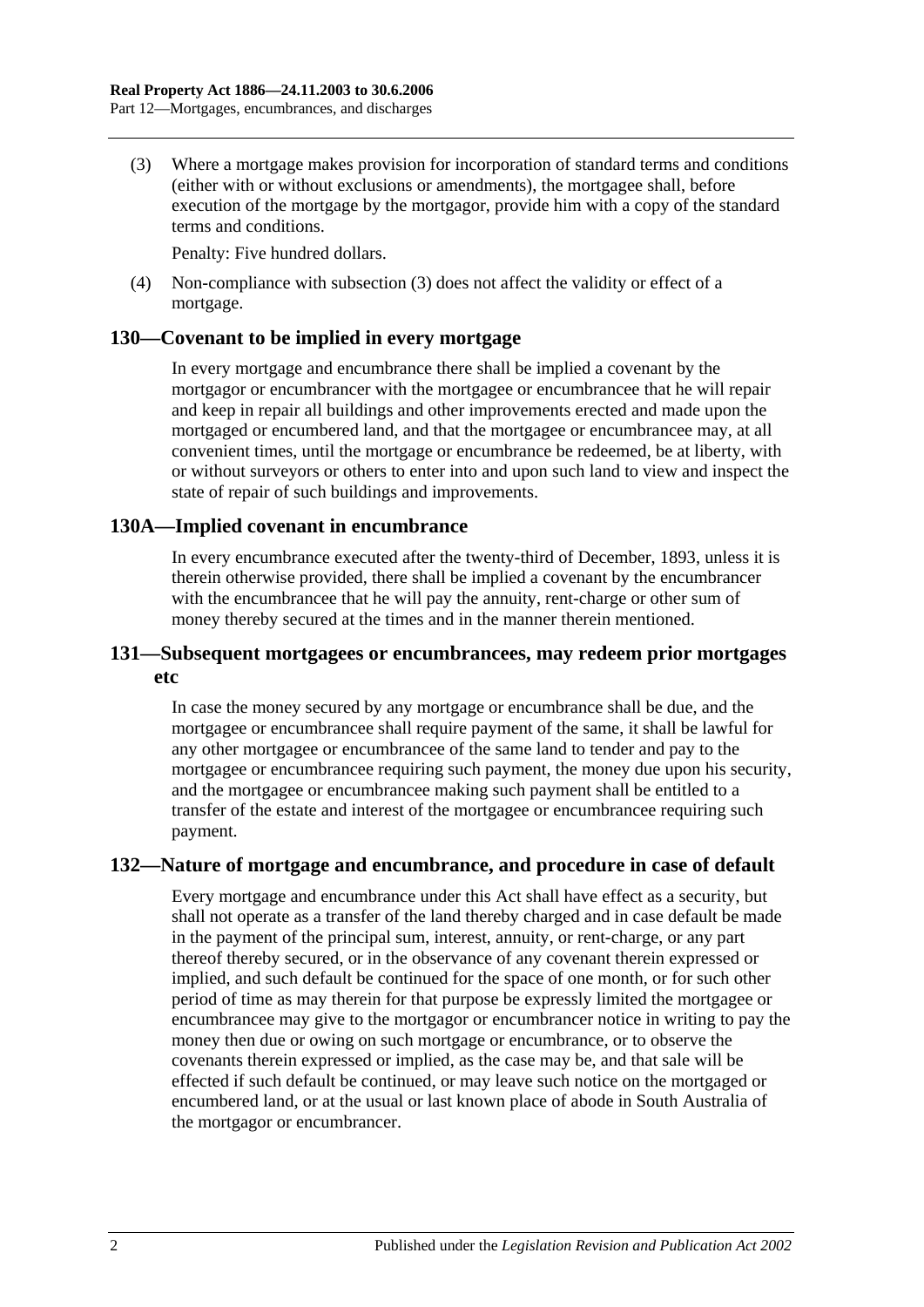<span id="page-63-0"></span>(3) Where a mortgage makes provision for incorporation of standard terms and conditions (either with or without exclusions or amendments), the mortgagee shall, before execution of the mortgage by the mortgagor, provide him with a copy of the standard terms and conditions.

Penalty: Five hundred dollars.

(4) Non-compliance with [subsection](#page-63-0) (3) does not affect the validity or effect of a mortgage.

## **130—Covenant to be implied in every mortgage**

In every mortgage and encumbrance there shall be implied a covenant by the mortgagor or encumbrancer with the mortgagee or encumbrancee that he will repair and keep in repair all buildings and other improvements erected and made upon the mortgaged or encumbered land, and that the mortgagee or encumbrancee may, at all convenient times, until the mortgage or encumbrance be redeemed, be at liberty, with or without surveyors or others to enter into and upon such land to view and inspect the state of repair of such buildings and improvements.

## **130A—Implied covenant in encumbrance**

In every encumbrance executed after the twenty-third of December, 1893, unless it is therein otherwise provided, there shall be implied a covenant by the encumbrancer with the encumbrancee that he will pay the annuity, rent-charge or other sum of money thereby secured at the times and in the manner therein mentioned.

# **131—Subsequent mortgagees or encumbrancees, may redeem prior mortgages etc**

In case the money secured by any mortgage or encumbrance shall be due, and the mortgagee or encumbrancee shall require payment of the same, it shall be lawful for any other mortgagee or encumbrancee of the same land to tender and pay to the mortgagee or encumbrancee requiring such payment, the money due upon his security, and the mortgagee or encumbrancee making such payment shall be entitled to a transfer of the estate and interest of the mortgagee or encumbrancee requiring such payment.

# **132—Nature of mortgage and encumbrance, and procedure in case of default**

Every mortgage and encumbrance under this Act shall have effect as a security, but shall not operate as a transfer of the land thereby charged and in case default be made in the payment of the principal sum, interest, annuity, or rent-charge, or any part thereof thereby secured, or in the observance of any covenant therein expressed or implied, and such default be continued for the space of one month, or for such other period of time as may therein for that purpose be expressly limited the mortgagee or encumbrancee may give to the mortgagor or encumbrancer notice in writing to pay the money then due or owing on such mortgage or encumbrance, or to observe the covenants therein expressed or implied, as the case may be, and that sale will be effected if such default be continued, or may leave such notice on the mortgaged or encumbered land, or at the usual or last known place of abode in South Australia of the mortgagor or encumbrancer.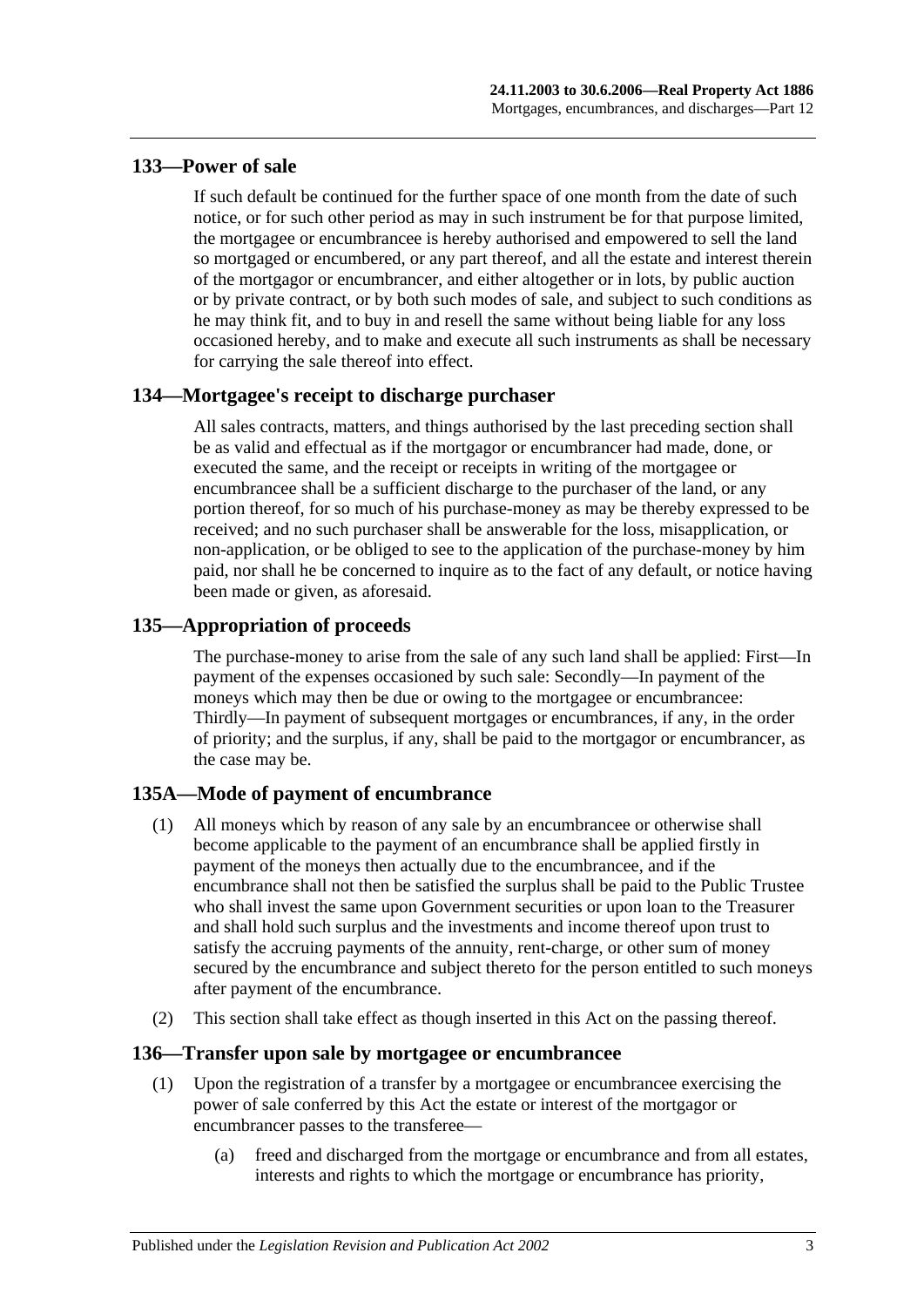# **133—Power of sale**

If such default be continued for the further space of one month from the date of such notice, or for such other period as may in such instrument be for that purpose limited, the mortgagee or encumbrancee is hereby authorised and empowered to sell the land so mortgaged or encumbered, or any part thereof, and all the estate and interest therein of the mortgagor or encumbrancer, and either altogether or in lots, by public auction or by private contract, or by both such modes of sale, and subject to such conditions as he may think fit, and to buy in and resell the same without being liable for any loss occasioned hereby, and to make and execute all such instruments as shall be necessary for carrying the sale thereof into effect.

# **134—Mortgagee's receipt to discharge purchaser**

All sales contracts, matters, and things authorised by the last preceding section shall be as valid and effectual as if the mortgagor or encumbrancer had made, done, or executed the same, and the receipt or receipts in writing of the mortgagee or encumbrancee shall be a sufficient discharge to the purchaser of the land, or any portion thereof, for so much of his purchase-money as may be thereby expressed to be received; and no such purchaser shall be answerable for the loss, misapplication, or non-application, or be obliged to see to the application of the purchase-money by him paid, nor shall he be concerned to inquire as to the fact of any default, or notice having been made or given, as aforesaid.

# **135—Appropriation of proceeds**

The purchase-money to arise from the sale of any such land shall be applied: First—In payment of the expenses occasioned by such sale: Secondly—In payment of the moneys which may then be due or owing to the mortgagee or encumbrancee: Thirdly—In payment of subsequent mortgages or encumbrances, if any, in the order of priority; and the surplus, if any, shall be paid to the mortgagor or encumbrancer, as the case may be.

# **135A—Mode of payment of encumbrance**

- (1) All moneys which by reason of any sale by an encumbrancee or otherwise shall become applicable to the payment of an encumbrance shall be applied firstly in payment of the moneys then actually due to the encumbrancee, and if the encumbrance shall not then be satisfied the surplus shall be paid to the Public Trustee who shall invest the same upon Government securities or upon loan to the Treasurer and shall hold such surplus and the investments and income thereof upon trust to satisfy the accruing payments of the annuity, rent-charge, or other sum of money secured by the encumbrance and subject thereto for the person entitled to such moneys after payment of the encumbrance.
- (2) This section shall take effect as though inserted in this Act on the passing thereof.

# **136—Transfer upon sale by mortgagee or encumbrancee**

- (1) Upon the registration of a transfer by a mortgagee or encumbrancee exercising the power of sale conferred by this Act the estate or interest of the mortgagor or encumbrancer passes to the transferee—
	- (a) freed and discharged from the mortgage or encumbrance and from all estates, interests and rights to which the mortgage or encumbrance has priority,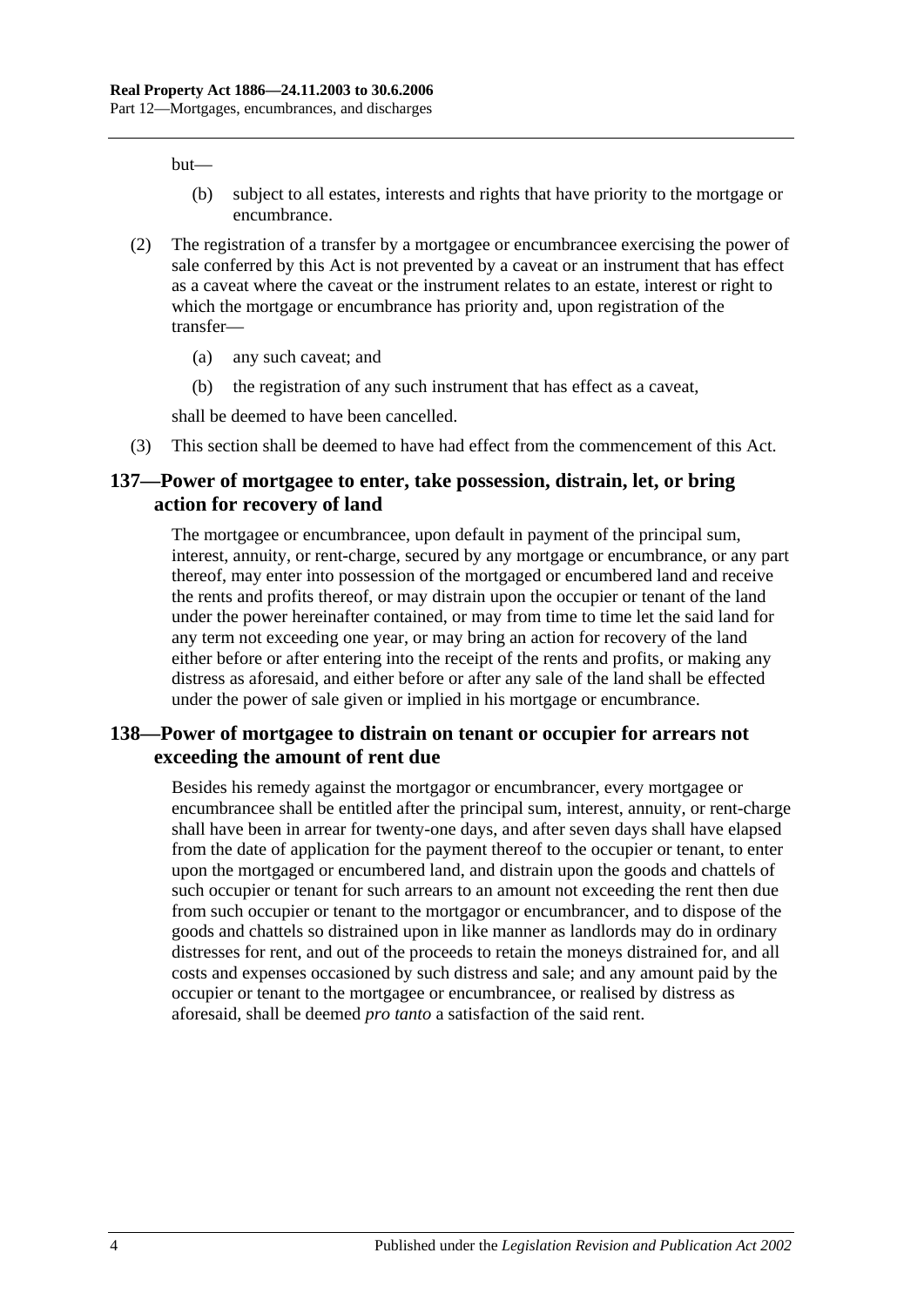but—

- (b) subject to all estates, interests and rights that have priority to the mortgage or encumbrance.
- (2) The registration of a transfer by a mortgagee or encumbrancee exercising the power of sale conferred by this Act is not prevented by a caveat or an instrument that has effect as a caveat where the caveat or the instrument relates to an estate, interest or right to which the mortgage or encumbrance has priority and, upon registration of the transfer—
	- (a) any such caveat; and
	- (b) the registration of any such instrument that has effect as a caveat,

shall be deemed to have been cancelled.

(3) This section shall be deemed to have had effect from the commencement of this Act.

## **137—Power of mortgagee to enter, take possession, distrain, let, or bring action for recovery of land**

The mortgagee or encumbrancee, upon default in payment of the principal sum, interest, annuity, or rent-charge, secured by any mortgage or encumbrance, or any part thereof, may enter into possession of the mortgaged or encumbered land and receive the rents and profits thereof, or may distrain upon the occupier or tenant of the land under the power hereinafter contained, or may from time to time let the said land for any term not exceeding one year, or may bring an action for recovery of the land either before or after entering into the receipt of the rents and profits, or making any distress as aforesaid, and either before or after any sale of the land shall be effected under the power of sale given or implied in his mortgage or encumbrance.

# **138—Power of mortgagee to distrain on tenant or occupier for arrears not exceeding the amount of rent due**

Besides his remedy against the mortgagor or encumbrancer, every mortgagee or encumbrancee shall be entitled after the principal sum, interest, annuity, or rent-charge shall have been in arrear for twenty-one days, and after seven days shall have elapsed from the date of application for the payment thereof to the occupier or tenant, to enter upon the mortgaged or encumbered land, and distrain upon the goods and chattels of such occupier or tenant for such arrears to an amount not exceeding the rent then due from such occupier or tenant to the mortgagor or encumbrancer, and to dispose of the goods and chattels so distrained upon in like manner as landlords may do in ordinary distresses for rent, and out of the proceeds to retain the moneys distrained for, and all costs and expenses occasioned by such distress and sale; and any amount paid by the occupier or tenant to the mortgagee or encumbrancee, or realised by distress as aforesaid, shall be deemed *pro tanto* a satisfaction of the said rent.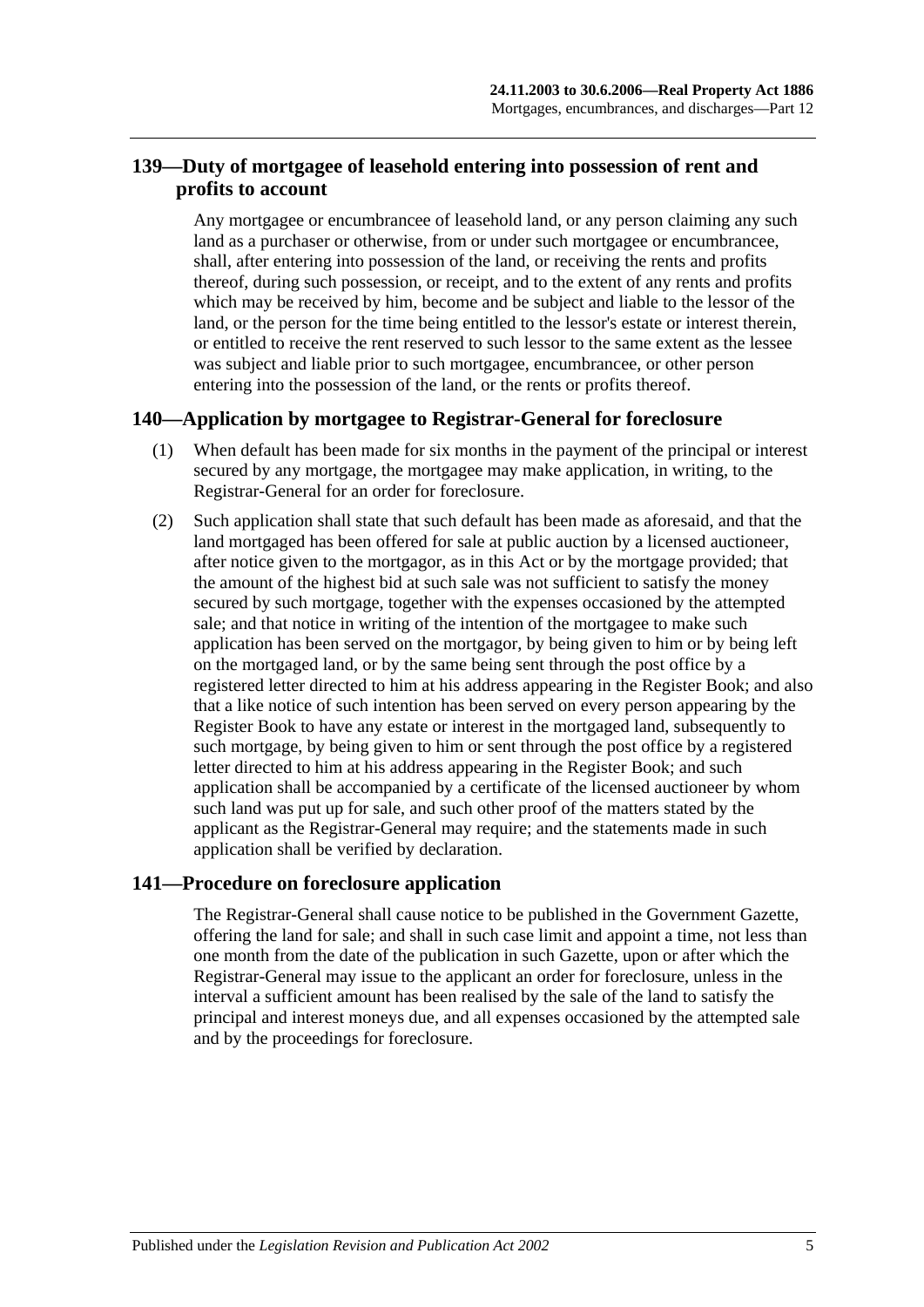# **139—Duty of mortgagee of leasehold entering into possession of rent and profits to account**

Any mortgagee or encumbrancee of leasehold land, or any person claiming any such land as a purchaser or otherwise, from or under such mortgagee or encumbrancee, shall, after entering into possession of the land, or receiving the rents and profits thereof, during such possession, or receipt, and to the extent of any rents and profits which may be received by him, become and be subject and liable to the lessor of the land, or the person for the time being entitled to the lessor's estate or interest therein, or entitled to receive the rent reserved to such lessor to the same extent as the lessee was subject and liable prior to such mortgagee, encumbrancee, or other person entering into the possession of the land, or the rents or profits thereof.

# **140—Application by mortgagee to Registrar-General for foreclosure**

- (1) When default has been made for six months in the payment of the principal or interest secured by any mortgage, the mortgagee may make application, in writing, to the Registrar-General for an order for foreclosure.
- (2) Such application shall state that such default has been made as aforesaid, and that the land mortgaged has been offered for sale at public auction by a licensed auctioneer, after notice given to the mortgagor, as in this Act or by the mortgage provided; that the amount of the highest bid at such sale was not sufficient to satisfy the money secured by such mortgage, together with the expenses occasioned by the attempted sale; and that notice in writing of the intention of the mortgagee to make such application has been served on the mortgagor, by being given to him or by being left on the mortgaged land, or by the same being sent through the post office by a registered letter directed to him at his address appearing in the Register Book; and also that a like notice of such intention has been served on every person appearing by the Register Book to have any estate or interest in the mortgaged land, subsequently to such mortgage, by being given to him or sent through the post office by a registered letter directed to him at his address appearing in the Register Book; and such application shall be accompanied by a certificate of the licensed auctioneer by whom such land was put up for sale, and such other proof of the matters stated by the applicant as the Registrar-General may require; and the statements made in such application shall be verified by declaration.

# **141—Procedure on foreclosure application**

The Registrar-General shall cause notice to be published in the Government Gazette, offering the land for sale; and shall in such case limit and appoint a time, not less than one month from the date of the publication in such Gazette, upon or after which the Registrar-General may issue to the applicant an order for foreclosure, unless in the interval a sufficient amount has been realised by the sale of the land to satisfy the principal and interest moneys due, and all expenses occasioned by the attempted sale and by the proceedings for foreclosure.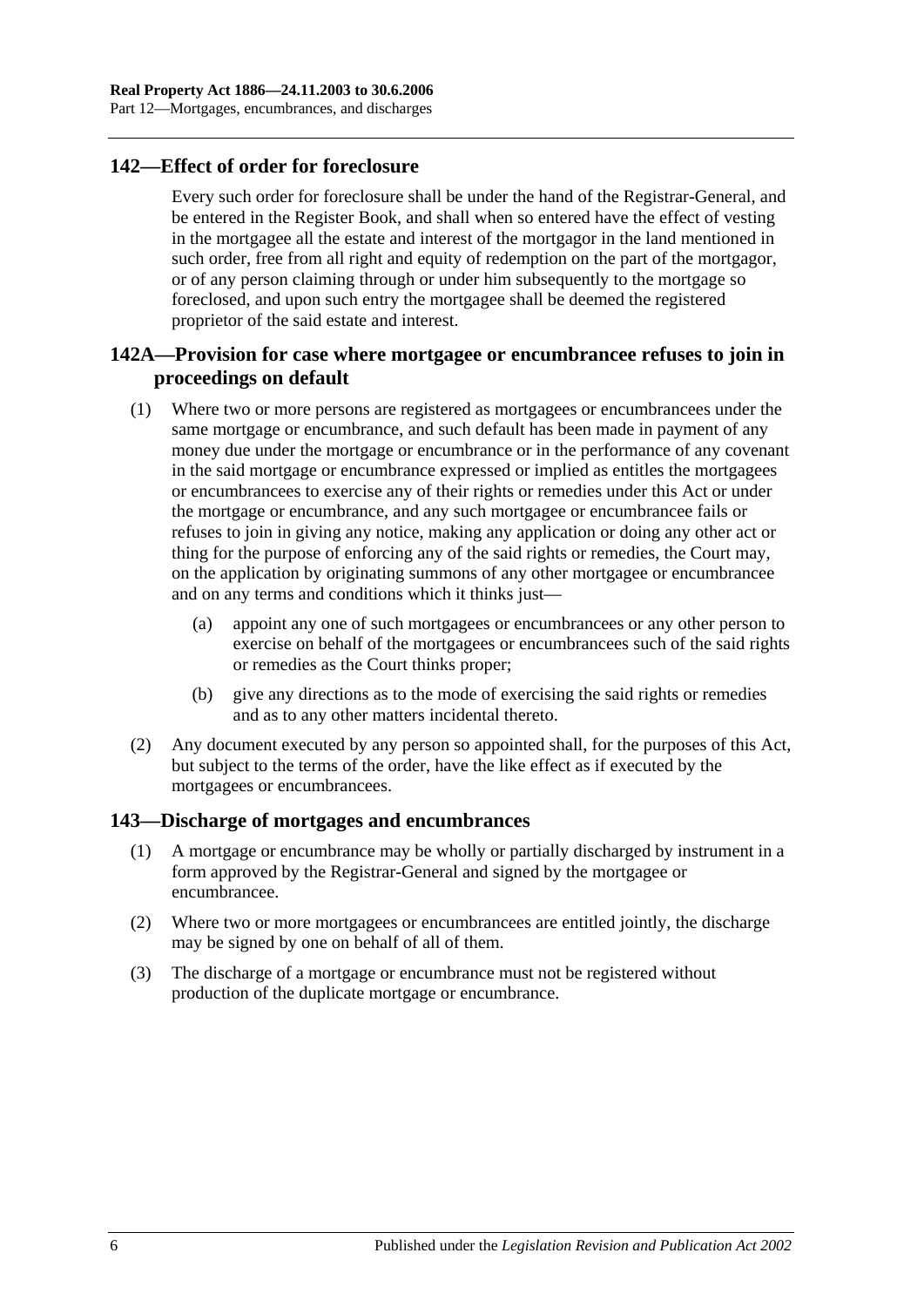# **142—Effect of order for foreclosure**

Every such order for foreclosure shall be under the hand of the Registrar-General, and be entered in the Register Book, and shall when so entered have the effect of vesting in the mortgagee all the estate and interest of the mortgagor in the land mentioned in such order, free from all right and equity of redemption on the part of the mortgagor, or of any person claiming through or under him subsequently to the mortgage so foreclosed, and upon such entry the mortgagee shall be deemed the registered proprietor of the said estate and interest.

# **142A—Provision for case where mortgagee or encumbrancee refuses to join in proceedings on default**

- (1) Where two or more persons are registered as mortgagees or encumbrancees under the same mortgage or encumbrance, and such default has been made in payment of any money due under the mortgage or encumbrance or in the performance of any covenant in the said mortgage or encumbrance expressed or implied as entitles the mortgagees or encumbrancees to exercise any of their rights or remedies under this Act or under the mortgage or encumbrance, and any such mortgagee or encumbrancee fails or refuses to join in giving any notice, making any application or doing any other act or thing for the purpose of enforcing any of the said rights or remedies, the Court may, on the application by originating summons of any other mortgagee or encumbrancee and on any terms and conditions which it thinks just—
	- (a) appoint any one of such mortgagees or encumbrancees or any other person to exercise on behalf of the mortgagees or encumbrancees such of the said rights or remedies as the Court thinks proper;
	- (b) give any directions as to the mode of exercising the said rights or remedies and as to any other matters incidental thereto.
- (2) Any document executed by any person so appointed shall, for the purposes of this Act, but subject to the terms of the order, have the like effect as if executed by the mortgagees or encumbrancees.

# **143—Discharge of mortgages and encumbrances**

- (1) A mortgage or encumbrance may be wholly or partially discharged by instrument in a form approved by the Registrar-General and signed by the mortgagee or encumbrancee.
- (2) Where two or more mortgagees or encumbrancees are entitled jointly, the discharge may be signed by one on behalf of all of them.
- (3) The discharge of a mortgage or encumbrance must not be registered without production of the duplicate mortgage or encumbrance.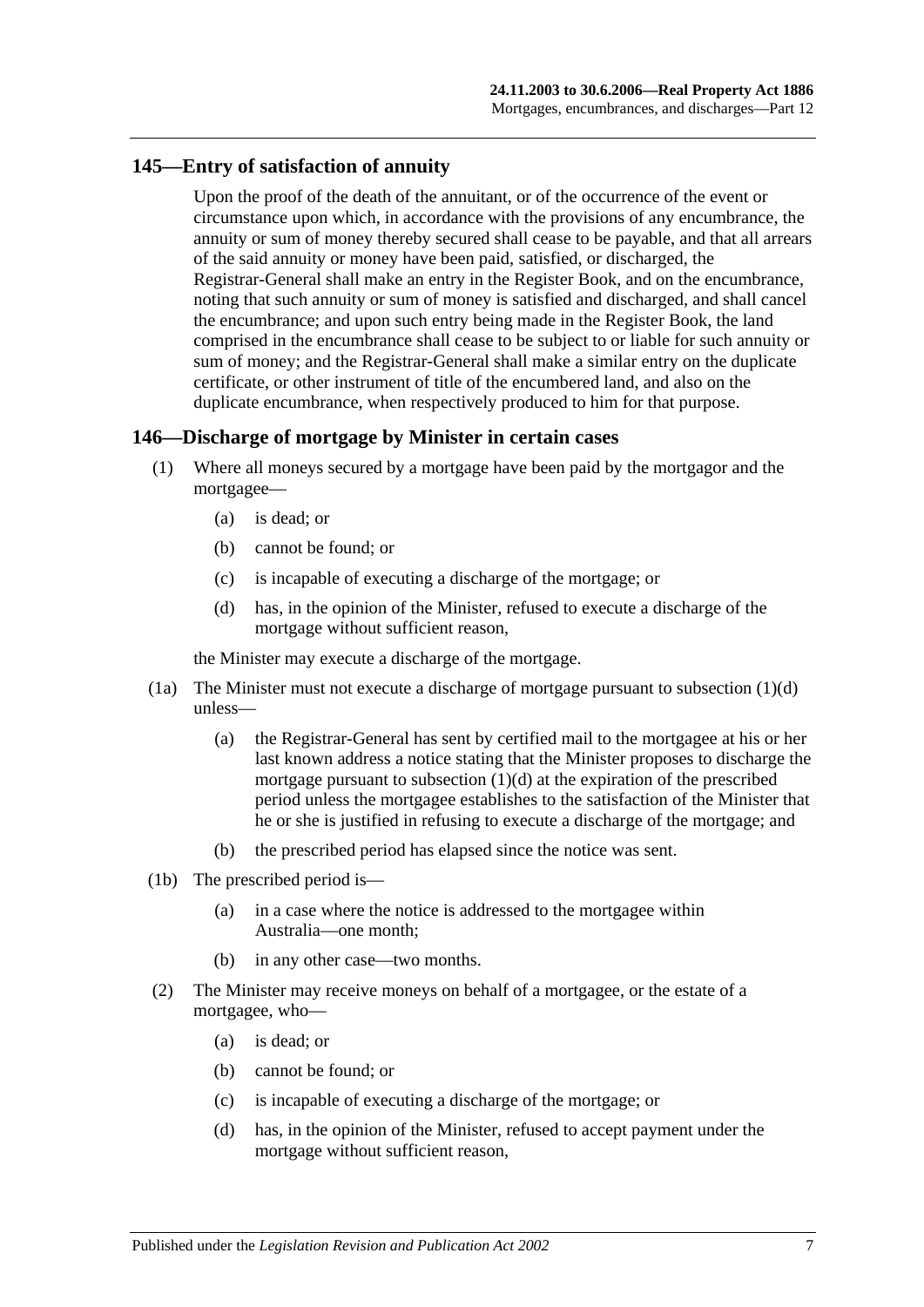## **145—Entry of satisfaction of annuity**

Upon the proof of the death of the annuitant, or of the occurrence of the event or circumstance upon which, in accordance with the provisions of any encumbrance, the annuity or sum of money thereby secured shall cease to be payable, and that all arrears of the said annuity or money have been paid, satisfied, or discharged, the Registrar-General shall make an entry in the Register Book, and on the encumbrance, noting that such annuity or sum of money is satisfied and discharged, and shall cancel the encumbrance; and upon such entry being made in the Register Book, the land comprised in the encumbrance shall cease to be subject to or liable for such annuity or sum of money; and the Registrar-General shall make a similar entry on the duplicate certificate, or other instrument of title of the encumbered land, and also on the duplicate encumbrance, when respectively produced to him for that purpose.

## **146—Discharge of mortgage by Minister in certain cases**

- (1) Where all moneys secured by a mortgage have been paid by the mortgagor and the mortgagee—
	- (a) is dead; or
	- (b) cannot be found; or
	- (c) is incapable of executing a discharge of the mortgage; or
	- (d) has, in the opinion of the Minister, refused to execute a discharge of the mortgage without sufficient reason,

<span id="page-68-0"></span>the Minister may execute a discharge of the mortgage.

- (1a) The Minister must not execute a discharge of mortgage pursuant to [subsection](#page-68-0) (1)(d) unless—
	- (a) the Registrar-General has sent by certified mail to the mortgagee at his or her last known address a notice stating that the Minister proposes to discharge the mortgage pursuant to [subsection](#page-68-0)  $(1)(d)$  at the expiration of the prescribed period unless the mortgagee establishes to the satisfaction of the Minister that he or she is justified in refusing to execute a discharge of the mortgage; and
	- (b) the prescribed period has elapsed since the notice was sent.
- (1b) The prescribed period is—
	- (a) in a case where the notice is addressed to the mortgagee within Australia—one month;
	- (b) in any other case—two months.
- <span id="page-68-1"></span>(2) The Minister may receive moneys on behalf of a mortgagee, or the estate of a mortgagee, who—
	- (a) is dead; or
	- (b) cannot be found; or
	- (c) is incapable of executing a discharge of the mortgage; or
	- (d) has, in the opinion of the Minister, refused to accept payment under the mortgage without sufficient reason,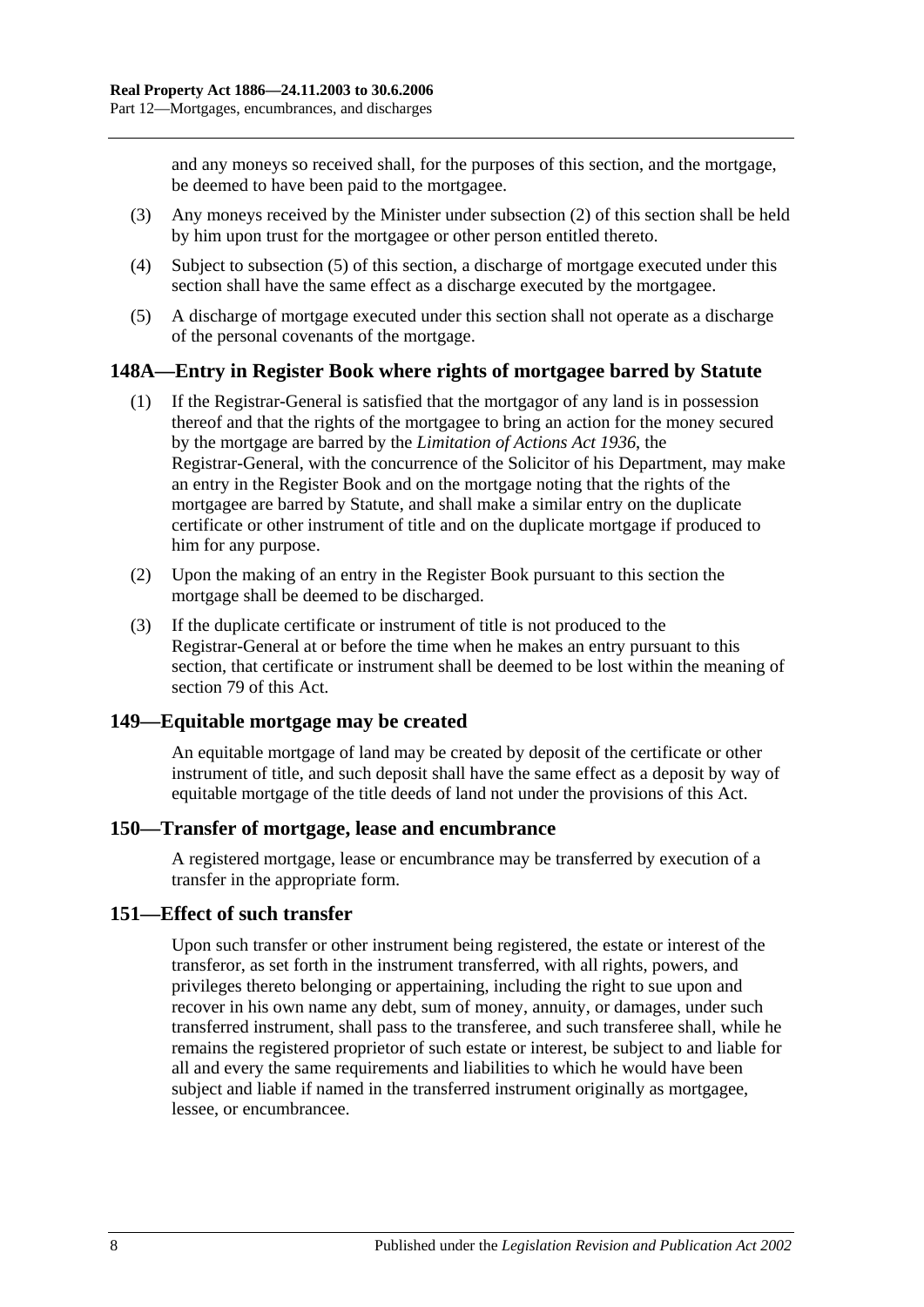and any moneys so received shall, for the purposes of this section, and the mortgage, be deemed to have been paid to the mortgagee.

- (3) Any moneys received by the Minister under [subsection](#page-68-1) (2) of this section shall be held by him upon trust for the mortgagee or other person entitled thereto.
- (4) Subject to [subsection](#page-69-0) (5) of this section, a discharge of mortgage executed under this section shall have the same effect as a discharge executed by the mortgagee.
- <span id="page-69-0"></span>(5) A discharge of mortgage executed under this section shall not operate as a discharge of the personal covenants of the mortgage.

## **148A—Entry in Register Book where rights of mortgagee barred by Statute**

- (1) If the Registrar-General is satisfied that the mortgagor of any land is in possession thereof and that the rights of the mortgagee to bring an action for the money secured by the mortgage are barred by the *[Limitation of Actions Act](http://www.legislation.sa.gov.au/index.aspx?action=legref&type=act&legtitle=Limitation%20of%20Actions%20Act%201936) 1936*, the Registrar-General, with the concurrence of the Solicitor of his Department, may make an entry in the Register Book and on the mortgage noting that the rights of the mortgagee are barred by Statute, and shall make a similar entry on the duplicate certificate or other instrument of title and on the duplicate mortgage if produced to him for any purpose.
- (2) Upon the making of an entry in the Register Book pursuant to this section the mortgage shall be deemed to be discharged.
- (3) If the duplicate certificate or instrument of title is not produced to the Registrar-General at or before the time when he makes an entry pursuant to this section, that certificate or instrument shall be deemed to be lost within the meaning of [section](#page-39-0) 79 of this Act.

#### **149—Equitable mortgage may be created**

An equitable mortgage of land may be created by deposit of the certificate or other instrument of title, and such deposit shall have the same effect as a deposit by way of equitable mortgage of the title deeds of land not under the provisions of this Act.

#### **150—Transfer of mortgage, lease and encumbrance**

A registered mortgage, lease or encumbrance may be transferred by execution of a transfer in the appropriate form.

#### **151—Effect of such transfer**

Upon such transfer or other instrument being registered, the estate or interest of the transferor, as set forth in the instrument transferred, with all rights, powers, and privileges thereto belonging or appertaining, including the right to sue upon and recover in his own name any debt, sum of money, annuity, or damages, under such transferred instrument, shall pass to the transferee, and such transferee shall, while he remains the registered proprietor of such estate or interest, be subject to and liable for all and every the same requirements and liabilities to which he would have been subject and liable if named in the transferred instrument originally as mortgagee, lessee, or encumbrancee.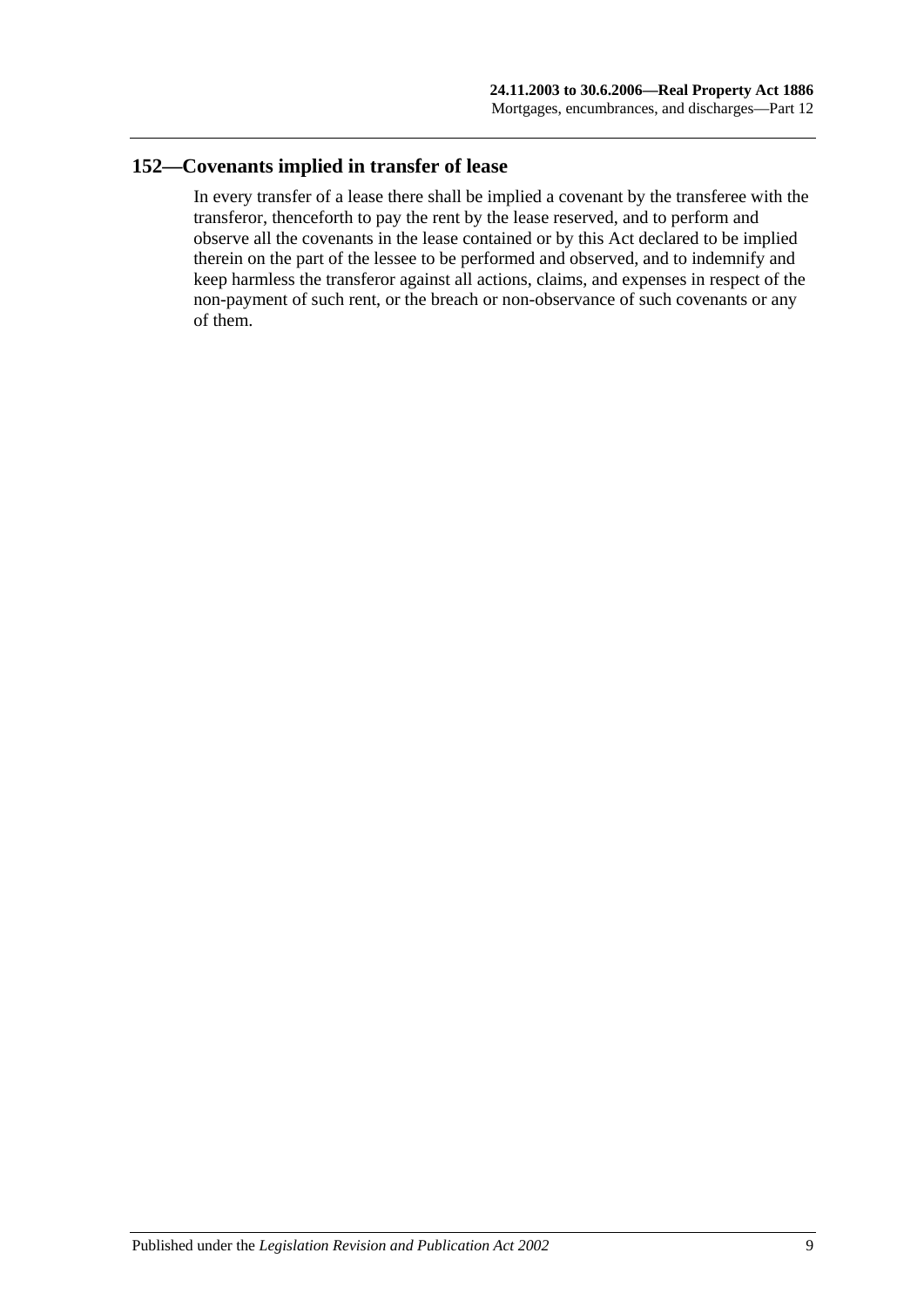# **152—Covenants implied in transfer of lease**

In every transfer of a lease there shall be implied a covenant by the transferee with the transferor, thenceforth to pay the rent by the lease reserved, and to perform and observe all the covenants in the lease contained or by this Act declared to be implied therein on the part of the lessee to be performed and observed, and to indemnify and keep harmless the transferor against all actions, claims, and expenses in respect of the non-payment of such rent, or the breach or non-observance of such covenants or any of them.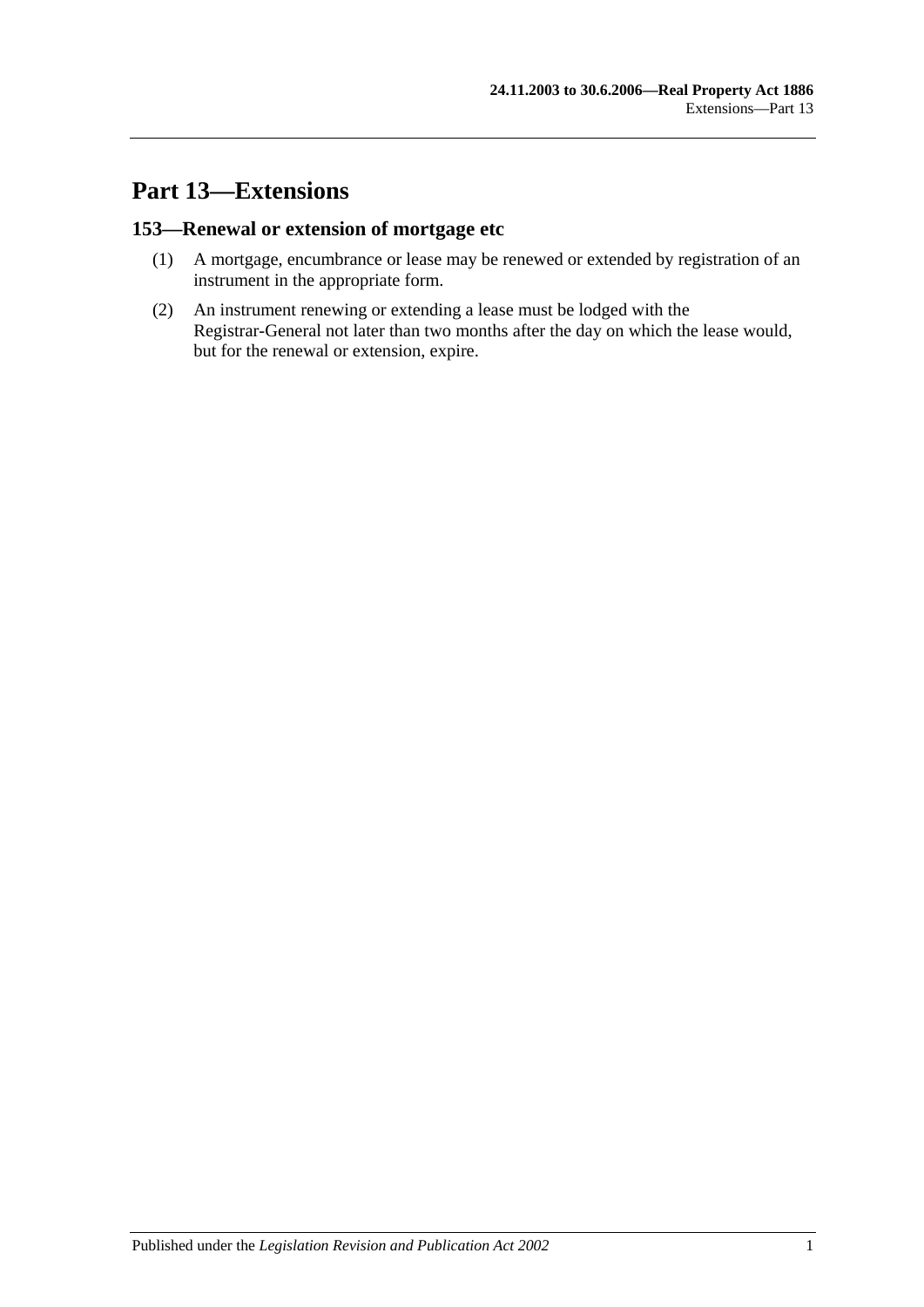# **Part 13—Extensions**

# **153—Renewal or extension of mortgage etc**

- (1) A mortgage, encumbrance or lease may be renewed or extended by registration of an instrument in the appropriate form.
- (2) An instrument renewing or extending a lease must be lodged with the Registrar-General not later than two months after the day on which the lease would, but for the renewal or extension, expire.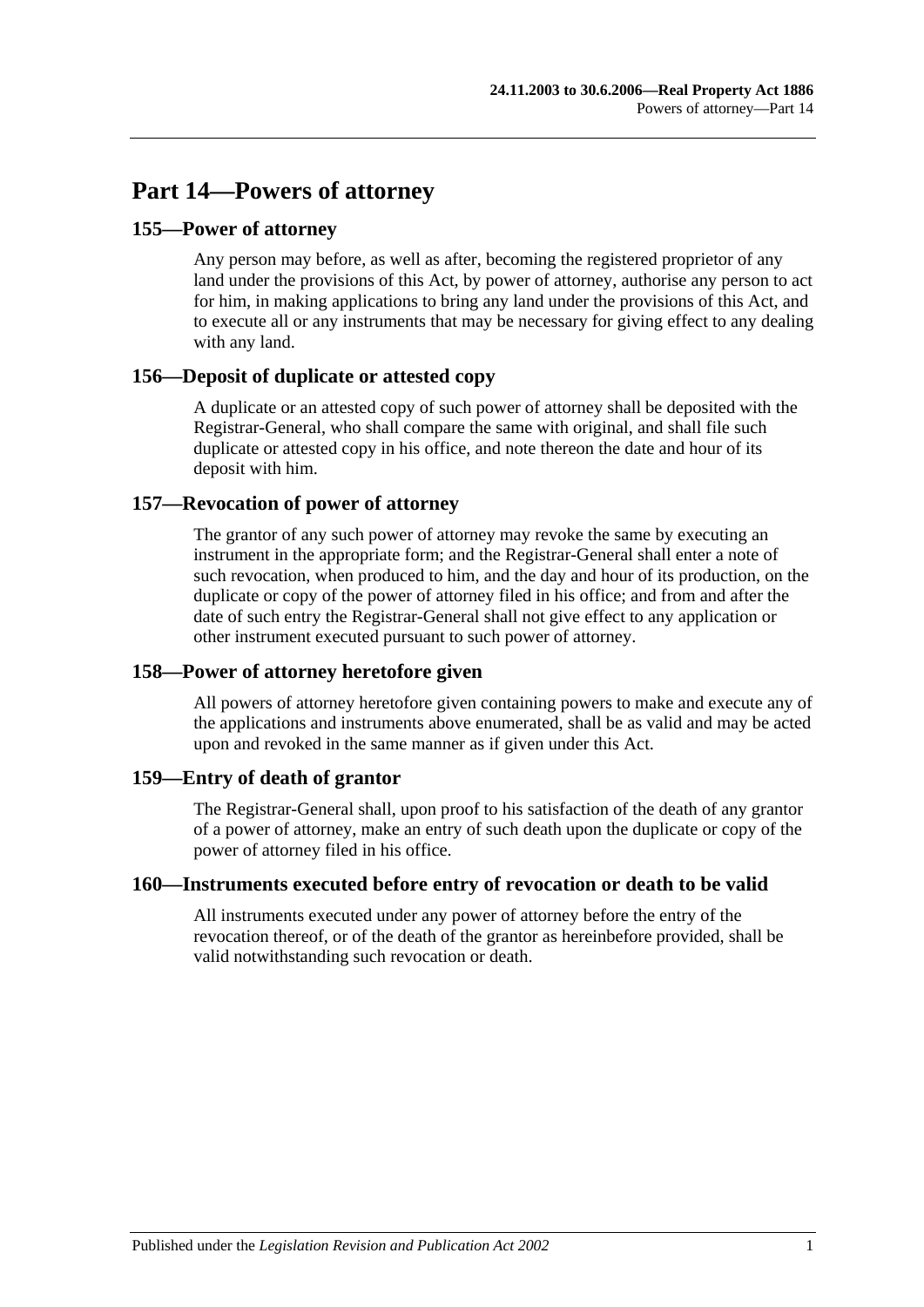# **Part 14—Powers of attorney**

## **155—Power of attorney**

Any person may before, as well as after, becoming the registered proprietor of any land under the provisions of this Act, by power of attorney, authorise any person to act for him, in making applications to bring any land under the provisions of this Act, and to execute all or any instruments that may be necessary for giving effect to any dealing with any land.

## **156—Deposit of duplicate or attested copy**

A duplicate or an attested copy of such power of attorney shall be deposited with the Registrar-General, who shall compare the same with original, and shall file such duplicate or attested copy in his office, and note thereon the date and hour of its deposit with him.

## **157—Revocation of power of attorney**

The grantor of any such power of attorney may revoke the same by executing an instrument in the appropriate form; and the Registrar-General shall enter a note of such revocation, when produced to him, and the day and hour of its production, on the duplicate or copy of the power of attorney filed in his office; and from and after the date of such entry the Registrar-General shall not give effect to any application or other instrument executed pursuant to such power of attorney.

# **158—Power of attorney heretofore given**

All powers of attorney heretofore given containing powers to make and execute any of the applications and instruments above enumerated, shall be as valid and may be acted upon and revoked in the same manner as if given under this Act.

## **159—Entry of death of grantor**

The Registrar-General shall, upon proof to his satisfaction of the death of any grantor of a power of attorney, make an entry of such death upon the duplicate or copy of the power of attorney filed in his office.

## **160—Instruments executed before entry of revocation or death to be valid**

All instruments executed under any power of attorney before the entry of the revocation thereof, or of the death of the grantor as hereinbefore provided, shall be valid notwithstanding such revocation or death.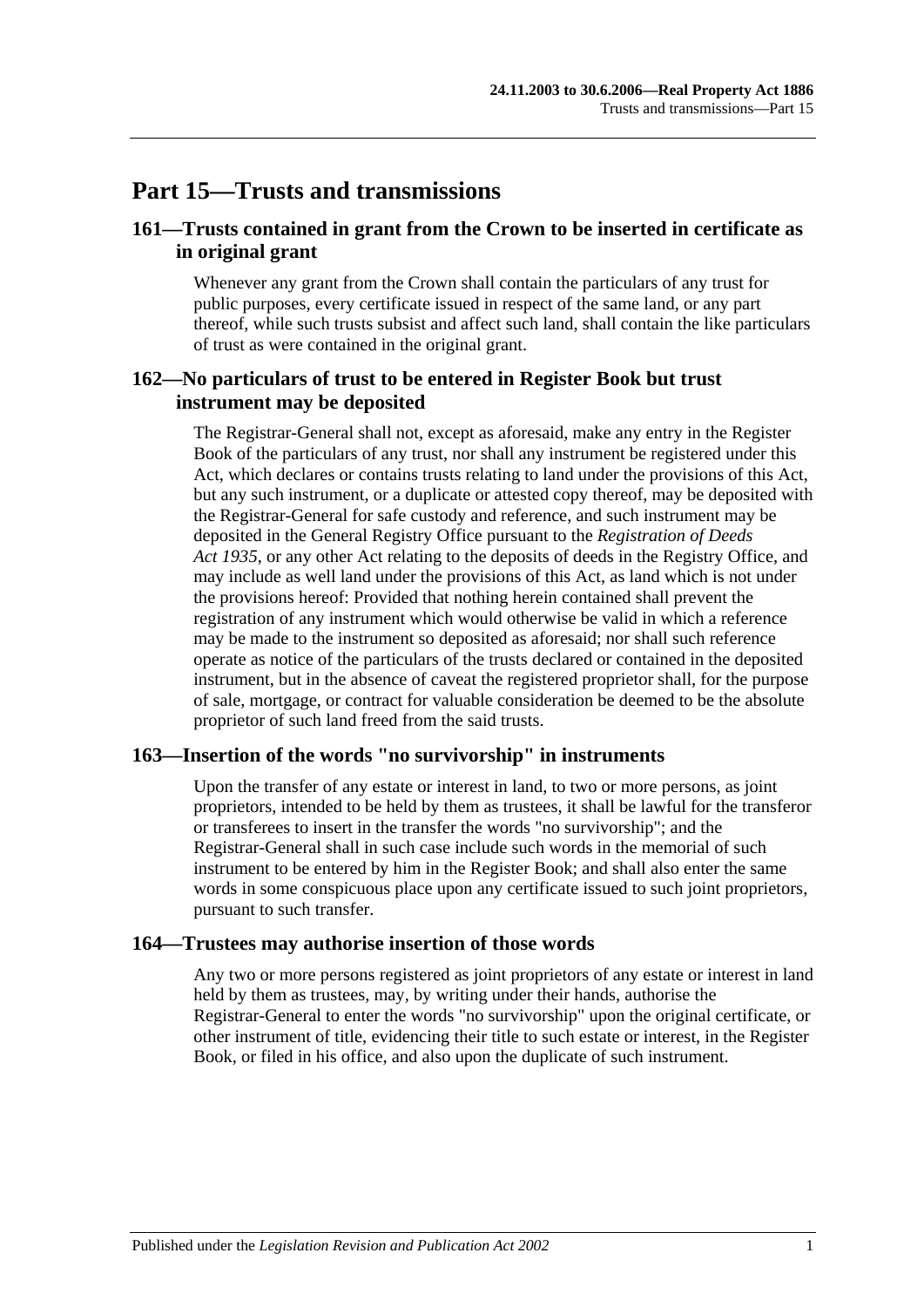# **Part 15—Trusts and transmissions**

## **161—Trusts contained in grant from the Crown to be inserted in certificate as in original grant**

Whenever any grant from the Crown shall contain the particulars of any trust for public purposes, every certificate issued in respect of the same land, or any part thereof, while such trusts subsist and affect such land, shall contain the like particulars of trust as were contained in the original grant.

## **162—No particulars of trust to be entered in Register Book but trust instrument may be deposited**

The Registrar-General shall not, except as aforesaid, make any entry in the Register Book of the particulars of any trust, nor shall any instrument be registered under this Act, which declares or contains trusts relating to land under the provisions of this Act, but any such instrument, or a duplicate or attested copy thereof, may be deposited with the Registrar-General for safe custody and reference, and such instrument may be deposited in the General Registry Office pursuant to the *[Registration of Deeds](http://www.legislation.sa.gov.au/index.aspx?action=legref&type=act&legtitle=Registration%20of%20Deeds%20Act%201935)  Act [1935](http://www.legislation.sa.gov.au/index.aspx?action=legref&type=act&legtitle=Registration%20of%20Deeds%20Act%201935)*, or any other Act relating to the deposits of deeds in the Registry Office, and may include as well land under the provisions of this Act, as land which is not under the provisions hereof: Provided that nothing herein contained shall prevent the registration of any instrument which would otherwise be valid in which a reference may be made to the instrument so deposited as aforesaid; nor shall such reference operate as notice of the particulars of the trusts declared or contained in the deposited instrument, but in the absence of caveat the registered proprietor shall, for the purpose of sale, mortgage, or contract for valuable consideration be deemed to be the absolute proprietor of such land freed from the said trusts.

#### **163—Insertion of the words "no survivorship" in instruments**

Upon the transfer of any estate or interest in land, to two or more persons, as joint proprietors, intended to be held by them as trustees, it shall be lawful for the transferor or transferees to insert in the transfer the words "no survivorship"; and the Registrar-General shall in such case include such words in the memorial of such instrument to be entered by him in the Register Book; and shall also enter the same words in some conspicuous place upon any certificate issued to such joint proprietors, pursuant to such transfer.

#### **164—Trustees may authorise insertion of those words**

Any two or more persons registered as joint proprietors of any estate or interest in land held by them as trustees, may, by writing under their hands, authorise the Registrar-General to enter the words "no survivorship" upon the original certificate, or other instrument of title, evidencing their title to such estate or interest, in the Register Book, or filed in his office, and also upon the duplicate of such instrument.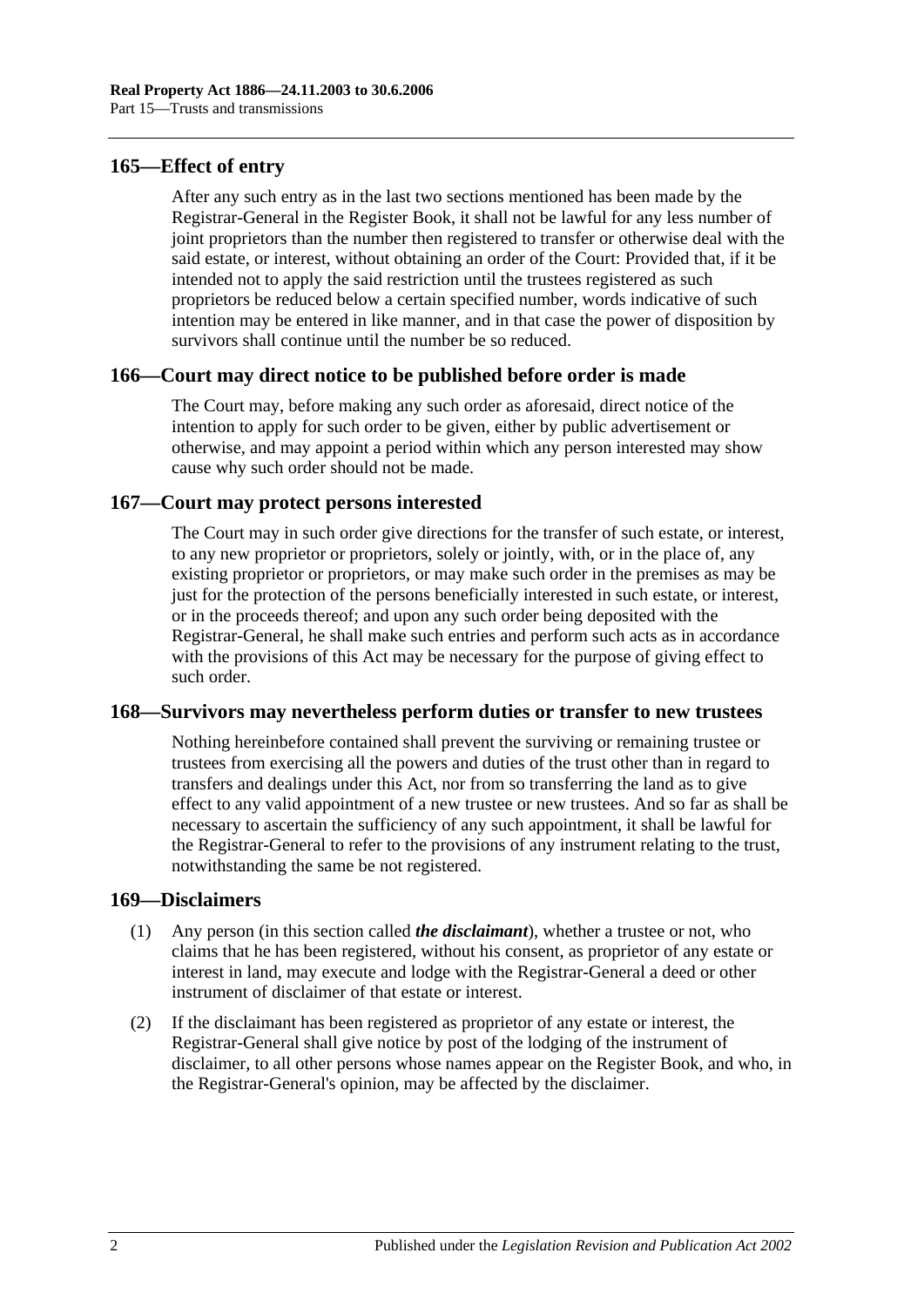## **165—Effect of entry**

After any such entry as in the last two sections mentioned has been made by the Registrar-General in the Register Book, it shall not be lawful for any less number of joint proprietors than the number then registered to transfer or otherwise deal with the said estate, or interest, without obtaining an order of the Court: Provided that, if it be intended not to apply the said restriction until the trustees registered as such proprietors be reduced below a certain specified number, words indicative of such intention may be entered in like manner, and in that case the power of disposition by survivors shall continue until the number be so reduced.

## **166—Court may direct notice to be published before order is made**

The Court may, before making any such order as aforesaid, direct notice of the intention to apply for such order to be given, either by public advertisement or otherwise, and may appoint a period within which any person interested may show cause why such order should not be made.

## **167—Court may protect persons interested**

The Court may in such order give directions for the transfer of such estate, or interest, to any new proprietor or proprietors, solely or jointly, with, or in the place of, any existing proprietor or proprietors, or may make such order in the premises as may be just for the protection of the persons beneficially interested in such estate, or interest, or in the proceeds thereof; and upon any such order being deposited with the Registrar-General, he shall make such entries and perform such acts as in accordance with the provisions of this Act may be necessary for the purpose of giving effect to such order.

#### **168—Survivors may nevertheless perform duties or transfer to new trustees**

Nothing hereinbefore contained shall prevent the surviving or remaining trustee or trustees from exercising all the powers and duties of the trust other than in regard to transfers and dealings under this Act, nor from so transferring the land as to give effect to any valid appointment of a new trustee or new trustees. And so far as shall be necessary to ascertain the sufficiency of any such appointment, it shall be lawful for the Registrar-General to refer to the provisions of any instrument relating to the trust, notwithstanding the same be not registered.

#### **169—Disclaimers**

- (1) Any person (in this section called *the disclaimant*), whether a trustee or not, who claims that he has been registered, without his consent, as proprietor of any estate or interest in land, may execute and lodge with the Registrar-General a deed or other instrument of disclaimer of that estate or interest.
- (2) If the disclaimant has been registered as proprietor of any estate or interest, the Registrar-General shall give notice by post of the lodging of the instrument of disclaimer, to all other persons whose names appear on the Register Book, and who, in the Registrar-General's opinion, may be affected by the disclaimer.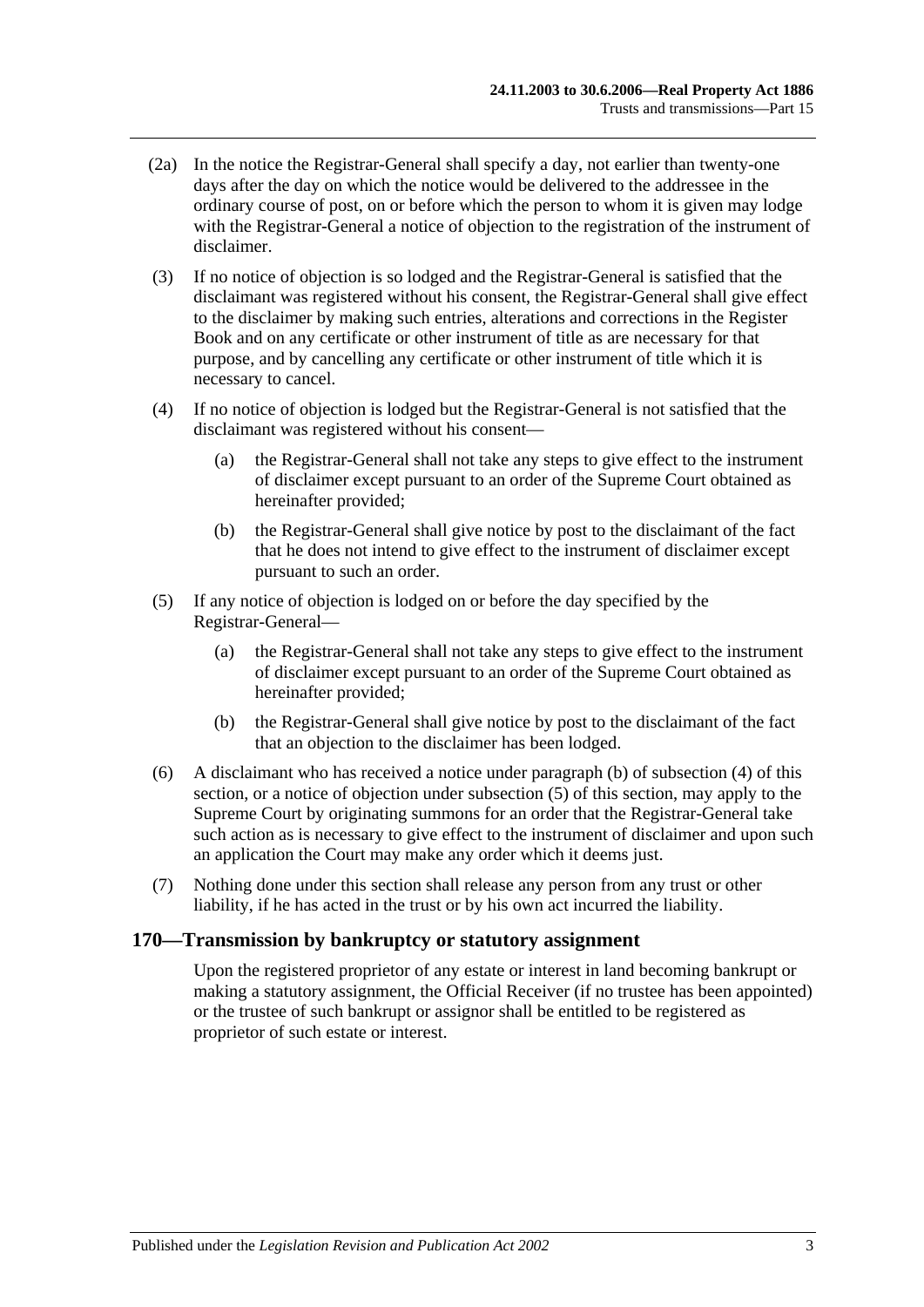- (2a) In the notice the Registrar-General shall specify a day, not earlier than twenty-one days after the day on which the notice would be delivered to the addressee in the ordinary course of post, on or before which the person to whom it is given may lodge with the Registrar-General a notice of objection to the registration of the instrument of disclaimer.
- (3) If no notice of objection is so lodged and the Registrar-General is satisfied that the disclaimant was registered without his consent, the Registrar-General shall give effect to the disclaimer by making such entries, alterations and corrections in the Register Book and on any certificate or other instrument of title as are necessary for that purpose, and by cancelling any certificate or other instrument of title which it is necessary to cancel.
- <span id="page-78-1"></span>(4) If no notice of objection is lodged but the Registrar-General is not satisfied that the disclaimant was registered without his consent—
	- (a) the Registrar-General shall not take any steps to give effect to the instrument of disclaimer except pursuant to an order of the Supreme Court obtained as hereinafter provided;
	- (b) the Registrar-General shall give notice by post to the disclaimant of the fact that he does not intend to give effect to the instrument of disclaimer except pursuant to such an order.
- <span id="page-78-2"></span><span id="page-78-0"></span>(5) If any notice of objection is lodged on or before the day specified by the Registrar-General—
	- (a) the Registrar-General shall not take any steps to give effect to the instrument of disclaimer except pursuant to an order of the Supreme Court obtained as hereinafter provided;
	- (b) the Registrar-General shall give notice by post to the disclaimant of the fact that an objection to the disclaimer has been lodged.
- (6) A disclaimant who has received a notice under [paragraph](#page-78-0) (b) of [subsection](#page-78-1) (4) of this section, or a notice of objection under [subsection](#page-78-2) (5) of this section, may apply to the Supreme Court by originating summons for an order that the Registrar-General take such action as is necessary to give effect to the instrument of disclaimer and upon such an application the Court may make any order which it deems just.
- (7) Nothing done under this section shall release any person from any trust or other liability, if he has acted in the trust or by his own act incurred the liability.

## **170—Transmission by bankruptcy or statutory assignment**

Upon the registered proprietor of any estate or interest in land becoming bankrupt or making a statutory assignment, the Official Receiver (if no trustee has been appointed) or the trustee of such bankrupt or assignor shall be entitled to be registered as proprietor of such estate or interest.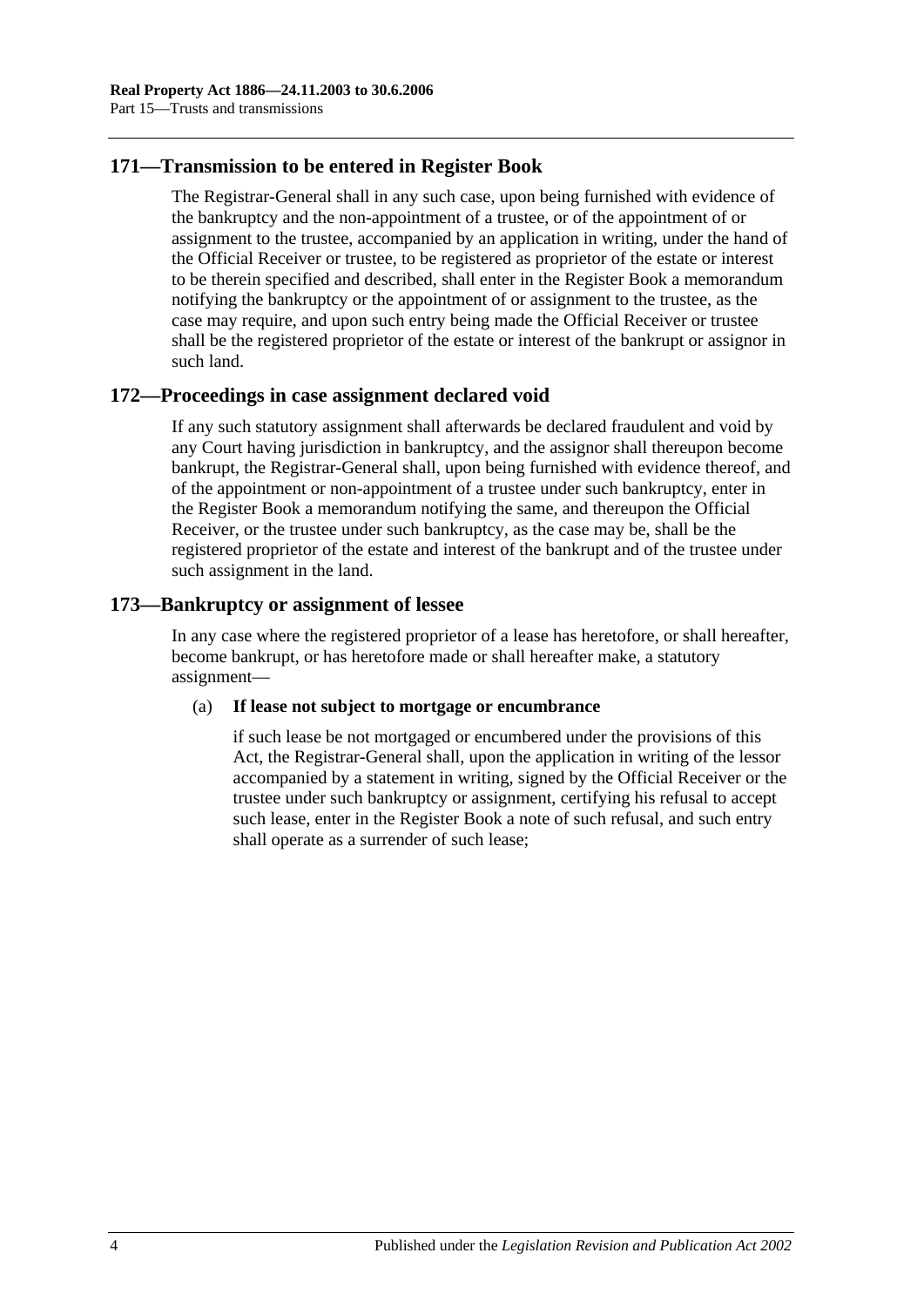## **171—Transmission to be entered in Register Book**

The Registrar-General shall in any such case, upon being furnished with evidence of the bankruptcy and the non-appointment of a trustee, or of the appointment of or assignment to the trustee, accompanied by an application in writing, under the hand of the Official Receiver or trustee, to be registered as proprietor of the estate or interest to be therein specified and described, shall enter in the Register Book a memorandum notifying the bankruptcy or the appointment of or assignment to the trustee, as the case may require, and upon such entry being made the Official Receiver or trustee shall be the registered proprietor of the estate or interest of the bankrupt or assignor in such land.

## **172—Proceedings in case assignment declared void**

If any such statutory assignment shall afterwards be declared fraudulent and void by any Court having jurisdiction in bankruptcy, and the assignor shall thereupon become bankrupt, the Registrar-General shall, upon being furnished with evidence thereof, and of the appointment or non-appointment of a trustee under such bankruptcy, enter in the Register Book a memorandum notifying the same, and thereupon the Official Receiver, or the trustee under such bankruptcy, as the case may be, shall be the registered proprietor of the estate and interest of the bankrupt and of the trustee under such assignment in the land.

## **173—Bankruptcy or assignment of lessee**

In any case where the registered proprietor of a lease has heretofore, or shall hereafter, become bankrupt, or has heretofore made or shall hereafter make, a statutory assignment—

#### (a) **If lease not subject to mortgage or encumbrance**

if such lease be not mortgaged or encumbered under the provisions of this Act, the Registrar-General shall, upon the application in writing of the lessor accompanied by a statement in writing, signed by the Official Receiver or the trustee under such bankruptcy or assignment, certifying his refusal to accept such lease, enter in the Register Book a note of such refusal, and such entry shall operate as a surrender of such lease;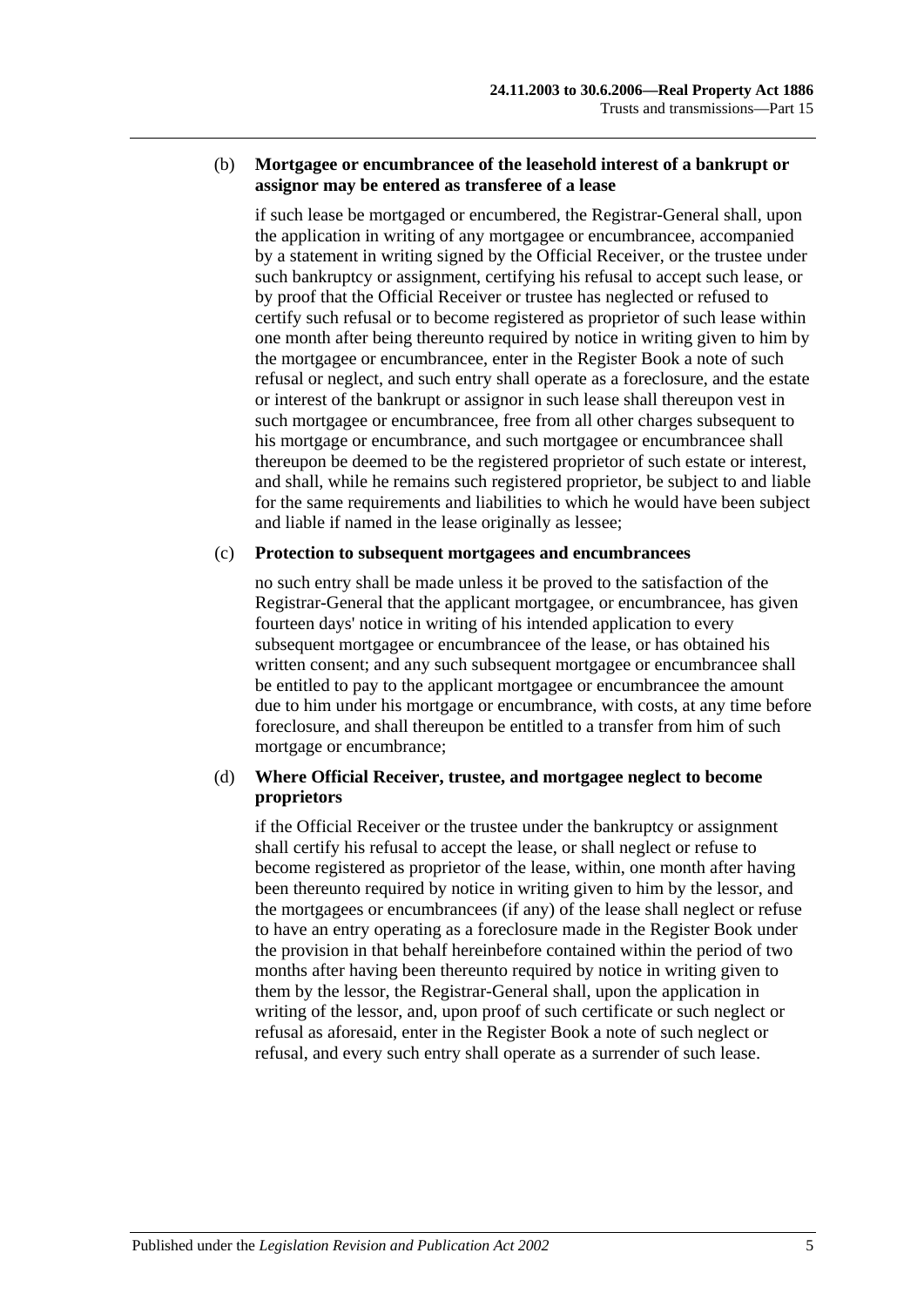#### (b) **Mortgagee or encumbrancee of the leasehold interest of a bankrupt or assignor may be entered as transferee of a lease**

if such lease be mortgaged or encumbered, the Registrar-General shall, upon the application in writing of any mortgagee or encumbrancee, accompanied by a statement in writing signed by the Official Receiver, or the trustee under such bankruptcy or assignment, certifying his refusal to accept such lease, or by proof that the Official Receiver or trustee has neglected or refused to certify such refusal or to become registered as proprietor of such lease within one month after being thereunto required by notice in writing given to him by the mortgagee or encumbrancee, enter in the Register Book a note of such refusal or neglect, and such entry shall operate as a foreclosure, and the estate or interest of the bankrupt or assignor in such lease shall thereupon vest in such mortgagee or encumbrancee, free from all other charges subsequent to his mortgage or encumbrance, and such mortgagee or encumbrancee shall thereupon be deemed to be the registered proprietor of such estate or interest, and shall, while he remains such registered proprietor, be subject to and liable for the same requirements and liabilities to which he would have been subject and liable if named in the lease originally as lessee;

#### (c) **Protection to subsequent mortgagees and encumbrancees**

no such entry shall be made unless it be proved to the satisfaction of the Registrar-General that the applicant mortgagee, or encumbrancee, has given fourteen days' notice in writing of his intended application to every subsequent mortgagee or encumbrancee of the lease, or has obtained his written consent; and any such subsequent mortgagee or encumbrancee shall be entitled to pay to the applicant mortgagee or encumbrancee the amount due to him under his mortgage or encumbrance, with costs, at any time before foreclosure, and shall thereupon be entitled to a transfer from him of such mortgage or encumbrance;

## (d) **Where Official Receiver, trustee, and mortgagee neglect to become proprietors**

if the Official Receiver or the trustee under the bankruptcy or assignment shall certify his refusal to accept the lease, or shall neglect or refuse to become registered as proprietor of the lease, within, one month after having been thereunto required by notice in writing given to him by the lessor, and the mortgagees or encumbrancees (if any) of the lease shall neglect or refuse to have an entry operating as a foreclosure made in the Register Book under the provision in that behalf hereinbefore contained within the period of two months after having been thereunto required by notice in writing given to them by the lessor, the Registrar-General shall, upon the application in writing of the lessor, and, upon proof of such certificate or such neglect or refusal as aforesaid, enter in the Register Book a note of such neglect or refusal, and every such entry shall operate as a surrender of such lease.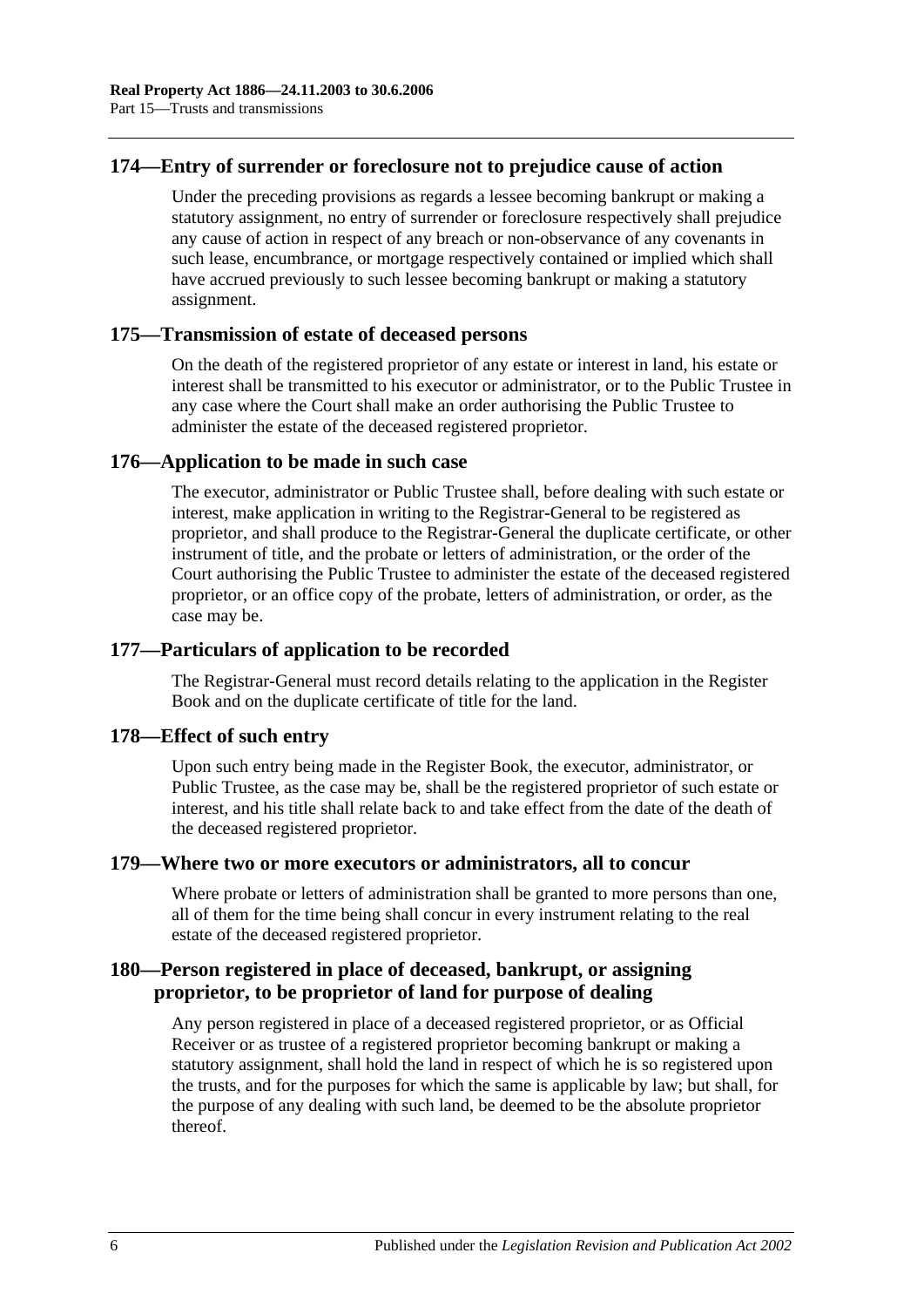## **174—Entry of surrender or foreclosure not to prejudice cause of action**

Under the preceding provisions as regards a lessee becoming bankrupt or making a statutory assignment, no entry of surrender or foreclosure respectively shall prejudice any cause of action in respect of any breach or non-observance of any covenants in such lease, encumbrance, or mortgage respectively contained or implied which shall have accrued previously to such lessee becoming bankrupt or making a statutory assignment.

## **175—Transmission of estate of deceased persons**

On the death of the registered proprietor of any estate or interest in land, his estate or interest shall be transmitted to his executor or administrator, or to the Public Trustee in any case where the Court shall make an order authorising the Public Trustee to administer the estate of the deceased registered proprietor.

## **176—Application to be made in such case**

The executor, administrator or Public Trustee shall, before dealing with such estate or interest, make application in writing to the Registrar-General to be registered as proprietor, and shall produce to the Registrar-General the duplicate certificate, or other instrument of title, and the probate or letters of administration, or the order of the Court authorising the Public Trustee to administer the estate of the deceased registered proprietor, or an office copy of the probate, letters of administration, or order, as the case may be.

## **177—Particulars of application to be recorded**

The Registrar-General must record details relating to the application in the Register Book and on the duplicate certificate of title for the land.

#### **178—Effect of such entry**

Upon such entry being made in the Register Book, the executor, administrator, or Public Trustee, as the case may be, shall be the registered proprietor of such estate or interest, and his title shall relate back to and take effect from the date of the death of the deceased registered proprietor.

## **179—Where two or more executors or administrators, all to concur**

Where probate or letters of administration shall be granted to more persons than one, all of them for the time being shall concur in every instrument relating to the real estate of the deceased registered proprietor.

## **180—Person registered in place of deceased, bankrupt, or assigning proprietor, to be proprietor of land for purpose of dealing**

Any person registered in place of a deceased registered proprietor, or as Official Receiver or as trustee of a registered proprietor becoming bankrupt or making a statutory assignment, shall hold the land in respect of which he is so registered upon the trusts, and for the purposes for which the same is applicable by law; but shall, for the purpose of any dealing with such land, be deemed to be the absolute proprietor thereof.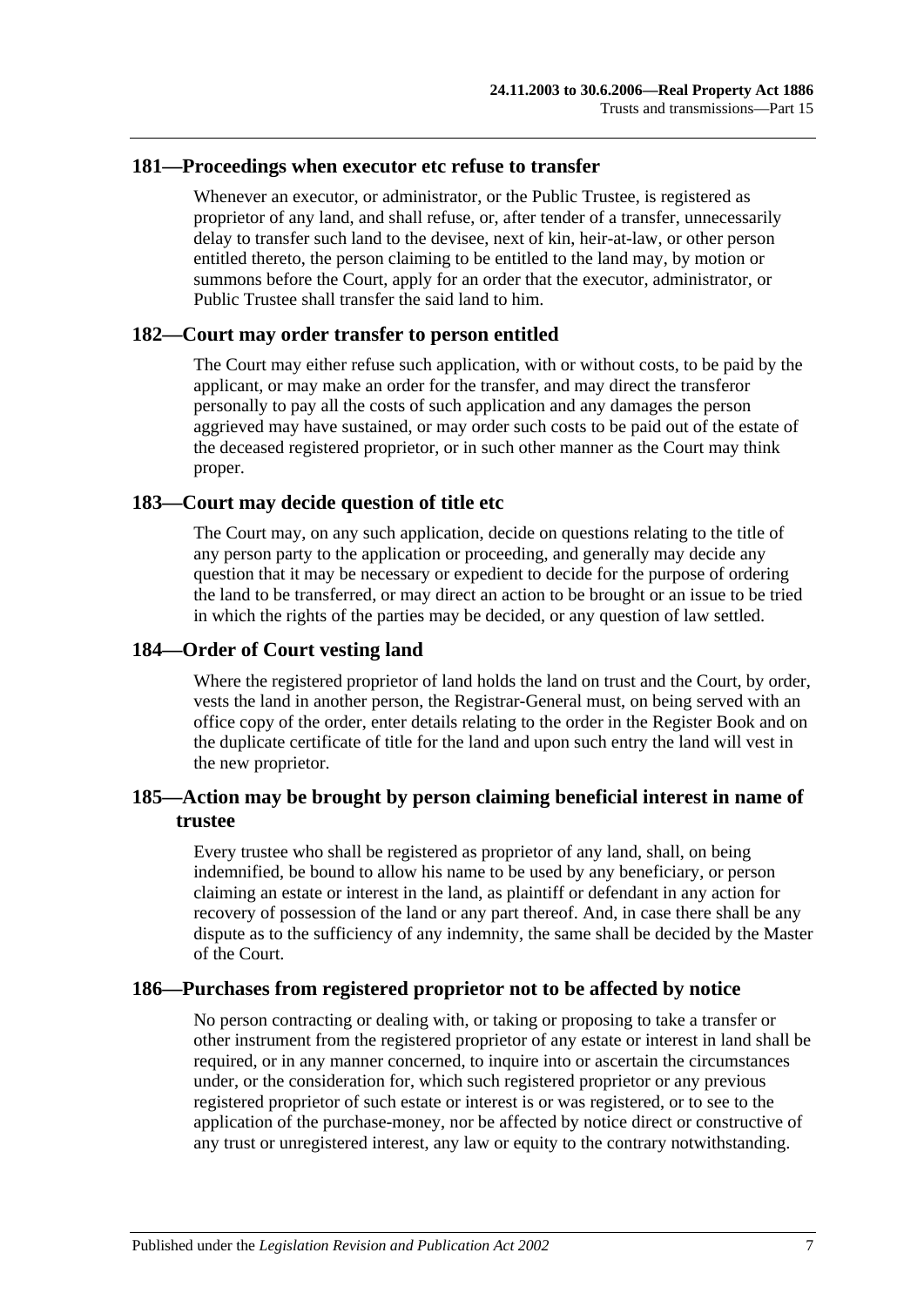#### **181—Proceedings when executor etc refuse to transfer**

Whenever an executor, or administrator, or the Public Trustee, is registered as proprietor of any land, and shall refuse, or, after tender of a transfer, unnecessarily delay to transfer such land to the devisee, next of kin, heir-at-law, or other person entitled thereto, the person claiming to be entitled to the land may, by motion or summons before the Court, apply for an order that the executor, administrator, or Public Trustee shall transfer the said land to him.

## **182—Court may order transfer to person entitled**

The Court may either refuse such application, with or without costs, to be paid by the applicant, or may make an order for the transfer, and may direct the transferor personally to pay all the costs of such application and any damages the person aggrieved may have sustained, or may order such costs to be paid out of the estate of the deceased registered proprietor, or in such other manner as the Court may think proper.

## **183—Court may decide question of title etc**

The Court may, on any such application, decide on questions relating to the title of any person party to the application or proceeding, and generally may decide any question that it may be necessary or expedient to decide for the purpose of ordering the land to be transferred, or may direct an action to be brought or an issue to be tried in which the rights of the parties may be decided, or any question of law settled.

## **184—Order of Court vesting land**

Where the registered proprietor of land holds the land on trust and the Court, by order, vests the land in another person, the Registrar-General must, on being served with an office copy of the order, enter details relating to the order in the Register Book and on the duplicate certificate of title for the land and upon such entry the land will vest in the new proprietor.

## **185—Action may be brought by person claiming beneficial interest in name of trustee**

Every trustee who shall be registered as proprietor of any land, shall, on being indemnified, be bound to allow his name to be used by any beneficiary, or person claiming an estate or interest in the land, as plaintiff or defendant in any action for recovery of possession of the land or any part thereof. And, in case there shall be any dispute as to the sufficiency of any indemnity, the same shall be decided by the Master of the Court.

## **186—Purchases from registered proprietor not to be affected by notice**

No person contracting or dealing with, or taking or proposing to take a transfer or other instrument from the registered proprietor of any estate or interest in land shall be required, or in any manner concerned, to inquire into or ascertain the circumstances under, or the consideration for, which such registered proprietor or any previous registered proprietor of such estate or interest is or was registered, or to see to the application of the purchase-money, nor be affected by notice direct or constructive of any trust or unregistered interest, any law or equity to the contrary notwithstanding.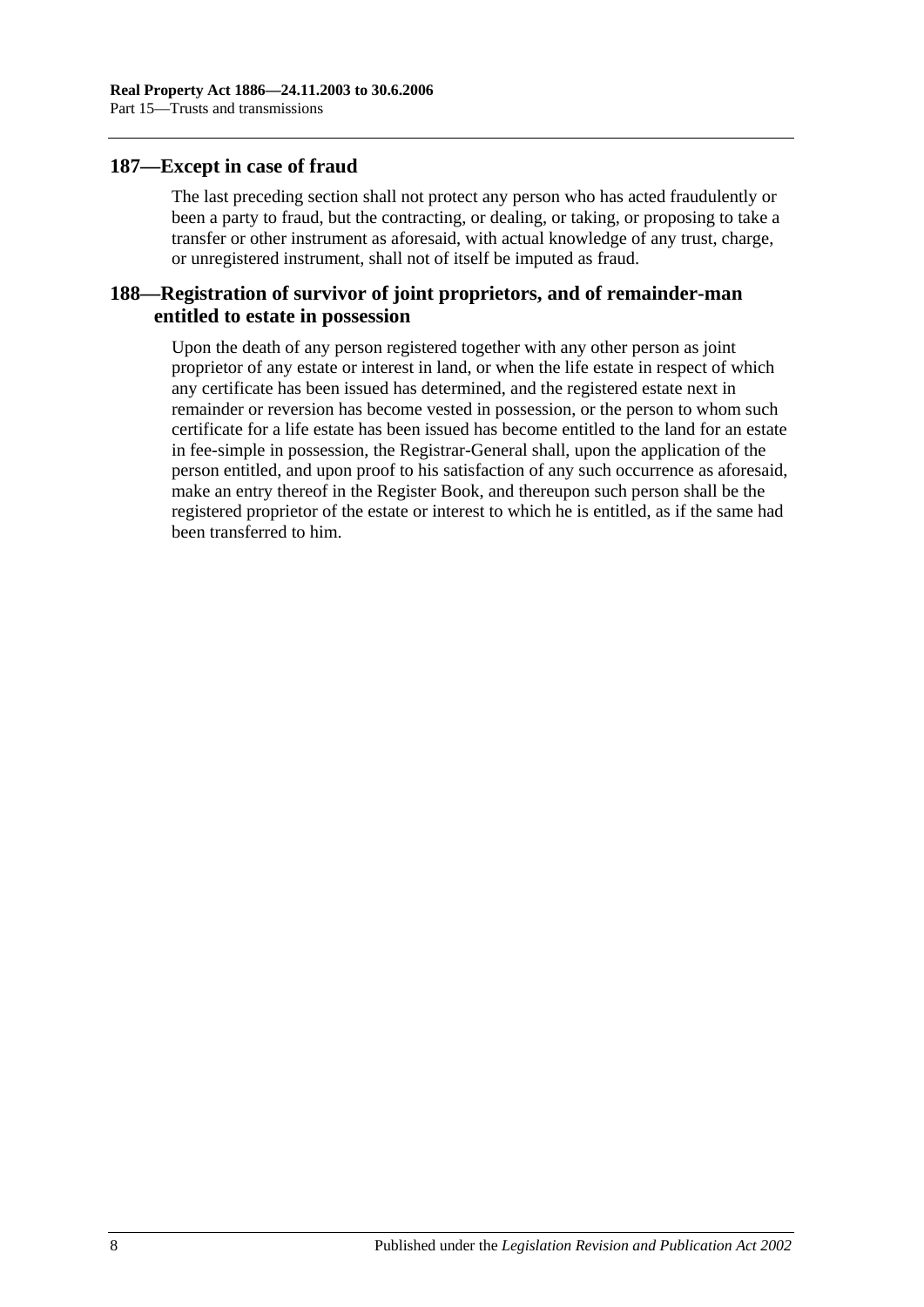## **187—Except in case of fraud**

The last preceding section shall not protect any person who has acted fraudulently or been a party to fraud, but the contracting, or dealing, or taking, or proposing to take a transfer or other instrument as aforesaid, with actual knowledge of any trust, charge, or unregistered instrument, shall not of itself be imputed as fraud.

## **188—Registration of survivor of joint proprietors, and of remainder-man entitled to estate in possession**

Upon the death of any person registered together with any other person as joint proprietor of any estate or interest in land, or when the life estate in respect of which any certificate has been issued has determined, and the registered estate next in remainder or reversion has become vested in possession, or the person to whom such certificate for a life estate has been issued has become entitled to the land for an estate in fee-simple in possession, the Registrar-General shall, upon the application of the person entitled, and upon proof to his satisfaction of any such occurrence as aforesaid, make an entry thereof in the Register Book, and thereupon such person shall be the registered proprietor of the estate or interest to which he is entitled, as if the same had been transferred to him.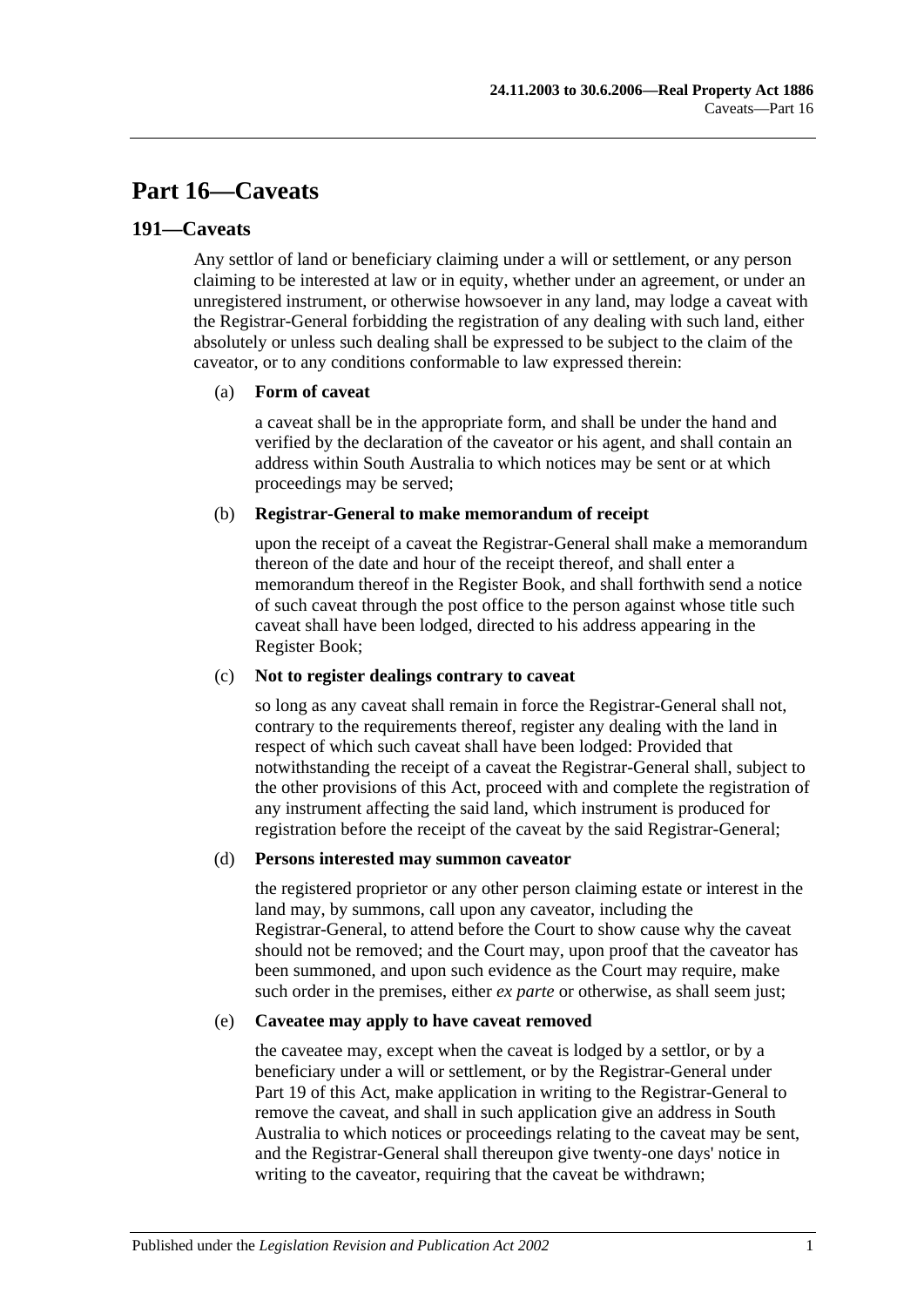# **Part 16—Caveats**

## **191—Caveats**

Any settlor of land or beneficiary claiming under a will or settlement, or any person claiming to be interested at law or in equity, whether under an agreement, or under an unregistered instrument, or otherwise howsoever in any land, may lodge a caveat with the Registrar-General forbidding the registration of any dealing with such land, either absolutely or unless such dealing shall be expressed to be subject to the claim of the caveator, or to any conditions conformable to law expressed therein:

#### (a) **Form of caveat**

a caveat shall be in the appropriate form, and shall be under the hand and verified by the declaration of the caveator or his agent, and shall contain an address within South Australia to which notices may be sent or at which proceedings may be served;

#### (b) **Registrar-General to make memorandum of receipt**

upon the receipt of a caveat the Registrar-General shall make a memorandum thereon of the date and hour of the receipt thereof, and shall enter a memorandum thereof in the Register Book, and shall forthwith send a notice of such caveat through the post office to the person against whose title such caveat shall have been lodged, directed to his address appearing in the Register Book;

#### (c) **Not to register dealings contrary to caveat**

so long as any caveat shall remain in force the Registrar-General shall not, contrary to the requirements thereof, register any dealing with the land in respect of which such caveat shall have been lodged: Provided that notwithstanding the receipt of a caveat the Registrar-General shall, subject to the other provisions of this Act, proceed with and complete the registration of any instrument affecting the said land, which instrument is produced for registration before the receipt of the caveat by the said Registrar-General;

#### (d) **Persons interested may summon caveator**

the registered proprietor or any other person claiming estate or interest in the land may, by summons, call upon any caveator, including the Registrar-General, to attend before the Court to show cause why the caveat should not be removed; and the Court may, upon proof that the caveator has been summoned, and upon such evidence as the Court may require, make such order in the premises, either *ex parte* or otherwise, as shall seem just;

#### (e) **Caveatee may apply to have caveat removed**

the caveatee may, except when the caveat is lodged by a settlor, or by a beneficiary under a will or settlement, or by the Registrar-General under [Part](#page-94-0) 19 of this Act, make application in writing to the Registrar-General to remove the caveat, and shall in such application give an address in South Australia to which notices or proceedings relating to the caveat may be sent, and the Registrar-General shall thereupon give twenty-one days' notice in writing to the caveator, requiring that the caveat be withdrawn;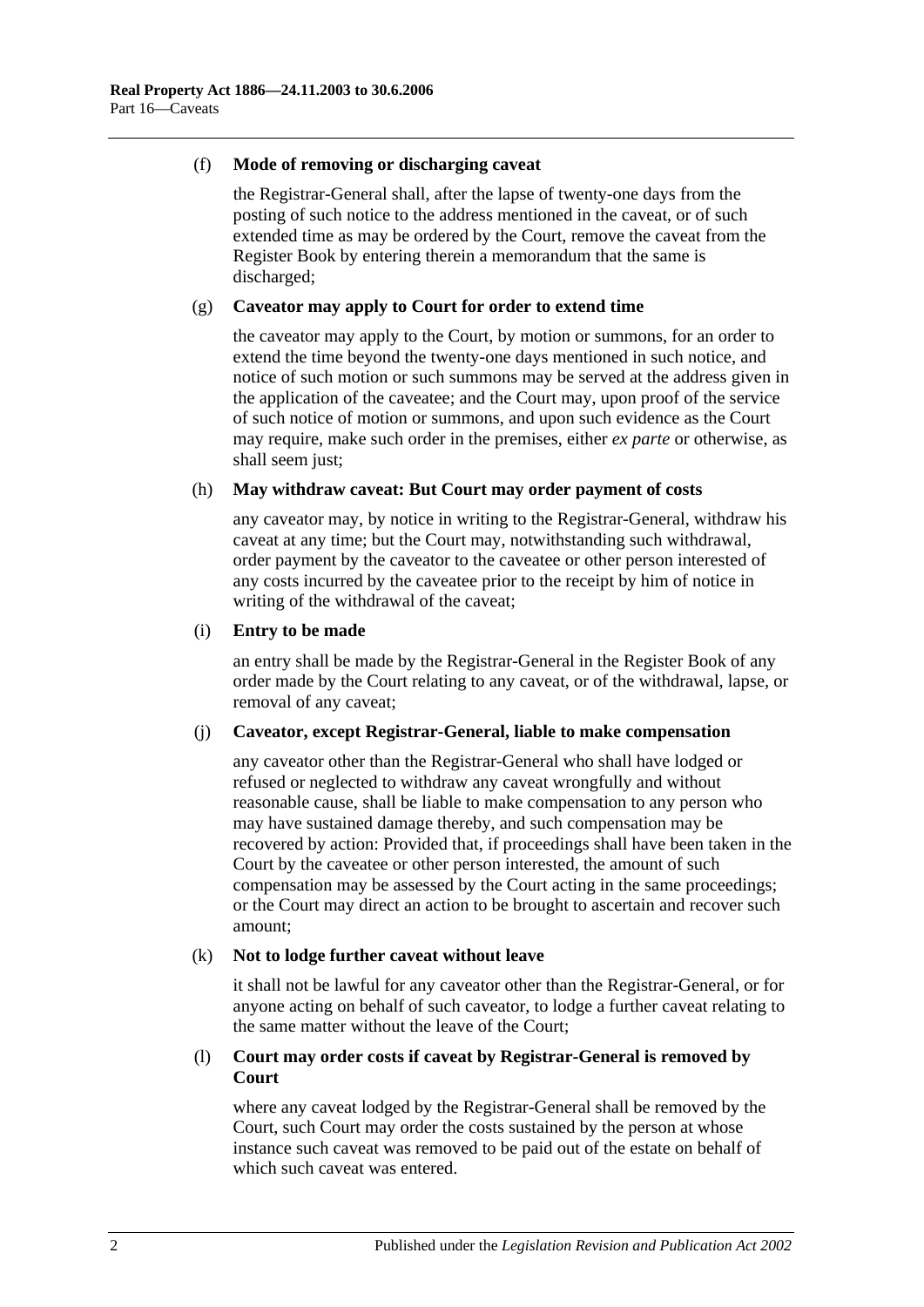#### (f) **Mode of removing or discharging caveat**

the Registrar-General shall, after the lapse of twenty-one days from the posting of such notice to the address mentioned in the caveat, or of such extended time as may be ordered by the Court, remove the caveat from the Register Book by entering therein a memorandum that the same is discharged;

#### (g) **Caveator may apply to Court for order to extend time**

the caveator may apply to the Court, by motion or summons, for an order to extend the time beyond the twenty-one days mentioned in such notice, and notice of such motion or such summons may be served at the address given in the application of the caveatee; and the Court may, upon proof of the service of such notice of motion or summons, and upon such evidence as the Court may require, make such order in the premises, either *ex parte* or otherwise, as shall seem just;

#### (h) **May withdraw caveat: But Court may order payment of costs**

any caveator may, by notice in writing to the Registrar-General, withdraw his caveat at any time; but the Court may, notwithstanding such withdrawal, order payment by the caveator to the caveatee or other person interested of any costs incurred by the caveatee prior to the receipt by him of notice in writing of the withdrawal of the caveat;

#### (i) **Entry to be made**

an entry shall be made by the Registrar-General in the Register Book of any order made by the Court relating to any caveat, or of the withdrawal, lapse, or removal of any caveat;

#### (j) **Caveator, except Registrar-General, liable to make compensation**

any caveator other than the Registrar-General who shall have lodged or refused or neglected to withdraw any caveat wrongfully and without reasonable cause, shall be liable to make compensation to any person who may have sustained damage thereby, and such compensation may be recovered by action: Provided that, if proceedings shall have been taken in the Court by the caveatee or other person interested, the amount of such compensation may be assessed by the Court acting in the same proceedings; or the Court may direct an action to be brought to ascertain and recover such amount;

#### (k) **Not to lodge further caveat without leave**

it shall not be lawful for any caveator other than the Registrar-General, or for anyone acting on behalf of such caveator, to lodge a further caveat relating to the same matter without the leave of the Court;

#### (l) **Court may order costs if caveat by Registrar-General is removed by Court**

where any caveat lodged by the Registrar-General shall be removed by the Court, such Court may order the costs sustained by the person at whose instance such caveat was removed to be paid out of the estate on behalf of which such caveat was entered.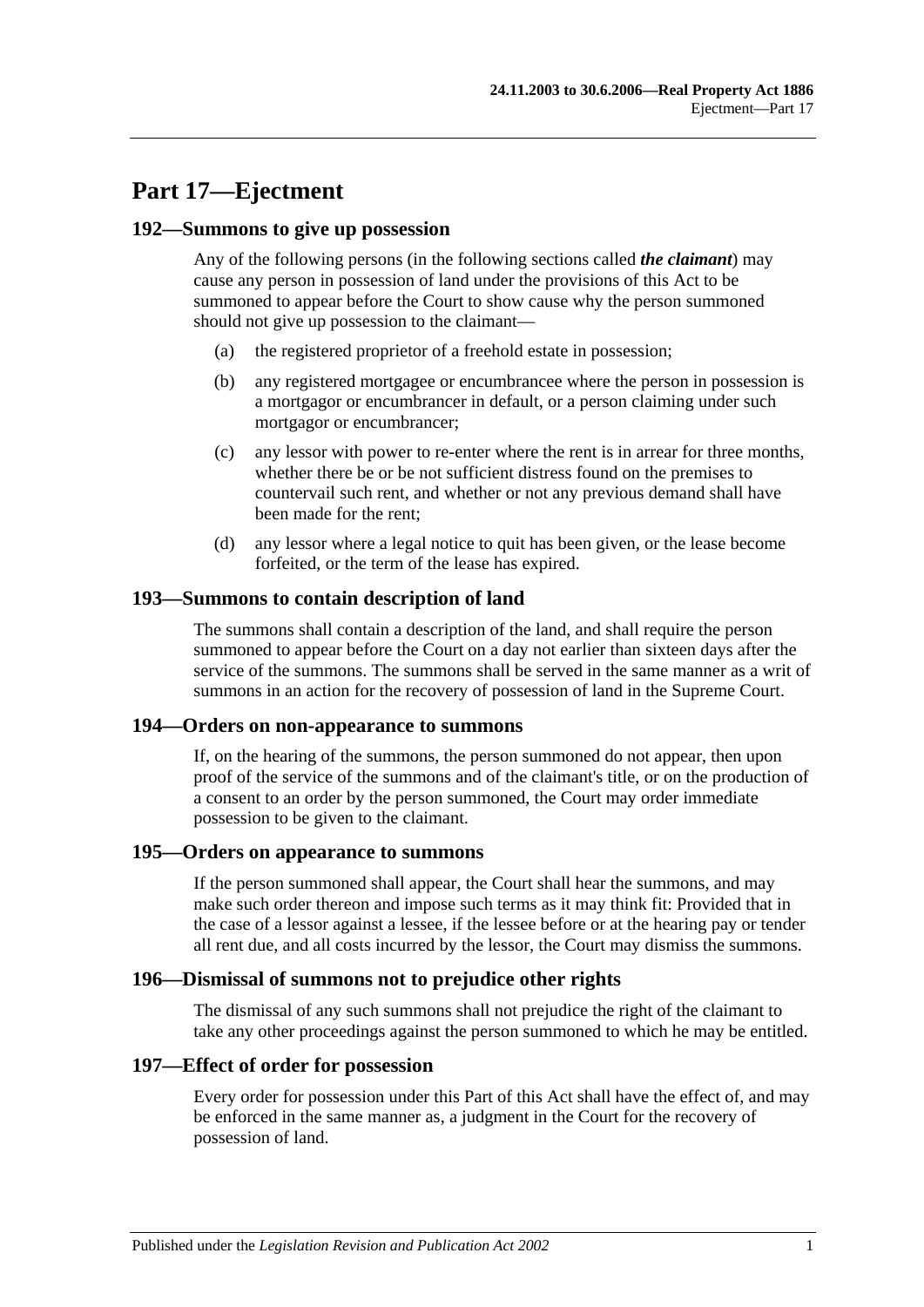# **Part 17—Ejectment**

#### **192—Summons to give up possession**

Any of the following persons (in the following sections called *the claimant*) may cause any person in possession of land under the provisions of this Act to be summoned to appear before the Court to show cause why the person summoned should not give up possession to the claimant—

- (a) the registered proprietor of a freehold estate in possession;
- (b) any registered mortgagee or encumbrancee where the person in possession is a mortgagor or encumbrancer in default, or a person claiming under such mortgagor or encumbrancer;
- (c) any lessor with power to re-enter where the rent is in arrear for three months, whether there be or be not sufficient distress found on the premises to countervail such rent, and whether or not any previous demand shall have been made for the rent;
- (d) any lessor where a legal notice to quit has been given, or the lease become forfeited, or the term of the lease has expired.

## **193—Summons to contain description of land**

The summons shall contain a description of the land, and shall require the person summoned to appear before the Court on a day not earlier than sixteen days after the service of the summons. The summons shall be served in the same manner as a writ of summons in an action for the recovery of possession of land in the Supreme Court.

#### **194—Orders on non-appearance to summons**

If, on the hearing of the summons, the person summoned do not appear, then upon proof of the service of the summons and of the claimant's title, or on the production of a consent to an order by the person summoned, the Court may order immediate possession to be given to the claimant.

#### **195—Orders on appearance to summons**

If the person summoned shall appear, the Court shall hear the summons, and may make such order thereon and impose such terms as it may think fit: Provided that in the case of a lessor against a lessee, if the lessee before or at the hearing pay or tender all rent due, and all costs incurred by the lessor, the Court may dismiss the summons.

#### **196—Dismissal of summons not to prejudice other rights**

The dismissal of any such summons shall not prejudice the right of the claimant to take any other proceedings against the person summoned to which he may be entitled.

#### **197—Effect of order for possession**

Every order for possession under this Part of this Act shall have the effect of, and may be enforced in the same manner as, a judgment in the Court for the recovery of possession of land.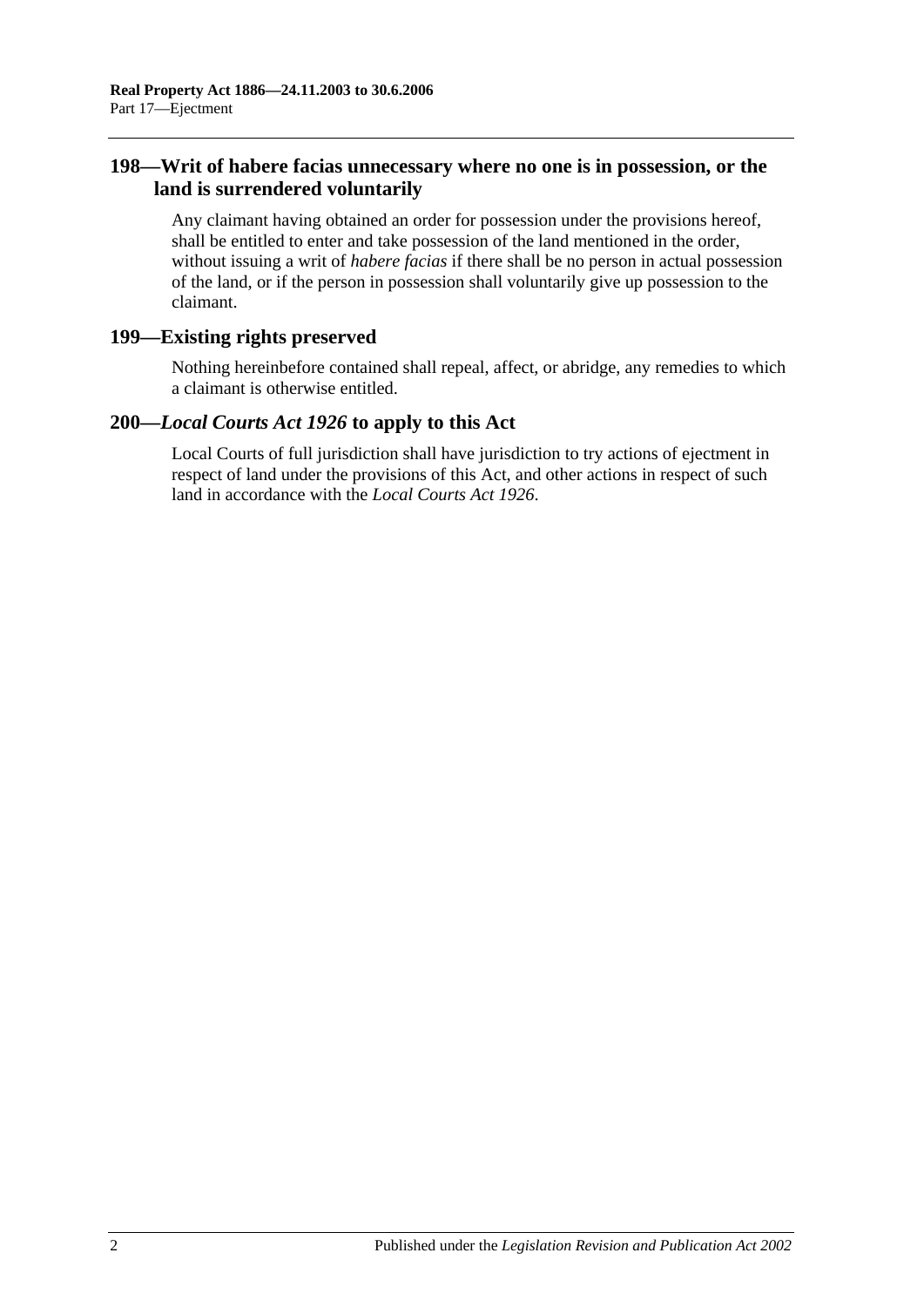## **198—Writ of habere facias unnecessary where no one is in possession, or the land is surrendered voluntarily**

Any claimant having obtained an order for possession under the provisions hereof, shall be entitled to enter and take possession of the land mentioned in the order, without issuing a writ of *habere facias* if there shall be no person in actual possession of the land, or if the person in possession shall voluntarily give up possession to the claimant.

## **199—Existing rights preserved**

Nothing hereinbefore contained shall repeal, affect, or abridge, any remedies to which a claimant is otherwise entitled.

## **200—***Local Courts Act 1926* **to apply to this Act**

Local Courts of full jurisdiction shall have jurisdiction to try actions of ejectment in respect of land under the provisions of this Act, and other actions in respect of such land in accordance with the *[Local Courts Act](http://www.legislation.sa.gov.au/index.aspx?action=legref&type=act&legtitle=Local%20Courts%20Act%201926) 1926*.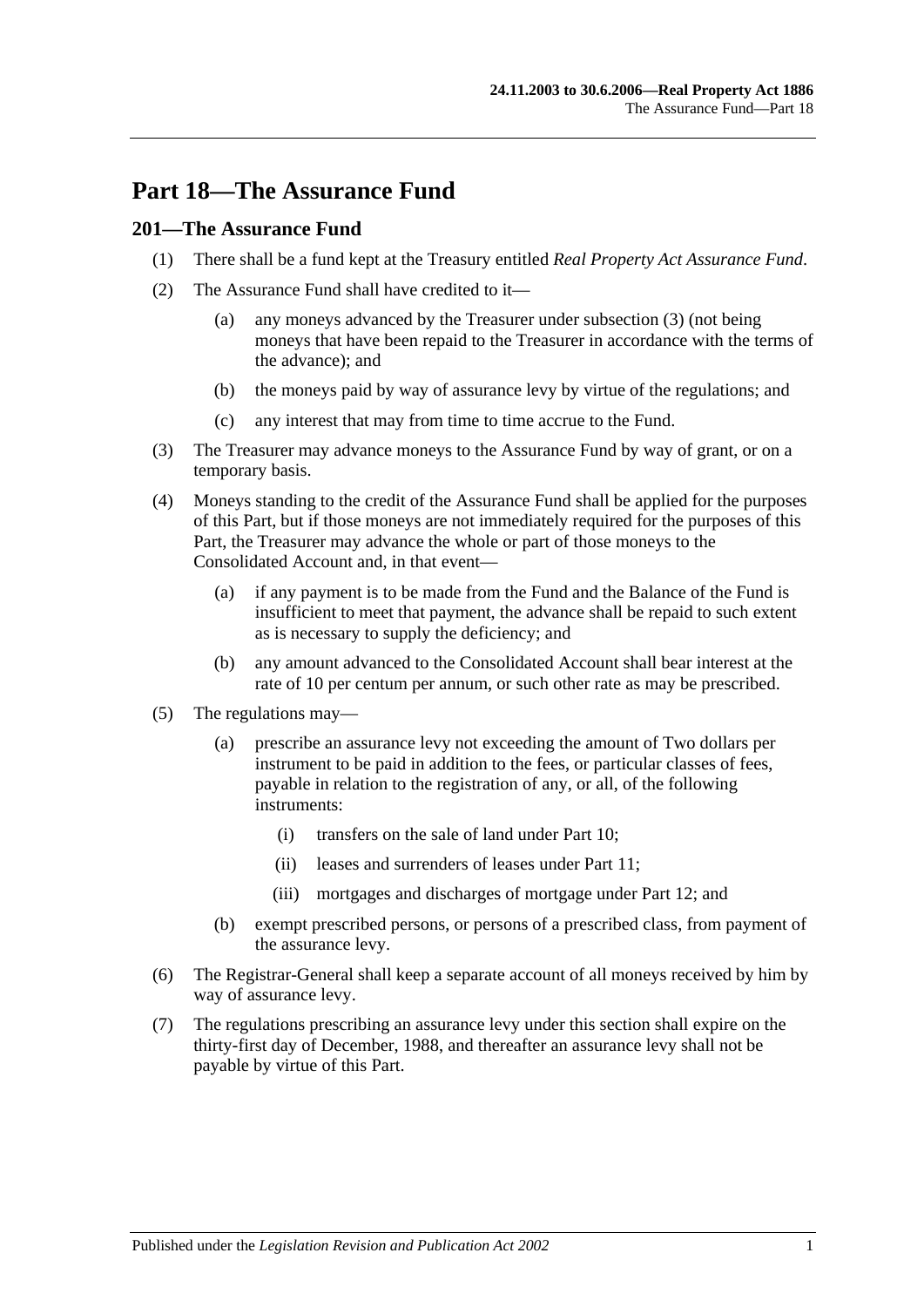# **Part 18—The Assurance Fund**

## **201—The Assurance Fund**

- (1) There shall be a fund kept at the Treasury entitled *Real Property Act Assurance Fund*.
- (2) The Assurance Fund shall have credited to it—
	- (a) any moneys advanced by the Treasurer under [subsection](#page-88-0) (3) (not being moneys that have been repaid to the Treasurer in accordance with the terms of the advance); and
	- (b) the moneys paid by way of assurance levy by virtue of the regulations; and
	- (c) any interest that may from time to time accrue to the Fund.
- <span id="page-88-0"></span>(3) The Treasurer may advance moneys to the Assurance Fund by way of grant, or on a temporary basis.
- (4) Moneys standing to the credit of the Assurance Fund shall be applied for the purposes of this Part, but if those moneys are not immediately required for the purposes of this Part, the Treasurer may advance the whole or part of those moneys to the Consolidated Account and, in that event—
	- (a) if any payment is to be made from the Fund and the Balance of the Fund is insufficient to meet that payment, the advance shall be repaid to such extent as is necessary to supply the deficiency; and
	- (b) any amount advanced to the Consolidated Account shall bear interest at the rate of 10 per centum per annum, or such other rate as may be prescribed.
- (5) The regulations may—
	- (a) prescribe an assurance levy not exceeding the amount of Two dollars per instrument to be paid in addition to the fees, or particular classes of fees, payable in relation to the registration of any, or all, of the following instruments:
		- (i) transfers on the sale of land under [Part 10;](#page-52-0)
		- (ii) leases and surrenders of leases under [Part 11;](#page-58-0)
		- (iii) mortgages and discharges of mortgage under [Part 12;](#page-62-0) and
	- (b) exempt prescribed persons, or persons of a prescribed class, from payment of the assurance levy.
- (6) The Registrar-General shall keep a separate account of all moneys received by him by way of assurance levy.
- (7) The regulations prescribing an assurance levy under this section shall expire on the thirty-first day of December, 1988, and thereafter an assurance levy shall not be payable by virtue of this Part.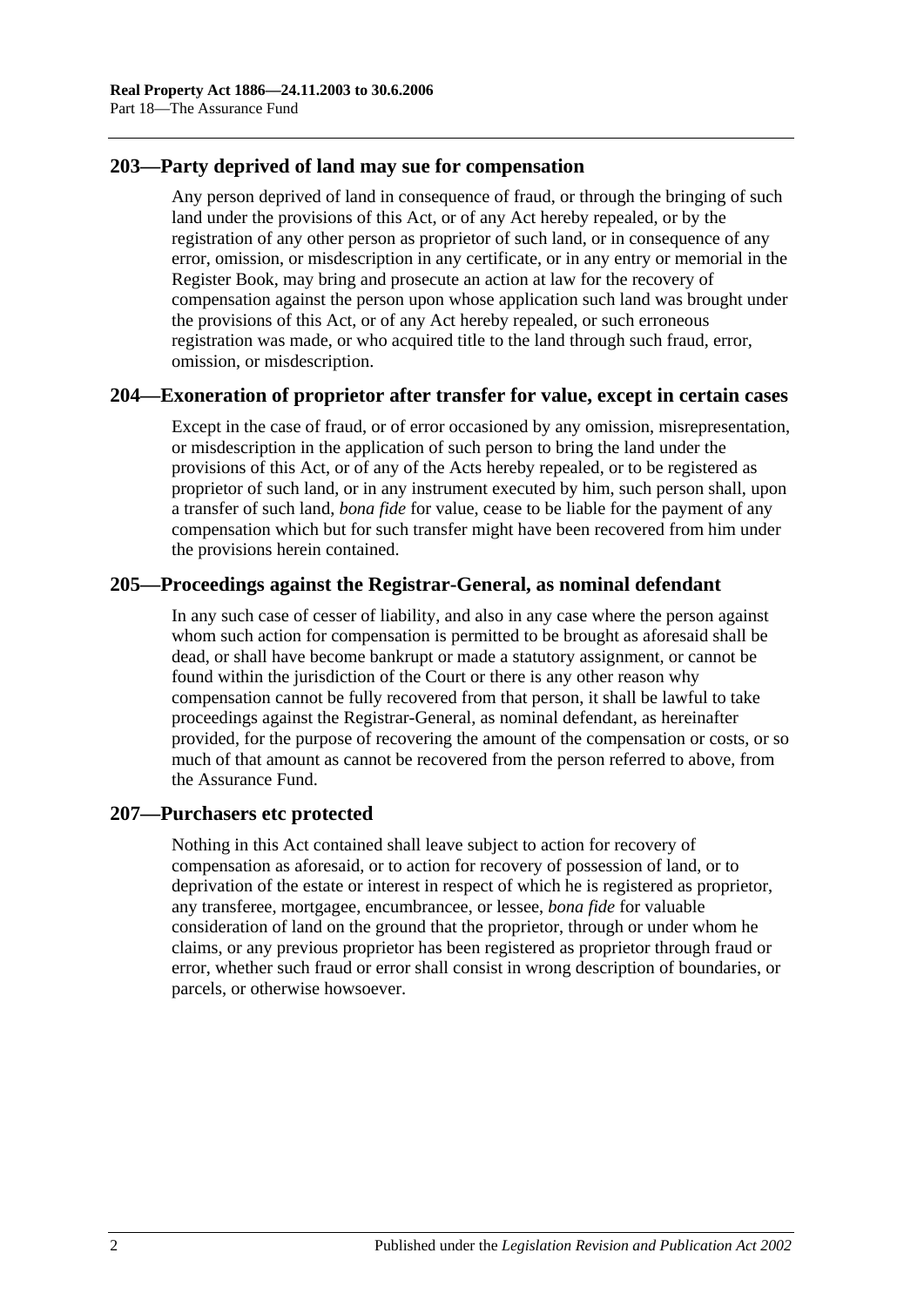## **203—Party deprived of land may sue for compensation**

Any person deprived of land in consequence of fraud, or through the bringing of such land under the provisions of this Act, or of any Act hereby repealed, or by the registration of any other person as proprietor of such land, or in consequence of any error, omission, or misdescription in any certificate, or in any entry or memorial in the Register Book, may bring and prosecute an action at law for the recovery of compensation against the person upon whose application such land was brought under the provisions of this Act, or of any Act hereby repealed, or such erroneous registration was made, or who acquired title to the land through such fraud, error, omission, or misdescription.

## **204—Exoneration of proprietor after transfer for value, except in certain cases**

Except in the case of fraud, or of error occasioned by any omission, misrepresentation, or misdescription in the application of such person to bring the land under the provisions of this Act, or of any of the Acts hereby repealed, or to be registered as proprietor of such land, or in any instrument executed by him, such person shall, upon a transfer of such land, *bona fide* for value, cease to be liable for the payment of any compensation which but for such transfer might have been recovered from him under the provisions herein contained.

## **205—Proceedings against the Registrar-General, as nominal defendant**

In any such case of cesser of liability, and also in any case where the person against whom such action for compensation is permitted to be brought as aforesaid shall be dead, or shall have become bankrupt or made a statutory assignment, or cannot be found within the jurisdiction of the Court or there is any other reason why compensation cannot be fully recovered from that person, it shall be lawful to take proceedings against the Registrar-General, as nominal defendant, as hereinafter provided, for the purpose of recovering the amount of the compensation or costs, or so much of that amount as cannot be recovered from the person referred to above, from the Assurance Fund.

#### **207—Purchasers etc protected**

Nothing in this Act contained shall leave subject to action for recovery of compensation as aforesaid, or to action for recovery of possession of land, or to deprivation of the estate or interest in respect of which he is registered as proprietor, any transferee, mortgagee, encumbrancee, or lessee, *bona fide* for valuable consideration of land on the ground that the proprietor, through or under whom he claims, or any previous proprietor has been registered as proprietor through fraud or error, whether such fraud or error shall consist in wrong description of boundaries, or parcels, or otherwise howsoever.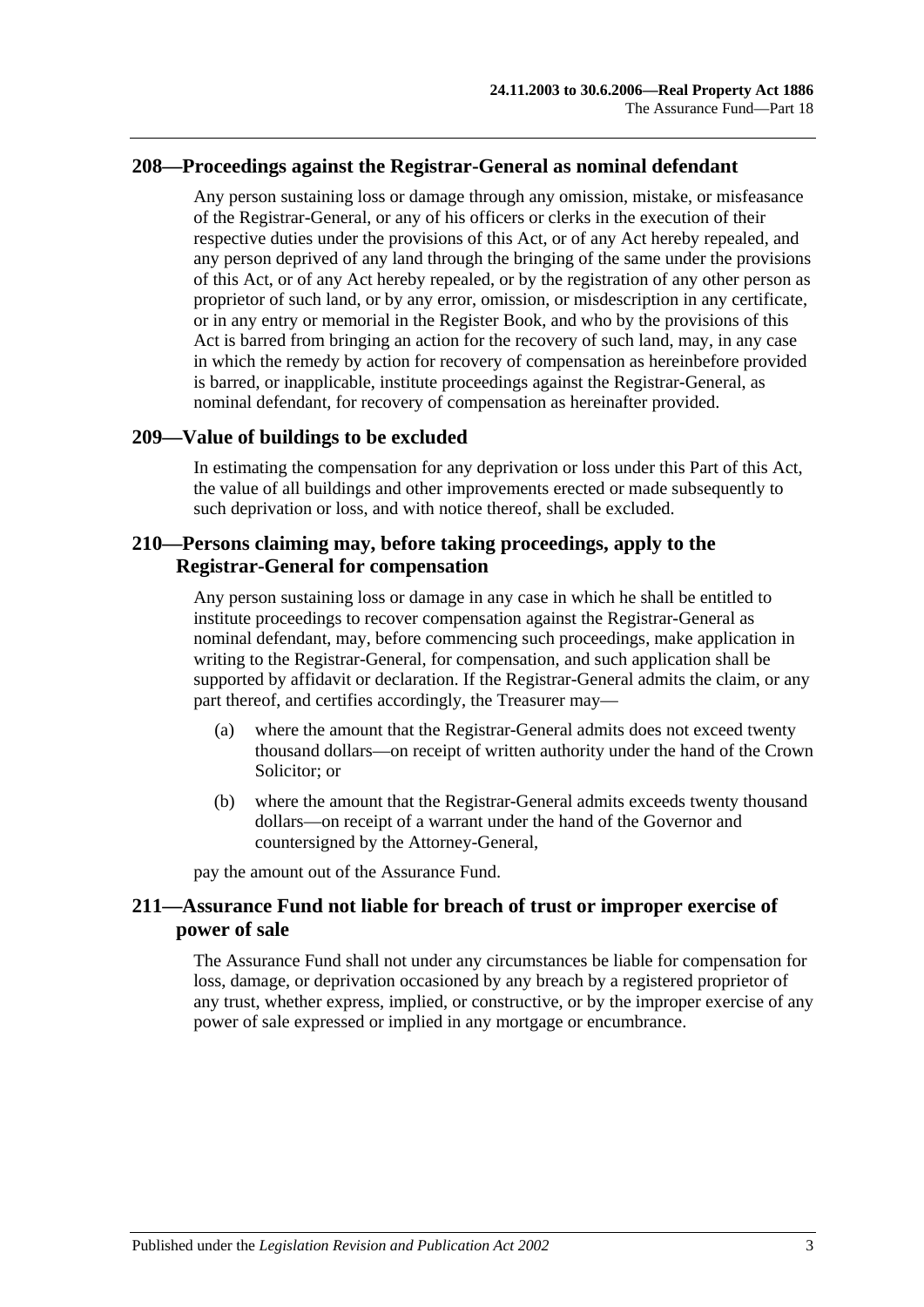## **208—Proceedings against the Registrar-General as nominal defendant**

Any person sustaining loss or damage through any omission, mistake, or misfeasance of the Registrar-General, or any of his officers or clerks in the execution of their respective duties under the provisions of this Act, or of any Act hereby repealed, and any person deprived of any land through the bringing of the same under the provisions of this Act, or of any Act hereby repealed, or by the registration of any other person as proprietor of such land, or by any error, omission, or misdescription in any certificate, or in any entry or memorial in the Register Book, and who by the provisions of this Act is barred from bringing an action for the recovery of such land, may, in any case in which the remedy by action for recovery of compensation as hereinbefore provided is barred, or inapplicable, institute proceedings against the Registrar-General, as nominal defendant, for recovery of compensation as hereinafter provided.

## **209—Value of buildings to be excluded**

In estimating the compensation for any deprivation or loss under this Part of this Act, the value of all buildings and other improvements erected or made subsequently to such deprivation or loss, and with notice thereof, shall be excluded.

## **210—Persons claiming may, before taking proceedings, apply to the Registrar-General for compensation**

Any person sustaining loss or damage in any case in which he shall be entitled to institute proceedings to recover compensation against the Registrar-General as nominal defendant, may, before commencing such proceedings, make application in writing to the Registrar-General, for compensation, and such application shall be supported by affidavit or declaration. If the Registrar-General admits the claim, or any part thereof, and certifies accordingly, the Treasurer may—

- (a) where the amount that the Registrar-General admits does not exceed twenty thousand dollars—on receipt of written authority under the hand of the Crown Solicitor; or
- (b) where the amount that the Registrar-General admits exceeds twenty thousand dollars—on receipt of a warrant under the hand of the Governor and countersigned by the Attorney-General,

pay the amount out of the Assurance Fund.

## **211—Assurance Fund not liable for breach of trust or improper exercise of power of sale**

The Assurance Fund shall not under any circumstances be liable for compensation for loss, damage, or deprivation occasioned by any breach by a registered proprietor of any trust, whether express, implied, or constructive, or by the improper exercise of any power of sale expressed or implied in any mortgage or encumbrance.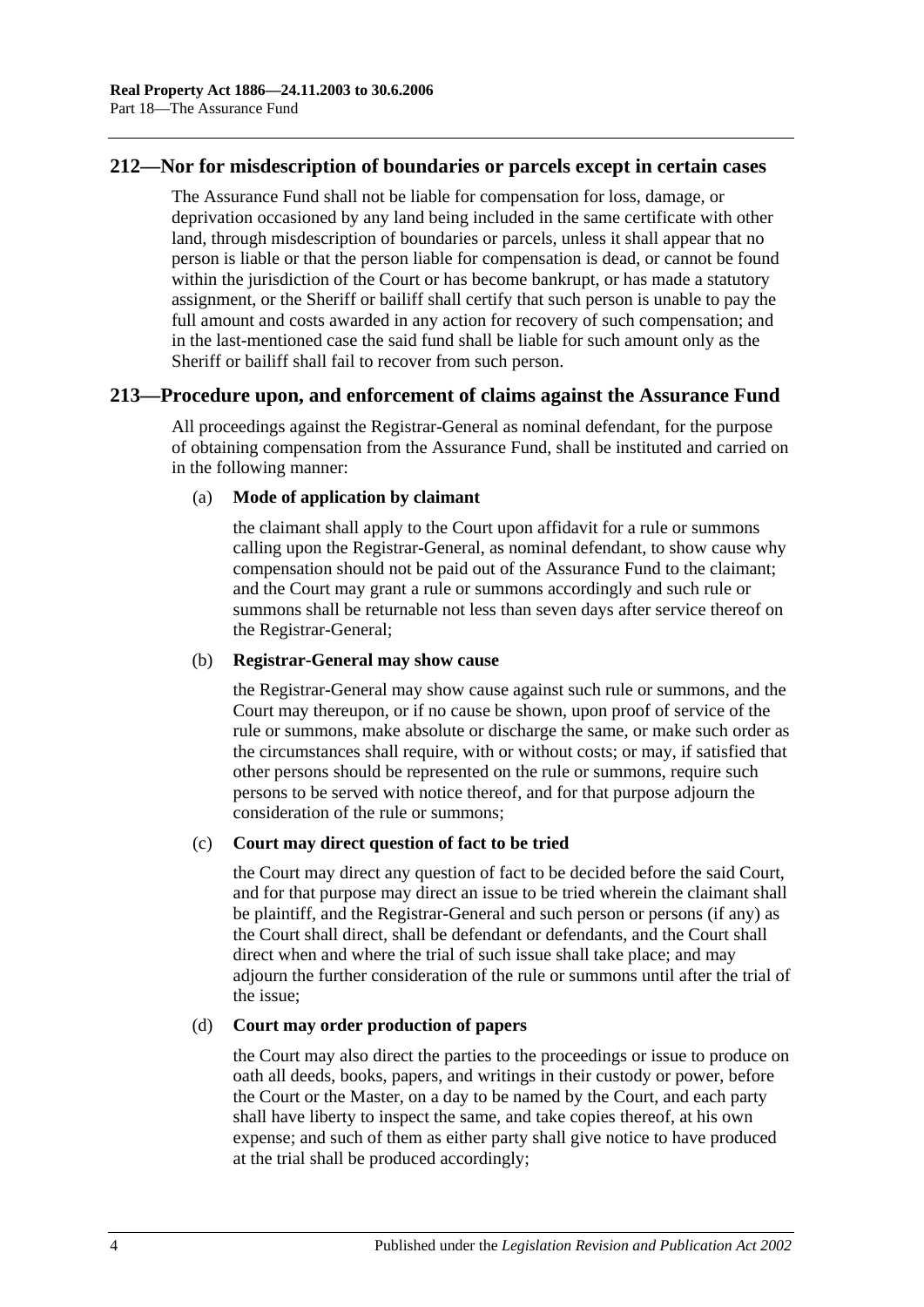## **212—Nor for misdescription of boundaries or parcels except in certain cases**

The Assurance Fund shall not be liable for compensation for loss, damage, or deprivation occasioned by any land being included in the same certificate with other land, through misdescription of boundaries or parcels, unless it shall appear that no person is liable or that the person liable for compensation is dead, or cannot be found within the jurisdiction of the Court or has become bankrupt, or has made a statutory assignment, or the Sheriff or bailiff shall certify that such person is unable to pay the full amount and costs awarded in any action for recovery of such compensation; and in the last-mentioned case the said fund shall be liable for such amount only as the Sheriff or bailiff shall fail to recover from such person.

## **213—Procedure upon, and enforcement of claims against the Assurance Fund**

All proceedings against the Registrar-General as nominal defendant, for the purpose of obtaining compensation from the Assurance Fund, shall be instituted and carried on in the following manner:

#### (a) **Mode of application by claimant**

the claimant shall apply to the Court upon affidavit for a rule or summons calling upon the Registrar-General, as nominal defendant, to show cause why compensation should not be paid out of the Assurance Fund to the claimant; and the Court may grant a rule or summons accordingly and such rule or summons shall be returnable not less than seven days after service thereof on the Registrar-General;

#### (b) **Registrar-General may show cause**

the Registrar-General may show cause against such rule or summons, and the Court may thereupon, or if no cause be shown, upon proof of service of the rule or summons, make absolute or discharge the same, or make such order as the circumstances shall require, with or without costs; or may, if satisfied that other persons should be represented on the rule or summons, require such persons to be served with notice thereof, and for that purpose adjourn the consideration of the rule or summons;

#### (c) **Court may direct question of fact to be tried**

the Court may direct any question of fact to be decided before the said Court, and for that purpose may direct an issue to be tried wherein the claimant shall be plaintiff, and the Registrar-General and such person or persons (if any) as the Court shall direct, shall be defendant or defendants, and the Court shall direct when and where the trial of such issue shall take place; and may adjourn the further consideration of the rule or summons until after the trial of the issue;

#### (d) **Court may order production of papers**

the Court may also direct the parties to the proceedings or issue to produce on oath all deeds, books, papers, and writings in their custody or power, before the Court or the Master, on a day to be named by the Court, and each party shall have liberty to inspect the same, and take copies thereof, at his own expense; and such of them as either party shall give notice to have produced at the trial shall be produced accordingly;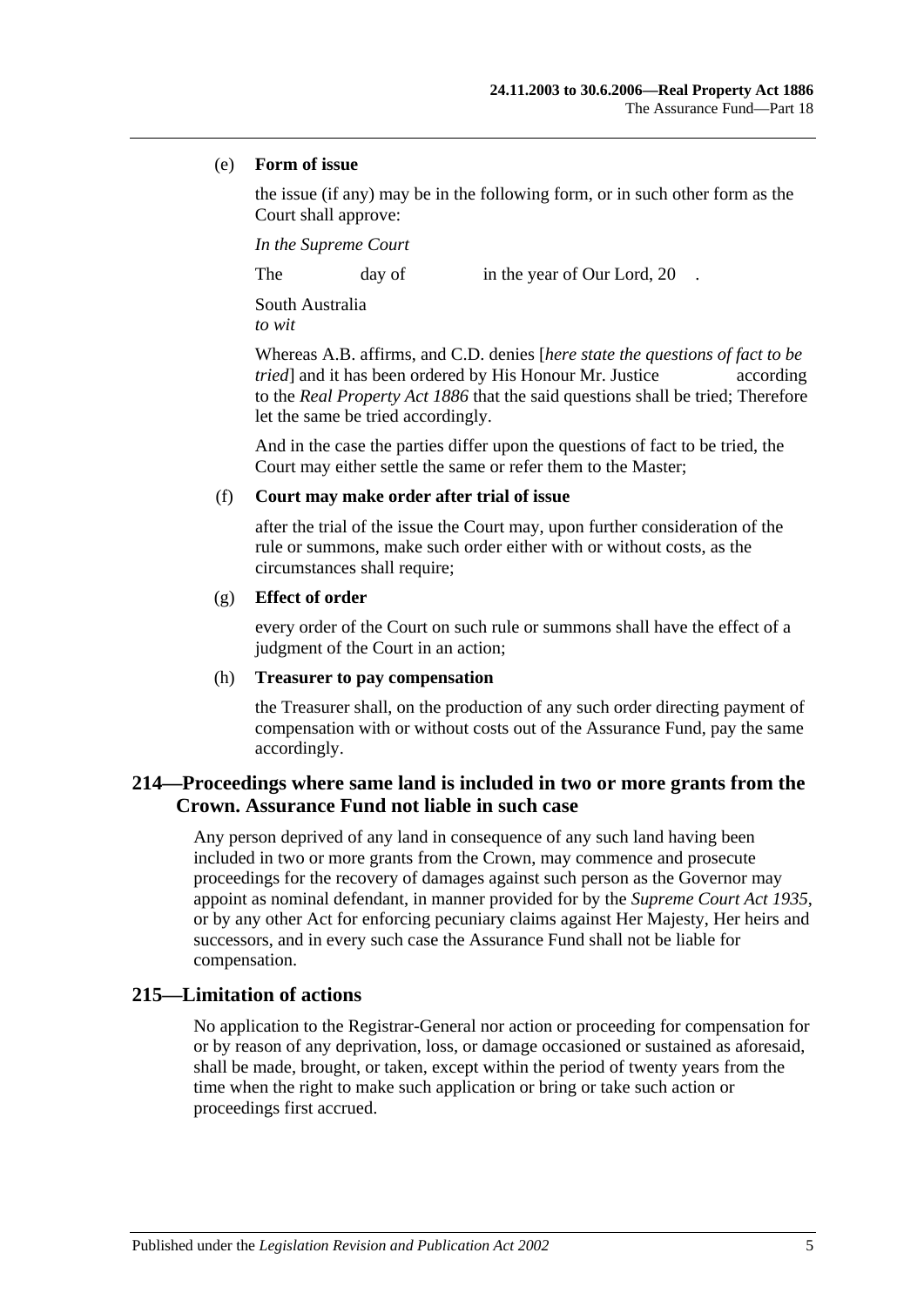#### (e) **Form of issue**

the issue (if any) may be in the following form, or in such other form as the Court shall approve:

*In the Supreme Court*

The day of in the year of Our Lord, 20

South Australia *to wit*

Whereas A.B. affirms, and C.D. denies [*here state the questions of fact to be tried* and it has been ordered by His Honour Mr. Justice according to the *[Real Property Act](http://www.legislation.sa.gov.au/index.aspx?action=legref&type=act&legtitle=Real%20Property%20Act%201886) 1886* that the said questions shall be tried; Therefore let the same be tried accordingly.

And in the case the parties differ upon the questions of fact to be tried, the Court may either settle the same or refer them to the Master;

#### (f) **Court may make order after trial of issue**

after the trial of the issue the Court may, upon further consideration of the rule or summons, make such order either with or without costs, as the circumstances shall require;

#### (g) **Effect of order**

every order of the Court on such rule or summons shall have the effect of a judgment of the Court in an action;

#### (h) **Treasurer to pay compensation**

the Treasurer shall, on the production of any such order directing payment of compensation with or without costs out of the Assurance Fund, pay the same accordingly.

## **214—Proceedings where same land is included in two or more grants from the Crown. Assurance Fund not liable in such case**

Any person deprived of any land in consequence of any such land having been included in two or more grants from the Crown, may commence and prosecute proceedings for the recovery of damages against such person as the Governor may appoint as nominal defendant, in manner provided for by the *[Supreme Court Act](http://www.legislation.sa.gov.au/index.aspx?action=legref&type=act&legtitle=Supreme%20Court%20Act%201935) 1935*, or by any other Act for enforcing pecuniary claims against Her Majesty, Her heirs and successors, and in every such case the Assurance Fund shall not be liable for compensation.

## **215—Limitation of actions**

No application to the Registrar-General nor action or proceeding for compensation for or by reason of any deprivation, loss, or damage occasioned or sustained as aforesaid, shall be made, brought, or taken, except within the period of twenty years from the time when the right to make such application or bring or take such action or proceedings first accrued.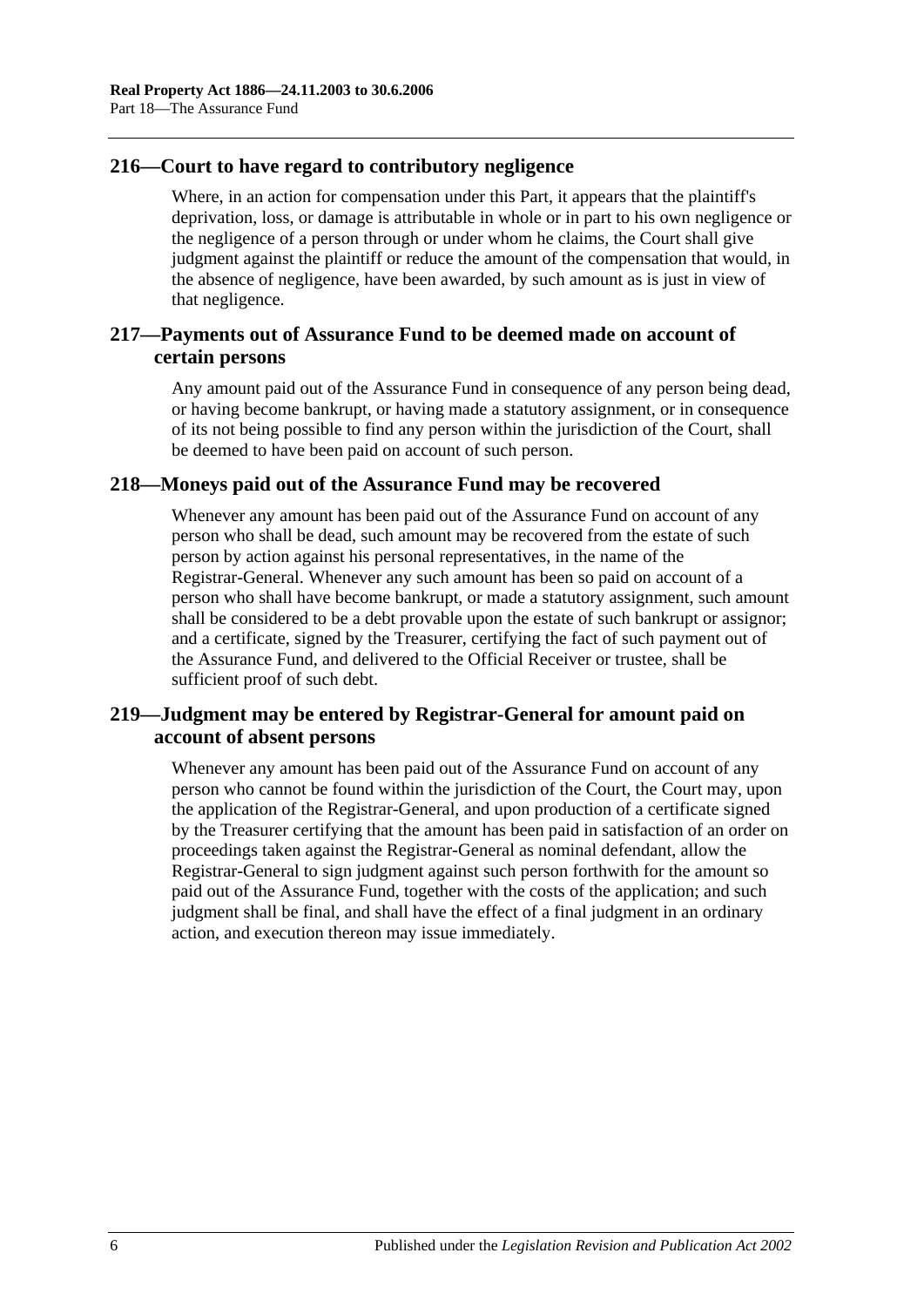## **216—Court to have regard to contributory negligence**

Where, in an action for compensation under this Part, it appears that the plaintiff's deprivation, loss, or damage is attributable in whole or in part to his own negligence or the negligence of a person through or under whom he claims, the Court shall give judgment against the plaintiff or reduce the amount of the compensation that would, in the absence of negligence, have been awarded, by such amount as is just in view of that negligence.

## **217—Payments out of Assurance Fund to be deemed made on account of certain persons**

Any amount paid out of the Assurance Fund in consequence of any person being dead, or having become bankrupt, or having made a statutory assignment, or in consequence of its not being possible to find any person within the jurisdiction of the Court, shall be deemed to have been paid on account of such person.

## **218—Moneys paid out of the Assurance Fund may be recovered**

Whenever any amount has been paid out of the Assurance Fund on account of any person who shall be dead, such amount may be recovered from the estate of such person by action against his personal representatives, in the name of the Registrar-General. Whenever any such amount has been so paid on account of a person who shall have become bankrupt, or made a statutory assignment, such amount shall be considered to be a debt provable upon the estate of such bankrupt or assignor; and a certificate, signed by the Treasurer, certifying the fact of such payment out of the Assurance Fund, and delivered to the Official Receiver or trustee, shall be sufficient proof of such debt.

## **219—Judgment may be entered by Registrar-General for amount paid on account of absent persons**

Whenever any amount has been paid out of the Assurance Fund on account of any person who cannot be found within the jurisdiction of the Court, the Court may, upon the application of the Registrar-General, and upon production of a certificate signed by the Treasurer certifying that the amount has been paid in satisfaction of an order on proceedings taken against the Registrar-General as nominal defendant, allow the Registrar-General to sign judgment against such person forthwith for the amount so paid out of the Assurance Fund, together with the costs of the application; and such judgment shall be final, and shall have the effect of a final judgment in an ordinary action, and execution thereon may issue immediately.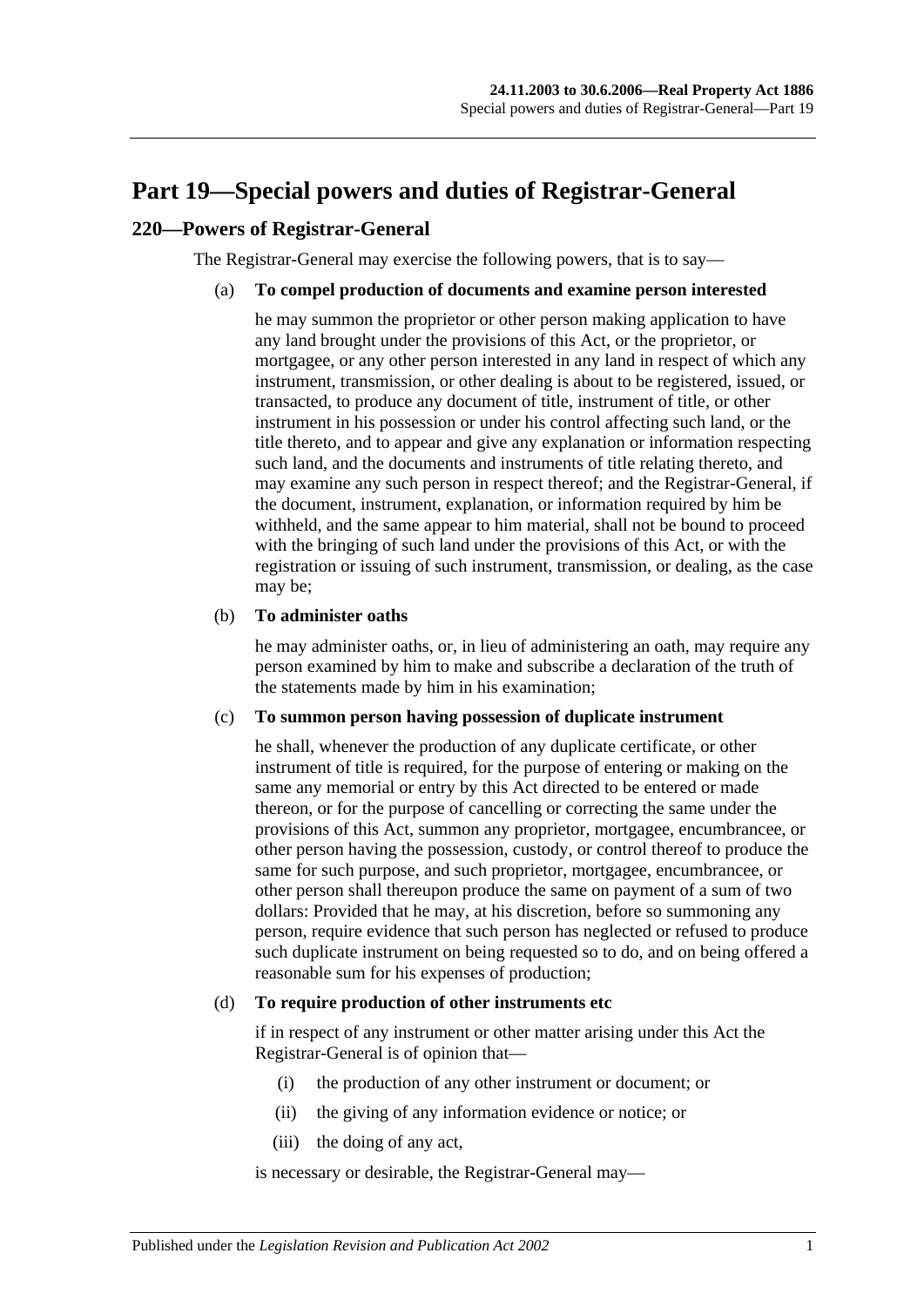# <span id="page-94-0"></span>**Part 19—Special powers and duties of Registrar-General**

## **220—Powers of Registrar-General**

The Registrar-General may exercise the following powers, that is to say—

#### (a) **To compel production of documents and examine person interested**

he may summon the proprietor or other person making application to have any land brought under the provisions of this Act, or the proprietor, or mortgagee, or any other person interested in any land in respect of which any instrument, transmission, or other dealing is about to be registered, issued, or transacted, to produce any document of title, instrument of title, or other instrument in his possession or under his control affecting such land, or the title thereto, and to appear and give any explanation or information respecting such land, and the documents and instruments of title relating thereto, and may examine any such person in respect thereof; and the Registrar-General, if the document, instrument, explanation, or information required by him be withheld, and the same appear to him material, shall not be bound to proceed with the bringing of such land under the provisions of this Act, or with the registration or issuing of such instrument, transmission, or dealing, as the case may be;

#### (b) **To administer oaths**

he may administer oaths, or, in lieu of administering an oath, may require any person examined by him to make and subscribe a declaration of the truth of the statements made by him in his examination;

#### (c) **To summon person having possession of duplicate instrument**

he shall, whenever the production of any duplicate certificate, or other instrument of title is required, for the purpose of entering or making on the same any memorial or entry by this Act directed to be entered or made thereon, or for the purpose of cancelling or correcting the same under the provisions of this Act, summon any proprietor, mortgagee, encumbrancee, or other person having the possession, custody, or control thereof to produce the same for such purpose, and such proprietor, mortgagee, encumbrancee, or other person shall thereupon produce the same on payment of a sum of two dollars: Provided that he may, at his discretion, before so summoning any person, require evidence that such person has neglected or refused to produce such duplicate instrument on being requested so to do, and on being offered a reasonable sum for his expenses of production;

#### <span id="page-94-1"></span>(d) **To require production of other instruments etc**

if in respect of any instrument or other matter arising under this Act the Registrar-General is of opinion that—

- (i) the production of any other instrument or document; or
- (ii) the giving of any information evidence or notice; or
- (iii) the doing of any act,

is necessary or desirable, the Registrar-General may—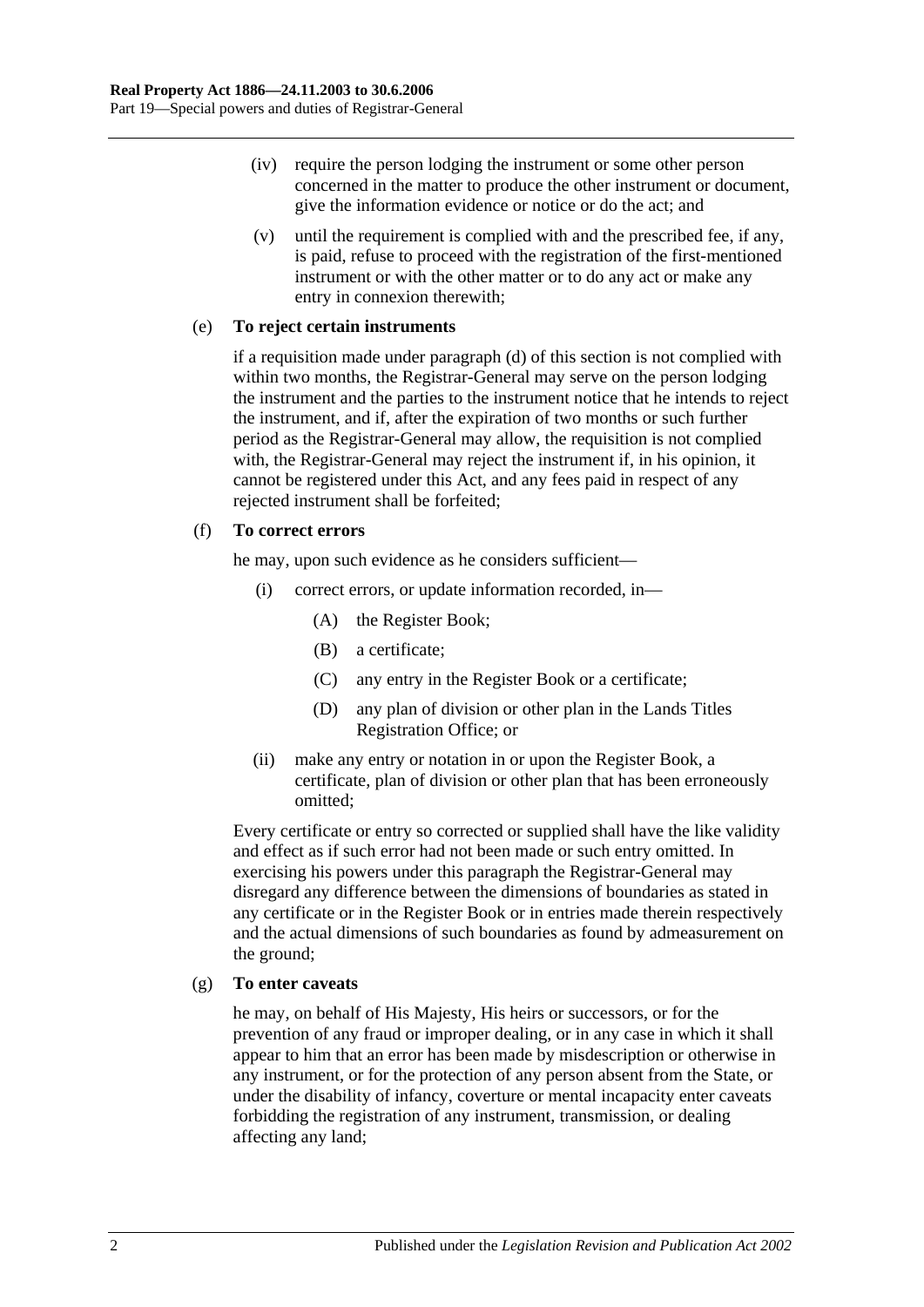- (iv) require the person lodging the instrument or some other person concerned in the matter to produce the other instrument or document, give the information evidence or notice or do the act; and
- (v) until the requirement is complied with and the prescribed fee, if any, is paid, refuse to proceed with the registration of the first-mentioned instrument or with the other matter or to do any act or make any entry in connexion therewith;

#### (e) **To reject certain instruments**

if a requisition made under [paragraph](#page-94-1) (d) of this section is not complied with within two months, the Registrar-General may serve on the person lodging the instrument and the parties to the instrument notice that he intends to reject the instrument, and if, after the expiration of two months or such further period as the Registrar-General may allow, the requisition is not complied with, the Registrar-General may reject the instrument if, in his opinion, it cannot be registered under this Act, and any fees paid in respect of any rejected instrument shall be forfeited;

#### (f) **To correct errors**

he may, upon such evidence as he considers sufficient—

- (i) correct errors, or update information recorded, in—
	- (A) the Register Book;
	- (B) a certificate;
	- (C) any entry in the Register Book or a certificate;
	- (D) any plan of division or other plan in the Lands Titles Registration Office; or
- (ii) make any entry or notation in or upon the Register Book, a certificate, plan of division or other plan that has been erroneously omitted;

Every certificate or entry so corrected or supplied shall have the like validity and effect as if such error had not been made or such entry omitted. In exercising his powers under this paragraph the Registrar-General may disregard any difference between the dimensions of boundaries as stated in any certificate or in the Register Book or in entries made therein respectively and the actual dimensions of such boundaries as found by admeasurement on the ground;

#### (g) **To enter caveats**

he may, on behalf of His Majesty, His heirs or successors, or for the prevention of any fraud or improper dealing, or in any case in which it shall appear to him that an error has been made by misdescription or otherwise in any instrument, or for the protection of any person absent from the State, or under the disability of infancy, coverture or mental incapacity enter caveats forbidding the registration of any instrument, transmission, or dealing affecting any land;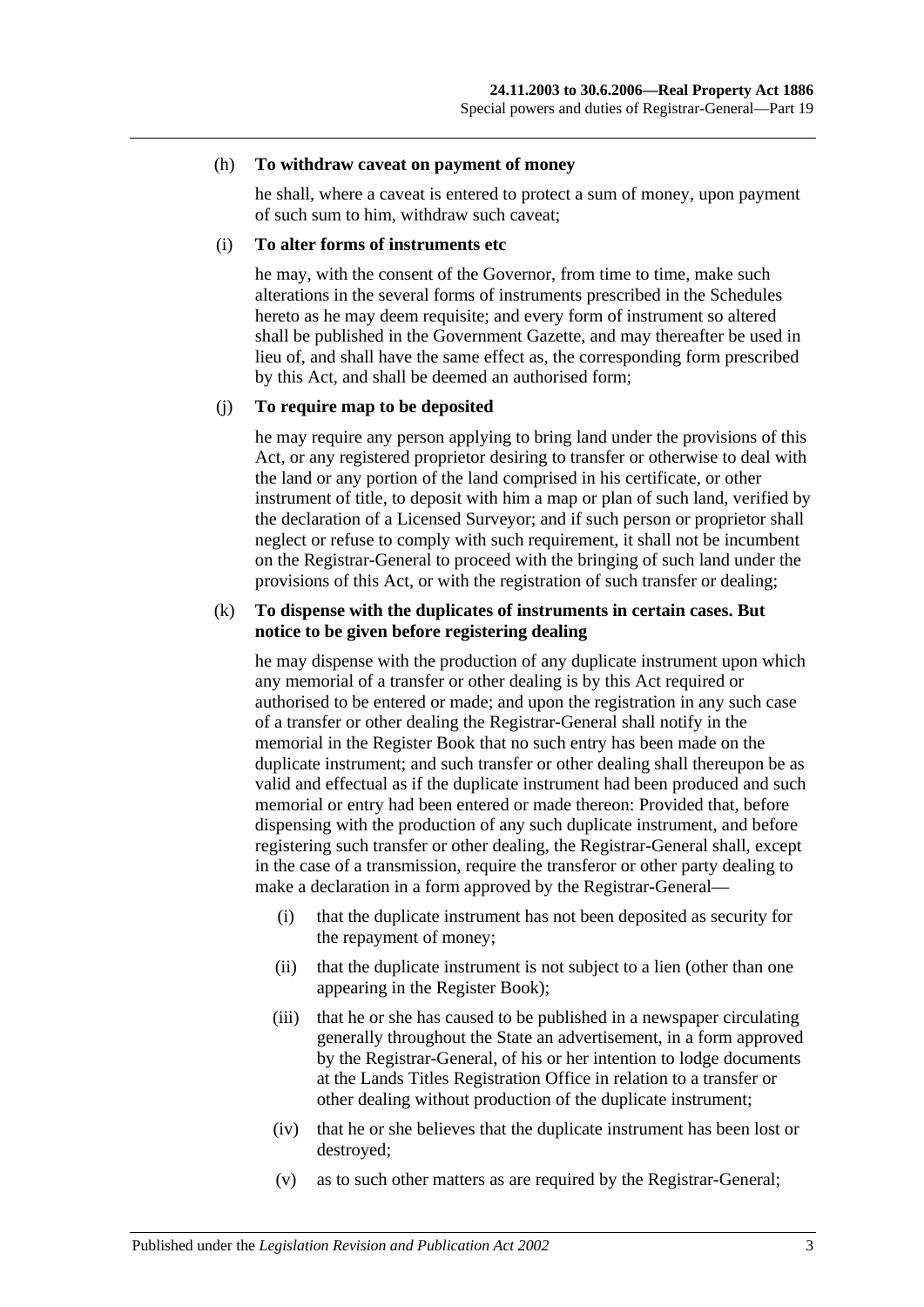#### (h) **To withdraw caveat on payment of money**

he shall, where a caveat is entered to protect a sum of money, upon payment of such sum to him, withdraw such caveat;

#### (i) **To alter forms of instruments etc**

he may, with the consent of the Governor, from time to time, make such alterations in the several forms of instruments prescribed in the Schedules hereto as he may deem requisite; and every form of instrument so altered shall be published in the Government Gazette, and may thereafter be used in lieu of, and shall have the same effect as, the corresponding form prescribed by this Act, and shall be deemed an authorised form;

#### (j) **To require map to be deposited**

he may require any person applying to bring land under the provisions of this Act, or any registered proprietor desiring to transfer or otherwise to deal with the land or any portion of the land comprised in his certificate, or other instrument of title, to deposit with him a map or plan of such land, verified by the declaration of a Licensed Surveyor; and if such person or proprietor shall neglect or refuse to comply with such requirement, it shall not be incumbent on the Registrar-General to proceed with the bringing of such land under the provisions of this Act, or with the registration of such transfer or dealing;

#### (k) **To dispense with the duplicates of instruments in certain cases. But notice to be given before registering dealing**

he may dispense with the production of any duplicate instrument upon which any memorial of a transfer or other dealing is by this Act required or authorised to be entered or made; and upon the registration in any such case of a transfer or other dealing the Registrar-General shall notify in the memorial in the Register Book that no such entry has been made on the duplicate instrument; and such transfer or other dealing shall thereupon be as valid and effectual as if the duplicate instrument had been produced and such memorial or entry had been entered or made thereon: Provided that, before dispensing with the production of any such duplicate instrument, and before registering such transfer or other dealing, the Registrar-General shall, except in the case of a transmission, require the transferor or other party dealing to make a declaration in a form approved by the Registrar-General—

- (i) that the duplicate instrument has not been deposited as security for the repayment of money;
- (ii) that the duplicate instrument is not subject to a lien (other than one appearing in the Register Book);
- (iii) that he or she has caused to be published in a newspaper circulating generally throughout the State an advertisement, in a form approved by the Registrar-General, of his or her intention to lodge documents at the Lands Titles Registration Office in relation to a transfer or other dealing without production of the duplicate instrument;
- (iv) that he or she believes that the duplicate instrument has been lost or destroyed;
- (v) as to such other matters as are required by the Registrar-General;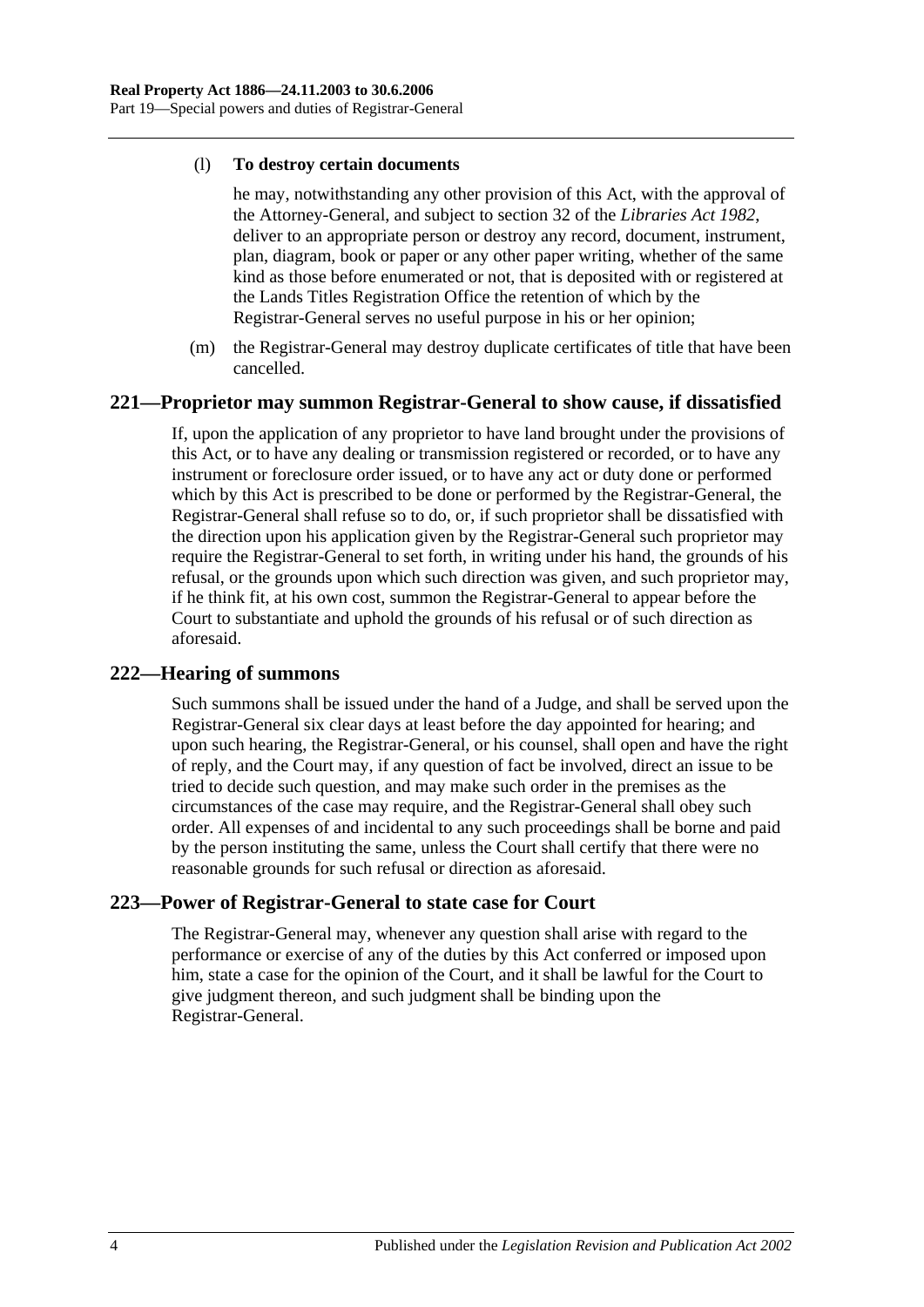#### (l) **To destroy certain documents**

he may, notwithstanding any other provision of this Act, with the approval of the Attorney-General, and subject to section 32 of the *[Libraries Act](http://www.legislation.sa.gov.au/index.aspx?action=legref&type=act&legtitle=Libraries%20Act%201982) 1982*, deliver to an appropriate person or destroy any record, document, instrument, plan, diagram, book or paper or any other paper writing, whether of the same kind as those before enumerated or not, that is deposited with or registered at the Lands Titles Registration Office the retention of which by the Registrar-General serves no useful purpose in his or her opinion;

(m) the Registrar-General may destroy duplicate certificates of title that have been cancelled.

#### **221—Proprietor may summon Registrar-General to show cause, if dissatisfied**

If, upon the application of any proprietor to have land brought under the provisions of this Act, or to have any dealing or transmission registered or recorded, or to have any instrument or foreclosure order issued, or to have any act or duty done or performed which by this Act is prescribed to be done or performed by the Registrar-General, the Registrar-General shall refuse so to do, or, if such proprietor shall be dissatisfied with the direction upon his application given by the Registrar-General such proprietor may require the Registrar-General to set forth, in writing under his hand, the grounds of his refusal, or the grounds upon which such direction was given, and such proprietor may, if he think fit, at his own cost, summon the Registrar-General to appear before the Court to substantiate and uphold the grounds of his refusal or of such direction as aforesaid.

## **222—Hearing of summons**

Such summons shall be issued under the hand of a Judge, and shall be served upon the Registrar-General six clear days at least before the day appointed for hearing; and upon such hearing, the Registrar-General, or his counsel, shall open and have the right of reply, and the Court may, if any question of fact be involved, direct an issue to be tried to decide such question, and may make such order in the premises as the circumstances of the case may require, and the Registrar-General shall obey such order. All expenses of and incidental to any such proceedings shall be borne and paid by the person instituting the same, unless the Court shall certify that there were no reasonable grounds for such refusal or direction as aforesaid.

## **223—Power of Registrar-General to state case for Court**

The Registrar-General may, whenever any question shall arise with regard to the performance or exercise of any of the duties by this Act conferred or imposed upon him, state a case for the opinion of the Court, and it shall be lawful for the Court to give judgment thereon, and such judgment shall be binding upon the Registrar-General.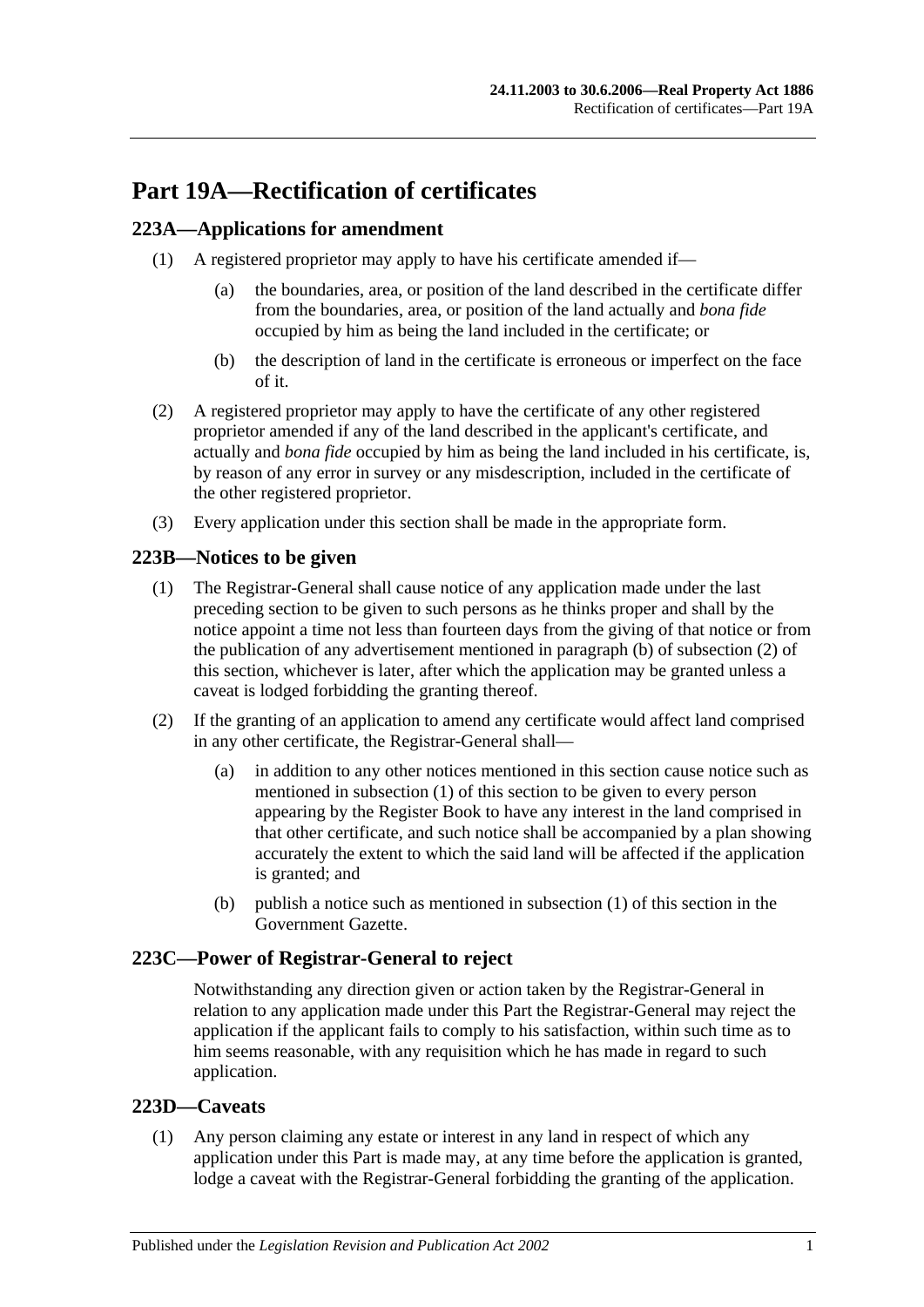# **Part 19A—Rectification of certificates**

# <span id="page-98-3"></span>**223A—Applications for amendment**

- (1) A registered proprietor may apply to have his certificate amended if—
	- (a) the boundaries, area, or position of the land described in the certificate differ from the boundaries, area, or position of the land actually and *bona fide* occupied by him as being the land included in the certificate; or
	- (b) the description of land in the certificate is erroneous or imperfect on the face of it.
- (2) A registered proprietor may apply to have the certificate of any other registered proprietor amended if any of the land described in the applicant's certificate, and actually and *bona fide* occupied by him as being the land included in his certificate, is, by reason of any error in survey or any misdescription, included in the certificate of the other registered proprietor.
- (3) Every application under this section shall be made in the appropriate form.

## <span id="page-98-2"></span>**223B—Notices to be given**

- (1) The Registrar-General shall cause notice of any application made under the last preceding section to be given to such persons as he thinks proper and shall by the notice appoint a time not less than fourteen days from the giving of that notice or from the publication of any advertisement mentioned in [paragraph](#page-98-0) (b) of [subsection](#page-98-1) (2) of this section, whichever is later, after which the application may be granted unless a caveat is lodged forbidding the granting thereof.
- <span id="page-98-1"></span>(2) If the granting of an application to amend any certificate would affect land comprised in any other certificate, the Registrar-General shall—
	- (a) in addition to any other notices mentioned in this section cause notice such as mentioned in [subsection](#page-98-2) (1) of this section to be given to every person appearing by the Register Book to have any interest in the land comprised in that other certificate, and such notice shall be accompanied by a plan showing accurately the extent to which the said land will be affected if the application is granted; and
	- (b) publish a notice such as mentioned in [subsection](#page-98-2) (1) of this section in the Government Gazette.

## <span id="page-98-0"></span>**223C—Power of Registrar-General to reject**

Notwithstanding any direction given or action taken by the Registrar-General in relation to any application made under this Part the Registrar-General may reject the application if the applicant fails to comply to his satisfaction, within such time as to him seems reasonable, with any requisition which he has made in regard to such application.

## **223D—Caveats**

(1) Any person claiming any estate or interest in any land in respect of which any application under this Part is made may, at any time before the application is granted, lodge a caveat with the Registrar-General forbidding the granting of the application.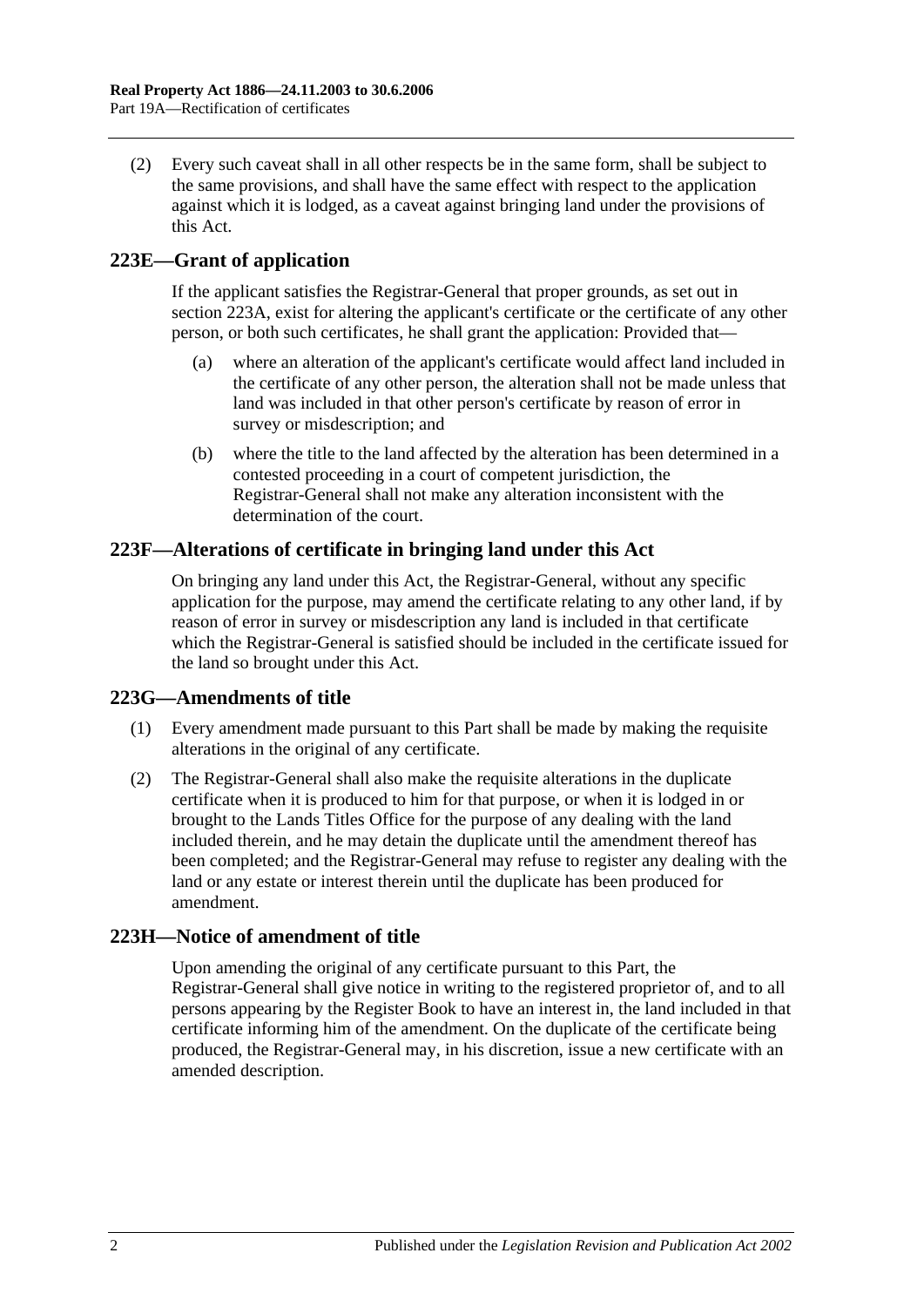(2) Every such caveat shall in all other respects be in the same form, shall be subject to the same provisions, and shall have the same effect with respect to the application against which it is lodged, as a caveat against bringing land under the provisions of this Act.

# **223E—Grant of application**

If the applicant satisfies the Registrar-General that proper grounds, as set out in [section](#page-98-3) 223A, exist for altering the applicant's certificate or the certificate of any other person, or both such certificates, he shall grant the application: Provided that—

- (a) where an alteration of the applicant's certificate would affect land included in the certificate of any other person, the alteration shall not be made unless that land was included in that other person's certificate by reason of error in survey or misdescription; and
- (b) where the title to the land affected by the alteration has been determined in a contested proceeding in a court of competent jurisdiction, the Registrar-General shall not make any alteration inconsistent with the determination of the court.

## **223F—Alterations of certificate in bringing land under this Act**

On bringing any land under this Act, the Registrar-General, without any specific application for the purpose, may amend the certificate relating to any other land, if by reason of error in survey or misdescription any land is included in that certificate which the Registrar-General is satisfied should be included in the certificate issued for the land so brought under this Act.

## **223G—Amendments of title**

- (1) Every amendment made pursuant to this Part shall be made by making the requisite alterations in the original of any certificate.
- (2) The Registrar-General shall also make the requisite alterations in the duplicate certificate when it is produced to him for that purpose, or when it is lodged in or brought to the Lands Titles Office for the purpose of any dealing with the land included therein, and he may detain the duplicate until the amendment thereof has been completed; and the Registrar-General may refuse to register any dealing with the land or any estate or interest therein until the duplicate has been produced for amendment.

## **223H—Notice of amendment of title**

Upon amending the original of any certificate pursuant to this Part, the Registrar-General shall give notice in writing to the registered proprietor of, and to all persons appearing by the Register Book to have an interest in, the land included in that certificate informing him of the amendment. On the duplicate of the certificate being produced, the Registrar-General may, in his discretion, issue a new certificate with an amended description.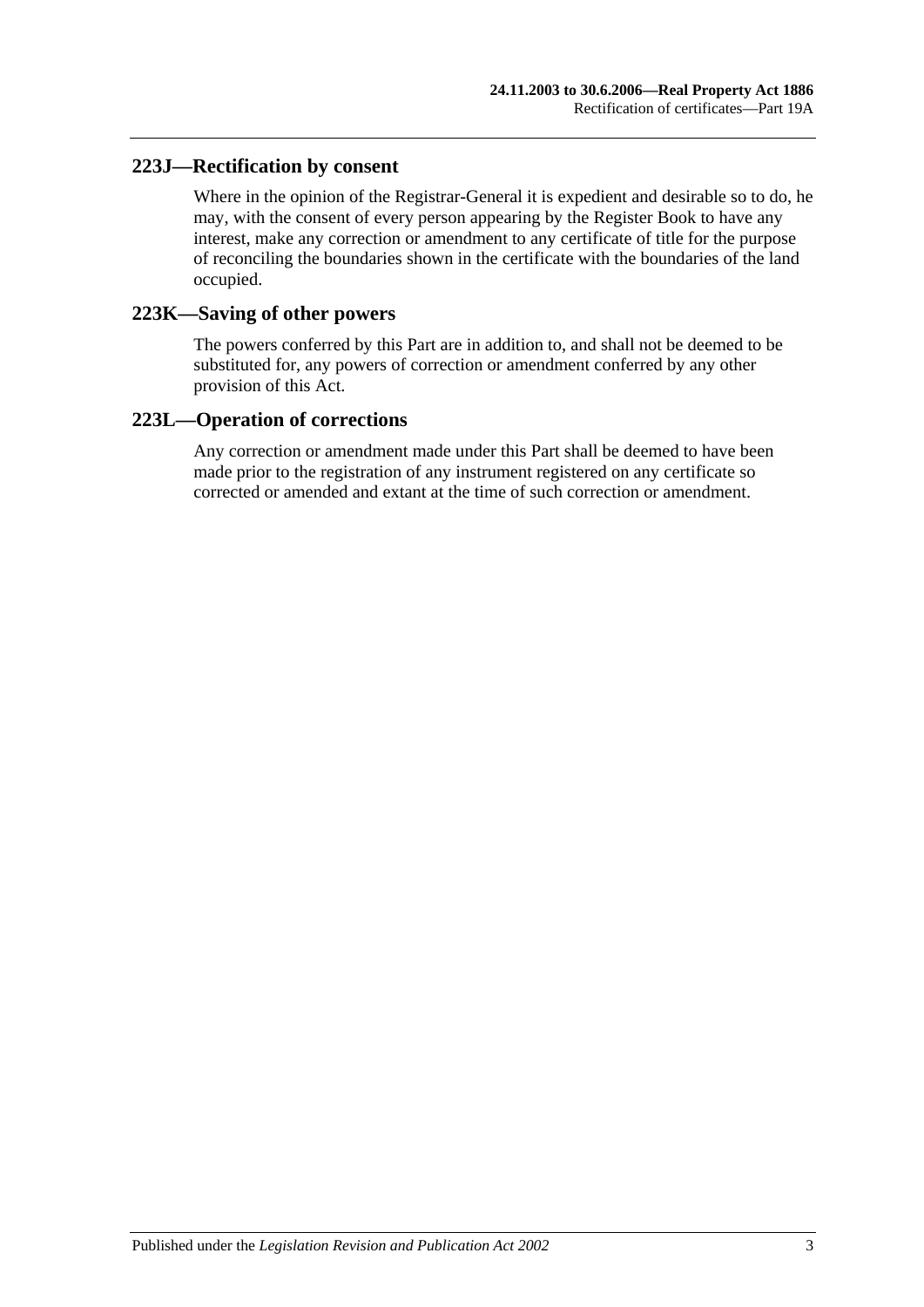## **223J—Rectification by consent**

Where in the opinion of the Registrar-General it is expedient and desirable so to do, he may, with the consent of every person appearing by the Register Book to have any interest, make any correction or amendment to any certificate of title for the purpose of reconciling the boundaries shown in the certificate with the boundaries of the land occupied.

## **223K—Saving of other powers**

The powers conferred by this Part are in addition to, and shall not be deemed to be substituted for, any powers of correction or amendment conferred by any other provision of this Act.

## **223L—Operation of corrections**

Any correction or amendment made under this Part shall be deemed to have been made prior to the registration of any instrument registered on any certificate so corrected or amended and extant at the time of such correction or amendment.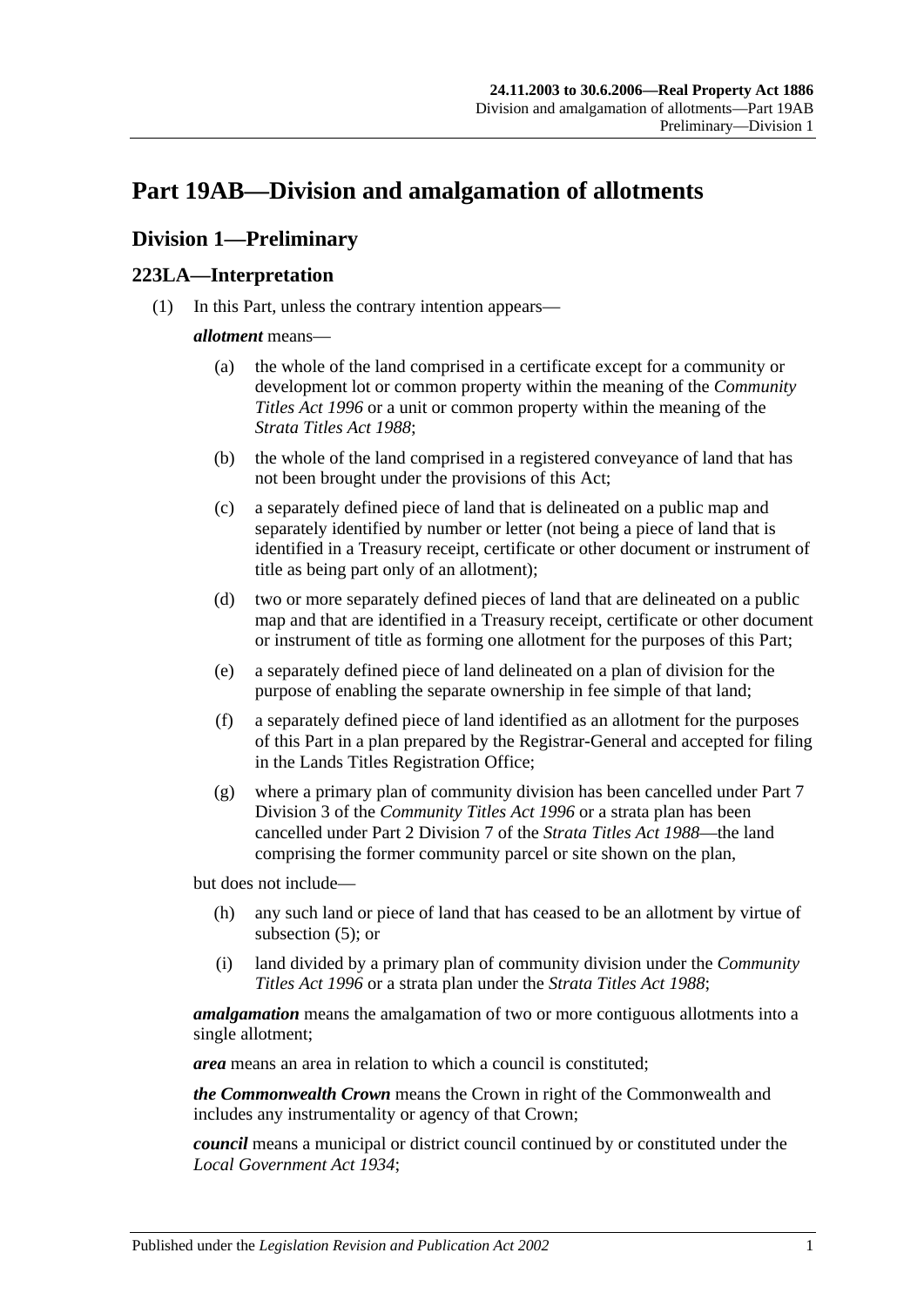# <span id="page-102-2"></span>**Part 19AB—Division and amalgamation of allotments**

# **Division 1—Preliminary**

## <span id="page-102-1"></span>**223LA—Interpretation**

(1) In this Part, unless the contrary intention appears—

#### *allotment* means—

- (a) the whole of the land comprised in a certificate except for a community or development lot or common property within the meaning of the *[Community](http://www.legislation.sa.gov.au/index.aspx?action=legref&type=act&legtitle=Community%20Titles%20Act%201996)  [Titles Act](http://www.legislation.sa.gov.au/index.aspx?action=legref&type=act&legtitle=Community%20Titles%20Act%201996) 1996* or a unit or common property within the meaning of the *[Strata Titles Act](http://www.legislation.sa.gov.au/index.aspx?action=legref&type=act&legtitle=Strata%20Titles%20Act%201988) 1988*;
- (b) the whole of the land comprised in a registered conveyance of land that has not been brought under the provisions of this Act;
- (c) a separately defined piece of land that is delineated on a public map and separately identified by number or letter (not being a piece of land that is identified in a Treasury receipt, certificate or other document or instrument of title as being part only of an allotment);
- (d) two or more separately defined pieces of land that are delineated on a public map and that are identified in a Treasury receipt, certificate or other document or instrument of title as forming one allotment for the purposes of this Part;
- <span id="page-102-0"></span>(e) a separately defined piece of land delineated on a plan of division for the purpose of enabling the separate ownership in fee simple of that land;
- (f) a separately defined piece of land identified as an allotment for the purposes of this Part in a plan prepared by the Registrar-General and accepted for filing in the Lands Titles Registration Office;
- (g) where a primary plan of community division has been cancelled under Part 7 Division 3 of the *[Community Titles Act](http://www.legislation.sa.gov.au/index.aspx?action=legref&type=act&legtitle=Community%20Titles%20Act%201996) 1996* or a strata plan has been cancelled under Part 2 Division 7 of the *[Strata Titles Act](http://www.legislation.sa.gov.au/index.aspx?action=legref&type=act&legtitle=Strata%20Titles%20Act%201988) 1988*—the land comprising the former community parcel or site shown on the plan,

but does not include—

- (h) any such land or piece of land that has ceased to be an allotment by virtue of [subsection](#page-104-0) (5); or
- (i) land divided by a primary plan of community division under the *[Community](http://www.legislation.sa.gov.au/index.aspx?action=legref&type=act&legtitle=Community%20Titles%20Act%201996)  [Titles Act](http://www.legislation.sa.gov.au/index.aspx?action=legref&type=act&legtitle=Community%20Titles%20Act%201996) 1996* or a strata plan under the *[Strata Titles Act](http://www.legislation.sa.gov.au/index.aspx?action=legref&type=act&legtitle=Strata%20Titles%20Act%201988) 1988*;

*amalgamation* means the amalgamation of two or more contiguous allotments into a single allotment;

*area* means an area in relation to which a council is constituted;

*the Commonwealth Crown* means the Crown in right of the Commonwealth and includes any instrumentality or agency of that Crown;

*council* means a municipal or district council continued by or constituted under the *[Local Government Act](http://www.legislation.sa.gov.au/index.aspx?action=legref&type=act&legtitle=Local%20Government%20Act%201934) 1934*;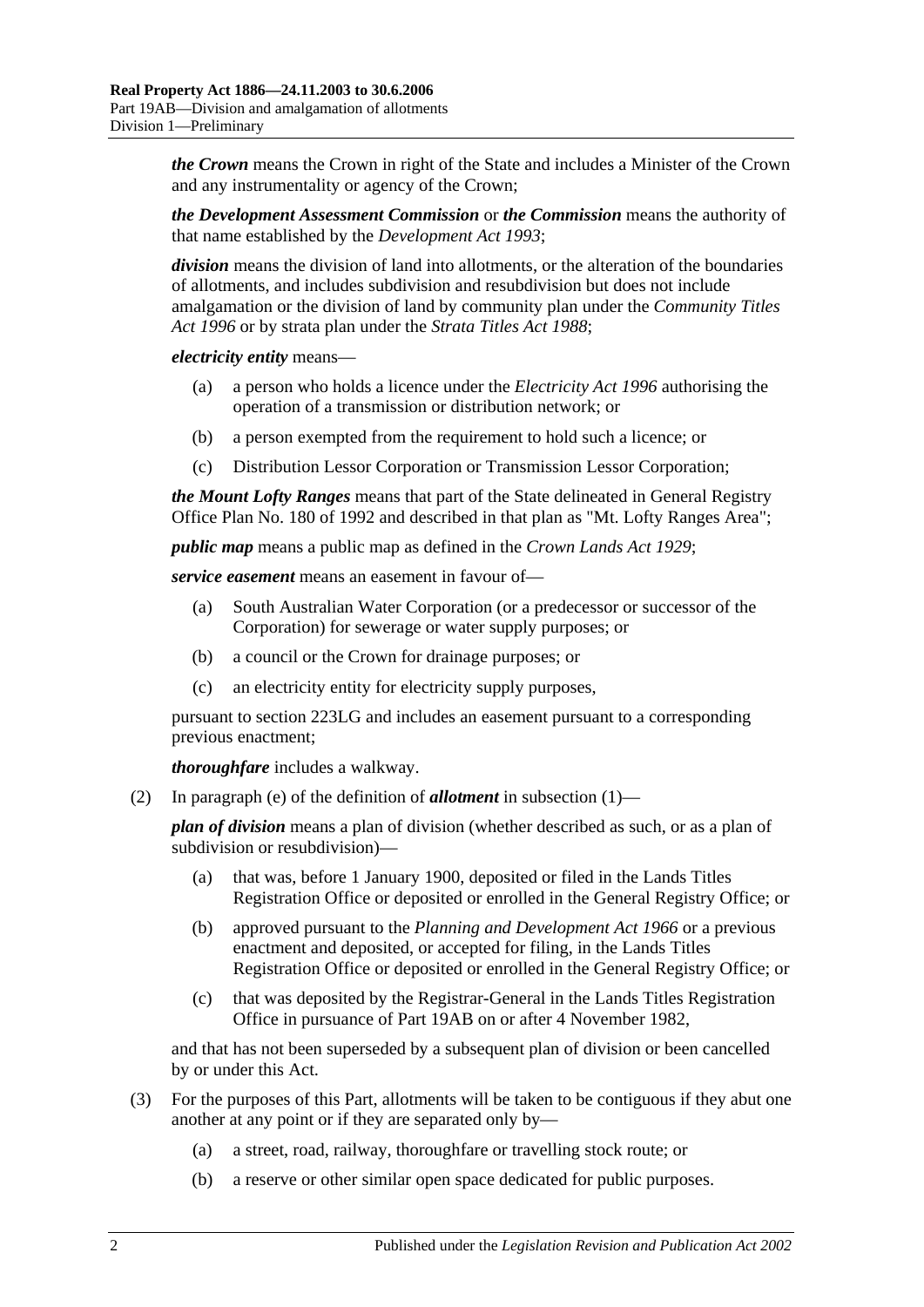*the Crown* means the Crown in right of the State and includes a Minister of the Crown and any instrumentality or agency of the Crown;

*the Development Assessment Commission* or *the Commission* means the authority of that name established by the *[Development Act](http://www.legislation.sa.gov.au/index.aspx?action=legref&type=act&legtitle=Development%20Act%201993) 1993*;

*division* means the division of land into allotments, or the alteration of the boundaries of allotments, and includes subdivision and resubdivision but does not include amalgamation or the division of land by community plan under the *[Community Titles](http://www.legislation.sa.gov.au/index.aspx?action=legref&type=act&legtitle=Community%20Titles%20Act%201996)  Act [1996](http://www.legislation.sa.gov.au/index.aspx?action=legref&type=act&legtitle=Community%20Titles%20Act%201996)* or by strata plan under the *[Strata Titles Act](http://www.legislation.sa.gov.au/index.aspx?action=legref&type=act&legtitle=Strata%20Titles%20Act%201988) 1988*;

*electricity entity* means—

- (a) a person who holds a licence under the *[Electricity Act](http://www.legislation.sa.gov.au/index.aspx?action=legref&type=act&legtitle=Electricity%20Act%201996) 1996* authorising the operation of a transmission or distribution network; or
- (b) a person exempted from the requirement to hold such a licence; or
- (c) Distribution Lessor Corporation or Transmission Lessor Corporation;

*the Mount Lofty Ranges* means that part of the State delineated in General Registry Office Plan No. 180 of 1992 and described in that plan as "Mt. Lofty Ranges Area";

*public map* means a public map as defined in the *[Crown Lands Act](http://www.legislation.sa.gov.au/index.aspx?action=legref&type=act&legtitle=Crown%20Lands%20Act%201929) 1929*;

*service easement* means an easement in favour of—

- (a) South Australian Water Corporation (or a predecessor or successor of the Corporation) for sewerage or water supply purposes; or
- (b) a council or the Crown for drainage purposes; or
- (c) an electricity entity for electricity supply purposes,

pursuant to [section](#page-108-0) 223LG and includes an easement pursuant to a corresponding previous enactment;

*thoroughfare* includes a walkway.

(2) In [paragraph](#page-102-0) (e) of the definition of *allotment* in [subsection](#page-102-1) (1)—

*plan of division* means a plan of division (whether described as such, or as a plan of subdivision or resubdivision)—

- (a) that was, before 1 January 1900, deposited or filed in the Lands Titles Registration Office or deposited or enrolled in the General Registry Office; or
- (b) approved pursuant to the *[Planning and Development Act](http://www.legislation.sa.gov.au/index.aspx?action=legref&type=act&legtitle=Planning%20and%20Development%20Act%201966) 1966* or a previous enactment and deposited, or accepted for filing, in the Lands Titles Registration Office or deposited or enrolled in the General Registry Office; or
- (c) that was deposited by the Registrar-General in the Lands Titles Registration Office in pursuance of [Part 19AB](#page-102-2) on or after 4 November 1982,

and that has not been superseded by a subsequent plan of division or been cancelled by or under this Act.

- <span id="page-103-0"></span>(3) For the purposes of this Part, allotments will be taken to be contiguous if they abut one another at any point or if they are separated only by—
	- (a) a street, road, railway, thoroughfare or travelling stock route; or
	- (b) a reserve or other similar open space dedicated for public purposes.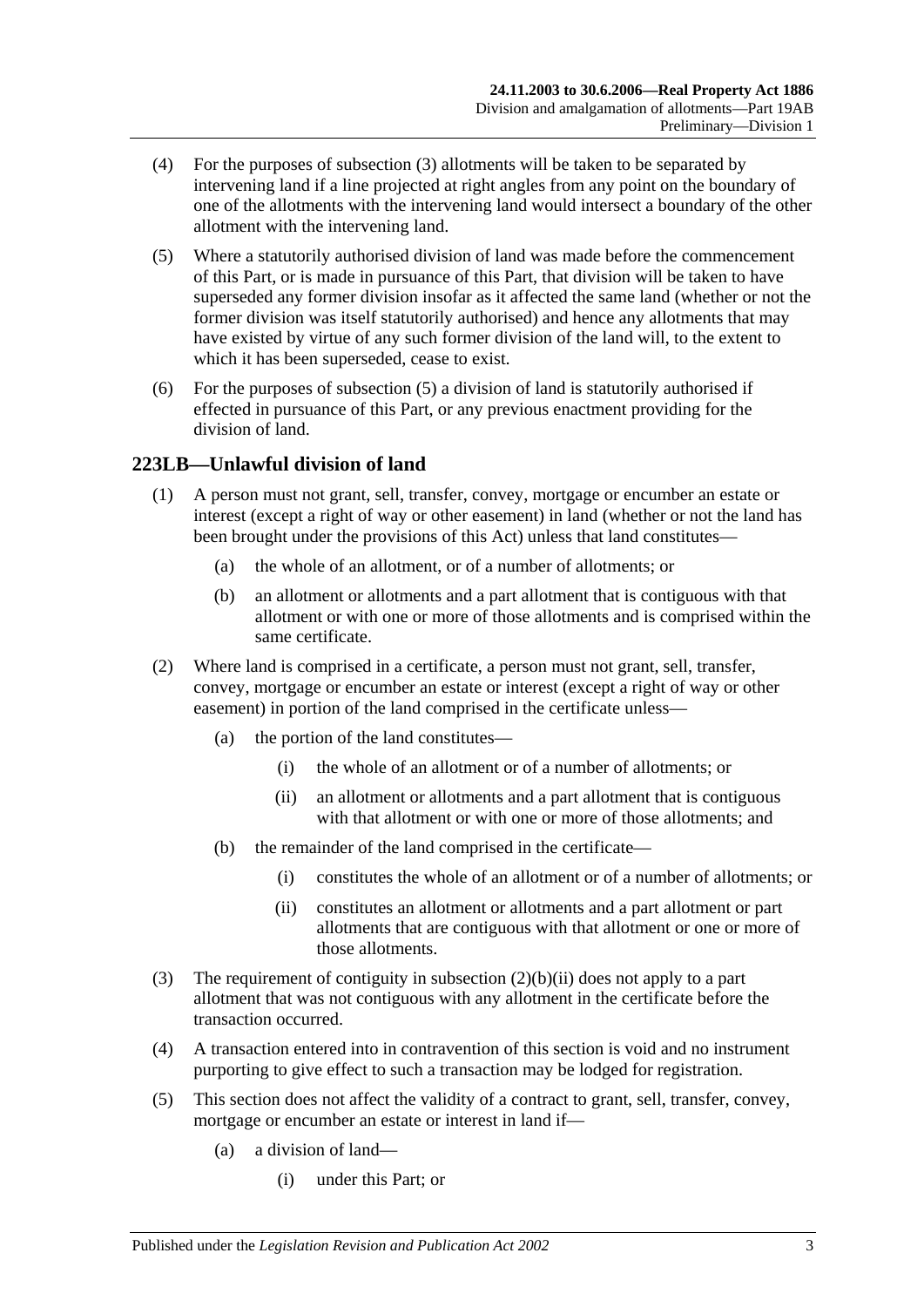- (4) For the purposes of [subsection](#page-103-0) (3) allotments will be taken to be separated by intervening land if a line projected at right angles from any point on the boundary of one of the allotments with the intervening land would intersect a boundary of the other allotment with the intervening land.
- <span id="page-104-0"></span>(5) Where a statutorily authorised division of land was made before the commencement of this Part, or is made in pursuance of this Part, that division will be taken to have superseded any former division insofar as it affected the same land (whether or not the former division was itself statutorily authorised) and hence any allotments that may have existed by virtue of any such former division of the land will, to the extent to which it has been superseded, cease to exist.
- (6) For the purposes of [subsection](#page-104-0) (5) a division of land is statutorily authorised if effected in pursuance of this Part, or any previous enactment providing for the division of land.

# **223LB—Unlawful division of land**

- (1) A person must not grant, sell, transfer, convey, mortgage or encumber an estate or interest (except a right of way or other easement) in land (whether or not the land has been brought under the provisions of this Act) unless that land constitutes—
	- (a) the whole of an allotment, or of a number of allotments; or
	- (b) an allotment or allotments and a part allotment that is contiguous with that allotment or with one or more of those allotments and is comprised within the same certificate.
- (2) Where land is comprised in a certificate, a person must not grant, sell, transfer, convey, mortgage or encumber an estate or interest (except a right of way or other easement) in portion of the land comprised in the certificate unless—
	- (a) the portion of the land constitutes—
		- (i) the whole of an allotment or of a number of allotments; or
		- (ii) an allotment or allotments and a part allotment that is contiguous with that allotment or with one or more of those allotments; and
	- (b) the remainder of the land comprised in the certificate—
		- (i) constitutes the whole of an allotment or of a number of allotments; or
		- (ii) constitutes an allotment or allotments and a part allotment or part allotments that are contiguous with that allotment or one or more of those allotments.
- <span id="page-104-1"></span>(3) The requirement of contiguity in [subsection](#page-104-1) (2)(b)(ii) does not apply to a part allotment that was not contiguous with any allotment in the certificate before the transaction occurred.
- (4) A transaction entered into in contravention of this section is void and no instrument purporting to give effect to such a transaction may be lodged for registration.
- (5) This section does not affect the validity of a contract to grant, sell, transfer, convey, mortgage or encumber an estate or interest in land if—
	- (a) a division of land—
		- (i) under this Part; or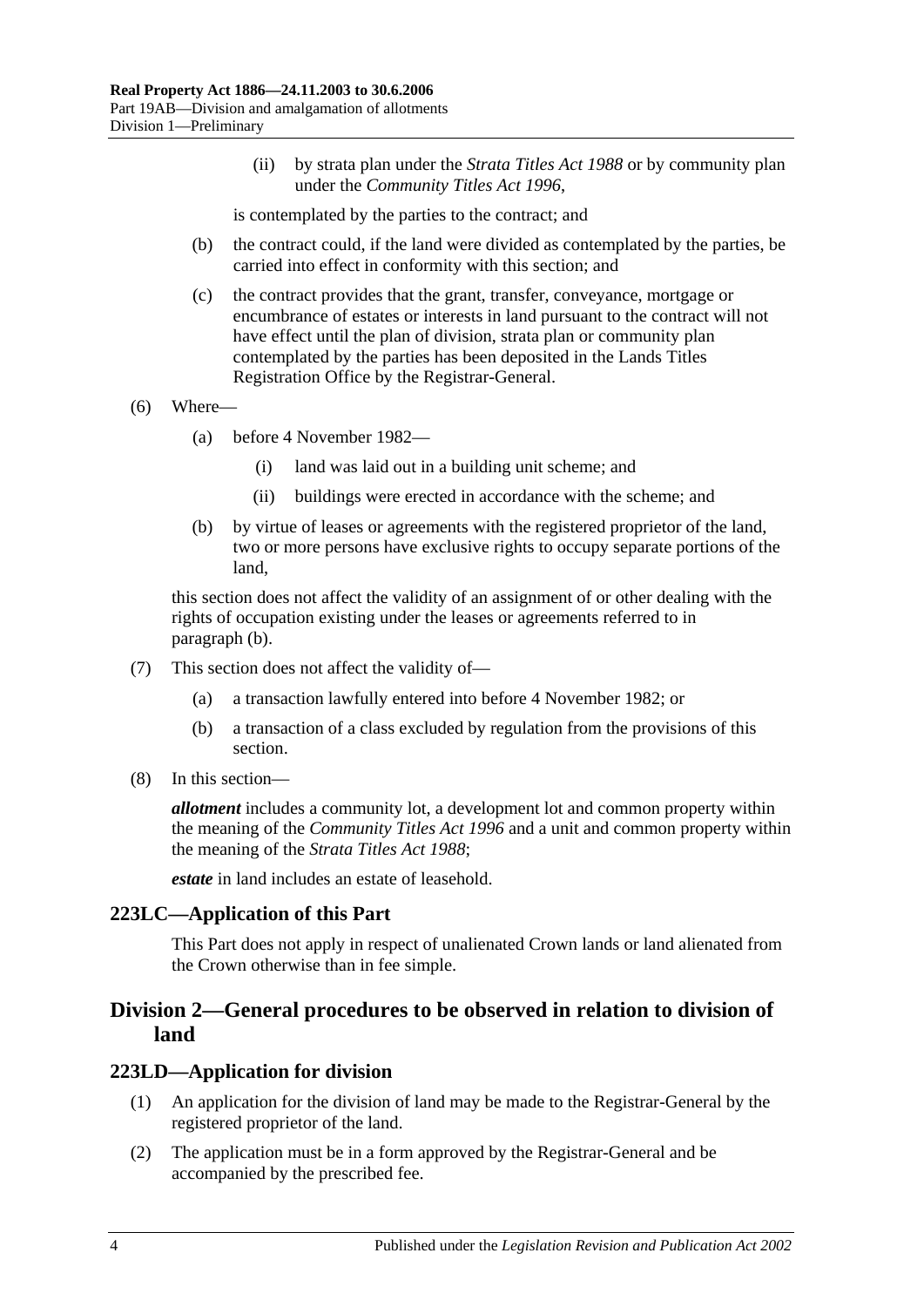(ii) by strata plan under the *[Strata Titles Act](http://www.legislation.sa.gov.au/index.aspx?action=legref&type=act&legtitle=Strata%20Titles%20Act%201988) 1988* or by community plan under the *[Community Titles Act](http://www.legislation.sa.gov.au/index.aspx?action=legref&type=act&legtitle=Community%20Titles%20Act%201996) 1996*,

is contemplated by the parties to the contract; and

- (b) the contract could, if the land were divided as contemplated by the parties, be carried into effect in conformity with this section; and
- (c) the contract provides that the grant, transfer, conveyance, mortgage or encumbrance of estates or interests in land pursuant to the contract will not have effect until the plan of division, strata plan or community plan contemplated by the parties has been deposited in the Lands Titles Registration Office by the Registrar-General.
- (6) Where—
	- (a) before 4 November 1982—
		- (i) land was laid out in a building unit scheme; and
		- (ii) buildings were erected in accordance with the scheme; and
	- (b) by virtue of leases or agreements with the registered proprietor of the land, two or more persons have exclusive rights to occupy separate portions of the land,

<span id="page-105-0"></span>this section does not affect the validity of an assignment of or other dealing with the rights of occupation existing under the leases or agreements referred to in [paragraph](#page-105-0) (b).

- (7) This section does not affect the validity of—
	- (a) a transaction lawfully entered into before 4 November 1982; or
	- (b) a transaction of a class excluded by regulation from the provisions of this section.
- (8) In this section—

*allotment* includes a community lot, a development lot and common property within the meaning of the *[Community Titles Act](http://www.legislation.sa.gov.au/index.aspx?action=legref&type=act&legtitle=Community%20Titles%20Act%201996) 1996* and a unit and common property within the meaning of the *[Strata Titles Act](http://www.legislation.sa.gov.au/index.aspx?action=legref&type=act&legtitle=Strata%20Titles%20Act%201988) 1988*;

*estate* in land includes an estate of leasehold.

#### **223LC—Application of this Part**

This Part does not apply in respect of unalienated Crown lands or land alienated from the Crown otherwise than in fee simple.

# **Division 2—General procedures to be observed in relation to division of land**

#### <span id="page-105-1"></span>**223LD—Application for division**

- (1) An application for the division of land may be made to the Registrar-General by the registered proprietor of the land.
- (2) The application must be in a form approved by the Registrar-General and be accompanied by the prescribed fee.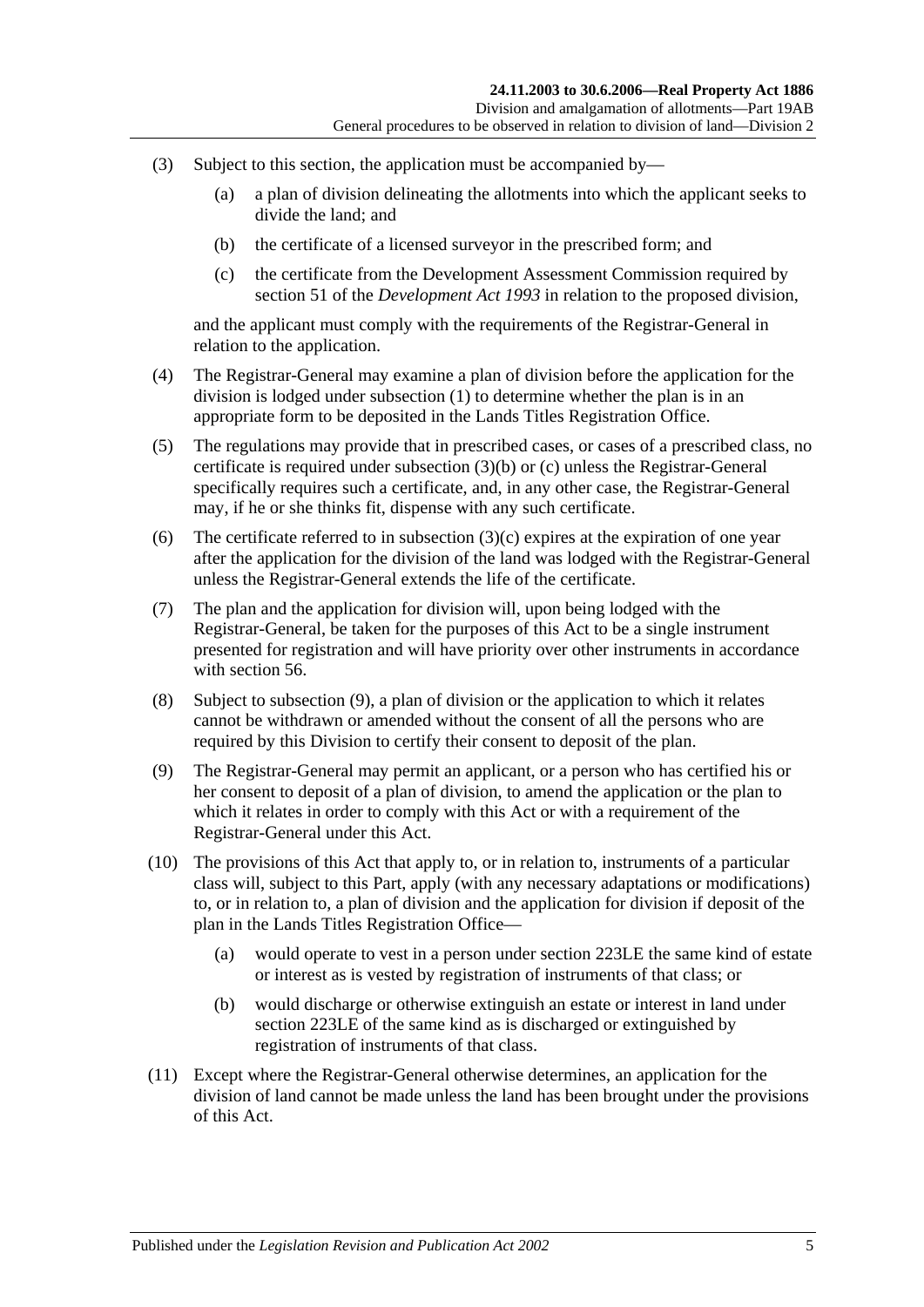- <span id="page-106-0"></span>(3) Subject to this section, the application must be accompanied by—
	- (a) a plan of division delineating the allotments into which the applicant seeks to divide the land; and
	- (b) the certificate of a licensed surveyor in the prescribed form; and
	- (c) the certificate from the Development Assessment Commission required by section 51 of the *[Development Act](http://www.legislation.sa.gov.au/index.aspx?action=legref&type=act&legtitle=Development%20Act%201993) 1993* in relation to the proposed division,

<span id="page-106-1"></span>and the applicant must comply with the requirements of the Registrar-General in relation to the application.

- (4) The Registrar-General may examine a plan of division before the application for the division is lodged under [subsection](#page-105-1) (1) to determine whether the plan is in an appropriate form to be deposited in the Lands Titles Registration Office.
- (5) The regulations may provide that in prescribed cases, or cases of a prescribed class, no certificate is required under [subsection](#page-106-0) (3)(b) or [\(c\)](#page-106-1) unless the Registrar-General specifically requires such a certificate, and, in any other case, the Registrar-General may, if he or she thinks fit, dispense with any such certificate.
- (6) The certificate referred to in [subsection](#page-106-1)  $(3)(c)$  expires at the expiration of one year after the application for the division of the land was lodged with the Registrar-General unless the Registrar-General extends the life of the certificate.
- (7) The plan and the application for division will, upon being lodged with the Registrar-General, be taken for the purposes of this Act to be a single instrument presented for registration and will have priority over other instruments in accordance with [section](#page-29-0) 56.
- (8) Subject to [subsection](#page-106-2) (9), a plan of division or the application to which it relates cannot be withdrawn or amended without the consent of all the persons who are required by this Division to certify their consent to deposit of the plan.
- <span id="page-106-2"></span>(9) The Registrar-General may permit an applicant, or a person who has certified his or her consent to deposit of a plan of division, to amend the application or the plan to which it relates in order to comply with this Act or with a requirement of the Registrar-General under this Act.
- (10) The provisions of this Act that apply to, or in relation to, instruments of a particular class will, subject to this Part, apply (with any necessary adaptations or modifications) to, or in relation to, a plan of division and the application for division if deposit of the plan in the Lands Titles Registration Office—
	- (a) would operate to vest in a person under [section](#page-107-0) 223LE the same kind of estate or interest as is vested by registration of instruments of that class; or
	- (b) would discharge or otherwise extinguish an estate or interest in land under [section](#page-107-0) 223LE of the same kind as is discharged or extinguished by registration of instruments of that class.
- (11) Except where the Registrar-General otherwise determines, an application for the division of land cannot be made unless the land has been brought under the provisions of this Act.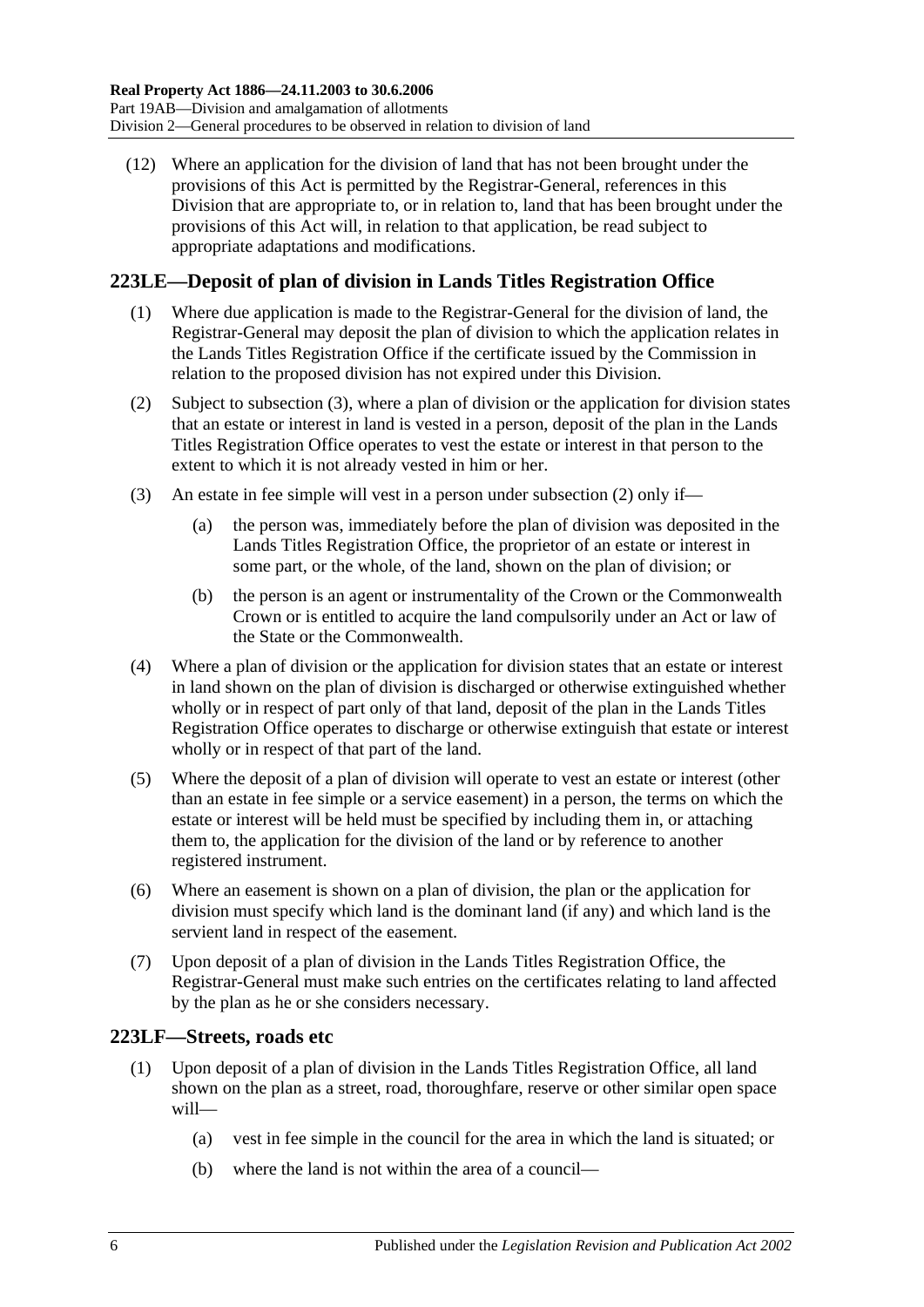(12) Where an application for the division of land that has not been brought under the provisions of this Act is permitted by the Registrar-General, references in this Division that are appropriate to, or in relation to, land that has been brought under the provisions of this Act will, in relation to that application, be read subject to appropriate adaptations and modifications.

# <span id="page-107-0"></span>**223LE—Deposit of plan of division in Lands Titles Registration Office**

- (1) Where due application is made to the Registrar-General for the division of land, the Registrar-General may deposit the plan of division to which the application relates in the Lands Titles Registration Office if the certificate issued by the Commission in relation to the proposed division has not expired under this Division.
- <span id="page-107-2"></span>(2) Subject to [subsection](#page-107-1) (3), where a plan of division or the application for division states that an estate or interest in land is vested in a person, deposit of the plan in the Lands Titles Registration Office operates to vest the estate or interest in that person to the extent to which it is not already vested in him or her.
- <span id="page-107-1"></span>(3) An estate in fee simple will vest in a person under [subsection](#page-107-2) (2) only if—
	- (a) the person was, immediately before the plan of division was deposited in the Lands Titles Registration Office, the proprietor of an estate or interest in some part, or the whole, of the land, shown on the plan of division; or
	- (b) the person is an agent or instrumentality of the Crown or the Commonwealth Crown or is entitled to acquire the land compulsorily under an Act or law of the State or the Commonwealth.
- (4) Where a plan of division or the application for division states that an estate or interest in land shown on the plan of division is discharged or otherwise extinguished whether wholly or in respect of part only of that land, deposit of the plan in the Lands Titles Registration Office operates to discharge or otherwise extinguish that estate or interest wholly or in respect of that part of the land.
- (5) Where the deposit of a plan of division will operate to vest an estate or interest (other than an estate in fee simple or a service easement) in a person, the terms on which the estate or interest will be held must be specified by including them in, or attaching them to, the application for the division of the land or by reference to another registered instrument.
- (6) Where an easement is shown on a plan of division, the plan or the application for division must specify which land is the dominant land (if any) and which land is the servient land in respect of the easement.
- (7) Upon deposit of a plan of division in the Lands Titles Registration Office, the Registrar-General must make such entries on the certificates relating to land affected by the plan as he or she considers necessary.

# **223LF—Streets, roads etc**

- (1) Upon deposit of a plan of division in the Lands Titles Registration Office, all land shown on the plan as a street, road, thoroughfare, reserve or other similar open space will—
	- (a) vest in fee simple in the council for the area in which the land is situated; or
	- (b) where the land is not within the area of a council—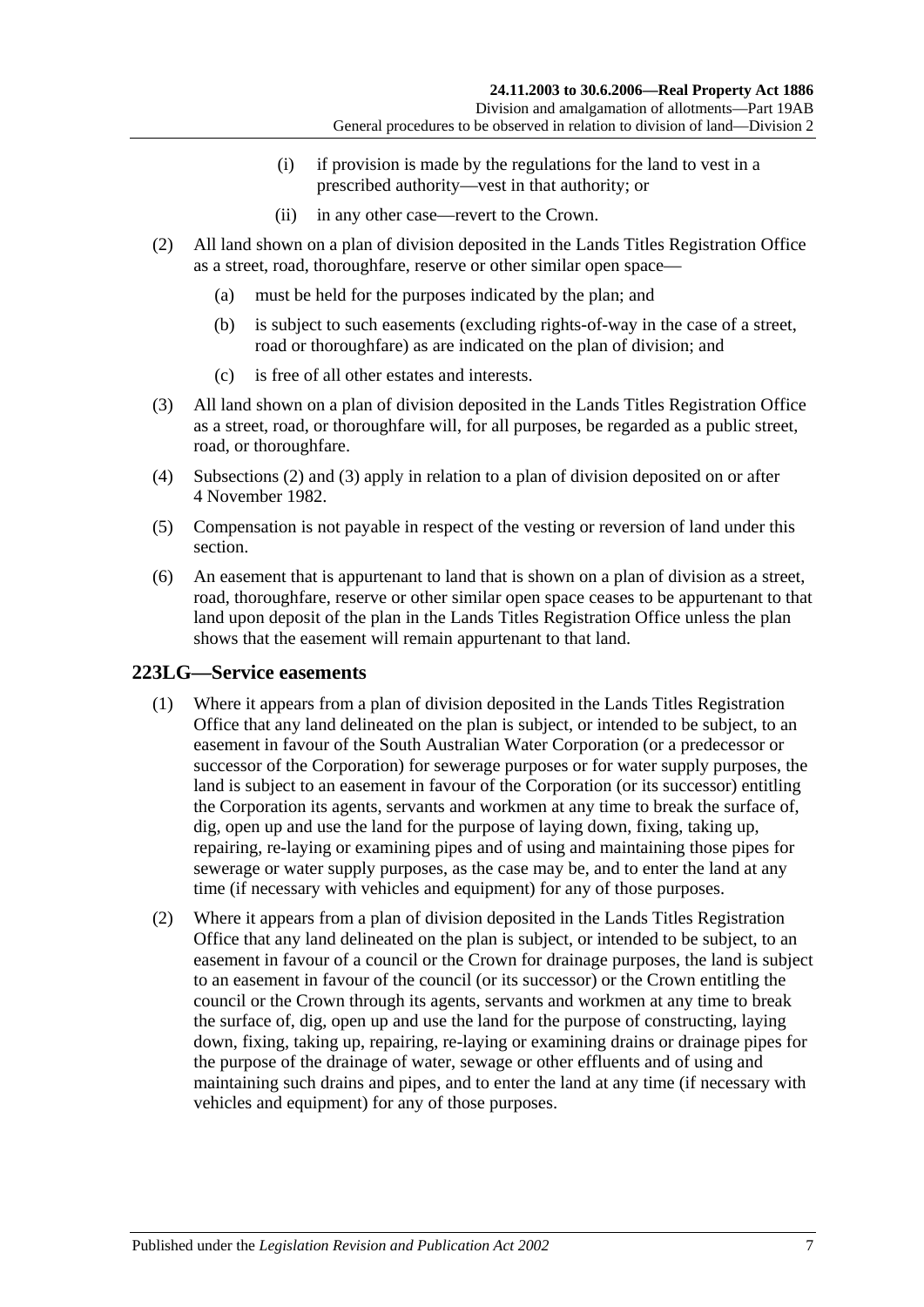- (i) if provision is made by the regulations for the land to vest in a prescribed authority—vest in that authority; or
- (ii) in any other case—revert to the Crown.
- <span id="page-108-0"></span>(2) All land shown on a plan of division deposited in the Lands Titles Registration Office as a street, road, thoroughfare, reserve or other similar open space—
	- (a) must be held for the purposes indicated by the plan; and
	- (b) is subject to such easements (excluding rights-of-way in the case of a street, road or thoroughfare) as are indicated on the plan of division; and
	- (c) is free of all other estates and interests.
- <span id="page-108-1"></span>(3) All land shown on a plan of division deposited in the Lands Titles Registration Office as a street, road, or thoroughfare will, for all purposes, be regarded as a public street, road, or thoroughfare.
- (4) [Subsections](#page-108-0) (2) and [\(3\)](#page-108-1) apply in relation to a plan of division deposited on or after 4 November 1982.
- (5) Compensation is not payable in respect of the vesting or reversion of land under this section.
- (6) An easement that is appurtenant to land that is shown on a plan of division as a street, road, thoroughfare, reserve or other similar open space ceases to be appurtenant to that land upon deposit of the plan in the Lands Titles Registration Office unless the plan shows that the easement will remain appurtenant to that land.

#### <span id="page-108-4"></span><span id="page-108-2"></span>**223LG—Service easements**

- (1) Where it appears from a plan of division deposited in the Lands Titles Registration Office that any land delineated on the plan is subject, or intended to be subject, to an easement in favour of the South Australian Water Corporation (or a predecessor or successor of the Corporation) for sewerage purposes or for water supply purposes, the land is subject to an easement in favour of the Corporation (or its successor) entitling the Corporation its agents, servants and workmen at any time to break the surface of, dig, open up and use the land for the purpose of laying down, fixing, taking up, repairing, re-laying or examining pipes and of using and maintaining those pipes for sewerage or water supply purposes, as the case may be, and to enter the land at any time (if necessary with vehicles and equipment) for any of those purposes.
- <span id="page-108-3"></span>(2) Where it appears from a plan of division deposited in the Lands Titles Registration Office that any land delineated on the plan is subject, or intended to be subject, to an easement in favour of a council or the Crown for drainage purposes, the land is subject to an easement in favour of the council (or its successor) or the Crown entitling the council or the Crown through its agents, servants and workmen at any time to break the surface of, dig, open up and use the land for the purpose of constructing, laying down, fixing, taking up, repairing, re-laying or examining drains or drainage pipes for the purpose of the drainage of water, sewage or other effluents and of using and maintaining such drains and pipes, and to enter the land at any time (if necessary with vehicles and equipment) for any of those purposes.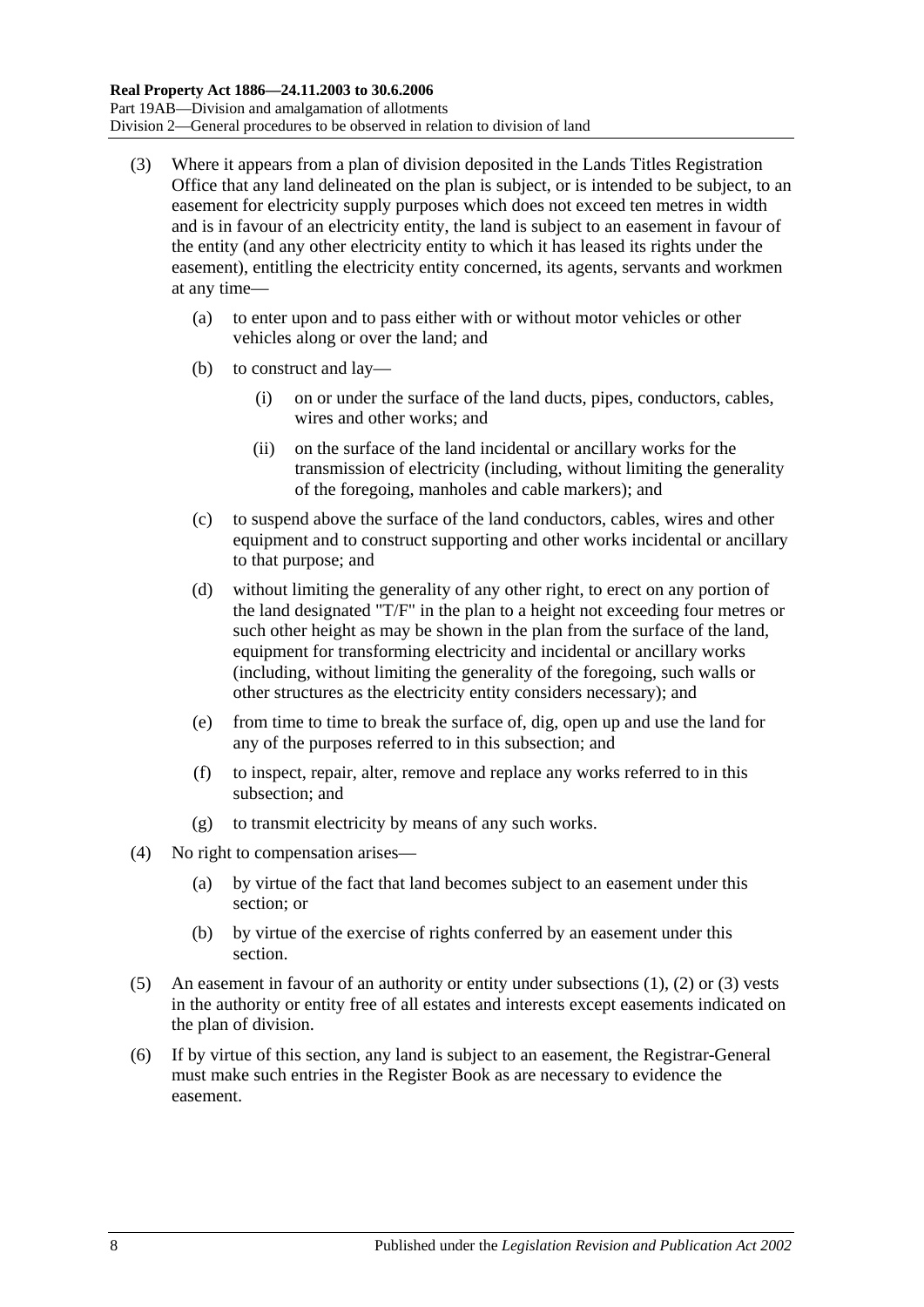- <span id="page-109-0"></span>(3) Where it appears from a plan of division deposited in the Lands Titles Registration Office that any land delineated on the plan is subject, or is intended to be subject, to an easement for electricity supply purposes which does not exceed ten metres in width and is in favour of an electricity entity, the land is subject to an easement in favour of the entity (and any other electricity entity to which it has leased its rights under the easement), entitling the electricity entity concerned, its agents, servants and workmen at any time—
	- (a) to enter upon and to pass either with or without motor vehicles or other vehicles along or over the land; and
	- (b) to construct and lay—
		- (i) on or under the surface of the land ducts, pipes, conductors, cables, wires and other works; and
		- (ii) on the surface of the land incidental or ancillary works for the transmission of electricity (including, without limiting the generality of the foregoing, manholes and cable markers); and
	- (c) to suspend above the surface of the land conductors, cables, wires and other equipment and to construct supporting and other works incidental or ancillary to that purpose; and
	- (d) without limiting the generality of any other right, to erect on any portion of the land designated "T/F" in the plan to a height not exceeding four metres or such other height as may be shown in the plan from the surface of the land, equipment for transforming electricity and incidental or ancillary works (including, without limiting the generality of the foregoing, such walls or other structures as the electricity entity considers necessary); and
	- (e) from time to time to break the surface of, dig, open up and use the land for any of the purposes referred to in this subsection; and
	- (f) to inspect, repair, alter, remove and replace any works referred to in this subsection; and
	- (g) to transmit electricity by means of any such works.
- (4) No right to compensation arises—
	- (a) by virtue of the fact that land becomes subject to an easement under this section; or
	- (b) by virtue of the exercise of rights conferred by an easement under this section.
- (5) An easement in favour of an authority or entity under [subsections](#page-108-2) (1), [\(2\)](#page-108-3) or [\(3\)](#page-109-0) vests in the authority or entity free of all estates and interests except easements indicated on the plan of division.
- (6) If by virtue of this section, any land is subject to an easement, the Registrar-General must make such entries in the Register Book as are necessary to evidence the easement.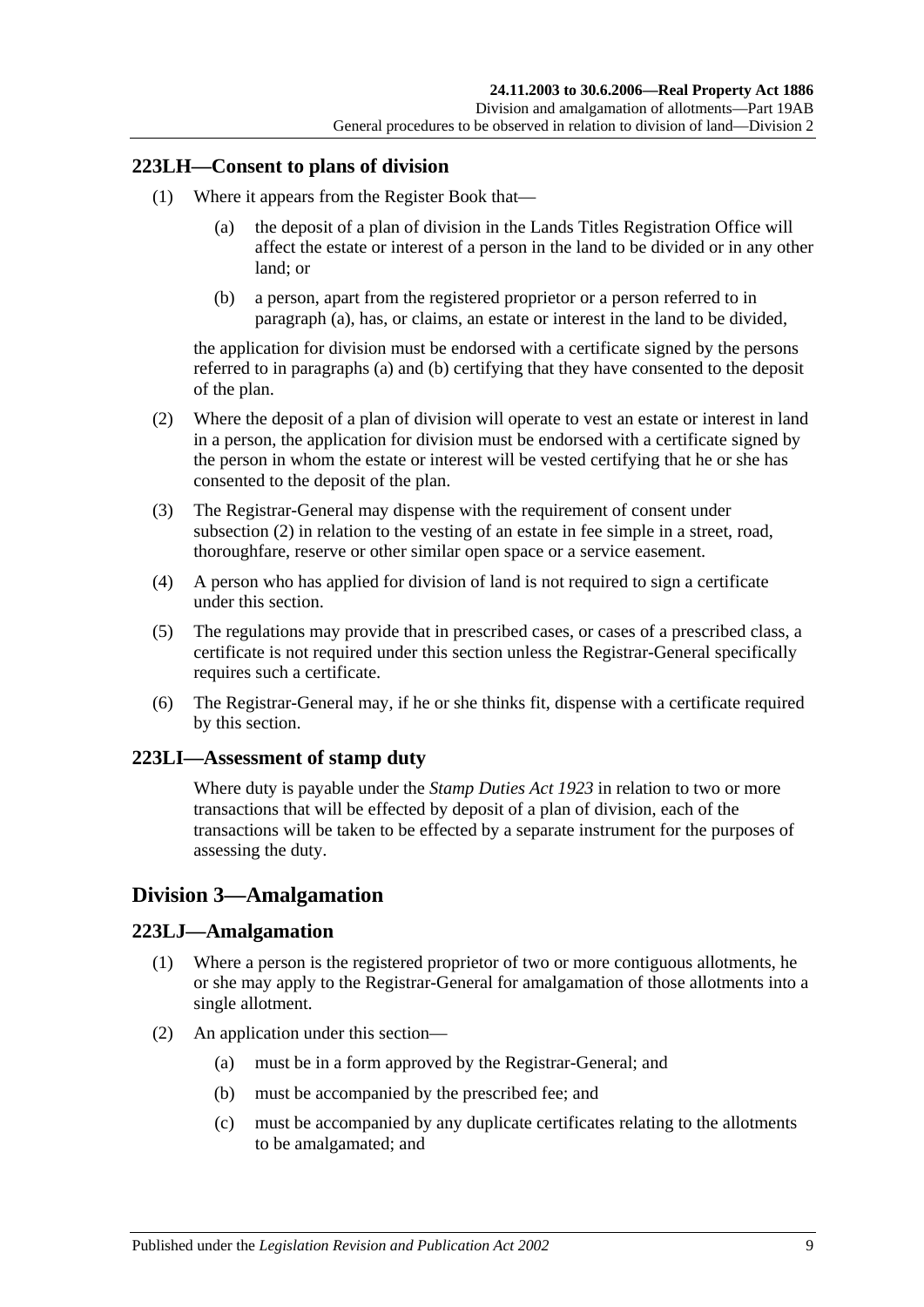#### **223LH—Consent to plans of division**

- <span id="page-110-0"></span>(1) Where it appears from the Register Book that—
	- (a) the deposit of a plan of division in the Lands Titles Registration Office will affect the estate or interest of a person in the land to be divided or in any other land; or
	- (b) a person, apart from the registered proprietor or a person referred to in [paragraph](#page-110-0) (a), has, or claims, an estate or interest in the land to be divided,

<span id="page-110-1"></span>the application for division must be endorsed with a certificate signed by the persons referred to in [paragraphs](#page-110-0) (a) and [\(b\)](#page-110-1) certifying that they have consented to the deposit of the plan.

- <span id="page-110-2"></span>(2) Where the deposit of a plan of division will operate to vest an estate or interest in land in a person, the application for division must be endorsed with a certificate signed by the person in whom the estate or interest will be vested certifying that he or she has consented to the deposit of the plan.
- (3) The Registrar-General may dispense with the requirement of consent under [subsection](#page-110-2) (2) in relation to the vesting of an estate in fee simple in a street, road, thoroughfare, reserve or other similar open space or a service easement.
- (4) A person who has applied for division of land is not required to sign a certificate under this section.
- (5) The regulations may provide that in prescribed cases, or cases of a prescribed class, a certificate is not required under this section unless the Registrar-General specifically requires such a certificate.
- (6) The Registrar-General may, if he or she thinks fit, dispense with a certificate required by this section.

#### **223LI—Assessment of stamp duty**

Where duty is payable under the *[Stamp Duties Act](http://www.legislation.sa.gov.au/index.aspx?action=legref&type=act&legtitle=Stamp%20Duties%20Act%201923) 1923* in relation to two or more transactions that will be effected by deposit of a plan of division, each of the transactions will be taken to be effected by a separate instrument for the purposes of assessing the duty.

## <span id="page-110-3"></span>**Division 3—Amalgamation**

#### **223LJ—Amalgamation**

- (1) Where a person is the registered proprietor of two or more contiguous allotments, he or she may apply to the Registrar-General for amalgamation of those allotments into a single allotment.
- (2) An application under this section—
	- (a) must be in a form approved by the Registrar-General; and
	- (b) must be accompanied by the prescribed fee; and
	- (c) must be accompanied by any duplicate certificates relating to the allotments to be amalgamated; and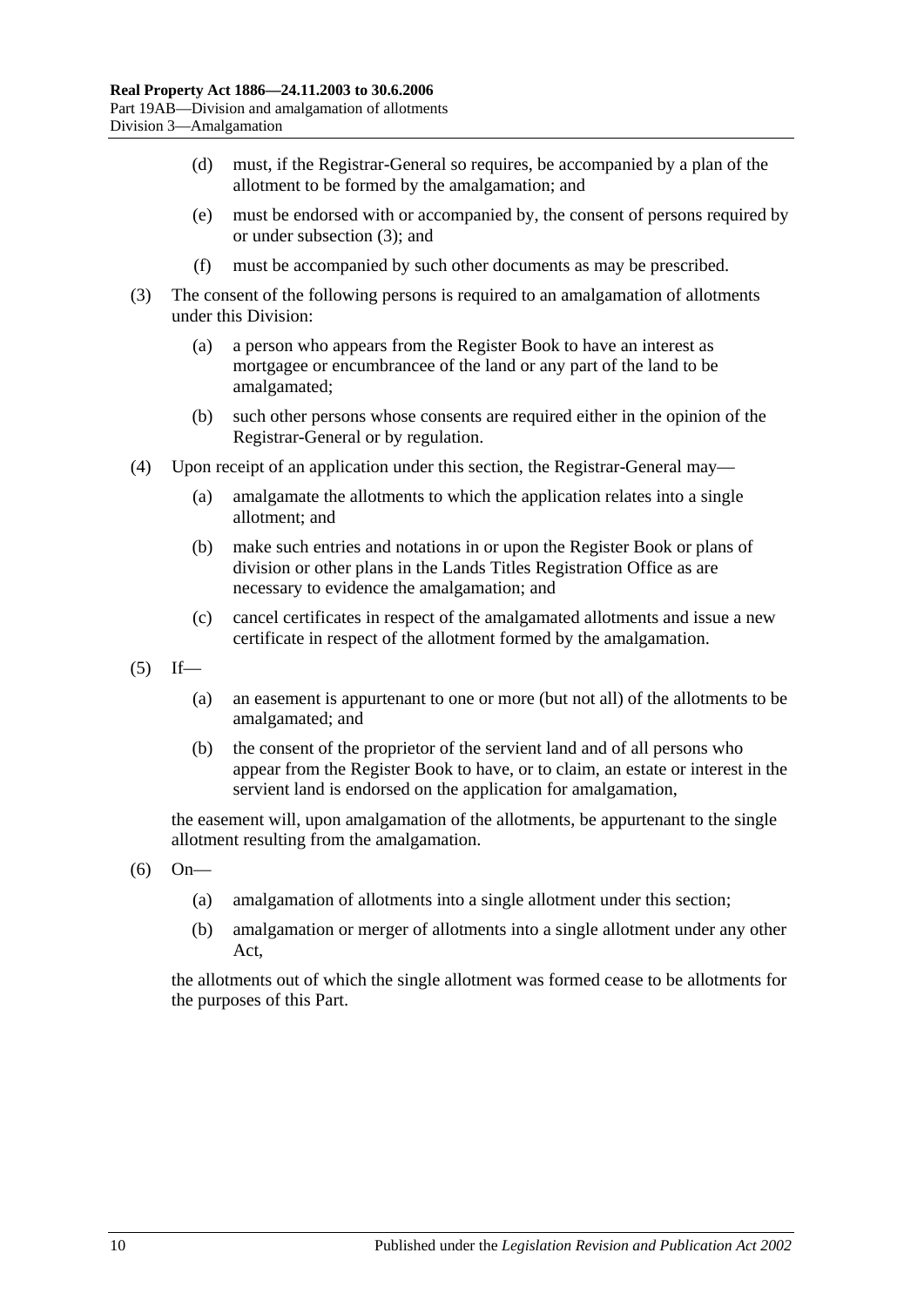- (d) must, if the Registrar-General so requires, be accompanied by a plan of the allotment to be formed by the amalgamation; and
- (e) must be endorsed with or accompanied by, the consent of persons required by or under [subsection](#page-111-0) (3); and
- (f) must be accompanied by such other documents as may be prescribed.
- <span id="page-111-0"></span>(3) The consent of the following persons is required to an amalgamation of allotments under this Division:
	- (a) a person who appears from the Register Book to have an interest as mortgagee or encumbrancee of the land or any part of the land to be amalgamated;
	- (b) such other persons whose consents are required either in the opinion of the Registrar-General or by regulation.
- (4) Upon receipt of an application under this section, the Registrar-General may—
	- (a) amalgamate the allotments to which the application relates into a single allotment; and
	- (b) make such entries and notations in or upon the Register Book or plans of division or other plans in the Lands Titles Registration Office as are necessary to evidence the amalgamation; and
	- (c) cancel certificates in respect of the amalgamated allotments and issue a new certificate in respect of the allotment formed by the amalgamation.
- $(5)$  If—
	- (a) an easement is appurtenant to one or more (but not all) of the allotments to be amalgamated; and
	- (b) the consent of the proprietor of the servient land and of all persons who appear from the Register Book to have, or to claim, an estate or interest in the servient land is endorsed on the application for amalgamation,

the easement will, upon amalgamation of the allotments, be appurtenant to the single allotment resulting from the amalgamation.

- (6) On—
	- (a) amalgamation of allotments into a single allotment under this section;
	- (b) amalgamation or merger of allotments into a single allotment under any other Act,

the allotments out of which the single allotment was formed cease to be allotments for the purposes of this Part.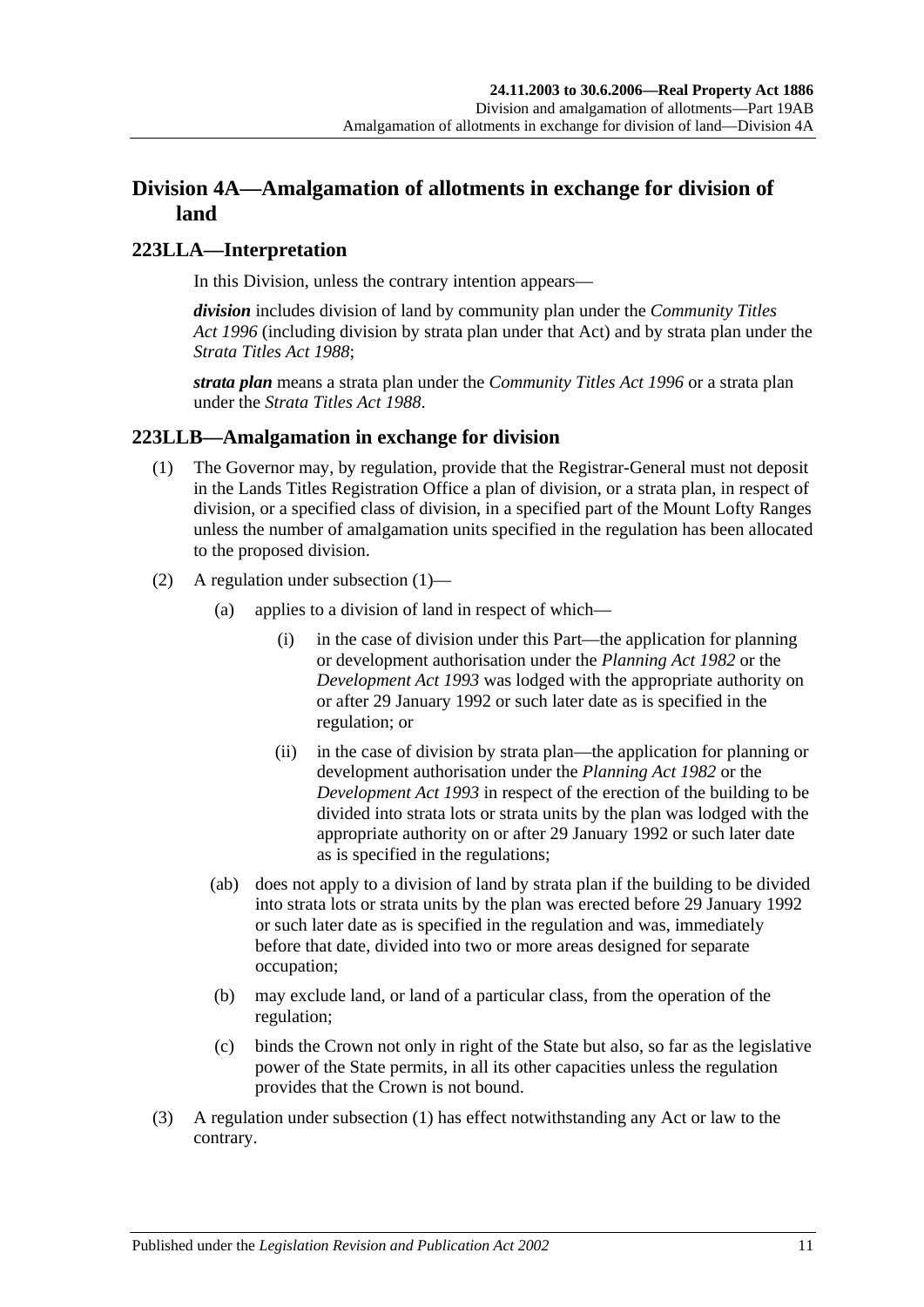## **Division 4A—Amalgamation of allotments in exchange for division of land**

#### **223LLA—Interpretation**

In this Division, unless the contrary intention appears—

*division* includes division of land by community plan under the *[Community Titles](http://www.legislation.sa.gov.au/index.aspx?action=legref&type=act&legtitle=Community%20Titles%20Act%201996)  Act [1996](http://www.legislation.sa.gov.au/index.aspx?action=legref&type=act&legtitle=Community%20Titles%20Act%201996)* (including division by strata plan under that Act) and by strata plan under the *[Strata Titles Act](http://www.legislation.sa.gov.au/index.aspx?action=legref&type=act&legtitle=Strata%20Titles%20Act%201988) 1988*;

*strata plan* means a strata plan under the *[Community Titles Act](http://www.legislation.sa.gov.au/index.aspx?action=legref&type=act&legtitle=Community%20Titles%20Act%201996) 1996* or a strata plan under the *[Strata Titles Act](http://www.legislation.sa.gov.au/index.aspx?action=legref&type=act&legtitle=Strata%20Titles%20Act%201988) 1988*.

#### <span id="page-112-0"></span>**223LLB—Amalgamation in exchange for division**

- (1) The Governor may, by regulation, provide that the Registrar-General must not deposit in the Lands Titles Registration Office a plan of division, or a strata plan, in respect of division, or a specified class of division, in a specified part of the Mount Lofty Ranges unless the number of amalgamation units specified in the regulation has been allocated to the proposed division.
- (2) A regulation under [subsection](#page-112-0) (1)—
	- (a) applies to a division of land in respect of which—
		- (i) in the case of division under this Part—the application for planning or development authorisation under the *[Planning Act](http://www.legislation.sa.gov.au/index.aspx?action=legref&type=act&legtitle=Planning%20Act%201982) 1982* or the *[Development Act](http://www.legislation.sa.gov.au/index.aspx?action=legref&type=act&legtitle=Development%20Act%201993) 1993* was lodged with the appropriate authority on or after 29 January 1992 or such later date as is specified in the regulation; or
		- (ii) in the case of division by strata plan—the application for planning or development authorisation under the *[Planning Act](http://www.legislation.sa.gov.au/index.aspx?action=legref&type=act&legtitle=Planning%20Act%201982) 1982* or the *[Development Act](http://www.legislation.sa.gov.au/index.aspx?action=legref&type=act&legtitle=Development%20Act%201993) 1993* in respect of the erection of the building to be divided into strata lots or strata units by the plan was lodged with the appropriate authority on or after 29 January 1992 or such later date as is specified in the regulations;
	- (ab) does not apply to a division of land by strata plan if the building to be divided into strata lots or strata units by the plan was erected before 29 January 1992 or such later date as is specified in the regulation and was, immediately before that date, divided into two or more areas designed for separate occupation;
	- (b) may exclude land, or land of a particular class, from the operation of the regulation;
	- (c) binds the Crown not only in right of the State but also, so far as the legislative power of the State permits, in all its other capacities unless the regulation provides that the Crown is not bound.
- (3) A regulation under [subsection](#page-112-0) (1) has effect notwithstanding any Act or law to the contrary.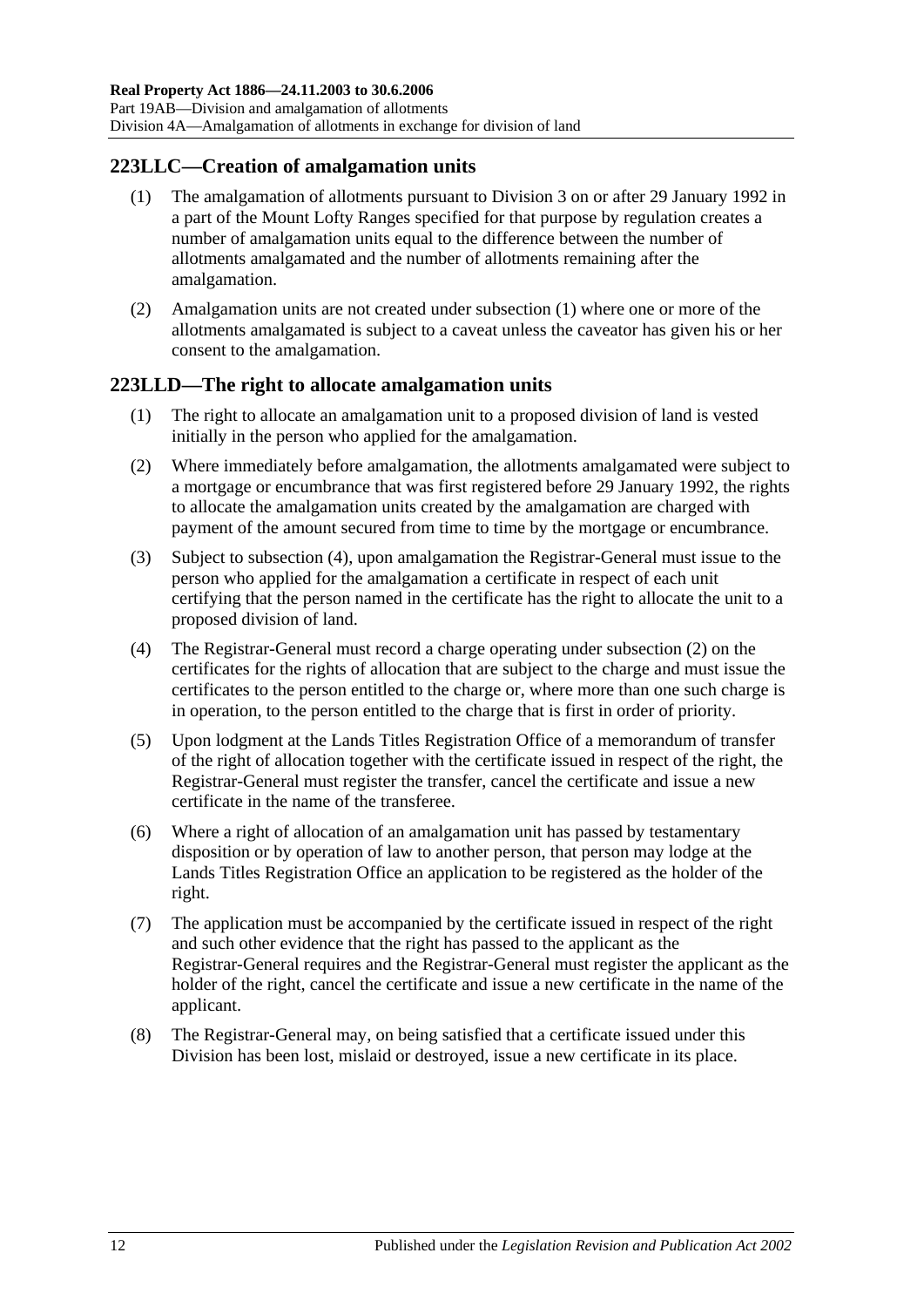#### <span id="page-113-0"></span>**223LLC—Creation of amalgamation units**

- (1) The amalgamation of allotments pursuant to [Division 3](#page-110-3) on or after 29 January 1992 in a part of the Mount Lofty Ranges specified for that purpose by regulation creates a number of amalgamation units equal to the difference between the number of allotments amalgamated and the number of allotments remaining after the amalgamation.
- (2) Amalgamation units are not created under [subsection](#page-113-0) (1) where one or more of the allotments amalgamated is subject to a caveat unless the caveator has given his or her consent to the amalgamation.

#### **223LLD—The right to allocate amalgamation units**

- (1) The right to allocate an amalgamation unit to a proposed division of land is vested initially in the person who applied for the amalgamation.
- <span id="page-113-2"></span>(2) Where immediately before amalgamation, the allotments amalgamated were subject to a mortgage or encumbrance that was first registered before 29 January 1992, the rights to allocate the amalgamation units created by the amalgamation are charged with payment of the amount secured from time to time by the mortgage or encumbrance.
- (3) Subject to [subsection](#page-113-1) (4), upon amalgamation the Registrar-General must issue to the person who applied for the amalgamation a certificate in respect of each unit certifying that the person named in the certificate has the right to allocate the unit to a proposed division of land.
- <span id="page-113-1"></span>(4) The Registrar-General must record a charge operating under [subsection](#page-113-2) (2) on the certificates for the rights of allocation that are subject to the charge and must issue the certificates to the person entitled to the charge or, where more than one such charge is in operation, to the person entitled to the charge that is first in order of priority.
- (5) Upon lodgment at the Lands Titles Registration Office of a memorandum of transfer of the right of allocation together with the certificate issued in respect of the right, the Registrar-General must register the transfer, cancel the certificate and issue a new certificate in the name of the transferee.
- (6) Where a right of allocation of an amalgamation unit has passed by testamentary disposition or by operation of law to another person, that person may lodge at the Lands Titles Registration Office an application to be registered as the holder of the right.
- (7) The application must be accompanied by the certificate issued in respect of the right and such other evidence that the right has passed to the applicant as the Registrar-General requires and the Registrar-General must register the applicant as the holder of the right, cancel the certificate and issue a new certificate in the name of the applicant.
- (8) The Registrar-General may, on being satisfied that a certificate issued under this Division has been lost, mislaid or destroyed, issue a new certificate in its place.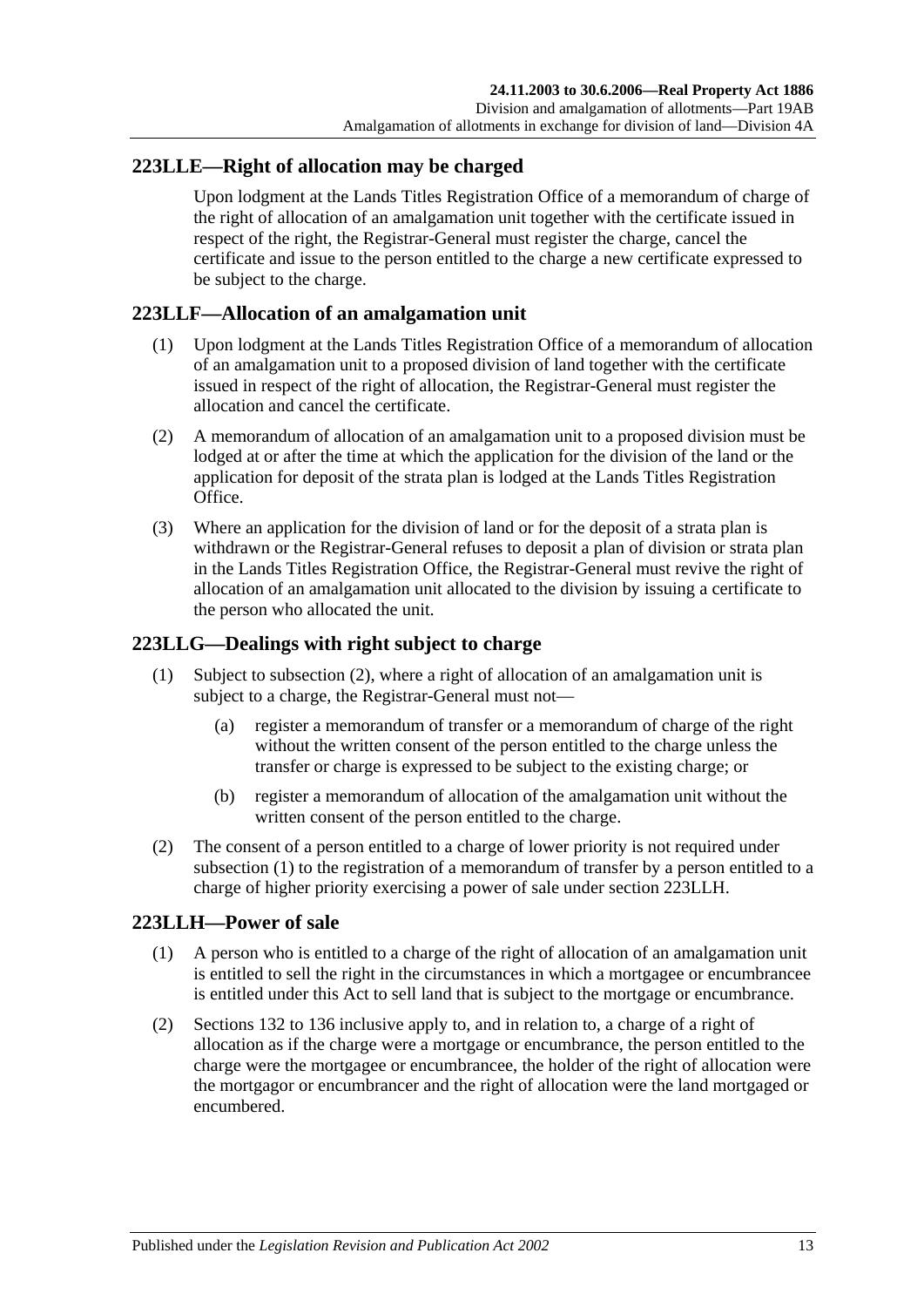#### <span id="page-114-3"></span>**223LLE—Right of allocation may be charged**

Upon lodgment at the Lands Titles Registration Office of a memorandum of charge of the right of allocation of an amalgamation unit together with the certificate issued in respect of the right, the Registrar-General must register the charge, cancel the certificate and issue to the person entitled to the charge a new certificate expressed to be subject to the charge.

#### **223LLF—Allocation of an amalgamation unit**

- (1) Upon lodgment at the Lands Titles Registration Office of a memorandum of allocation of an amalgamation unit to a proposed division of land together with the certificate issued in respect of the right of allocation, the Registrar-General must register the allocation and cancel the certificate.
- (2) A memorandum of allocation of an amalgamation unit to a proposed division must be lodged at or after the time at which the application for the division of the land or the application for deposit of the strata plan is lodged at the Lands Titles Registration Office.
- (3) Where an application for the division of land or for the deposit of a strata plan is withdrawn or the Registrar-General refuses to deposit a plan of division or strata plan in the Lands Titles Registration Office, the Registrar-General must revive the right of allocation of an amalgamation unit allocated to the division by issuing a certificate to the person who allocated the unit.

#### <span id="page-114-1"></span>**223LLG—Dealings with right subject to charge**

- (1) Subject to [subsection](#page-114-0) (2), where a right of allocation of an amalgamation unit is subject to a charge, the Registrar-General must not—
	- (a) register a memorandum of transfer or a memorandum of charge of the right without the written consent of the person entitled to the charge unless the transfer or charge is expressed to be subject to the existing charge; or
	- (b) register a memorandum of allocation of the amalgamation unit without the written consent of the person entitled to the charge.
- <span id="page-114-0"></span>(2) The consent of a person entitled to a charge of lower priority is not required under [subsection](#page-114-1) (1) to the registration of a memorandum of transfer by a person entitled to a charge of higher priority exercising a power of sale under section [223LLH.](#page-114-2)

#### <span id="page-114-2"></span>**223LLH—Power of sale**

- (1) A person who is entitled to a charge of the right of allocation of an amalgamation unit is entitled to sell the right in the circumstances in which a mortgagee or encumbrancee is entitled under this Act to sell land that is subject to the mortgage or encumbrance.
- (2) [Sections](#page-63-0) 132 to [136](#page-64-0) inclusive apply to, and in relation to, a charge of a right of allocation as if the charge were a mortgage or encumbrance, the person entitled to the charge were the mortgagee or encumbrancee, the holder of the right of allocation were the mortgagor or encumbrancer and the right of allocation were the land mortgaged or encumbered.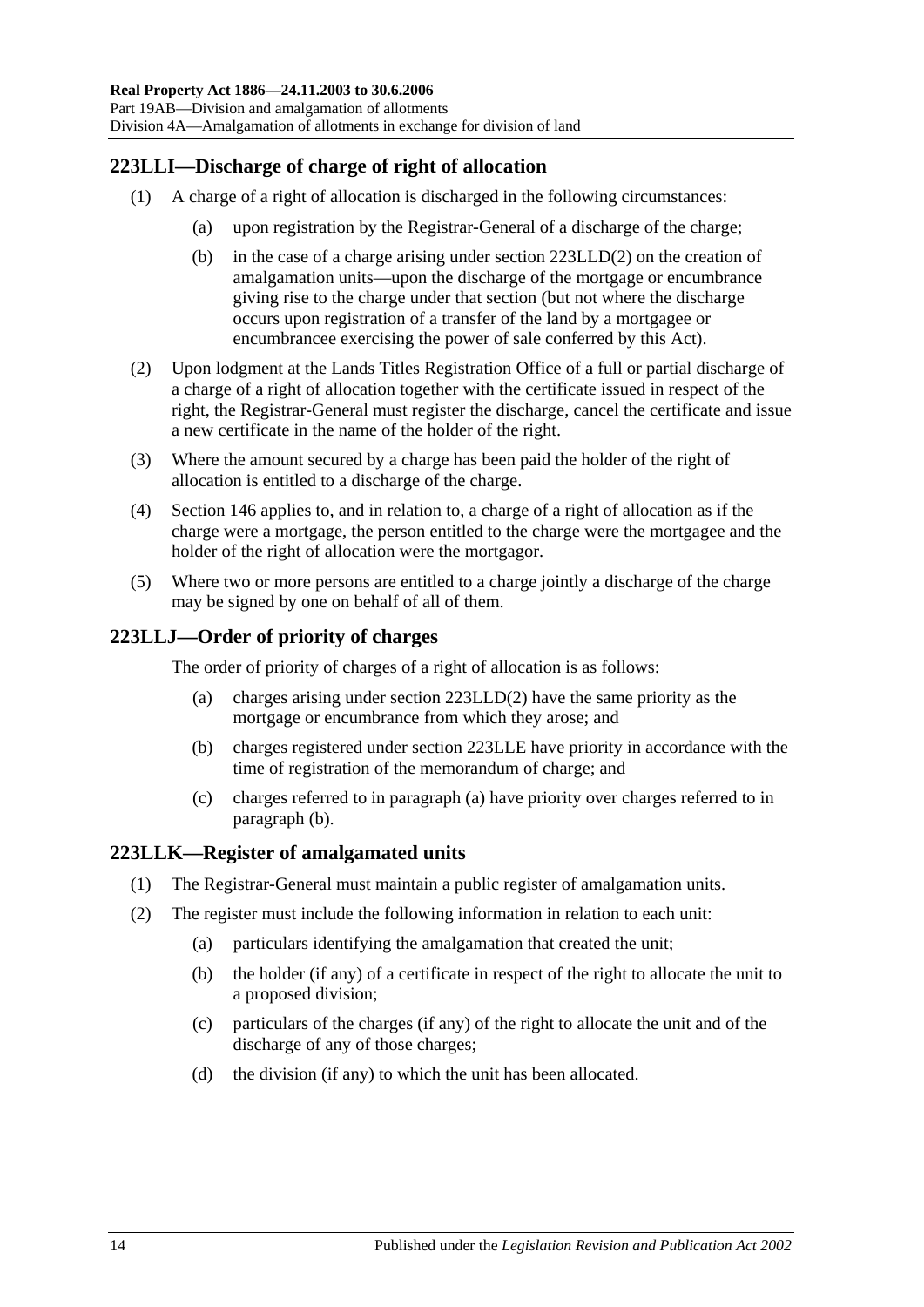## **223LLI—Discharge of charge of right of allocation**

- (1) A charge of a right of allocation is discharged in the following circumstances:
	- (a) upon registration by the Registrar-General of a discharge of the charge;
	- (b) in the case of a charge arising under section [223LLD\(2\)](#page-113-2) on the creation of amalgamation units—upon the discharge of the mortgage or encumbrance giving rise to the charge under that section (but not where the discharge occurs upon registration of a transfer of the land by a mortgagee or encumbrancee exercising the power of sale conferred by this Act).
- (2) Upon lodgment at the Lands Titles Registration Office of a full or partial discharge of a charge of a right of allocation together with the certificate issued in respect of the right, the Registrar-General must register the discharge, cancel the certificate and issue a new certificate in the name of the holder of the right.
- (3) Where the amount secured by a charge has been paid the holder of the right of allocation is entitled to a discharge of the charge.
- (4) [Section](#page-68-0) 146 applies to, and in relation to, a charge of a right of allocation as if the charge were a mortgage, the person entitled to the charge were the mortgagee and the holder of the right of allocation were the mortgagor.
- (5) Where two or more persons are entitled to a charge jointly a discharge of the charge may be signed by one on behalf of all of them.

## <span id="page-115-0"></span>**223LLJ—Order of priority of charges**

The order of priority of charges of a right of allocation is as follows:

- (a) charges arising under section [223LLD\(2\)](#page-113-2) have the same priority as the mortgage or encumbrance from which they arose; and
- <span id="page-115-1"></span>(b) charges registered under section [223LLE](#page-114-3) have priority in accordance with the time of registration of the memorandum of charge; and
- (c) charges referred to in [paragraph](#page-115-0) (a) have priority over charges referred to in [paragraph](#page-115-1) (b).

#### **223LLK—Register of amalgamated units**

- (1) The Registrar-General must maintain a public register of amalgamation units.
- (2) The register must include the following information in relation to each unit:
	- (a) particulars identifying the amalgamation that created the unit;
	- (b) the holder (if any) of a certificate in respect of the right to allocate the unit to a proposed division;
	- (c) particulars of the charges (if any) of the right to allocate the unit and of the discharge of any of those charges;
	- (d) the division (if any) to which the unit has been allocated.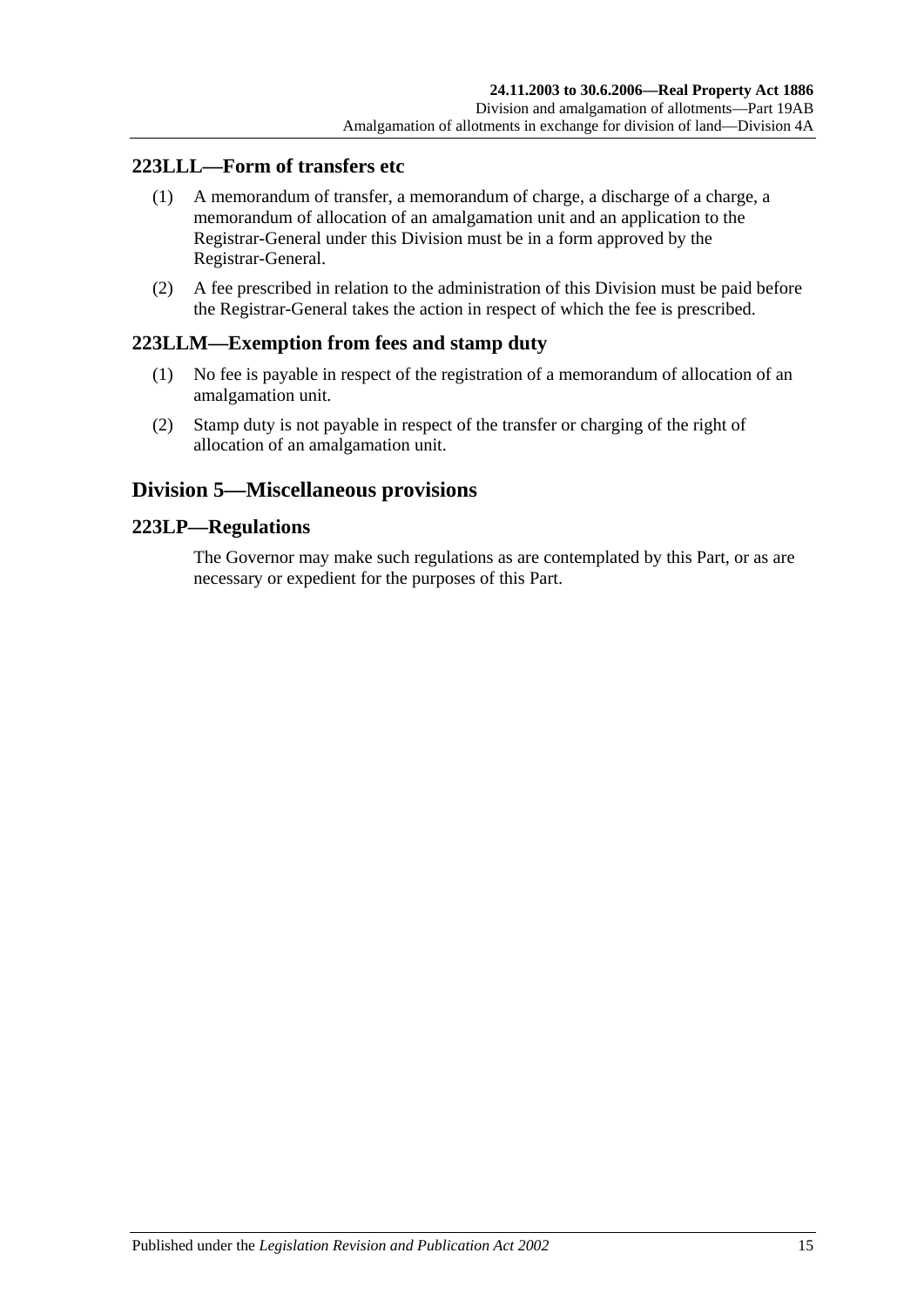## **223LLL—Form of transfers etc**

- (1) A memorandum of transfer, a memorandum of charge, a discharge of a charge, a memorandum of allocation of an amalgamation unit and an application to the Registrar-General under this Division must be in a form approved by the Registrar-General.
- (2) A fee prescribed in relation to the administration of this Division must be paid before the Registrar-General takes the action in respect of which the fee is prescribed.

#### **223LLM—Exemption from fees and stamp duty**

- (1) No fee is payable in respect of the registration of a memorandum of allocation of an amalgamation unit.
- (2) Stamp duty is not payable in respect of the transfer or charging of the right of allocation of an amalgamation unit.

## **Division 5—Miscellaneous provisions**

#### **223LP—Regulations**

The Governor may make such regulations as are contemplated by this Part, or as are necessary or expedient for the purposes of this Part.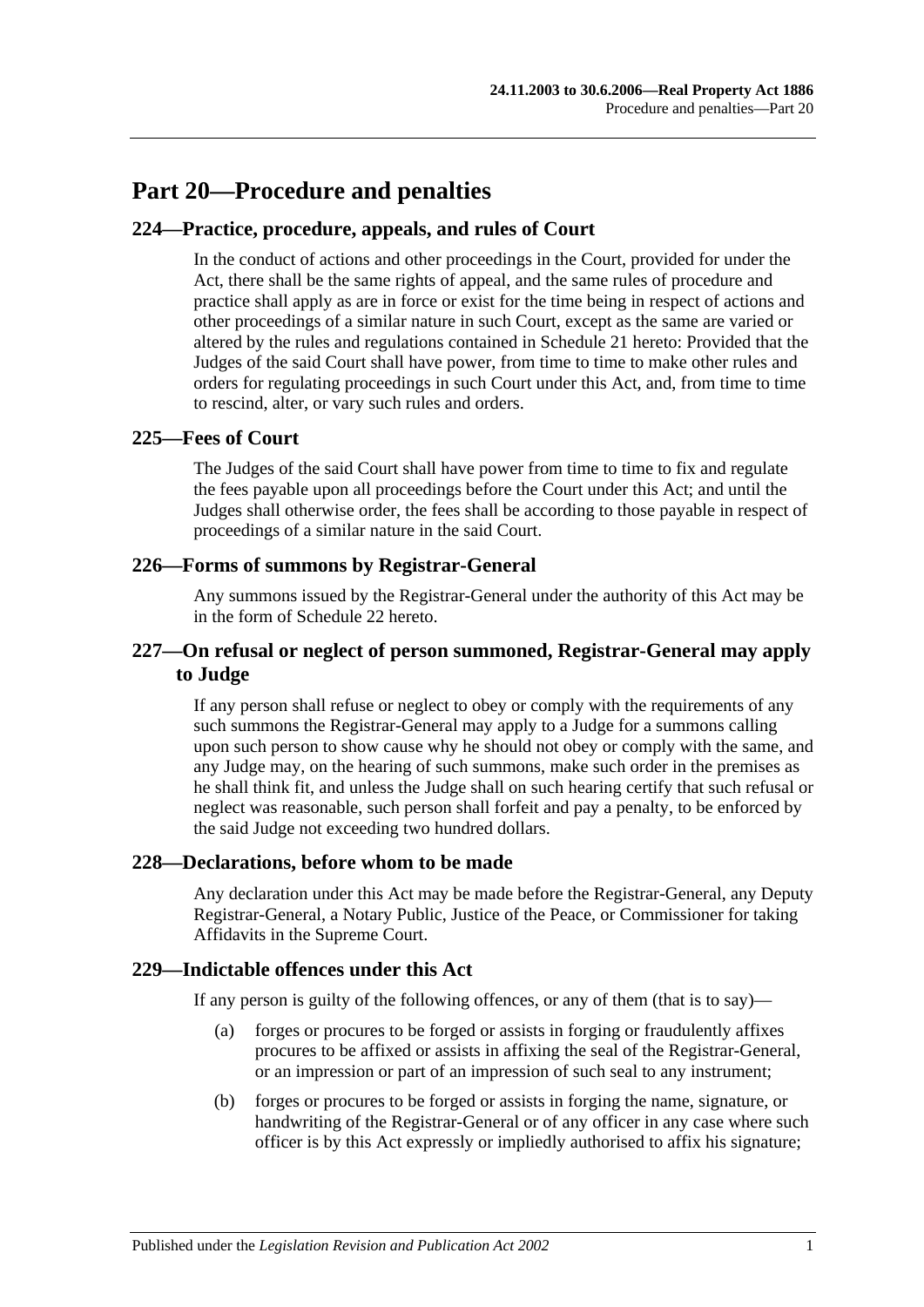## **Part 20—Procedure and penalties**

#### **224—Practice, procedure, appeals, and rules of Court**

In the conduct of actions and other proceedings in the Court, provided for under the Act, there shall be the same rights of appeal, and the same rules of procedure and practice shall apply as are in force or exist for the time being in respect of actions and other proceedings of a similar nature in such Court, except as the same are varied or altered by the rules and regulations contained in [Schedule 21](#page-138-0) hereto: Provided that the Judges of the said Court shall have power, from time to time to make other rules and orders for regulating proceedings in such Court under this Act, and, from time to time to rescind, alter, or vary such rules and orders.

#### **225—Fees of Court**

The Judges of the said Court shall have power from time to time to fix and regulate the fees payable upon all proceedings before the Court under this Act; and until the Judges shall otherwise order, the fees shall be according to those payable in respect of proceedings of a similar nature in the said Court.

#### **226—Forms of summons by Registrar-General**

Any summons issued by the Registrar-General under the authority of this Act may be in the form of [Schedule 22](#page-140-0) hereto.

#### **227—On refusal or neglect of person summoned, Registrar-General may apply to Judge**

If any person shall refuse or neglect to obey or comply with the requirements of any such summons the Registrar-General may apply to a Judge for a summons calling upon such person to show cause why he should not obey or comply with the same, and any Judge may, on the hearing of such summons, make such order in the premises as he shall think fit, and unless the Judge shall on such hearing certify that such refusal or neglect was reasonable, such person shall forfeit and pay a penalty, to be enforced by the said Judge not exceeding two hundred dollars.

#### **228—Declarations, before whom to be made**

Any declaration under this Act may be made before the Registrar-General, any Deputy Registrar-General, a Notary Public, Justice of the Peace, or Commissioner for taking Affidavits in the Supreme Court.

#### **229—Indictable offences under this Act**

If any person is guilty of the following offences, or any of them (that is to say)—

- (a) forges or procures to be forged or assists in forging or fraudulently affixes procures to be affixed or assists in affixing the seal of the Registrar-General, or an impression or part of an impression of such seal to any instrument;
- (b) forges or procures to be forged or assists in forging the name, signature, or handwriting of the Registrar-General or of any officer in any case where such officer is by this Act expressly or impliedly authorised to affix his signature;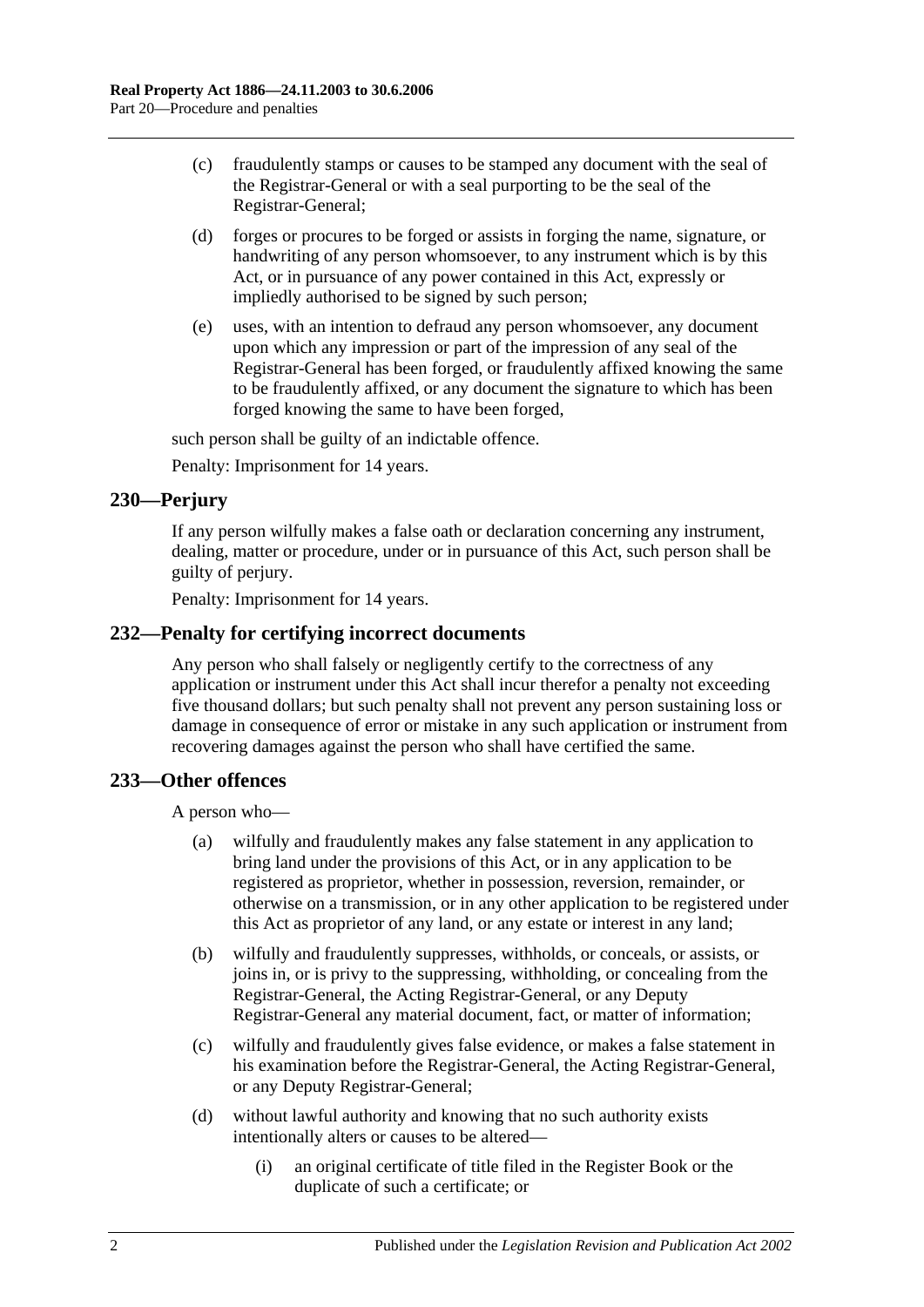- (c) fraudulently stamps or causes to be stamped any document with the seal of the Registrar-General or with a seal purporting to be the seal of the Registrar-General;
- (d) forges or procures to be forged or assists in forging the name, signature, or handwriting of any person whomsoever, to any instrument which is by this Act, or in pursuance of any power contained in this Act, expressly or impliedly authorised to be signed by such person;
- (e) uses, with an intention to defraud any person whomsoever, any document upon which any impression or part of the impression of any seal of the Registrar-General has been forged, or fraudulently affixed knowing the same to be fraudulently affixed, or any document the signature to which has been forged knowing the same to have been forged,

such person shall be guilty of an indictable offence.

Penalty: Imprisonment for 14 years.

#### **230—Perjury**

If any person wilfully makes a false oath or declaration concerning any instrument, dealing, matter or procedure, under or in pursuance of this Act, such person shall be guilty of perjury.

Penalty: Imprisonment for 14 years.

#### **232—Penalty for certifying incorrect documents**

Any person who shall falsely or negligently certify to the correctness of any application or instrument under this Act shall incur therefor a penalty not exceeding five thousand dollars; but such penalty shall not prevent any person sustaining loss or damage in consequence of error or mistake in any such application or instrument from recovering damages against the person who shall have certified the same.

#### **233—Other offences**

A person who—

- (a) wilfully and fraudulently makes any false statement in any application to bring land under the provisions of this Act, or in any application to be registered as proprietor, whether in possession, reversion, remainder, or otherwise on a transmission, or in any other application to be registered under this Act as proprietor of any land, or any estate or interest in any land;
- (b) wilfully and fraudulently suppresses, withholds, or conceals, or assists, or joins in, or is privy to the suppressing, withholding, or concealing from the Registrar-General, the Acting Registrar-General, or any Deputy Registrar-General any material document, fact, or matter of information;
- (c) wilfully and fraudulently gives false evidence, or makes a false statement in his examination before the Registrar-General, the Acting Registrar-General, or any Deputy Registrar-General;
- (d) without lawful authority and knowing that no such authority exists intentionally alters or causes to be altered—
	- (i) an original certificate of title filed in the Register Book or the duplicate of such a certificate; or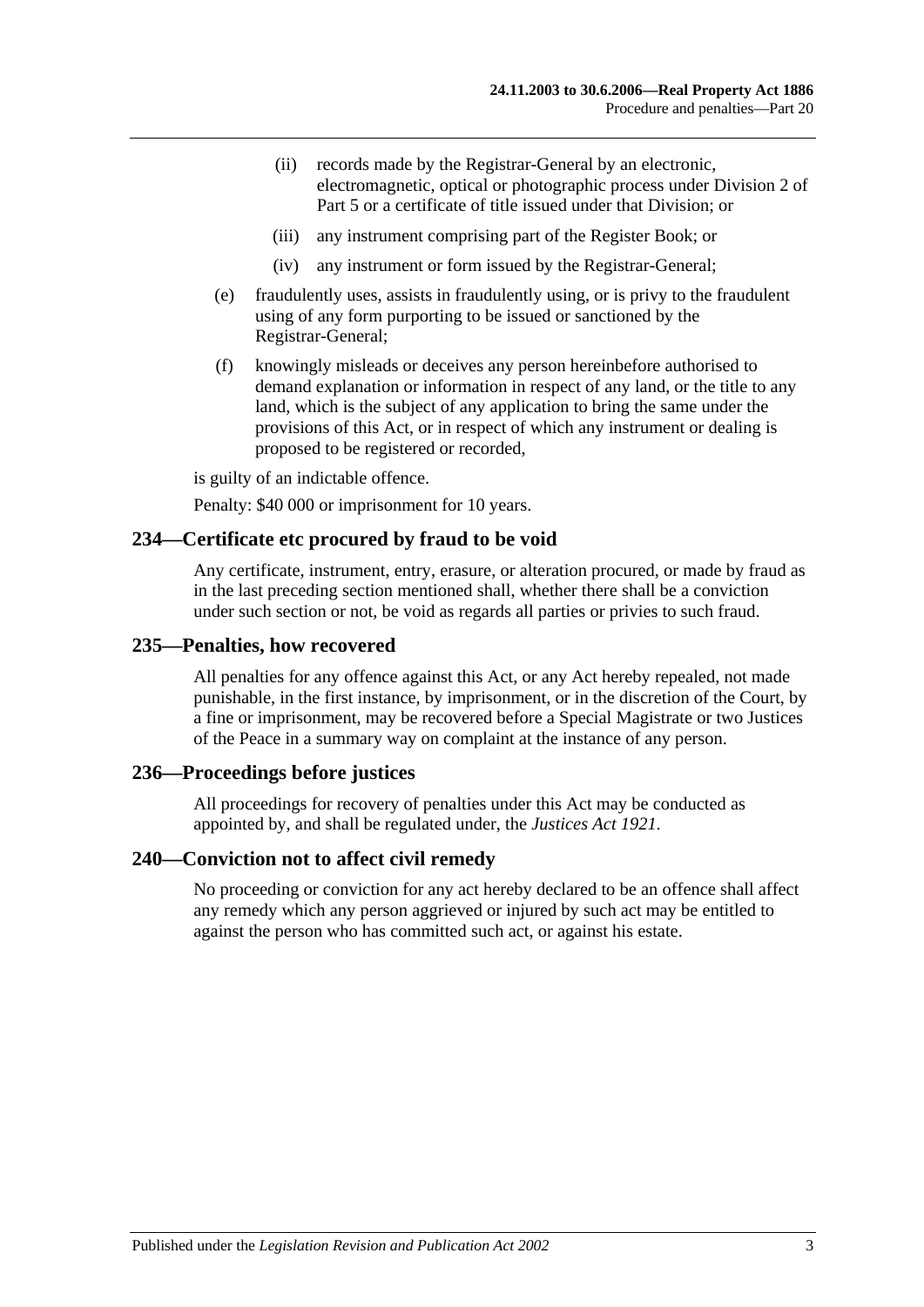- (ii) records made by the Registrar-General by an electronic, electromagnetic, optical or photographic process under [Division 2](#page-26-0) of [Part 5](#page-26-1) or a certificate of title issued under that Division; or
- (iii) any instrument comprising part of the Register Book; or
- (iv) any instrument or form issued by the Registrar-General;
- (e) fraudulently uses, assists in fraudulently using, or is privy to the fraudulent using of any form purporting to be issued or sanctioned by the Registrar-General;
- (f) knowingly misleads or deceives any person hereinbefore authorised to demand explanation or information in respect of any land, or the title to any land, which is the subject of any application to bring the same under the provisions of this Act, or in respect of which any instrument or dealing is proposed to be registered or recorded,

is guilty of an indictable offence.

Penalty: \$40 000 or imprisonment for 10 years.

#### **234—Certificate etc procured by fraud to be void**

Any certificate, instrument, entry, erasure, or alteration procured, or made by fraud as in the last preceding section mentioned shall, whether there shall be a conviction under such section or not, be void as regards all parties or privies to such fraud.

#### **235—Penalties, how recovered**

All penalties for any offence against this Act, or any Act hereby repealed, not made punishable, in the first instance, by imprisonment, or in the discretion of the Court, by a fine or imprisonment, may be recovered before a Special Magistrate or two Justices of the Peace in a summary way on complaint at the instance of any person.

#### **236—Proceedings before justices**

All proceedings for recovery of penalties under this Act may be conducted as appointed by, and shall be regulated under, the *[Justices Act](http://www.legislation.sa.gov.au/index.aspx?action=legref&type=act&legtitle=Justices%20Act%201921) 1921*.

#### **240—Conviction not to affect civil remedy**

No proceeding or conviction for any act hereby declared to be an offence shall affect any remedy which any person aggrieved or injured by such act may be entitled to against the person who has committed such act, or against his estate.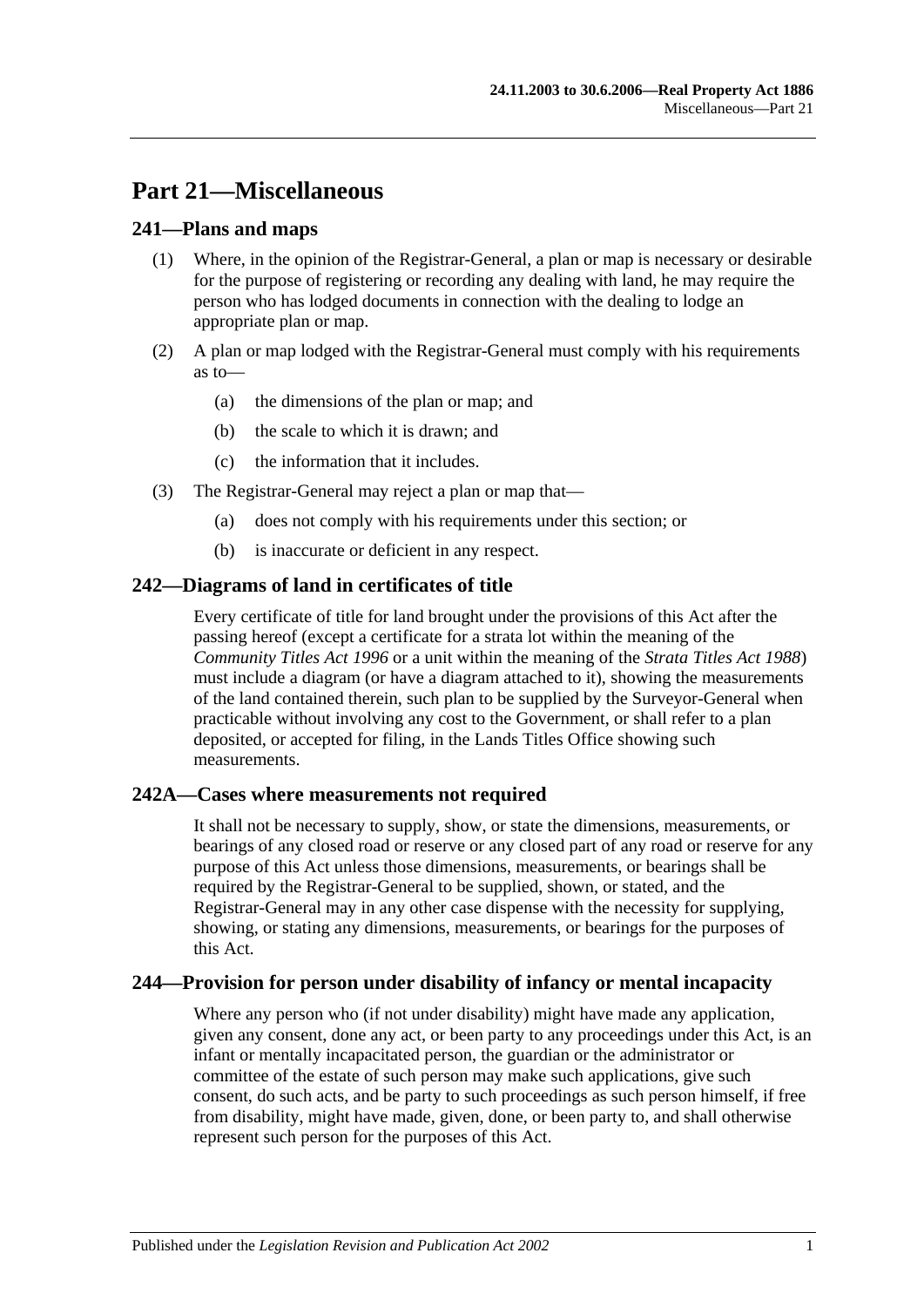# **Part 21—Miscellaneous**

#### **241—Plans and maps**

- (1) Where, in the opinion of the Registrar-General, a plan or map is necessary or desirable for the purpose of registering or recording any dealing with land, he may require the person who has lodged documents in connection with the dealing to lodge an appropriate plan or map.
- (2) A plan or map lodged with the Registrar-General must comply with his requirements as to—
	- (a) the dimensions of the plan or map; and
	- (b) the scale to which it is drawn; and
	- (c) the information that it includes.
- (3) The Registrar-General may reject a plan or map that—
	- (a) does not comply with his requirements under this section; or
	- (b) is inaccurate or deficient in any respect.

#### **242—Diagrams of land in certificates of title**

Every certificate of title for land brought under the provisions of this Act after the passing hereof (except a certificate for a strata lot within the meaning of the *[Community Titles Act](http://www.legislation.sa.gov.au/index.aspx?action=legref&type=act&legtitle=Community%20Titles%20Act%201996) 1996* or a unit within the meaning of the *[Strata Titles Act](http://www.legislation.sa.gov.au/index.aspx?action=legref&type=act&legtitle=Strata%20Titles%20Act%201988) 1988*) must include a diagram (or have a diagram attached to it), showing the measurements of the land contained therein, such plan to be supplied by the Surveyor-General when practicable without involving any cost to the Government, or shall refer to a plan deposited, or accepted for filing, in the Lands Titles Office showing such measurements.

#### **242A—Cases where measurements not required**

It shall not be necessary to supply, show, or state the dimensions, measurements, or bearings of any closed road or reserve or any closed part of any road or reserve for any purpose of this Act unless those dimensions, measurements, or bearings shall be required by the Registrar-General to be supplied, shown, or stated, and the Registrar-General may in any other case dispense with the necessity for supplying, showing, or stating any dimensions, measurements, or bearings for the purposes of this Act.

#### **244—Provision for person under disability of infancy or mental incapacity**

Where any person who (if not under disability) might have made any application, given any consent, done any act, or been party to any proceedings under this Act, is an infant or mentally incapacitated person, the guardian or the administrator or committee of the estate of such person may make such applications, give such consent, do such acts, and be party to such proceedings as such person himself, if free from disability, might have made, given, done, or been party to, and shall otherwise represent such person for the purposes of this Act.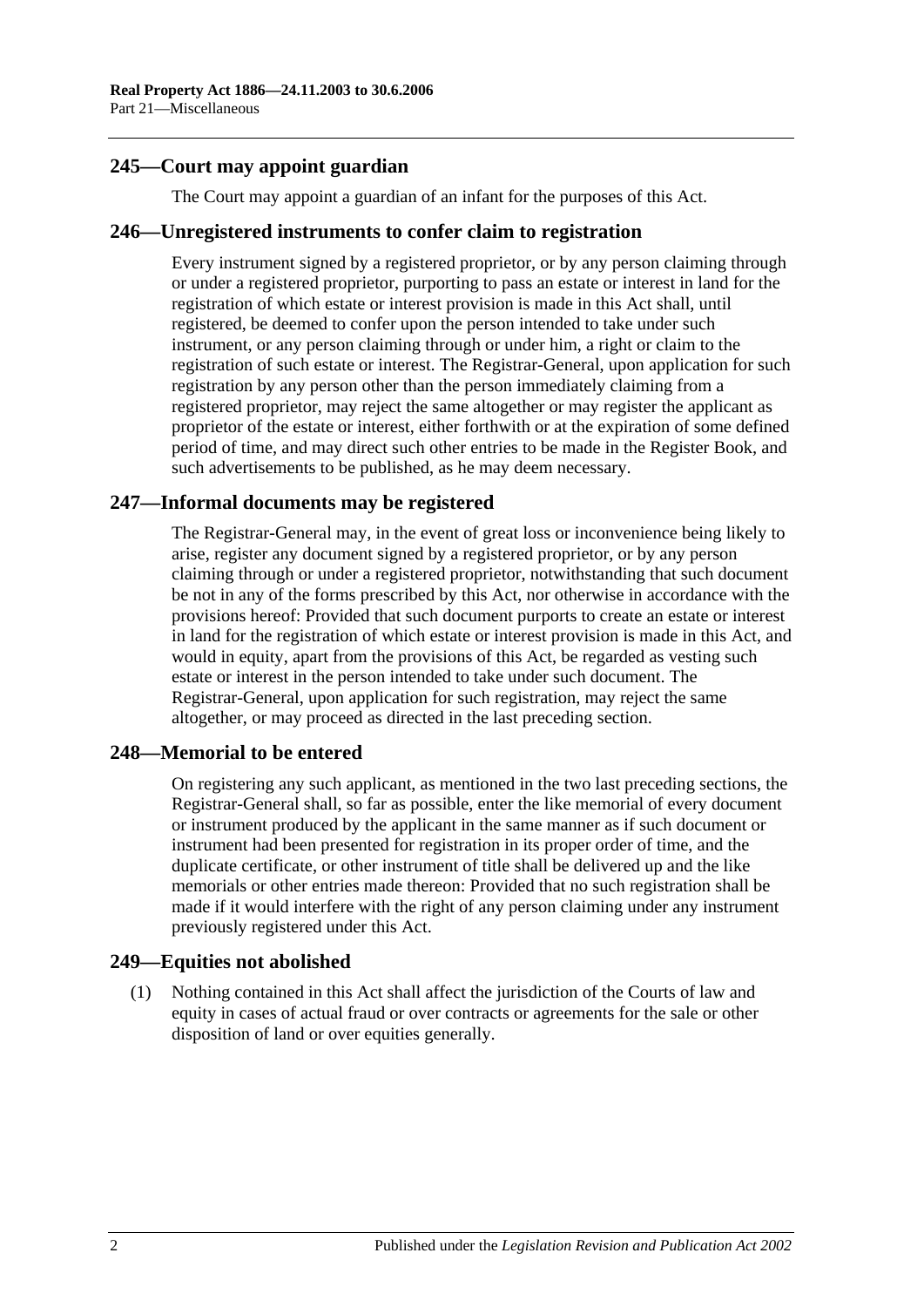#### **245—Court may appoint guardian**

The Court may appoint a guardian of an infant for the purposes of this Act.

#### **246—Unregistered instruments to confer claim to registration**

Every instrument signed by a registered proprietor, or by any person claiming through or under a registered proprietor, purporting to pass an estate or interest in land for the registration of which estate or interest provision is made in this Act shall, until registered, be deemed to confer upon the person intended to take under such instrument, or any person claiming through or under him, a right or claim to the registration of such estate or interest. The Registrar-General, upon application for such registration by any person other than the person immediately claiming from a registered proprietor, may reject the same altogether or may register the applicant as proprietor of the estate or interest, either forthwith or at the expiration of some defined period of time, and may direct such other entries to be made in the Register Book, and such advertisements to be published, as he may deem necessary.

#### **247—Informal documents may be registered**

The Registrar-General may, in the event of great loss or inconvenience being likely to arise, register any document signed by a registered proprietor, or by any person claiming through or under a registered proprietor, notwithstanding that such document be not in any of the forms prescribed by this Act, nor otherwise in accordance with the provisions hereof: Provided that such document purports to create an estate or interest in land for the registration of which estate or interest provision is made in this Act, and would in equity, apart from the provisions of this Act, be regarded as vesting such estate or interest in the person intended to take under such document. The Registrar-General, upon application for such registration, may reject the same altogether, or may proceed as directed in the last preceding section.

#### **248—Memorial to be entered**

On registering any such applicant, as mentioned in the two last preceding sections, the Registrar-General shall, so far as possible, enter the like memorial of every document or instrument produced by the applicant in the same manner as if such document or instrument had been presented for registration in its proper order of time, and the duplicate certificate, or other instrument of title shall be delivered up and the like memorials or other entries made thereon: Provided that no such registration shall be made if it would interfere with the right of any person claiming under any instrument previously registered under this Act.

#### **249—Equities not abolished**

(1) Nothing contained in this Act shall affect the jurisdiction of the Courts of law and equity in cases of actual fraud or over contracts or agreements for the sale or other disposition of land or over equities generally.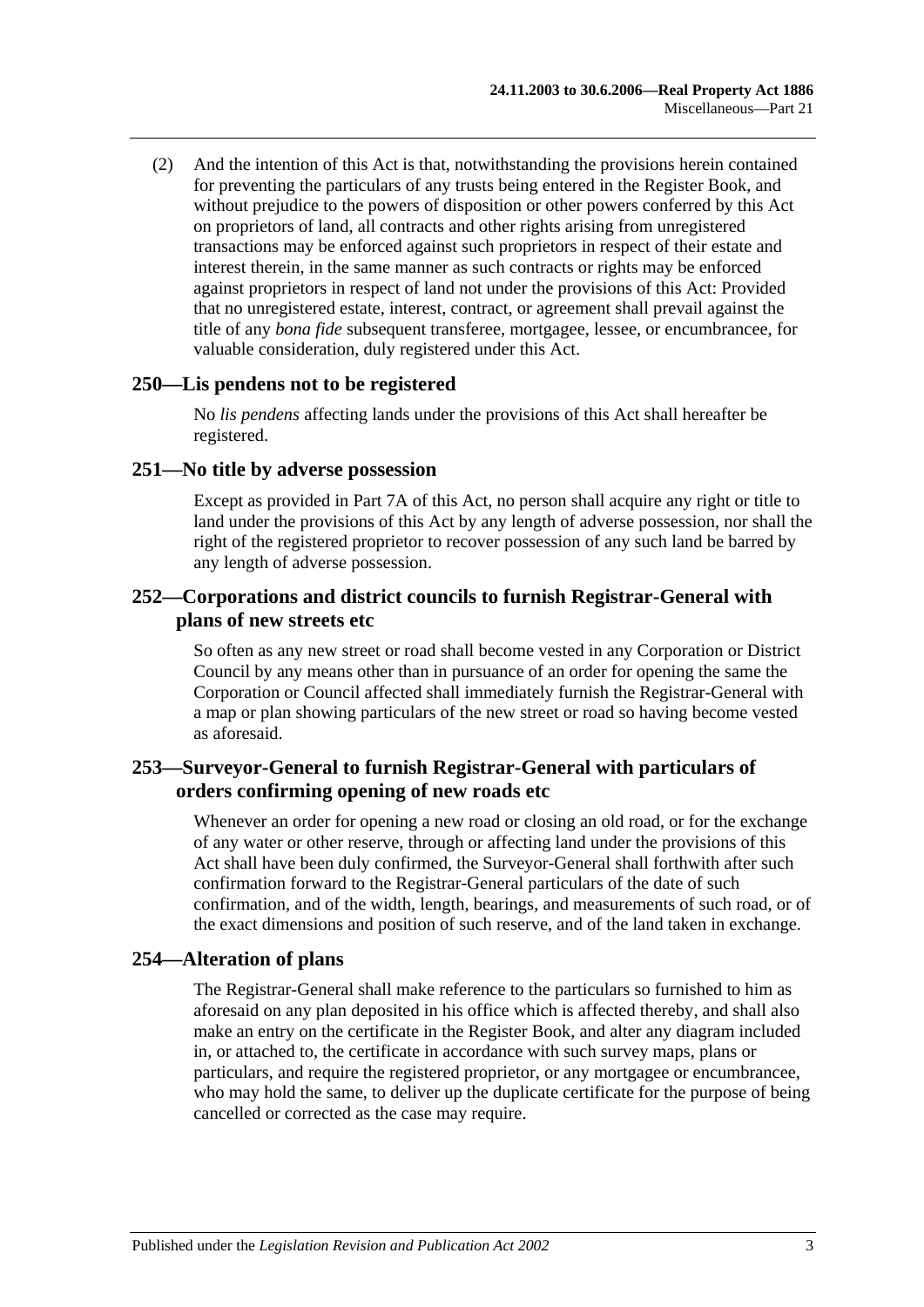(2) And the intention of this Act is that, notwithstanding the provisions herein contained for preventing the particulars of any trusts being entered in the Register Book, and without prejudice to the powers of disposition or other powers conferred by this Act on proprietors of land, all contracts and other rights arising from unregistered transactions may be enforced against such proprietors in respect of their estate and interest therein, in the same manner as such contracts or rights may be enforced against proprietors in respect of land not under the provisions of this Act: Provided that no unregistered estate, interest, contract, or agreement shall prevail against the title of any *bona fide* subsequent transferee, mortgagee, lessee, or encumbrancee, for valuable consideration, duly registered under this Act.

#### **250—Lis pendens not to be registered**

No *lis pendens* affecting lands under the provisions of this Act shall hereafter be registered.

#### **251—No title by adverse possession**

Except as provided in [Part 7A](#page-40-0) of this Act, no person shall acquire any right or title to land under the provisions of this Act by any length of adverse possession, nor shall the right of the registered proprietor to recover possession of any such land be barred by any length of adverse possession.

#### **252—Corporations and district councils to furnish Registrar-General with plans of new streets etc**

So often as any new street or road shall become vested in any Corporation or District Council by any means other than in pursuance of an order for opening the same the Corporation or Council affected shall immediately furnish the Registrar-General with a map or plan showing particulars of the new street or road so having become vested as aforesaid.

#### **253—Surveyor-General to furnish Registrar-General with particulars of orders confirming opening of new roads etc**

Whenever an order for opening a new road or closing an old road, or for the exchange of any water or other reserve, through or affecting land under the provisions of this Act shall have been duly confirmed, the Surveyor-General shall forthwith after such confirmation forward to the Registrar-General particulars of the date of such confirmation, and of the width, length, bearings, and measurements of such road, or of the exact dimensions and position of such reserve, and of the land taken in exchange.

#### **254—Alteration of plans**

The Registrar-General shall make reference to the particulars so furnished to him as aforesaid on any plan deposited in his office which is affected thereby, and shall also make an entry on the certificate in the Register Book, and alter any diagram included in, or attached to, the certificate in accordance with such survey maps, plans or particulars, and require the registered proprietor, or any mortgagee or encumbrancee, who may hold the same, to deliver up the duplicate certificate for the purpose of being cancelled or corrected as the case may require.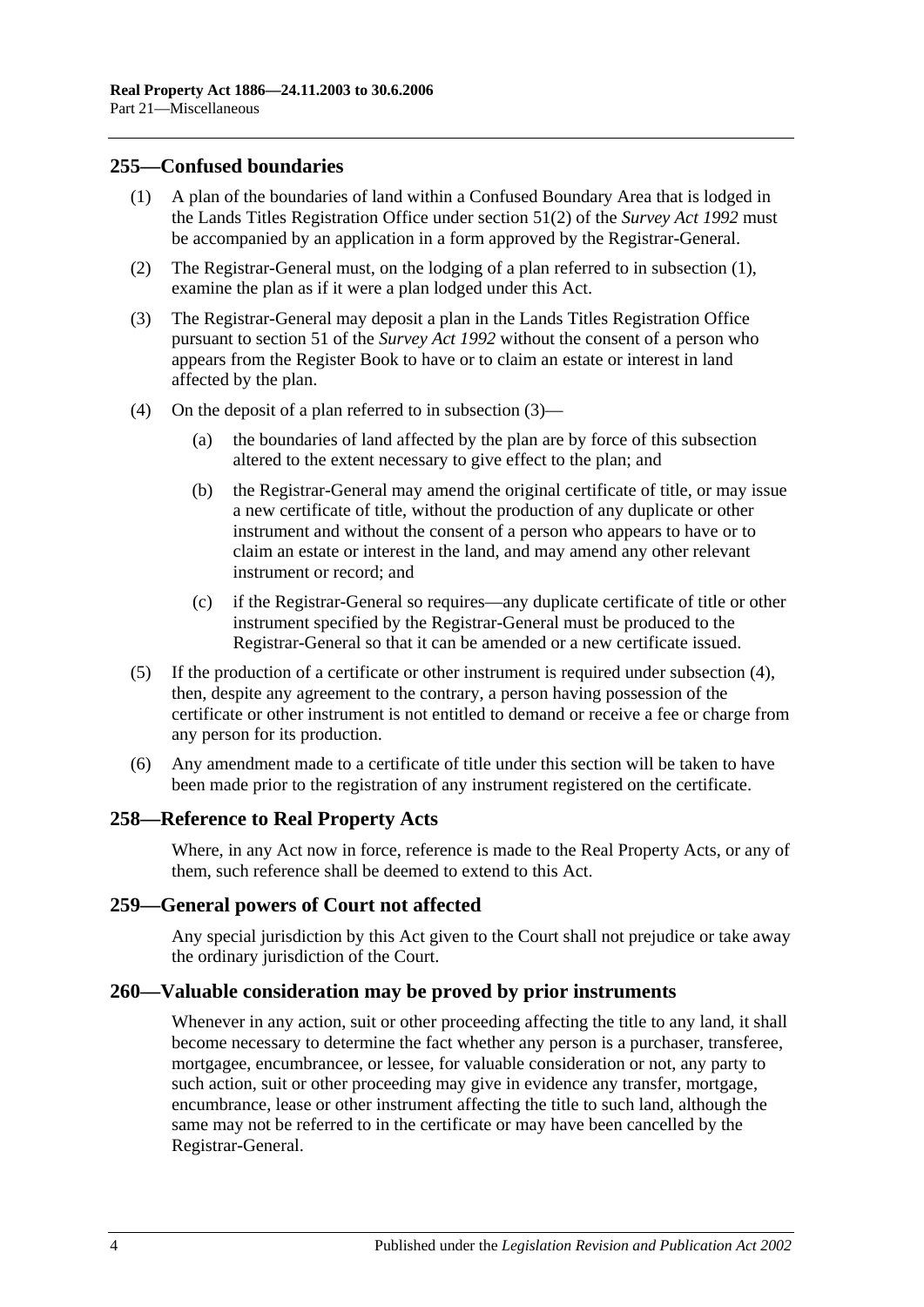#### <span id="page-125-0"></span>**255—Confused boundaries**

- (1) A plan of the boundaries of land within a Confused Boundary Area that is lodged in the Lands Titles Registration Office under section 51(2) of the *[Survey Act](http://www.legislation.sa.gov.au/index.aspx?action=legref&type=act&legtitle=Survey%20Act%201992) 1992* must be accompanied by an application in a form approved by the Registrar-General.
- (2) The Registrar-General must, on the lodging of a plan referred to in [subsection](#page-125-0) (1), examine the plan as if it were a plan lodged under this Act.
- <span id="page-125-1"></span>(3) The Registrar-General may deposit a plan in the Lands Titles Registration Office pursuant to section 51 of the *[Survey Act](http://www.legislation.sa.gov.au/index.aspx?action=legref&type=act&legtitle=Survey%20Act%201992) 1992* without the consent of a person who appears from the Register Book to have or to claim an estate or interest in land affected by the plan.
- <span id="page-125-2"></span>(4) On the deposit of a plan referred to in [subsection](#page-125-1) (3)—
	- (a) the boundaries of land affected by the plan are by force of this subsection altered to the extent necessary to give effect to the plan; and
	- (b) the Registrar-General may amend the original certificate of title, or may issue a new certificate of title, without the production of any duplicate or other instrument and without the consent of a person who appears to have or to claim an estate or interest in the land, and may amend any other relevant instrument or record; and
	- (c) if the Registrar-General so requires—any duplicate certificate of title or other instrument specified by the Registrar-General must be produced to the Registrar-General so that it can be amended or a new certificate issued.
- (5) If the production of a certificate or other instrument is required under [subsection](#page-125-2) (4), then, despite any agreement to the contrary, a person having possession of the certificate or other instrument is not entitled to demand or receive a fee or charge from any person for its production.
- (6) Any amendment made to a certificate of title under this section will be taken to have been made prior to the registration of any instrument registered on the certificate.

#### **258—Reference to Real Property Acts**

Where, in any Act now in force, reference is made to the Real Property Acts, or any of them, such reference shall be deemed to extend to this Act.

#### **259—General powers of Court not affected**

Any special jurisdiction by this Act given to the Court shall not prejudice or take away the ordinary jurisdiction of the Court.

#### **260—Valuable consideration may be proved by prior instruments**

Whenever in any action, suit or other proceeding affecting the title to any land, it shall become necessary to determine the fact whether any person is a purchaser, transferee, mortgagee, encumbrancee, or lessee, for valuable consideration or not, any party to such action, suit or other proceeding may give in evidence any transfer, mortgage, encumbrance, lease or other instrument affecting the title to such land, although the same may not be referred to in the certificate or may have been cancelled by the Registrar-General.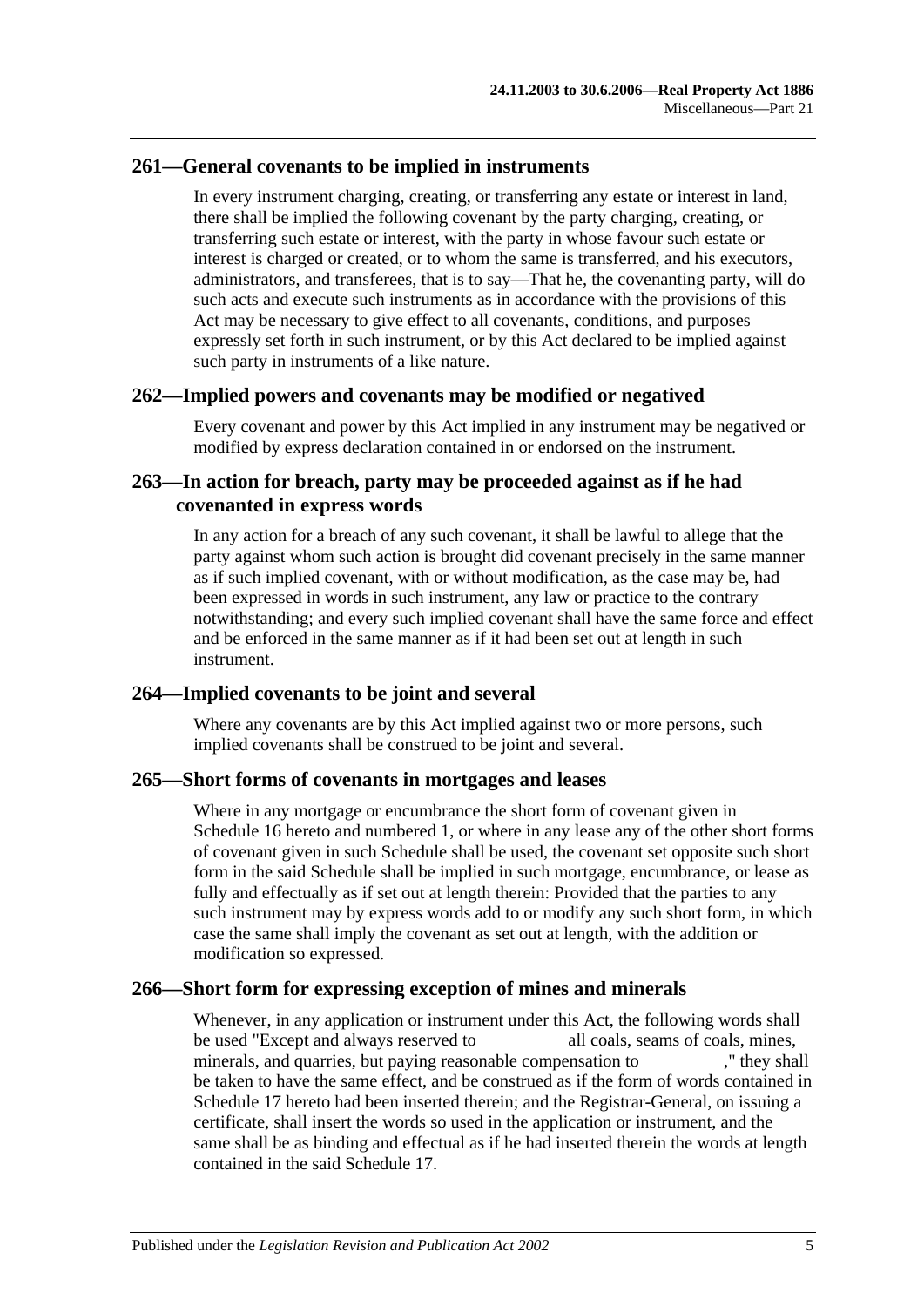#### **261—General covenants to be implied in instruments**

In every instrument charging, creating, or transferring any estate or interest in land, there shall be implied the following covenant by the party charging, creating, or transferring such estate or interest, with the party in whose favour such estate or interest is charged or created, or to whom the same is transferred, and his executors, administrators, and transferees, that is to say—That he, the covenanting party, will do such acts and execute such instruments as in accordance with the provisions of this Act may be necessary to give effect to all covenants, conditions, and purposes expressly set forth in such instrument, or by this Act declared to be implied against such party in instruments of a like nature.

#### **262—Implied powers and covenants may be modified or negatived**

Every covenant and power by this Act implied in any instrument may be negatived or modified by express declaration contained in or endorsed on the instrument.

#### **263—In action for breach, party may be proceeded against as if he had covenanted in express words**

In any action for a breach of any such covenant, it shall be lawful to allege that the party against whom such action is brought did covenant precisely in the same manner as if such implied covenant, with or without modification, as the case may be, had been expressed in words in such instrument, any law or practice to the contrary notwithstanding; and every such implied covenant shall have the same force and effect and be enforced in the same manner as if it had been set out at length in such instrument.

#### **264—Implied covenants to be joint and several**

Where any covenants are by this Act implied against two or more persons, such implied covenants shall be construed to be joint and several.

#### **265—Short forms of covenants in mortgages and leases**

Where in any mortgage or encumbrance the short form of covenant given in [Schedule](#page-136-0) 16 hereto and numbered 1, or where in any lease any of the other short forms of covenant given in such Schedule shall be used, the covenant set opposite such short form in the said Schedule shall be implied in such mortgage, encumbrance, or lease as fully and effectually as if set out at length therein: Provided that the parties to any such instrument may by express words add to or modify any such short form, in which case the same shall imply the covenant as set out at length, with the addition or modification so expressed.

#### **266—Short form for expressing exception of mines and minerals**

Whenever, in any application or instrument under this Act, the following words shall be used "Except and always reserved to all coals, seams of coals, mines, minerals, and quarries, but paying reasonable compensation to ," they shall be taken to have the same effect, and be construed as if the form of words contained in [Schedule 17](#page-138-1) hereto had been inserted therein; and the Registrar-General, on issuing a certificate, shall insert the words so used in the application or instrument, and the same shall be as binding and effectual as if he had inserted therein the words at length contained in the said [Schedule 17.](#page-138-1)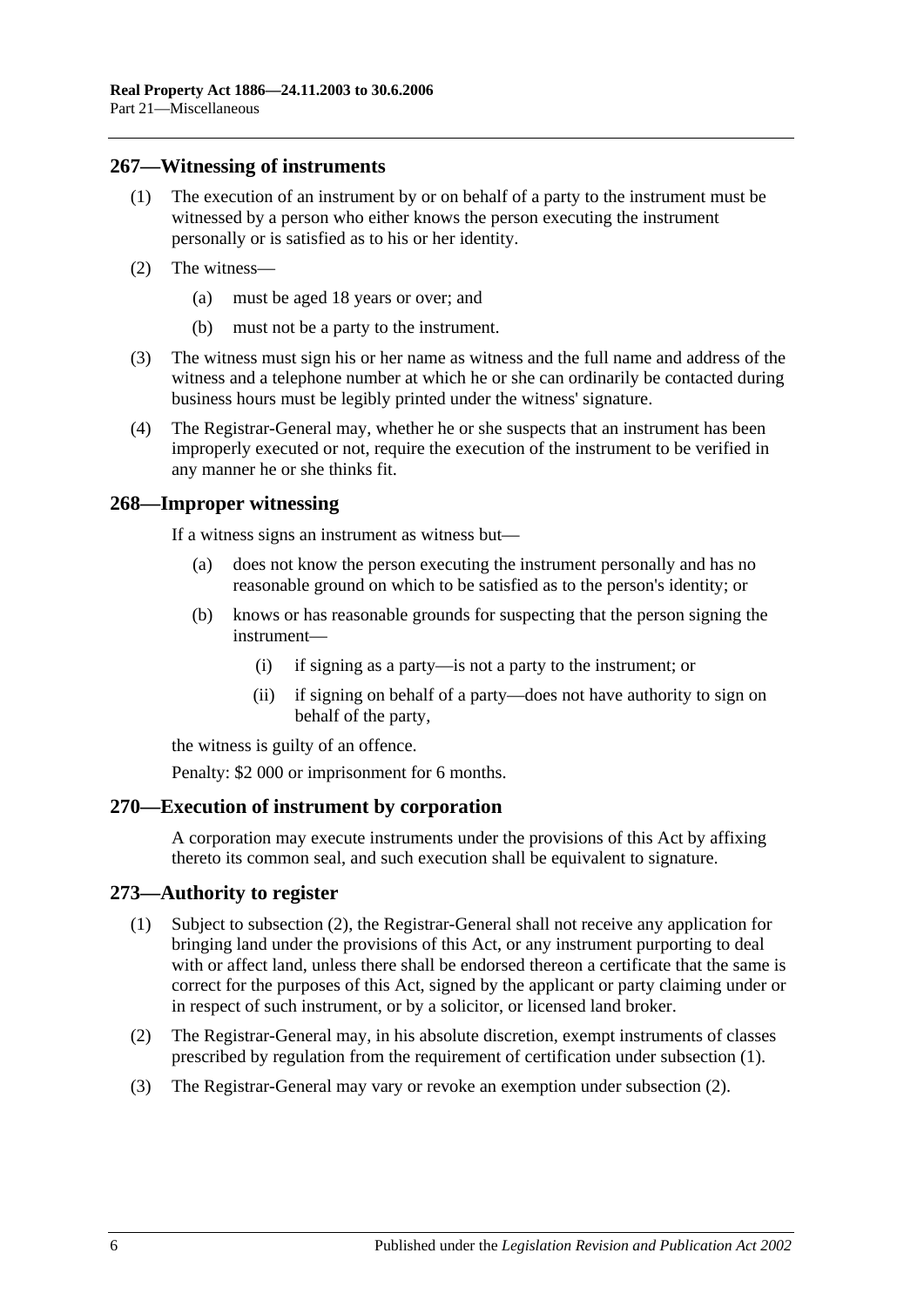#### **267—Witnessing of instruments**

- (1) The execution of an instrument by or on behalf of a party to the instrument must be witnessed by a person who either knows the person executing the instrument personally or is satisfied as to his or her identity.
- (2) The witness—
	- (a) must be aged 18 years or over; and
	- (b) must not be a party to the instrument.
- (3) The witness must sign his or her name as witness and the full name and address of the witness and a telephone number at which he or she can ordinarily be contacted during business hours must be legibly printed under the witness' signature.
- (4) The Registrar-General may, whether he or she suspects that an instrument has been improperly executed or not, require the execution of the instrument to be verified in any manner he or she thinks fit.

#### **268—Improper witnessing**

If a witness signs an instrument as witness but—

- (a) does not know the person executing the instrument personally and has no reasonable ground on which to be satisfied as to the person's identity; or
- (b) knows or has reasonable grounds for suspecting that the person signing the instrument—
	- (i) if signing as a party—is not a party to the instrument; or
	- (ii) if signing on behalf of a party—does not have authority to sign on behalf of the party,

the witness is guilty of an offence.

Penalty: \$2 000 or imprisonment for 6 months.

#### **270—Execution of instrument by corporation**

A corporation may execute instruments under the provisions of this Act by affixing thereto its common seal, and such execution shall be equivalent to signature.

#### <span id="page-127-1"></span>**273—Authority to register**

- (1) Subject to [subsection](#page-127-0) (2), the Registrar-General shall not receive any application for bringing land under the provisions of this Act, or any instrument purporting to deal with or affect land, unless there shall be endorsed thereon a certificate that the same is correct for the purposes of this Act, signed by the applicant or party claiming under or in respect of such instrument, or by a solicitor, or licensed land broker.
- <span id="page-127-0"></span>(2) The Registrar-General may, in his absolute discretion, exempt instruments of classes prescribed by regulation from the requirement of certification under [subsection](#page-127-1) (1).
- (3) The Registrar-General may vary or revoke an exemption under [subsection](#page-127-0) (2).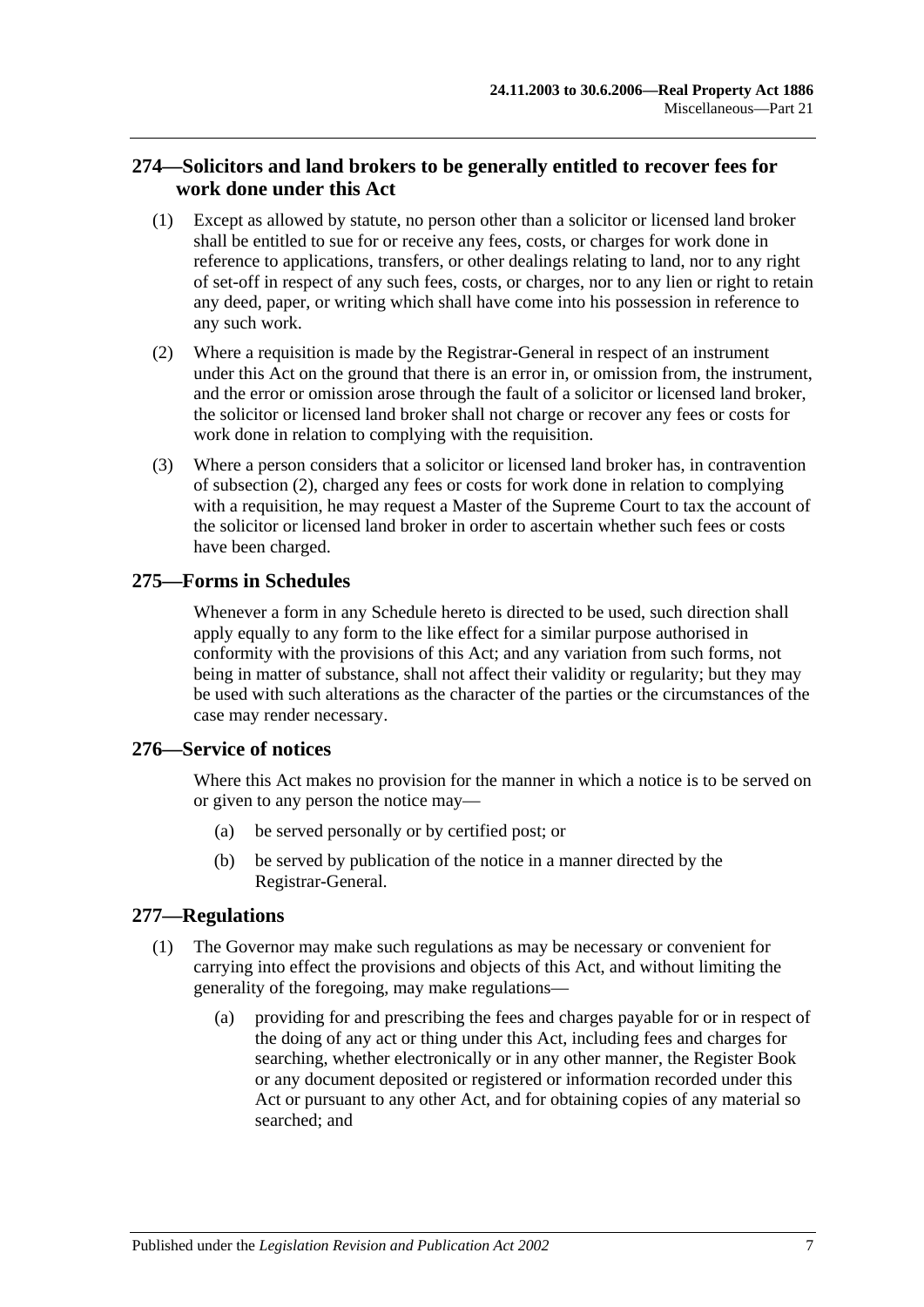## **274—Solicitors and land brokers to be generally entitled to recover fees for work done under this Act**

- (1) Except as allowed by statute, no person other than a solicitor or licensed land broker shall be entitled to sue for or receive any fees, costs, or charges for work done in reference to applications, transfers, or other dealings relating to land, nor to any right of set-off in respect of any such fees, costs, or charges, nor to any lien or right to retain any deed, paper, or writing which shall have come into his possession in reference to any such work.
- <span id="page-128-0"></span>(2) Where a requisition is made by the Registrar-General in respect of an instrument under this Act on the ground that there is an error in, or omission from, the instrument, and the error or omission arose through the fault of a solicitor or licensed land broker, the solicitor or licensed land broker shall not charge or recover any fees or costs for work done in relation to complying with the requisition.
- (3) Where a person considers that a solicitor or licensed land broker has, in contravention of [subsection](#page-128-0) (2), charged any fees or costs for work done in relation to complying with a requisition, he may request a Master of the Supreme Court to tax the account of the solicitor or licensed land broker in order to ascertain whether such fees or costs have been charged.

## **275—Forms in Schedules**

Whenever a form in any Schedule hereto is directed to be used, such direction shall apply equally to any form to the like effect for a similar purpose authorised in conformity with the provisions of this Act; and any variation from such forms, not being in matter of substance, shall not affect their validity or regularity; but they may be used with such alterations as the character of the parties or the circumstances of the case may render necessary.

## **276—Service of notices**

Where this Act makes no provision for the manner in which a notice is to be served on or given to any person the notice may—

- (a) be served personally or by certified post; or
- (b) be served by publication of the notice in a manner directed by the Registrar-General.

## <span id="page-128-1"></span>**277—Regulations**

- (1) The Governor may make such regulations as may be necessary or convenient for carrying into effect the provisions and objects of this Act, and without limiting the generality of the foregoing, may make regulations—
	- (a) providing for and prescribing the fees and charges payable for or in respect of the doing of any act or thing under this Act, including fees and charges for searching, whether electronically or in any other manner, the Register Book or any document deposited or registered or information recorded under this Act or pursuant to any other Act, and for obtaining copies of any material so searched; and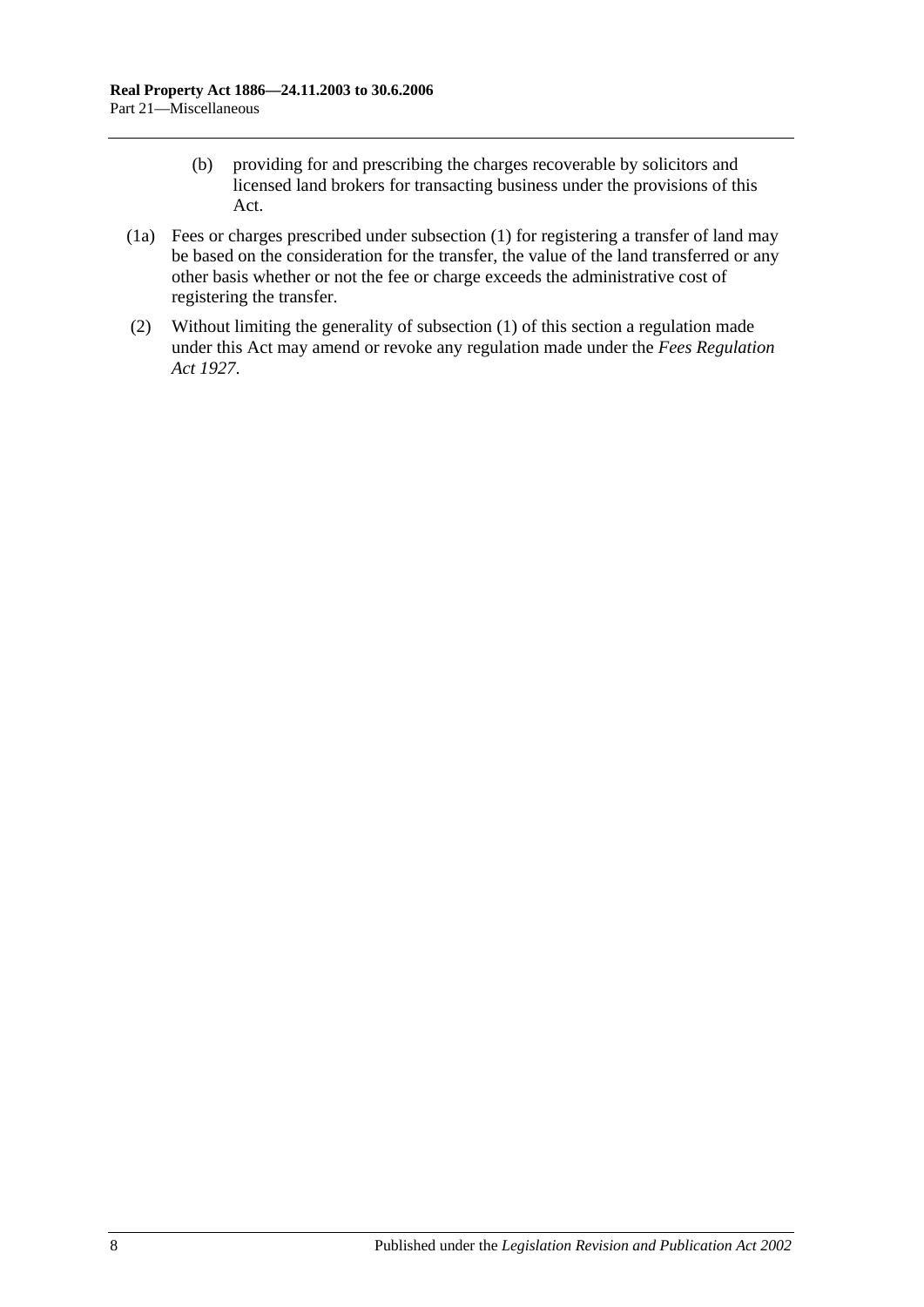- (b) providing for and prescribing the charges recoverable by solicitors and licensed land brokers for transacting business under the provisions of this Act.
- (1a) Fees or charges prescribed under [subsection](#page-128-1) (1) for registering a transfer of land may be based on the consideration for the transfer, the value of the land transferred or any other basis whether or not the fee or charge exceeds the administrative cost of registering the transfer.
- (2) Without limiting the generality of [subsection](#page-128-1) (1) of this section a regulation made under this Act may amend or revoke any regulation made under the *[Fees Regulation](http://www.legislation.sa.gov.au/index.aspx?action=legref&type=act&legtitle=Fees%20Regulation%20Act%201927)  Act [1927](http://www.legislation.sa.gov.au/index.aspx?action=legref&type=act&legtitle=Fees%20Regulation%20Act%201927)*.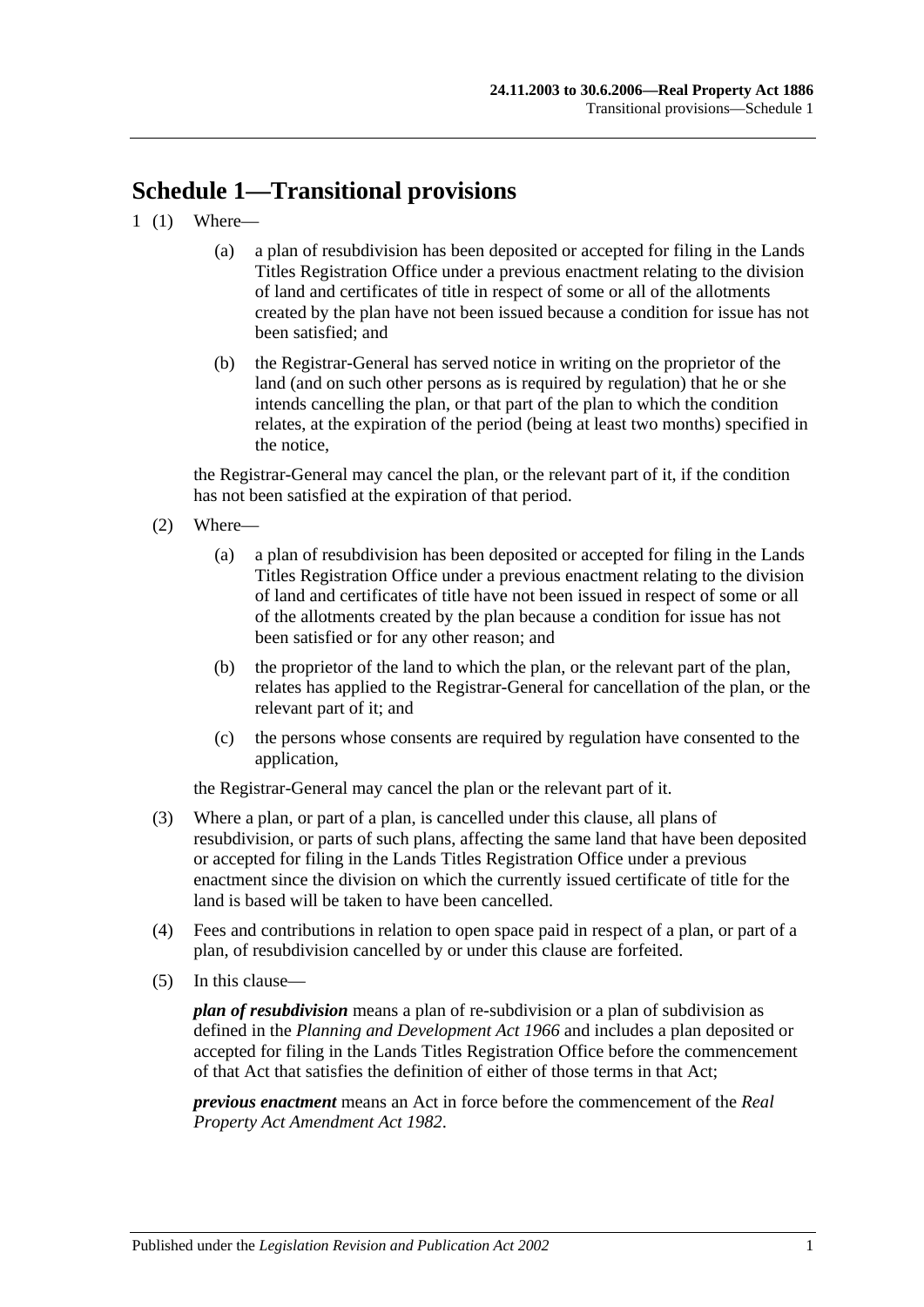# **Schedule 1—Transitional provisions**

- 1 (1) Where—
	- (a) a plan of resubdivision has been deposited or accepted for filing in the Lands Titles Registration Office under a previous enactment relating to the division of land and certificates of title in respect of some or all of the allotments created by the plan have not been issued because a condition for issue has not been satisfied; and
	- (b) the Registrar-General has served notice in writing on the proprietor of the land (and on such other persons as is required by regulation) that he or she intends cancelling the plan, or that part of the plan to which the condition relates, at the expiration of the period (being at least two months) specified in the notice,

the Registrar-General may cancel the plan, or the relevant part of it, if the condition has not been satisfied at the expiration of that period.

- (2) Where—
	- (a) a plan of resubdivision has been deposited or accepted for filing in the Lands Titles Registration Office under a previous enactment relating to the division of land and certificates of title have not been issued in respect of some or all of the allotments created by the plan because a condition for issue has not been satisfied or for any other reason; and
	- (b) the proprietor of the land to which the plan, or the relevant part of the plan, relates has applied to the Registrar-General for cancellation of the plan, or the relevant part of it; and
	- (c) the persons whose consents are required by regulation have consented to the application,

the Registrar-General may cancel the plan or the relevant part of it.

- (3) Where a plan, or part of a plan, is cancelled under this clause, all plans of resubdivision, or parts of such plans, affecting the same land that have been deposited or accepted for filing in the Lands Titles Registration Office under a previous enactment since the division on which the currently issued certificate of title for the land is based will be taken to have been cancelled.
- (4) Fees and contributions in relation to open space paid in respect of a plan, or part of a plan, of resubdivision cancelled by or under this clause are forfeited.
- (5) In this clause—

*plan of resubdivision* means a plan of re-subdivision or a plan of subdivision as defined in the *[Planning and Development Act](http://www.legislation.sa.gov.au/index.aspx?action=legref&type=act&legtitle=Planning%20and%20Development%20Act%201966) 1966* and includes a plan deposited or accepted for filing in the Lands Titles Registration Office before the commencement of that Act that satisfies the definition of either of those terms in that Act;

*previous enactment* means an Act in force before the commencement of the *[Real](http://www.legislation.sa.gov.au/index.aspx?action=legref&type=act&legtitle=Real%20Property%20Act%20Amendment%20Act%201982)  [Property Act Amendment Act](http://www.legislation.sa.gov.au/index.aspx?action=legref&type=act&legtitle=Real%20Property%20Act%20Amendment%20Act%201982) 1982*.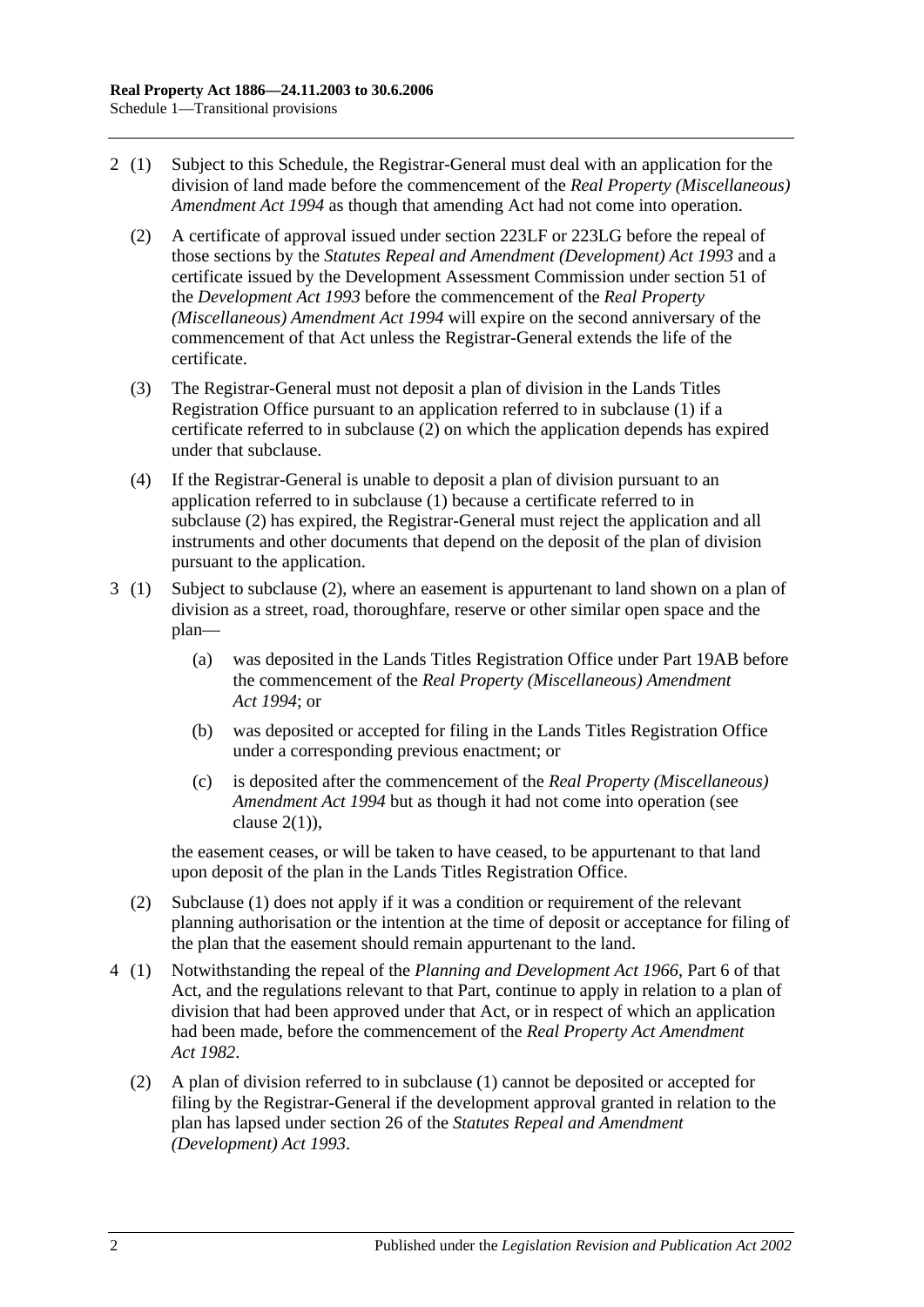- <span id="page-131-0"></span>2 (1) Subject to this Schedule, the Registrar-General must deal with an application for the division of land made before the commencement of the *[Real Property \(Miscellaneous\)](http://www.legislation.sa.gov.au/index.aspx?action=legref&type=act&legtitle=Real%20Property%20(Miscellaneous)%20Amendment%20Act%201994)  [Amendment Act](http://www.legislation.sa.gov.au/index.aspx?action=legref&type=act&legtitle=Real%20Property%20(Miscellaneous)%20Amendment%20Act%201994) 1994* as though that amending Act had not come into operation.
	- (2) A certificate of approval issued under [section](#page-107-0) 223LF or [223LG](#page-108-4) before the repeal of those sections by the *[Statutes Repeal and Amendment \(Development\) Act](http://www.legislation.sa.gov.au/index.aspx?action=legref&type=act&legtitle=Statutes%20Repeal%20and%20Amendment%20(Development)%20Act%201993) 1993* and a certificate issued by the Development Assessment Commission under section 51 of the *[Development Act](http://www.legislation.sa.gov.au/index.aspx?action=legref&type=act&legtitle=Development%20Act%201993) 1993* before the commencement of the *[Real Property](http://www.legislation.sa.gov.au/index.aspx?action=legref&type=act&legtitle=Real%20Property%20(Miscellaneous)%20Amendment%20Act%201994)  [\(Miscellaneous\) Amendment Act](http://www.legislation.sa.gov.au/index.aspx?action=legref&type=act&legtitle=Real%20Property%20(Miscellaneous)%20Amendment%20Act%201994) 1994* will expire on the second anniversary of the commencement of that Act unless the Registrar-General extends the life of the certificate.
	- (3) The Registrar-General must not deposit a plan of division in the Lands Titles Registration Office pursuant to an application referred to in subclause (1) if a certificate referred to in [subclause](#page-131-0) (2) on which the application depends has expired under that subclause.
	- (4) If the Registrar-General is unable to deposit a plan of division pursuant to an application referred to in subclause (1) because a certificate referred to in [subclause](#page-131-0) (2) has expired, the Registrar-General must reject the application and all instruments and other documents that depend on the deposit of the plan of division pursuant to the application.
- 3 (1) Subject to [subclause](#page-131-1) (2), where an easement is appurtenant to land shown on a plan of division as a street, road, thoroughfare, reserve or other similar open space and the plan—
	- (a) was deposited in the Lands Titles Registration Office under [Part 19AB](#page-102-0) before the commencement of the *[Real Property \(Miscellaneous\) Amendment](http://www.legislation.sa.gov.au/index.aspx?action=legref&type=act&legtitle=Real%20Property%20(Miscellaneous)%20Amendment%20Act%201994)  Act [1994](http://www.legislation.sa.gov.au/index.aspx?action=legref&type=act&legtitle=Real%20Property%20(Miscellaneous)%20Amendment%20Act%201994)*; or
	- (b) was deposited or accepted for filing in the Lands Titles Registration Office under a corresponding previous enactment; or
	- (c) is deposited after the commencement of the *[Real Property \(Miscellaneous\)](http://www.legislation.sa.gov.au/index.aspx?action=legref&type=act&legtitle=Real%20Property%20(Miscellaneous)%20Amendment%20Act%201994)  [Amendment Act](http://www.legislation.sa.gov.au/index.aspx?action=legref&type=act&legtitle=Real%20Property%20(Miscellaneous)%20Amendment%20Act%201994) 1994* but as though it had not come into operation (see clause  $2(1)$ ).

the easement ceases, or will be taken to have ceased, to be appurtenant to that land upon deposit of the plan in the Lands Titles Registration Office.

- <span id="page-131-1"></span>(2) Subclause (1) does not apply if it was a condition or requirement of the relevant planning authorisation or the intention at the time of deposit or acceptance for filing of the plan that the easement should remain appurtenant to the land.
- 4 (1) Notwithstanding the repeal of the *[Planning and Development Act](http://www.legislation.sa.gov.au/index.aspx?action=legref&type=act&legtitle=Planning%20and%20Development%20Act%201966) 1966*, Part 6 of that Act, and the regulations relevant to that Part, continue to apply in relation to a plan of division that had been approved under that Act, or in respect of which an application had been made, before the commencement of the *[Real Property Act Amendment](http://www.legislation.sa.gov.au/index.aspx?action=legref&type=act&legtitle=Real%20Property%20Act%20Amendment%20Act%201982)  Act [1982](http://www.legislation.sa.gov.au/index.aspx?action=legref&type=act&legtitle=Real%20Property%20Act%20Amendment%20Act%201982)*.
	- (2) A plan of division referred to in subclause (1) cannot be deposited or accepted for filing by the Registrar-General if the development approval granted in relation to the plan has lapsed under section 26 of the *[Statutes Repeal and Amendment](http://www.legislation.sa.gov.au/index.aspx?action=legref&type=act&legtitle=Statutes%20Repeal%20and%20Amendment%20(Development)%20Act%201993)  [\(Development\) Act](http://www.legislation.sa.gov.au/index.aspx?action=legref&type=act&legtitle=Statutes%20Repeal%20and%20Amendment%20(Development)%20Act%201993) 1993*.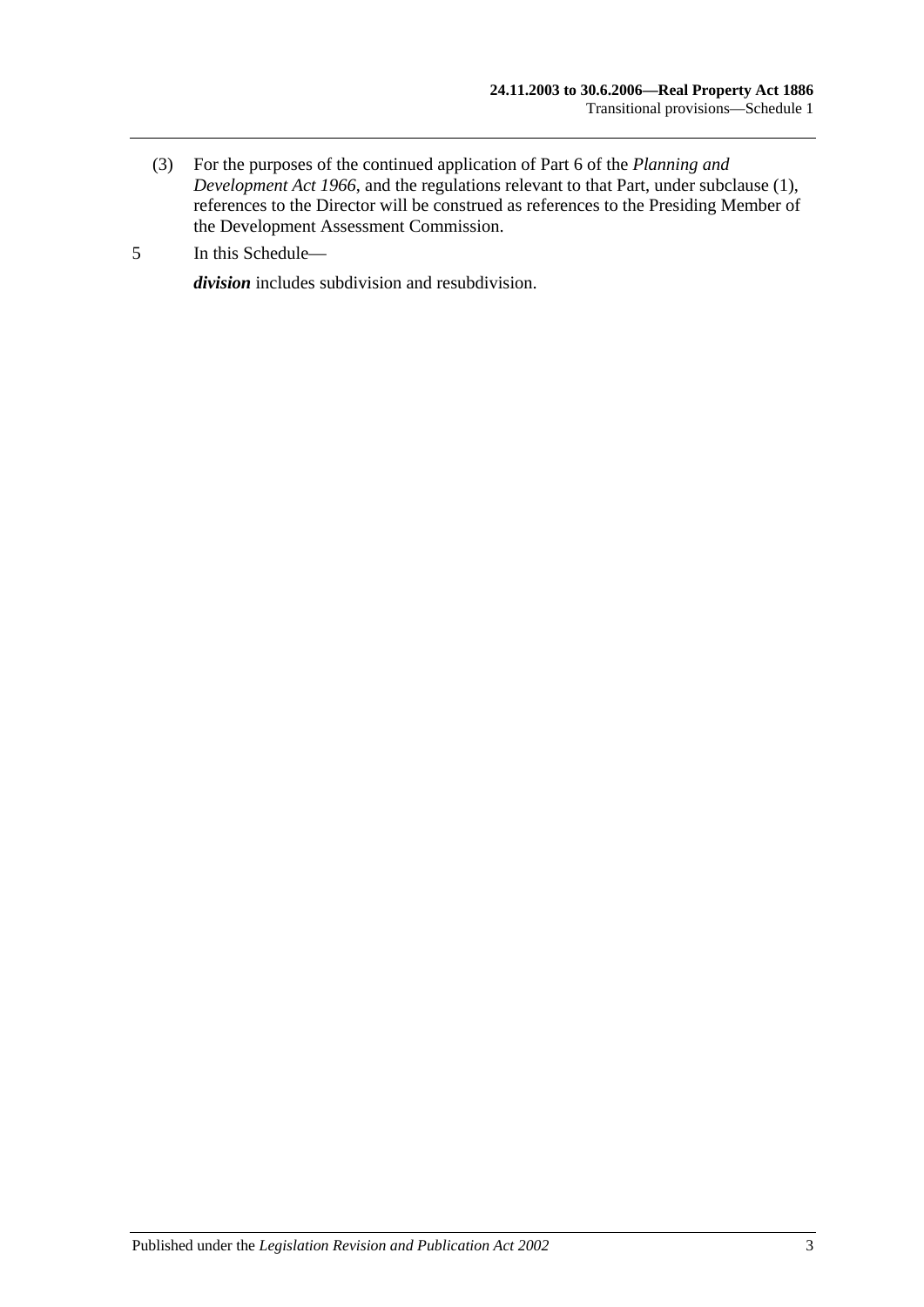- (3) For the purposes of the continued application of Part 6 of the *[Planning and](http://www.legislation.sa.gov.au/index.aspx?action=legref&type=act&legtitle=Planning%20and%20Development%20Act%201966)  [Development Act](http://www.legislation.sa.gov.au/index.aspx?action=legref&type=act&legtitle=Planning%20and%20Development%20Act%201966) 1966*, and the regulations relevant to that Part, under subclause (1), references to the Director will be construed as references to the Presiding Member of the Development Assessment Commission.
- 5 In this Schedule—

*division* includes subdivision and resubdivision.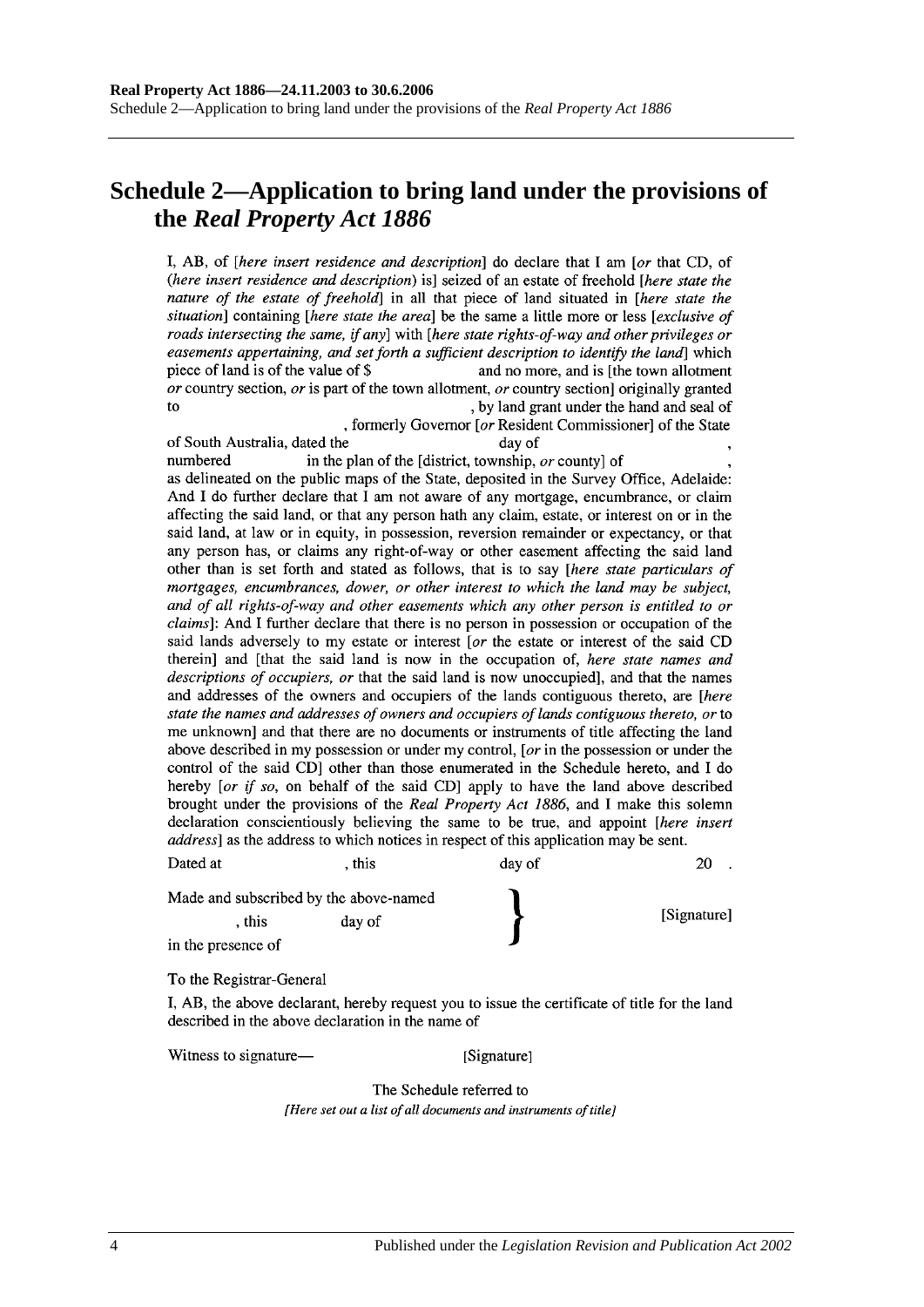## **Schedule 2—Application to bring land under the provisions of the** *Real Property Act 1886*

I, AB, of *[here insert residence and description*] do declare that I am *[or that CD, of* (here insert residence and description) is] seized of an estate of freehold [here state the nature of the estate of freehold] in all that piece of land situated in [here state the situation] containing [here state the area] be the same a little more or less [exclusive of roads intersecting the same, if any] with [here state rights-of-way and other privileges or easements appertaining, and set forth a sufficient description to identify the land which piece of land is of the value of \$ and no more, and is [the town allotment] or country section, or is part of the town allotment, or country section originally granted to , by land grant under the hand and seal of

, formerly Governor [or Resident Commissioner] of the State of South Australia, dated the day of numbered in the plan of the [district, township, or county] of as delineated on the public maps of the State, deposited in the Survey Office, Adelaide: And I do further declare that I am not aware of any mortgage, encumbrance, or claim affecting the said land, or that any person hath any claim, estate, or interest on or in the said land, at law or in equity, in possession, reversion remainder or expectancy, or that any person has, or claims any right-of-way or other easement affecting the said land other than is set forth and stated as follows, that is to say [here state particulars of mortgages, encumbrances, dower, or other interest to which the land may be subject, and of all rights-of-way and other easements which any other person is entitled to or *claims*]: And I further declare that there is no person in possession or occupation of the said lands adversely to my estate or interest [or the estate or interest of the said CD therein] and [that the said land is now in the occupation of, here state names and descriptions of occupiers, or that the said land is now unoccupied], and that the names and addresses of the owners and occupiers of the lands contiguous thereto, are [here state the names and addresses of owners and occupiers of lands contiguous thereto, or to me unknown and that there are no documents or instruments of title affecting the land

above described in my possession or under my control, [ $or$  in the possession or under the control of the said CD] other than those enumerated in the Schedule hereto, and I do hereby [or if so, on behalf of the said CD] apply to have the land above described brought under the provisions of the Real Property Act 1886, and I make this solemn declaration conscientiously believing the same to be true, and appoint [here insert address] as the address to which notices in respect of this application may be sent.

| Dated at                               | this   | day of | ാല          |
|----------------------------------------|--------|--------|-------------|
| Made and subscribed by the above-named |        |        |             |
| . this                                 | day of |        | [Signature] |
| in the presence of                     |        |        |             |

#### To the Registrar-General

I, AB, the above declarant, hereby request you to issue the certificate of title for the land described in the above declaration in the name of

Witness to signature—

[Signature]

The Schedule referred to [Here set out a list of all documents and instruments of title]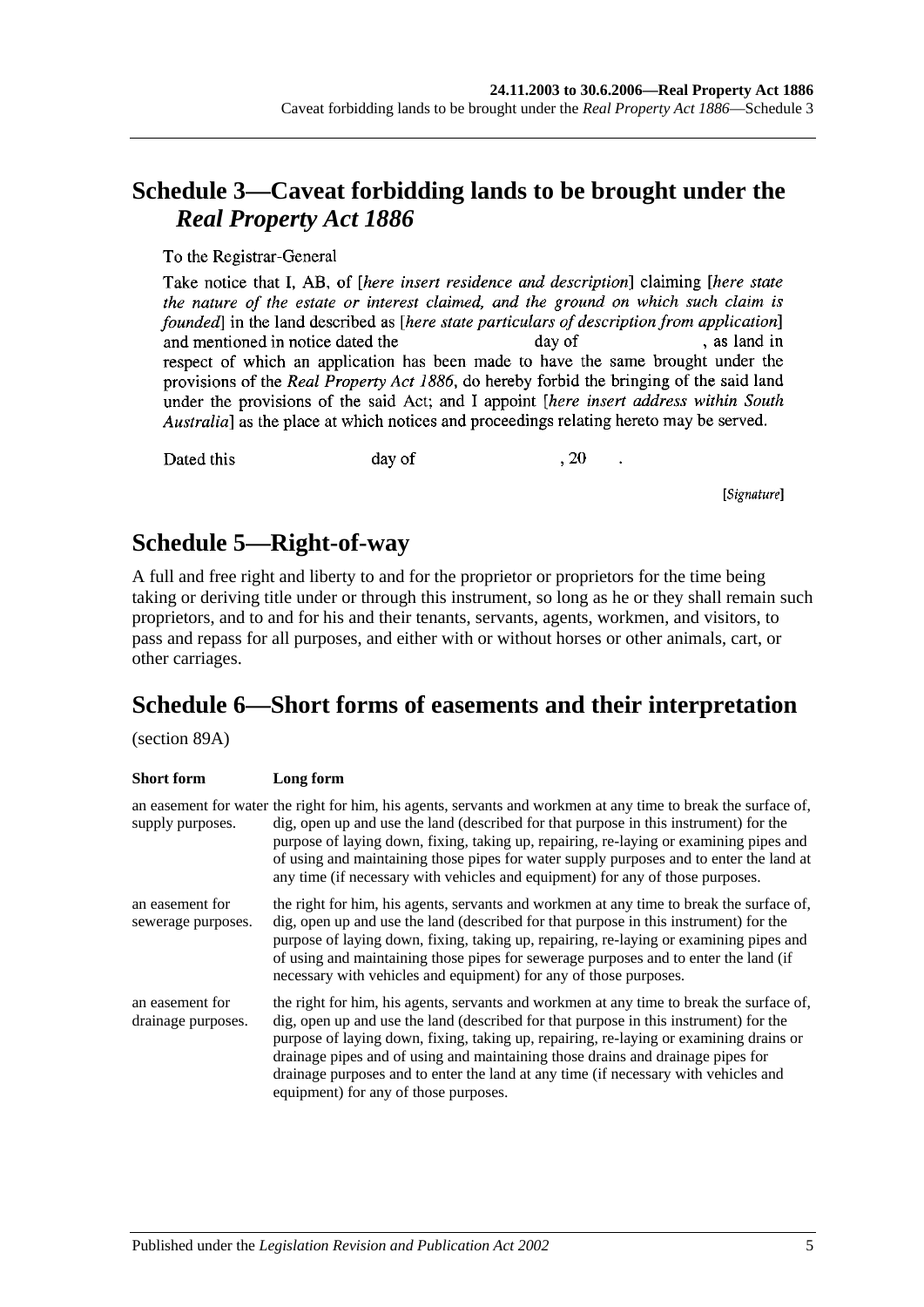## **Schedule 3—Caveat forbidding lands to be brought under the**  *Real Property Act 1886*

To the Registrar-General

Take notice that I, AB, of *[here insert residence and description*] claiming *[here state* the nature of the estate or interest claimed, and the ground on which such claim is founded in the land described as *[here state particulars of description from application*] , as land in and mentioned in notice dated the day of respect of which an application has been made to have the same brought under the provisions of the Real Property Act 1886, do hereby forbid the bringing of the said land under the provisions of the said Act; and I appoint *[here insert address within South* Australia] as the place at which notices and proceedings relating hereto may be served.

Dated this

day of

, 20

[Signature]

## **Schedule 5—Right-of-way**

A full and free right and liberty to and for the proprietor or proprietors for the time being taking or deriving title under or through this instrument, so long as he or they shall remain such proprietors, and to and for his and their tenants, servants, agents, workmen, and visitors, to pass and repass for all purposes, and either with or without horses or other animals, cart, or other carriages.

## **Schedule 6—Short forms of easements and their interpretation**

(section 89A)

| <b>Short</b> form                     | Long form                                                                                                                                                                                                                                                                                                                                                                                                                                                                                      |
|---------------------------------------|------------------------------------------------------------------------------------------------------------------------------------------------------------------------------------------------------------------------------------------------------------------------------------------------------------------------------------------------------------------------------------------------------------------------------------------------------------------------------------------------|
| supply purposes.                      | an easement for water the right for him, his agents, servants and workmen at any time to break the surface of,<br>dig, open up and use the land (described for that purpose in this instrument) for the<br>purpose of laying down, fixing, taking up, repairing, re-laying or examining pipes and<br>of using and maintaining those pipes for water supply purposes and to enter the land at<br>any time (if necessary with vehicles and equipment) for any of those purposes.                 |
| an easement for<br>sewerage purposes. | the right for him, his agents, servants and workmen at any time to break the surface of,<br>dig, open up and use the land (described for that purpose in this instrument) for the<br>purpose of laying down, fixing, taking up, repairing, re-laying or examining pipes and<br>of using and maintaining those pipes for sewerage purposes and to enter the land (if<br>necessary with vehicles and equipment) for any of those purposes.                                                       |
| an easement for<br>drainage purposes. | the right for him, his agents, servants and workmen at any time to break the surface of,<br>dig, open up and use the land (described for that purpose in this instrument) for the<br>purpose of laying down, fixing, taking up, repairing, re-laying or examining drains or<br>drainage pipes and of using and maintaining those drains and drainage pipes for<br>drainage purposes and to enter the land at any time (if necessary with vehicles and<br>equipment) for any of those purposes. |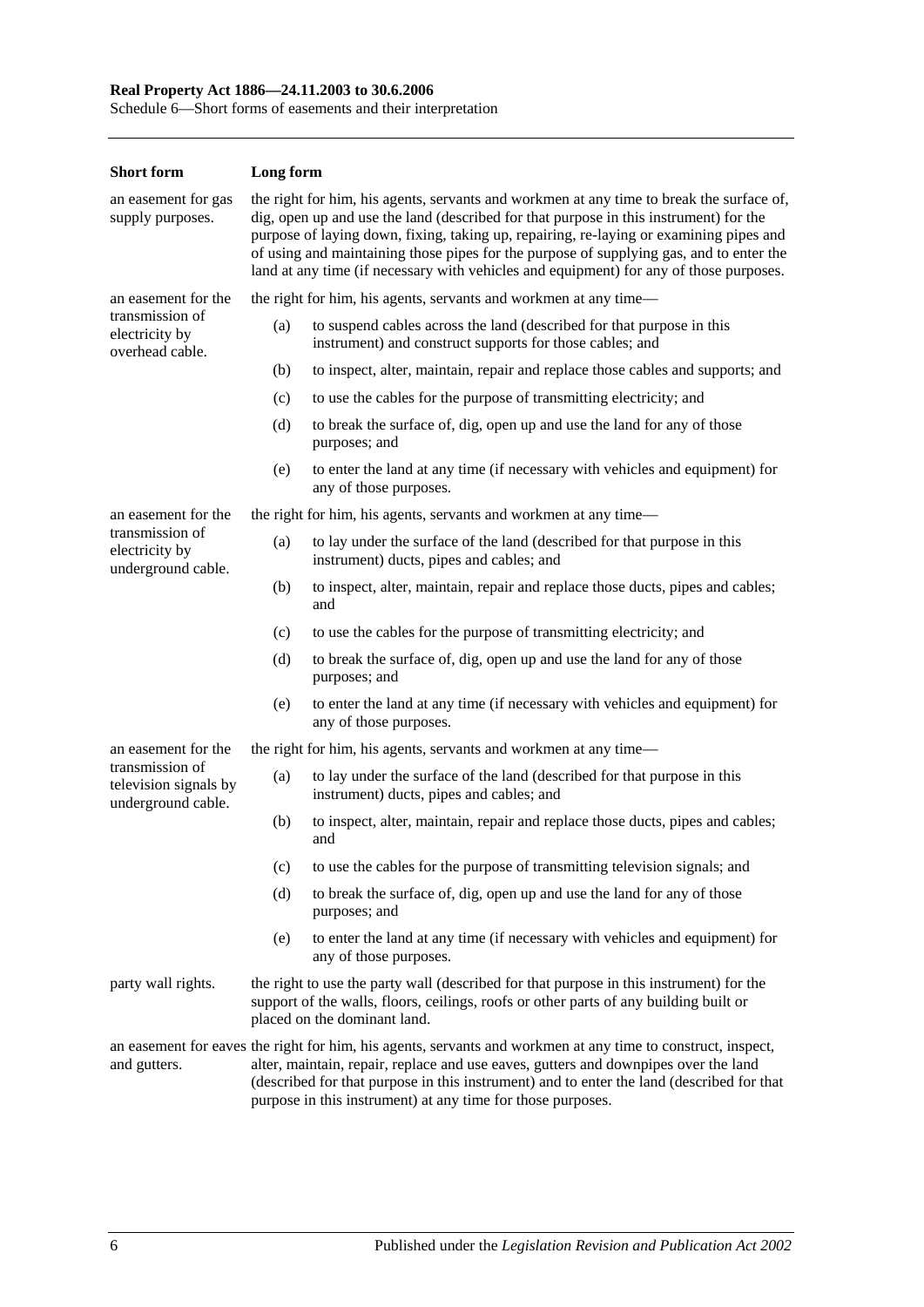#### **Real Property Act 1886—24.11.2003 to 30.6.2006**

Schedule 6—Short forms of easements and their interpretation

| <b>Short form</b>                                              | Long form                                                                                                                                                                                                                                                                                                                                                                                                                                                        |                                                                                                                                   |  |
|----------------------------------------------------------------|------------------------------------------------------------------------------------------------------------------------------------------------------------------------------------------------------------------------------------------------------------------------------------------------------------------------------------------------------------------------------------------------------------------------------------------------------------------|-----------------------------------------------------------------------------------------------------------------------------------|--|
| an easement for gas<br>supply purposes.                        | the right for him, his agents, servants and workmen at any time to break the surface of,<br>dig, open up and use the land (described for that purpose in this instrument) for the<br>purpose of laying down, fixing, taking up, repairing, re-laying or examining pipes and<br>of using and maintaining those pipes for the purpose of supplying gas, and to enter the<br>land at any time (if necessary with vehicles and equipment) for any of those purposes. |                                                                                                                                   |  |
| an easement for the                                            | the right for him, his agents, servants and workmen at any time—                                                                                                                                                                                                                                                                                                                                                                                                 |                                                                                                                                   |  |
| transmission of<br>electricity by<br>overhead cable.           | (a)                                                                                                                                                                                                                                                                                                                                                                                                                                                              | to suspend cables across the land (described for that purpose in this<br>instrument) and construct supports for those cables; and |  |
|                                                                | (b)                                                                                                                                                                                                                                                                                                                                                                                                                                                              | to inspect, alter, maintain, repair and replace those cables and supports; and                                                    |  |
|                                                                | (c)                                                                                                                                                                                                                                                                                                                                                                                                                                                              | to use the cables for the purpose of transmitting electricity; and                                                                |  |
|                                                                | (d)                                                                                                                                                                                                                                                                                                                                                                                                                                                              | to break the surface of, dig, open up and use the land for any of those<br>purposes; and                                          |  |
|                                                                | (e)                                                                                                                                                                                                                                                                                                                                                                                                                                                              | to enter the land at any time (if necessary with vehicles and equipment) for<br>any of those purposes.                            |  |
| an easement for the                                            |                                                                                                                                                                                                                                                                                                                                                                                                                                                                  | the right for him, his agents, servants and workmen at any time-                                                                  |  |
| transmission of<br>electricity by<br>underground cable.        | (a)                                                                                                                                                                                                                                                                                                                                                                                                                                                              | to lay under the surface of the land (described for that purpose in this<br>instrument) ducts, pipes and cables; and              |  |
|                                                                | (b)                                                                                                                                                                                                                                                                                                                                                                                                                                                              | to inspect, alter, maintain, repair and replace those ducts, pipes and cables;<br>and                                             |  |
|                                                                | (c)                                                                                                                                                                                                                                                                                                                                                                                                                                                              | to use the cables for the purpose of transmitting electricity; and                                                                |  |
|                                                                | (d)                                                                                                                                                                                                                                                                                                                                                                                                                                                              | to break the surface of, dig, open up and use the land for any of those<br>purposes; and                                          |  |
|                                                                | (e)                                                                                                                                                                                                                                                                                                                                                                                                                                                              | to enter the land at any time (if necessary with vehicles and equipment) for<br>any of those purposes.                            |  |
| an easement for the                                            |                                                                                                                                                                                                                                                                                                                                                                                                                                                                  | the right for him, his agents, servants and workmen at any time—                                                                  |  |
| transmission of<br>television signals by<br>underground cable. | (a)                                                                                                                                                                                                                                                                                                                                                                                                                                                              | to lay under the surface of the land (described for that purpose in this<br>instrument) ducts, pipes and cables; and              |  |
|                                                                | (b)                                                                                                                                                                                                                                                                                                                                                                                                                                                              | to inspect, alter, maintain, repair and replace those ducts, pipes and cables;<br>and                                             |  |
|                                                                | (c)                                                                                                                                                                                                                                                                                                                                                                                                                                                              | to use the cables for the purpose of transmitting television signals; and                                                         |  |
|                                                                | (d)                                                                                                                                                                                                                                                                                                                                                                                                                                                              | to break the surface of, dig, open up and use the land for any of those<br>purposes; and                                          |  |
|                                                                | (e)                                                                                                                                                                                                                                                                                                                                                                                                                                                              | to enter the land at any time (if necessary with vehicles and equipment) for<br>any of those purposes.                            |  |
| party wall rights.                                             | the right to use the party wall (described for that purpose in this instrument) for the<br>support of the walls, floors, ceilings, roofs or other parts of any building built or<br>placed on the dominant land.                                                                                                                                                                                                                                                 |                                                                                                                                   |  |
| and gutters.                                                   | an easement for eaves the right for him, his agents, servants and workmen at any time to construct, inspect,<br>alter, maintain, repair, replace and use eaves, gutters and downpipes over the land<br>(described for that purpose in this instrument) and to enter the land (described for that<br>purpose in this instrument) at any time for those purposes.                                                                                                  |                                                                                                                                   |  |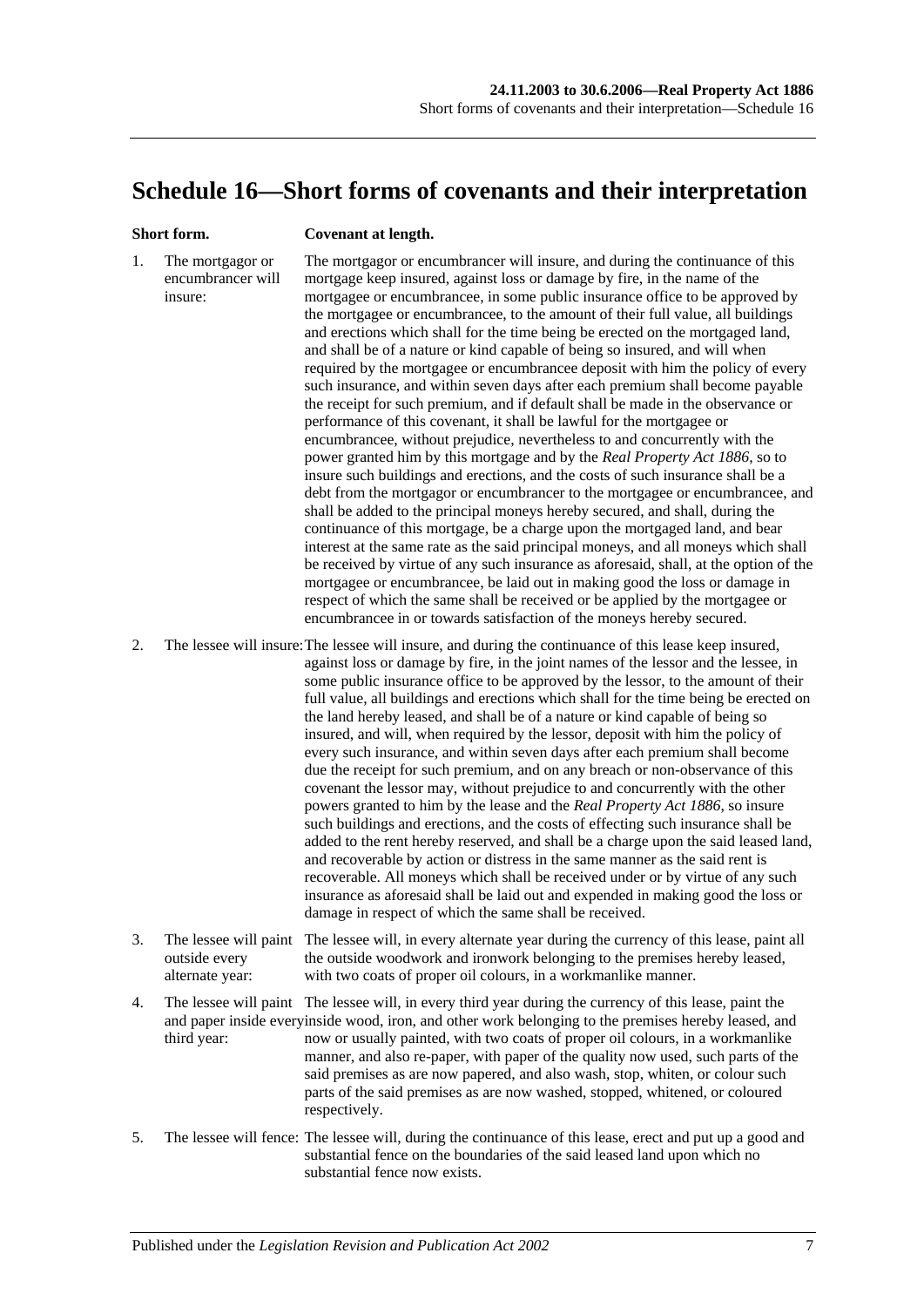## <span id="page-136-0"></span>**Schedule 16—Short forms of covenants and their interpretation**

#### **Short form. Covenant at length.**

1. The mortgagor or encumbrancer will insure: The mortgagor or encumbrancer will insure, and during the continuance of this mortgage keep insured, against loss or damage by fire, in the name of the mortgagee or encumbrancee, in some public insurance office to be approved by the mortgagee or encumbrancee, to the amount of their full value, all buildings and erections which shall for the time being be erected on the mortgaged land, and shall be of a nature or kind capable of being so insured, and will when required by the mortgagee or encumbrancee deposit with him the policy of every such insurance, and within seven days after each premium shall become payable the receipt for such premium, and if default shall be made in the observance or performance of this covenant, it shall be lawful for the mortgagee or encumbrancee, without prejudice, nevertheless to and concurrently with the power granted him by this mortgage and by the *[Real Property Act](http://www.legislation.sa.gov.au/index.aspx?action=legref&type=act&legtitle=Real%20Property%20Act%201886) 1886*, so to insure such buildings and erections, and the costs of such insurance shall be a debt from the mortgagor or encumbrancer to the mortgagee or encumbrancee, and shall be added to the principal moneys hereby secured, and shall, during the continuance of this mortgage, be a charge upon the mortgaged land, and bear interest at the same rate as the said principal moneys, and all moneys which shall be received by virtue of any such insurance as aforesaid, shall, at the option of the mortgagee or encumbrancee, be laid out in making good the loss or damage in respect of which the same shall be received or be applied by the mortgagee or encumbrancee in or towards satisfaction of the moneys hereby secured.

2. The lessee will insure:The lessee will insure, and during the continuance of this lease keep insured, against loss or damage by fire, in the joint names of the lessor and the lessee, in some public insurance office to be approved by the lessor, to the amount of their full value, all buildings and erections which shall for the time being be erected on the land hereby leased, and shall be of a nature or kind capable of being so insured, and will, when required by the lessor, deposit with him the policy of every such insurance, and within seven days after each premium shall become due the receipt for such premium, and on any breach or non-observance of this covenant the lessor may, without prejudice to and concurrently with the other powers granted to him by the lease and the *[Real Property Act](http://www.legislation.sa.gov.au/index.aspx?action=legref&type=act&legtitle=Real%20Property%20Act%201886) 1886*, so insure such buildings and erections, and the costs of effecting such insurance shall be added to the rent hereby reserved, and shall be a charge upon the said leased land, and recoverable by action or distress in the same manner as the said rent is recoverable. All moneys which shall be received under or by virtue of any such insurance as aforesaid shall be laid out and expended in making good the loss or damage in respect of which the same shall be received.

- 3. The lessee will paint The lessee will, in every alternate year during the currency of this lease, paint all outside every alternate year: the outside woodwork and ironwork belonging to the premises hereby leased, with two coats of proper oil colours, in a workmanlike manner.
- 4. The lessee will paint The lessee will, in every third year during the currency of this lease, paint the and paper inside everyinside wood, iron, and other work belonging to the premises hereby leased, and third year: now or usually painted, with two coats of proper oil colours, in a workmanlike manner, and also re-paper, with paper of the quality now used, such parts of the said premises as are now papered, and also wash, stop, whiten, or colour such parts of the said premises as are now washed, stopped, whitened, or coloured respectively.
- 5. The lessee will fence: The lessee will, during the continuance of this lease, erect and put up a good and substantial fence on the boundaries of the said leased land upon which no substantial fence now exists.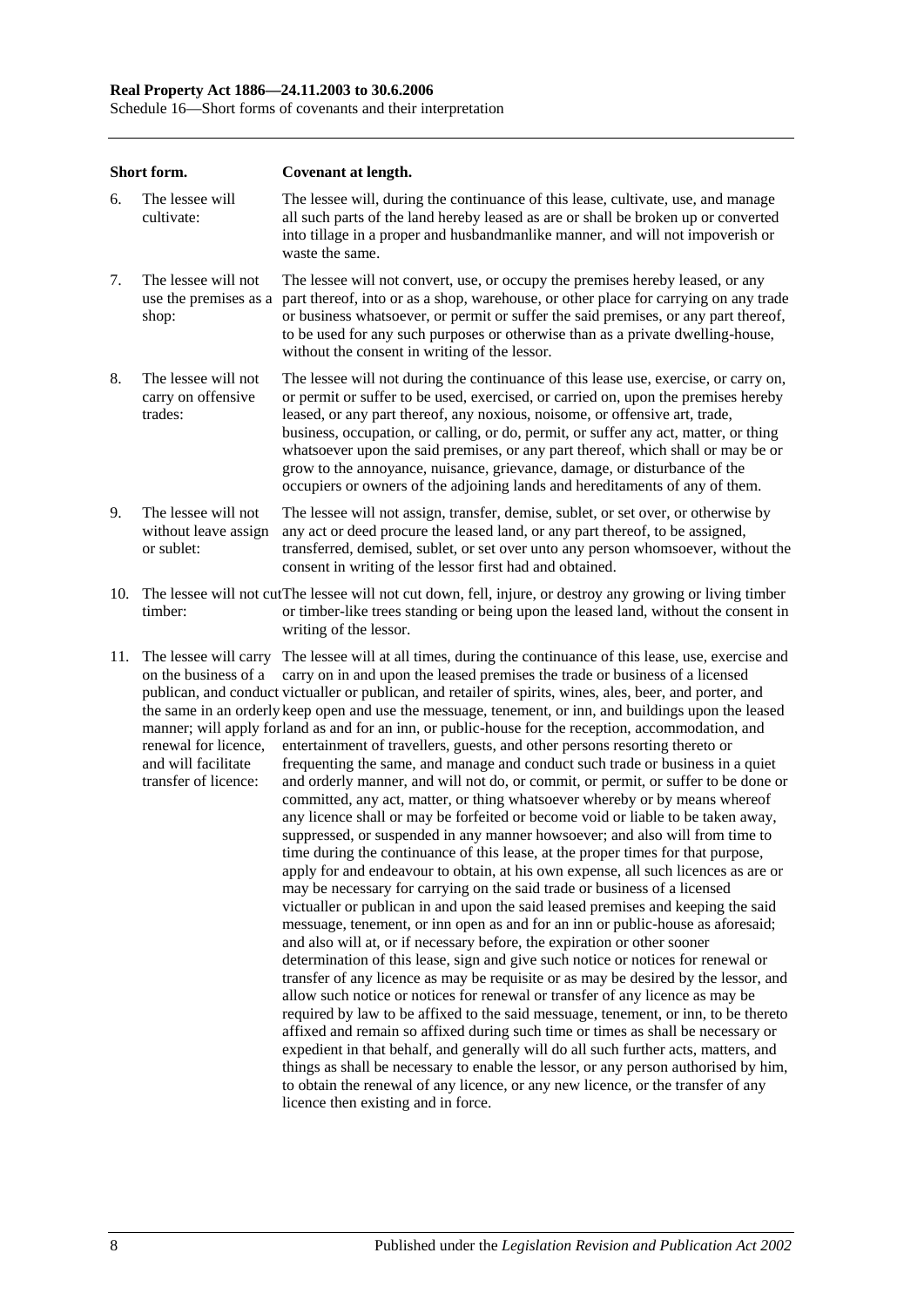#### **Real Property Act 1886—24.11.2003 to 30.6.2006**

Schedule 16—Short forms of covenants and their interpretation

|     | Short form.                                                                                                          | Covenant at length.                                                                                                                                                                                                                                                                                                                                                                                                                                                                                                                                                                                                                                                                                                                                                                                                                                                                                                                                                                                                                                                                                                                                                                                                                                                                                                                                                                                                                                                                                                                                                                                                                                                                                                                                                                                                                                                                                                                                                                                                                                                                                                                                                                                                                                                     |
|-----|----------------------------------------------------------------------------------------------------------------------|-------------------------------------------------------------------------------------------------------------------------------------------------------------------------------------------------------------------------------------------------------------------------------------------------------------------------------------------------------------------------------------------------------------------------------------------------------------------------------------------------------------------------------------------------------------------------------------------------------------------------------------------------------------------------------------------------------------------------------------------------------------------------------------------------------------------------------------------------------------------------------------------------------------------------------------------------------------------------------------------------------------------------------------------------------------------------------------------------------------------------------------------------------------------------------------------------------------------------------------------------------------------------------------------------------------------------------------------------------------------------------------------------------------------------------------------------------------------------------------------------------------------------------------------------------------------------------------------------------------------------------------------------------------------------------------------------------------------------------------------------------------------------------------------------------------------------------------------------------------------------------------------------------------------------------------------------------------------------------------------------------------------------------------------------------------------------------------------------------------------------------------------------------------------------------------------------------------------------------------------------------------------------|
| 6.  | The lessee will<br>cultivate:                                                                                        | The lessee will, during the continuance of this lease, cultivate, use, and manage<br>all such parts of the land hereby leased as are or shall be broken up or converted<br>into tillage in a proper and husbandmanlike manner, and will not impoverish or<br>waste the same.                                                                                                                                                                                                                                                                                                                                                                                                                                                                                                                                                                                                                                                                                                                                                                                                                                                                                                                                                                                                                                                                                                                                                                                                                                                                                                                                                                                                                                                                                                                                                                                                                                                                                                                                                                                                                                                                                                                                                                                            |
| 7.  | The lessee will not<br>use the premises as a<br>shop:                                                                | The lessee will not convert, use, or occupy the premises hereby leased, or any<br>part thereof, into or as a shop, warehouse, or other place for carrying on any trade<br>or business whatsoever, or permit or suffer the said premises, or any part thereof,<br>to be used for any such purposes or otherwise than as a private dwelling-house,<br>without the consent in writing of the lessor.                                                                                                                                                                                                                                                                                                                                                                                                                                                                                                                                                                                                                                                                                                                                                                                                                                                                                                                                                                                                                                                                                                                                                                                                                                                                                                                                                                                                                                                                                                                                                                                                                                                                                                                                                                                                                                                                       |
| 8.  | The lessee will not<br>carry on offensive<br>trades:                                                                 | The lessee will not during the continuance of this lease use, exercise, or carry on,<br>or permit or suffer to be used, exercised, or carried on, upon the premises hereby<br>leased, or any part thereof, any noxious, noisome, or offensive art, trade,<br>business, occupation, or calling, or do, permit, or suffer any act, matter, or thing<br>whatsoever upon the said premises, or any part thereof, which shall or may be or<br>grow to the annoyance, nuisance, grievance, damage, or disturbance of the<br>occupiers or owners of the adjoining lands and hereditaments of any of them.                                                                                                                                                                                                                                                                                                                                                                                                                                                                                                                                                                                                                                                                                                                                                                                                                                                                                                                                                                                                                                                                                                                                                                                                                                                                                                                                                                                                                                                                                                                                                                                                                                                                      |
| 9.  | The lessee will not<br>without leave assign<br>or sublet:                                                            | The lessee will not assign, transfer, demise, sublet, or set over, or otherwise by<br>any act or deed procure the leased land, or any part thereof, to be assigned,<br>transferred, demised, sublet, or set over unto any person whomsoever, without the<br>consent in writing of the lessor first had and obtained.                                                                                                                                                                                                                                                                                                                                                                                                                                                                                                                                                                                                                                                                                                                                                                                                                                                                                                                                                                                                                                                                                                                                                                                                                                                                                                                                                                                                                                                                                                                                                                                                                                                                                                                                                                                                                                                                                                                                                    |
| 10. | timber:                                                                                                              | The lessee will not cut The lessee will not cut down, fell, injure, or destroy any growing or living timber<br>or timber-like trees standing or being upon the leased land, without the consent in<br>writing of the lessor.                                                                                                                                                                                                                                                                                                                                                                                                                                                                                                                                                                                                                                                                                                                                                                                                                                                                                                                                                                                                                                                                                                                                                                                                                                                                                                                                                                                                                                                                                                                                                                                                                                                                                                                                                                                                                                                                                                                                                                                                                                            |
| 11. | The lessee will carry<br>on the business of a<br>renewal for licence,<br>and will facilitate<br>transfer of licence: | The lessee will at all times, during the continuance of this lease, use, exercise and<br>carry on in and upon the leased premises the trade or business of a licensed<br>publican, and conduct victualler or publican, and retailer of spirits, wines, ales, beer, and porter, and<br>the same in an orderly keep open and use the messuage, tenement, or inn, and buildings upon the leased<br>manner; will apply forland as and for an inn, or public-house for the reception, accommodation, and<br>entertainment of travellers, guests, and other persons resorting thereto or<br>frequenting the same, and manage and conduct such trade or business in a quiet<br>and orderly manner, and will not do, or commit, or permit, or suffer to be done or<br>committed, any act, matter, or thing whatsoever whereby or by means whereof<br>any licence shall or may be forfeited or become void or liable to be taken away,<br>suppressed, or suspended in any manner howsoever; and also will from time to<br>time during the continuance of this lease, at the proper times for that purpose,<br>apply for and endeavour to obtain, at his own expense, all such licences as are or<br>may be necessary for carrying on the said trade or business of a licensed<br>victualler or publican in and upon the said leased premises and keeping the said<br>messuage, tenement, or inn open as and for an inn or public-house as aforesaid;<br>and also will at, or if necessary before, the expiration or other sooner<br>determination of this lease, sign and give such notice or notices for renewal or<br>transfer of any licence as may be requisite or as may be desired by the lessor, and<br>allow such notice or notices for renewal or transfer of any licence as may be<br>required by law to be affixed to the said messuage, tenement, or inn, to be thereto<br>affixed and remain so affixed during such time or times as shall be necessary or<br>expedient in that behalf, and generally will do all such further acts, matters, and<br>things as shall be necessary to enable the lessor, or any person authorised by him,<br>to obtain the renewal of any licence, or any new licence, or the transfer of any<br>licence then existing and in force. |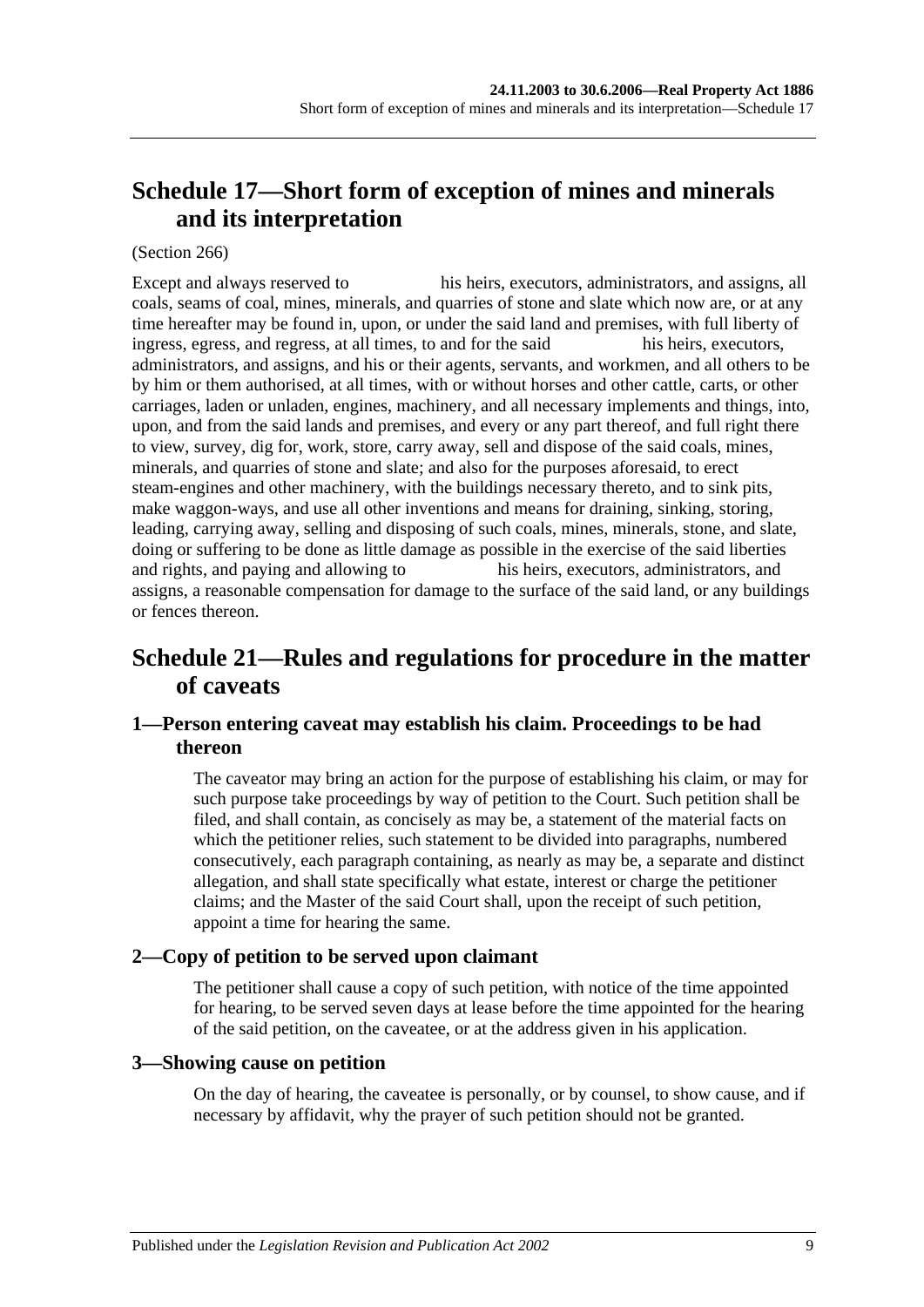# <span id="page-138-1"></span>**Schedule 17—Short form of exception of mines and minerals and its interpretation**

#### (Section 266)

Except and always reserved to his heirs, executors, administrators, and assigns, all coals, seams of coal, mines, minerals, and quarries of stone and slate which now are, or at any time hereafter may be found in, upon, or under the said land and premises, with full liberty of ingress, egress, and regress, at all times, to and for the said his heirs, executors, administrators, and assigns, and his or their agents, servants, and workmen, and all others to be by him or them authorised, at all times, with or without horses and other cattle, carts, or other carriages, laden or unladen, engines, machinery, and all necessary implements and things, into, upon, and from the said lands and premises, and every or any part thereof, and full right there to view, survey, dig for, work, store, carry away, sell and dispose of the said coals, mines, minerals, and quarries of stone and slate; and also for the purposes aforesaid, to erect steam-engines and other machinery, with the buildings necessary thereto, and to sink pits, make waggon-ways, and use all other inventions and means for draining, sinking, storing, leading, carrying away, selling and disposing of such coals, mines, minerals, stone, and slate, doing or suffering to be done as little damage as possible in the exercise of the said liberties and rights, and paying and allowing to his heirs, executors, administrators, and assigns, a reasonable compensation for damage to the surface of the said land, or any buildings or fences thereon.

# <span id="page-138-0"></span>**Schedule 21—Rules and regulations for procedure in the matter of caveats**

#### **1—Person entering caveat may establish his claim. Proceedings to be had thereon**

The caveator may bring an action for the purpose of establishing his claim, or may for such purpose take proceedings by way of petition to the Court. Such petition shall be filed, and shall contain, as concisely as may be, a statement of the material facts on which the petitioner relies, such statement to be divided into paragraphs, numbered consecutively, each paragraph containing, as nearly as may be, a separate and distinct allegation, and shall state specifically what estate, interest or charge the petitioner claims; and the Master of the said Court shall, upon the receipt of such petition, appoint a time for hearing the same.

#### **2—Copy of petition to be served upon claimant**

The petitioner shall cause a copy of such petition, with notice of the time appointed for hearing, to be served seven days at lease before the time appointed for the hearing of the said petition, on the caveatee, or at the address given in his application.

#### **3—Showing cause on petition**

On the day of hearing, the caveatee is personally, or by counsel, to show cause, and if necessary by affidavit, why the prayer of such petition should not be granted.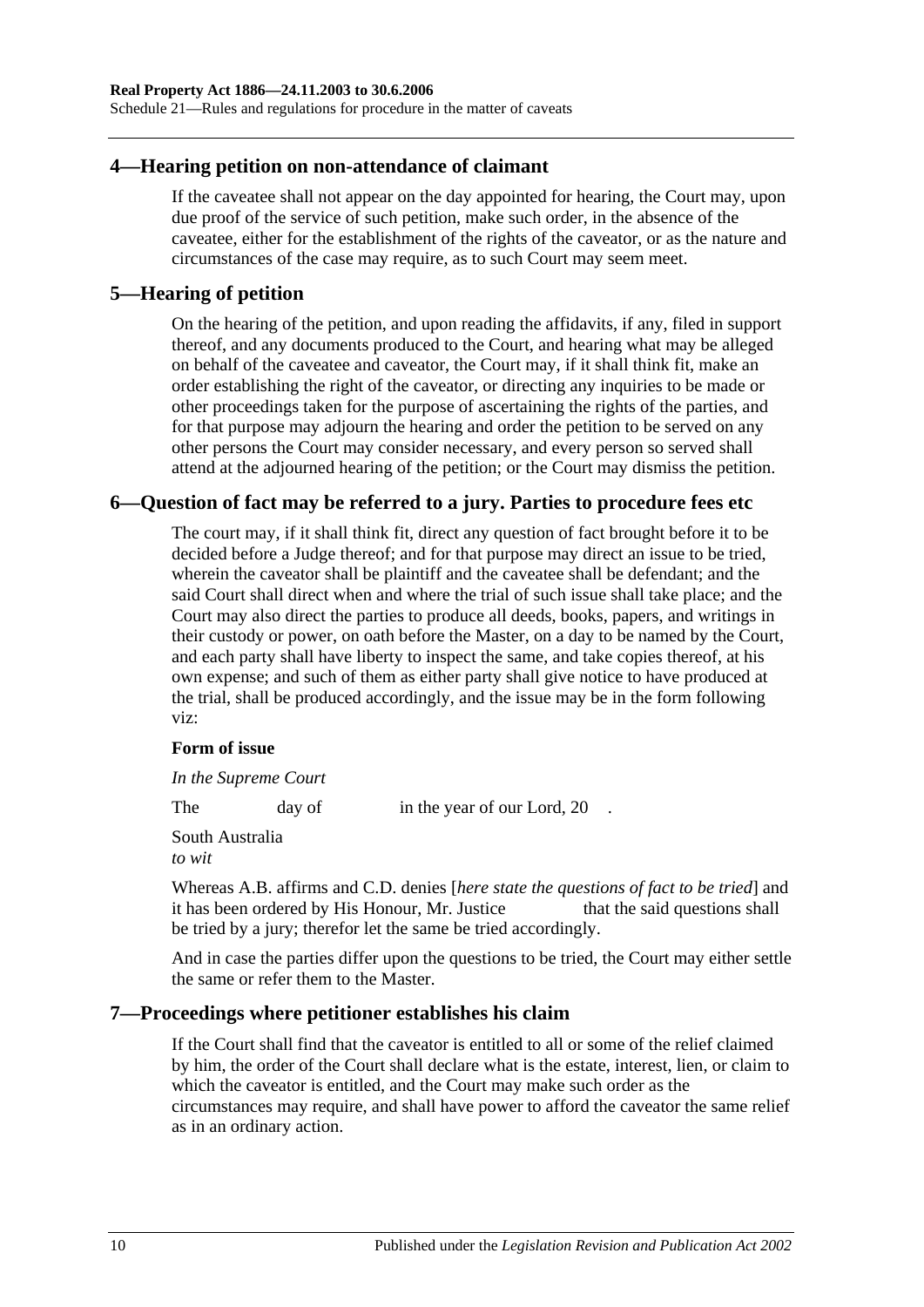Schedule 21—Rules and regulations for procedure in the matter of caveats

#### **4—Hearing petition on non-attendance of claimant**

If the caveatee shall not appear on the day appointed for hearing, the Court may, upon due proof of the service of such petition, make such order, in the absence of the caveatee, either for the establishment of the rights of the caveator, or as the nature and circumstances of the case may require, as to such Court may seem meet.

#### **5—Hearing of petition**

On the hearing of the petition, and upon reading the affidavits, if any, filed in support thereof, and any documents produced to the Court, and hearing what may be alleged on behalf of the caveatee and caveator, the Court may, if it shall think fit, make an order establishing the right of the caveator, or directing any inquiries to be made or other proceedings taken for the purpose of ascertaining the rights of the parties, and for that purpose may adjourn the hearing and order the petition to be served on any other persons the Court may consider necessary, and every person so served shall attend at the adjourned hearing of the petition; or the Court may dismiss the petition.

## **6—Question of fact may be referred to a jury. Parties to procedure fees etc**

The court may, if it shall think fit, direct any question of fact brought before it to be decided before a Judge thereof; and for that purpose may direct an issue to be tried, wherein the caveator shall be plaintiff and the caveatee shall be defendant; and the said Court shall direct when and where the trial of such issue shall take place; and the Court may also direct the parties to produce all deeds, books, papers, and writings in their custody or power, on oath before the Master, on a day to be named by the Court, and each party shall have liberty to inspect the same, and take copies thereof, at his own expense; and such of them as either party shall give notice to have produced at the trial, shall be produced accordingly, and the issue may be in the form following viz:

#### **Form of issue**

*In the Supreme Court*

The day of in the year of our Lord, 20.

South Australia *to wit*

Whereas A.B. affirms and C.D. denies [*here state the questions of fact to be tried*] and it has been ordered by His Honour, Mr. Justice that the said questions shall be tried by a jury; therefor let the same be tried accordingly.

And in case the parties differ upon the questions to be tried, the Court may either settle the same or refer them to the Master.

## **7—Proceedings where petitioner establishes his claim**

If the Court shall find that the caveator is entitled to all or some of the relief claimed by him, the order of the Court shall declare what is the estate, interest, lien, or claim to which the caveator is entitled, and the Court may make such order as the circumstances may require, and shall have power to afford the caveator the same relief as in an ordinary action.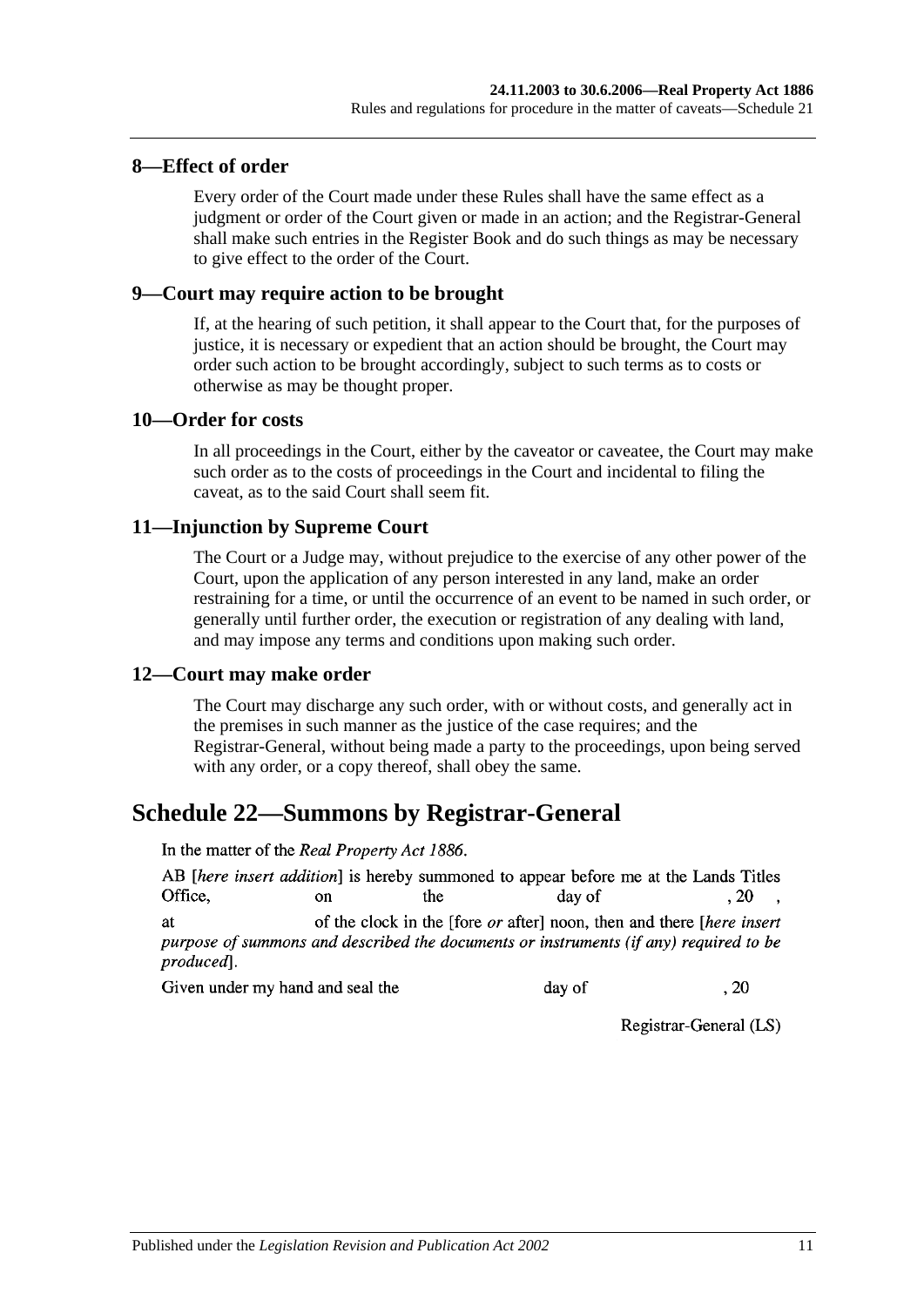#### **8—Effect of order**

Every order of the Court made under these Rules shall have the same effect as a judgment or order of the Court given or made in an action; and the Registrar-General shall make such entries in the Register Book and do such things as may be necessary to give effect to the order of the Court.

#### **9—Court may require action to be brought**

If, at the hearing of such petition, it shall appear to the Court that, for the purposes of justice, it is necessary or expedient that an action should be brought, the Court may order such action to be brought accordingly, subject to such terms as to costs or otherwise as may be thought proper.

#### **10—Order for costs**

In all proceedings in the Court, either by the caveator or caveatee, the Court may make such order as to the costs of proceedings in the Court and incidental to filing the caveat, as to the said Court shall seem fit.

#### **11—Injunction by Supreme Court**

The Court or a Judge may, without prejudice to the exercise of any other power of the Court, upon the application of any person interested in any land, make an order restraining for a time, or until the occurrence of an event to be named in such order, or generally until further order, the execution or registration of any dealing with land, and may impose any terms and conditions upon making such order.

#### **12—Court may make order**

The Court may discharge any such order, with or without costs, and generally act in the premises in such manner as the justice of the case requires; and the Registrar-General, without being made a party to the proceedings, upon being served with any order, or a copy thereof, shall obey the same.

## <span id="page-140-0"></span>**Schedule 22—Summons by Registrar-General**

In the matter of the Real Property Act 1886.

AB [here insert addition] is hereby summoned to appear before me at the Lands Titles Office.  $\alpha$ the day of  $.20$ of the clock in the [fore *or* after] noon, then and there *[here insert*] **at** purpose of summons and described the documents or instruments (if any) required to be

produced<sub>1</sub>.

Given under my hand and seal the

day of  $.20$ 

Registrar-General (LS)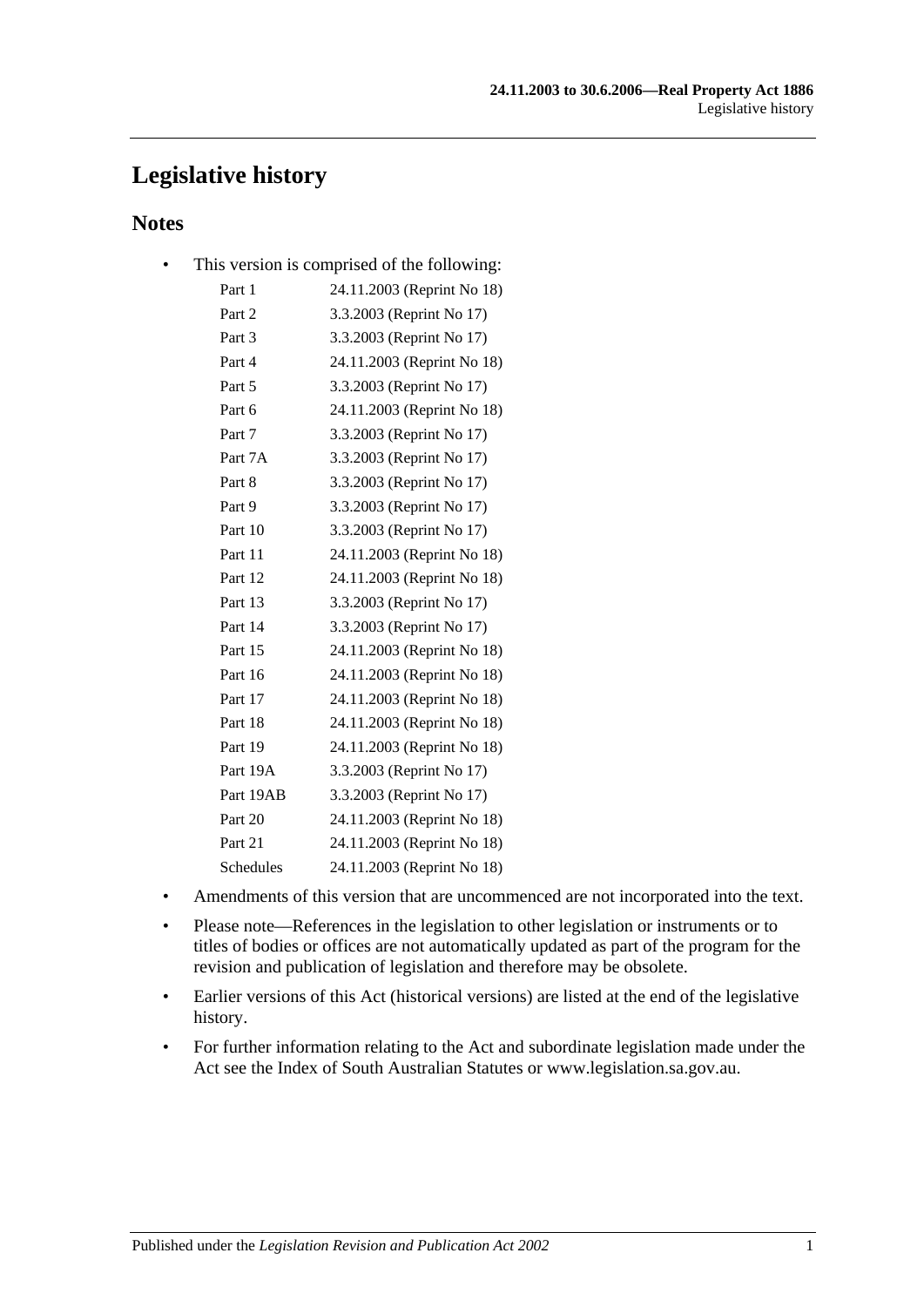## **Legislative history**

## **Notes**

• This version is comprised of the following:

| Part 1    | 24.11.2003 (Reprint No 18) |
|-----------|----------------------------|
| Part 2    | 3.3.2003 (Reprint No 17)   |
| Part 3    | 3.3.2003 (Reprint No 17)   |
| Part 4    | 24.11.2003 (Reprint No 18) |
| Part 5    | 3.3.2003 (Reprint No 17)   |
| Part 6    | 24.11.2003 (Reprint No 18) |
| Part 7    | 3.3.2003 (Reprint No 17)   |
| Part 7A   | 3.3.2003 (Reprint No 17)   |
| Part 8    | 3.3.2003 (Reprint No 17)   |
| Part 9    | 3.3.2003 (Reprint No 17)   |
| Part 10   | 3.3.2003 (Reprint No 17)   |
| Part 11   | 24.11.2003 (Reprint No 18) |
| Part 12   | 24.11.2003 (Reprint No 18) |
| Part 13   | 3.3.2003 (Reprint No 17)   |
| Part 14   | 3.3.2003 (Reprint No 17)   |
| Part 15   | 24.11.2003 (Reprint No 18) |
| Part 16   | 24.11.2003 (Reprint No 18) |
| Part 17   | 24.11.2003 (Reprint No 18) |
| Part 18   | 24.11.2003 (Reprint No 18) |
| Part 19   | 24.11.2003 (Reprint No 18) |
| Part 19A  | 3.3.2003 (Reprint No 17)   |
| Part 19AB | 3.3.2003 (Reprint No 17)   |
| Part 20   | 24.11.2003 (Reprint No 18) |
| Part 21   | 24.11.2003 (Reprint No 18) |
| Schedules | 24.11.2003 (Reprint No 18) |

- Amendments of this version that are uncommenced are not incorporated into the text.
- Please note—References in the legislation to other legislation or instruments or to titles of bodies or offices are not automatically updated as part of the program for the revision and publication of legislation and therefore may be obsolete.
- Earlier versions of this Act (historical versions) are listed at the end of the legislative history.
- For further information relating to the Act and subordinate legislation made under the Act see the Index of South Australian Statutes or www.legislation.sa.gov.au.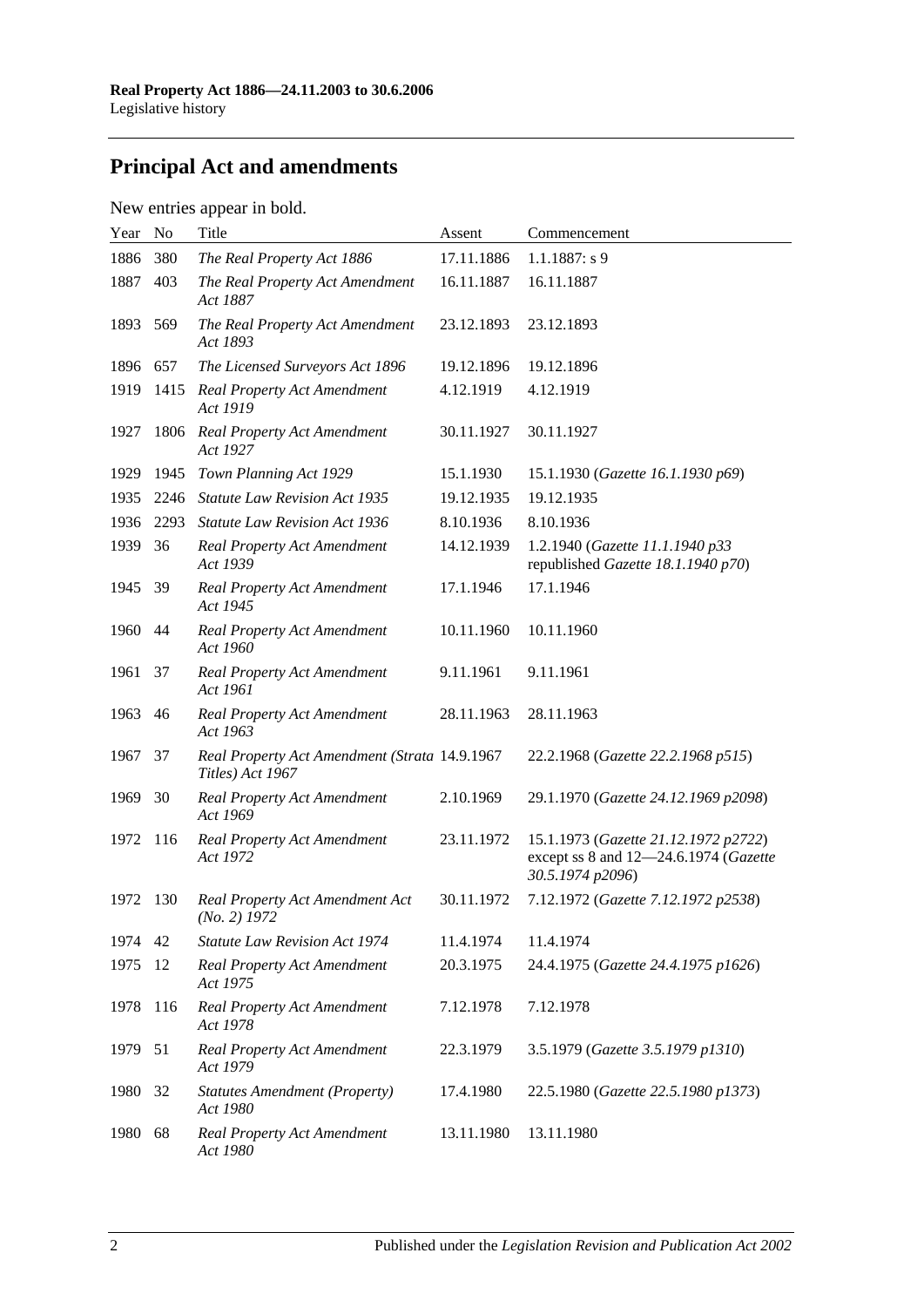# **Principal Act and amendments**

## New entries appear in bold.

| Year | No   | Title                                                             | Assent     | Commencement                                                                                      |
|------|------|-------------------------------------------------------------------|------------|---------------------------------------------------------------------------------------------------|
| 1886 | 380  | The Real Property Act 1886                                        | 17.11.1886 | $1.1.1887: s$ 9                                                                                   |
| 1887 | 403  | The Real Property Act Amendment<br>Act 1887                       | 16.11.1887 | 16.11.1887                                                                                        |
| 1893 | 569  | The Real Property Act Amendment<br>Act 1893                       | 23.12.1893 | 23.12.1893                                                                                        |
| 1896 | 657  | The Licensed Surveyors Act 1896                                   | 19.12.1896 | 19.12.1896                                                                                        |
| 1919 | 1415 | <b>Real Property Act Amendment</b><br>Act 1919                    | 4.12.1919  | 4.12.1919                                                                                         |
| 1927 | 1806 | <b>Real Property Act Amendment</b><br>Act 1927                    | 30.11.1927 | 30.11.1927                                                                                        |
| 1929 | 1945 | Town Planning Act 1929                                            | 15.1.1930  | 15.1.1930 (Gazette 16.1.1930 p69)                                                                 |
| 1935 | 2246 | <b>Statute Law Revision Act 1935</b>                              | 19.12.1935 | 19.12.1935                                                                                        |
| 1936 | 2293 | <b>Statute Law Revision Act 1936</b>                              | 8.10.1936  | 8.10.1936                                                                                         |
| 1939 | 36   | <b>Real Property Act Amendment</b><br>Act 1939                    | 14.12.1939 | 1.2.1940 (Gazette 11.1.1940 p33<br>republished Gazette 18.1.1940 p70)                             |
| 1945 | - 39 | <b>Real Property Act Amendment</b><br>Act 1945                    | 17.1.1946  | 17.1.1946                                                                                         |
| 1960 | 44   | <b>Real Property Act Amendment</b><br>Act 1960                    | 10.11.1960 | 10.11.1960                                                                                        |
| 1961 | 37   | <b>Real Property Act Amendment</b><br>Act 1961                    | 9.11.1961  | 9.11.1961                                                                                         |
| 1963 | 46   | <b>Real Property Act Amendment</b><br>Act 1963                    | 28.11.1963 | 28.11.1963                                                                                        |
| 1967 | 37   | Real Property Act Amendment (Strata 14.9.1967<br>Titles) Act 1967 |            | 22.2.1968 (Gazette 22.2.1968 p515)                                                                |
| 1969 | 30   | <b>Real Property Act Amendment</b><br>Act 1969                    | 2.10.1969  | 29.1.1970 (Gazette 24.12.1969 p2098)                                                              |
| 1972 | 116  | <b>Real Property Act Amendment</b><br>Act 1972                    | 23.11.1972 | 15.1.1973 (Gazette 21.12.1972 p2722)<br>except ss 8 and 12-24.6.1974 (Gazette<br>30.5.1974 p2096) |
| 1972 | 130  | Real Property Act Amendment Act<br>$(No. 2)$ 1972                 | 30.11.1972 | 7.12.1972 (Gazette 7.12.1972 p2538)                                                               |
| 1974 | 42   | <b>Statute Law Revision Act 1974</b>                              | 11.4.1974  | 11.4.1974                                                                                         |
| 1975 | 12   | <b>Real Property Act Amendment</b><br>Act 1975                    | 20.3.1975  | 24.4.1975 (Gazette 24.4.1975 p1626)                                                               |
| 1978 | 116  | <b>Real Property Act Amendment</b><br>Act 1978                    | 7.12.1978  | 7.12.1978                                                                                         |
| 1979 | 51   | <b>Real Property Act Amendment</b><br>Act 1979                    | 22.3.1979  | 3.5.1979 (Gazette 3.5.1979 p1310)                                                                 |
| 1980 | 32   | <b>Statutes Amendment (Property)</b><br>Act 1980                  | 17.4.1980  | 22.5.1980 (Gazette 22.5.1980 p1373)                                                               |
| 1980 | 68   | <b>Real Property Act Amendment</b><br>Act 1980                    | 13.11.1980 | 13.11.1980                                                                                        |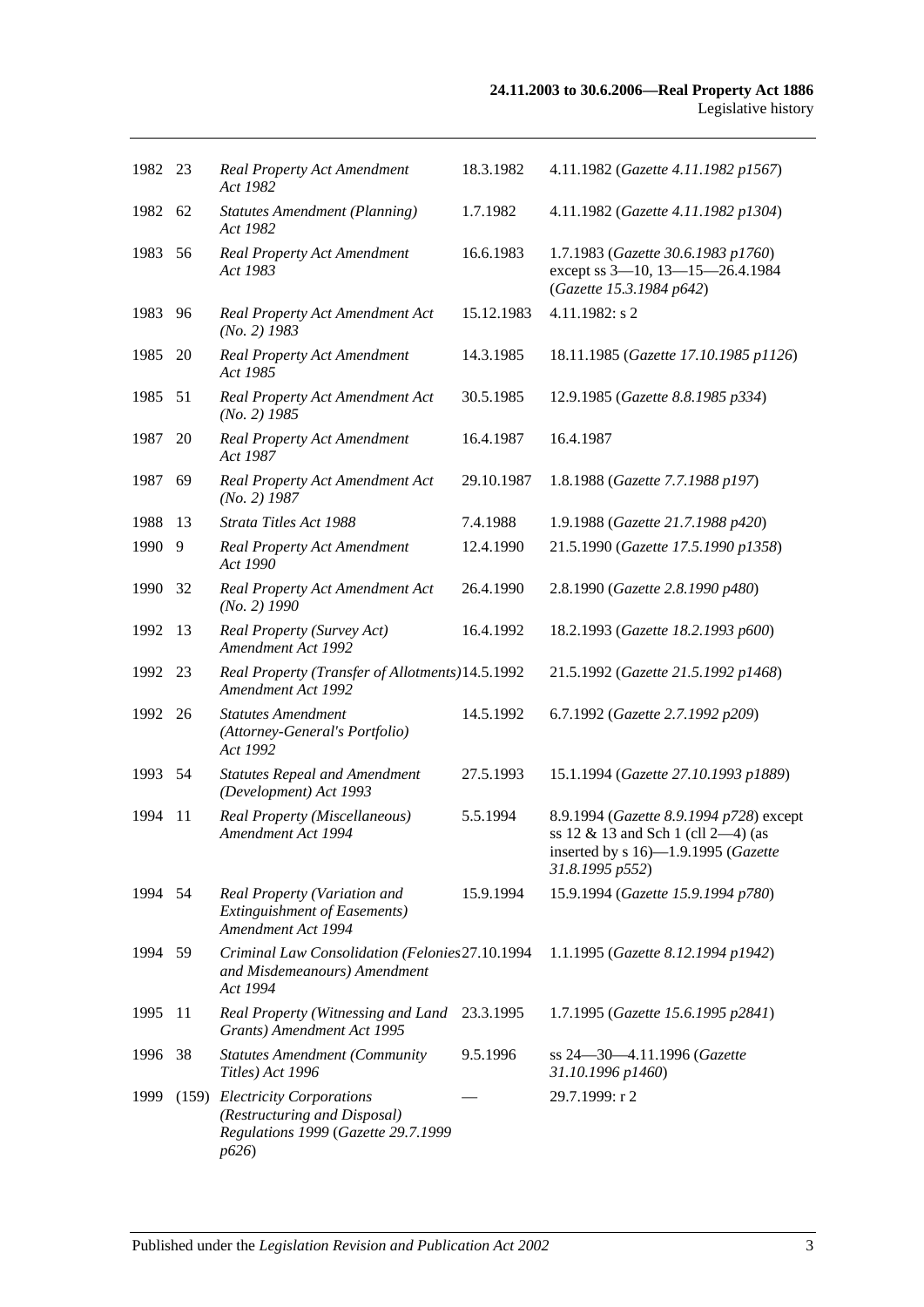| 1982 23 |    | <b>Real Property Act Amendment</b><br>Act 1982                                                                | 18.3.1982  | 4.11.1982 (Gazette 4.11.1982 p1567)                                                                                                        |
|---------|----|---------------------------------------------------------------------------------------------------------------|------------|--------------------------------------------------------------------------------------------------------------------------------------------|
| 1982 62 |    | <b>Statutes Amendment (Planning)</b><br>Act 1982                                                              | 1.7.1982   | 4.11.1982 (Gazette 4.11.1982 p1304)                                                                                                        |
| 1983    | 56 | Real Property Act Amendment<br>Act 1983                                                                       | 16.6.1983  | 1.7.1983 (Gazette 30.6.1983 p1760)<br>except ss 3-10, 13-15-26.4.1984<br>(Gazette 15.3.1984 p642)                                          |
| 1983    | 96 | Real Property Act Amendment Act<br>$(No. 2)$ 1983                                                             | 15.12.1983 | 4.11.1982: s 2                                                                                                                             |
| 1985    | 20 | <b>Real Property Act Amendment</b><br>Act 1985                                                                | 14.3.1985  | 18.11.1985 (Gazette 17.10.1985 p1126)                                                                                                      |
| 1985 51 |    | Real Property Act Amendment Act<br>$(No. 2)$ 1985                                                             | 30.5.1985  | 12.9.1985 (Gazette 8.8.1985 p334)                                                                                                          |
| 1987    | 20 | <b>Real Property Act Amendment</b><br>Act 1987                                                                | 16.4.1987  | 16.4.1987                                                                                                                                  |
| 1987    | 69 | Real Property Act Amendment Act<br>$(No. 2)$ 1987                                                             | 29.10.1987 | 1.8.1988 (Gazette 7.7.1988 p197)                                                                                                           |
| 1988    | 13 | Strata Titles Act 1988                                                                                        | 7.4.1988   | 1.9.1988 (Gazette 21.7.1988 p420)                                                                                                          |
| 1990    | 9  | <b>Real Property Act Amendment</b><br>Act 1990                                                                | 12.4.1990  | 21.5.1990 (Gazette 17.5.1990 p1358)                                                                                                        |
| 1990    | 32 | Real Property Act Amendment Act<br>$(No. 2)$ 1990                                                             | 26.4.1990  | 2.8.1990 (Gazette 2.8.1990 p480)                                                                                                           |
| 1992    | 13 | Real Property (Survey Act)<br><b>Amendment Act 1992</b>                                                       | 16.4.1992  | 18.2.1993 (Gazette 18.2.1993 p600)                                                                                                         |
| 1992    | 23 | Real Property (Transfer of Allotments) 14.5.1992<br>Amendment Act 1992                                        |            | 21.5.1992 (Gazette 21.5.1992 p1468)                                                                                                        |
| 1992 26 |    | <b>Statutes Amendment</b><br>(Attorney-General's Portfolio)<br>Act 1992                                       | 14.5.1992  | 6.7.1992 (Gazette 2.7.1992 p209)                                                                                                           |
| 1993 54 |    | <b>Statutes Repeal and Amendment</b><br>(Development) Act 1993                                                | 27.5.1993  | 15.1.1994 (Gazette 27.10.1993 p1889)                                                                                                       |
| 1994    | 11 | Real Property (Miscellaneous)<br>Amendment Act 1994                                                           | 5.5.1994   | 8.9.1994 (Gazette 8.9.1994 p728) except<br>ss $12 \& 13$ and Sch 1 (cll 2-4) (as<br>inserted by s 16)-1.9.1995 (Gazette<br>31.8.1995 p552) |
| 1994    | 54 | Real Property (Variation and<br><b>Extinguishment of Easements)</b><br>Amendment Act 1994                     | 15.9.1994  | 15.9.1994 (Gazette 15.9.1994 p780)                                                                                                         |
| 1994 59 |    | Criminal Law Consolidation (Felonies 27.10.1994<br>and Misdemeanours) Amendment<br>Act 1994                   |            | 1.1.1995 (Gazette 8.12.1994 p1942)                                                                                                         |
| 1995    | 11 | Real Property (Witnessing and Land<br>Grants) Amendment Act 1995                                              | 23.3.1995  | 1.7.1995 (Gazette 15.6.1995 p2841)                                                                                                         |
| 1996    | 38 | <b>Statutes Amendment (Community</b><br>Titles) Act 1996                                                      | 9.5.1996   | ss 24-30-4.11.1996 (Gazette<br>31.10.1996 p1460)                                                                                           |
| 1999    |    | (159) Electricity Corporations<br>(Restructuring and Disposal)<br>Regulations 1999 (Gazette 29.7.1999<br>p626 |            | 29.7.1999: r 2                                                                                                                             |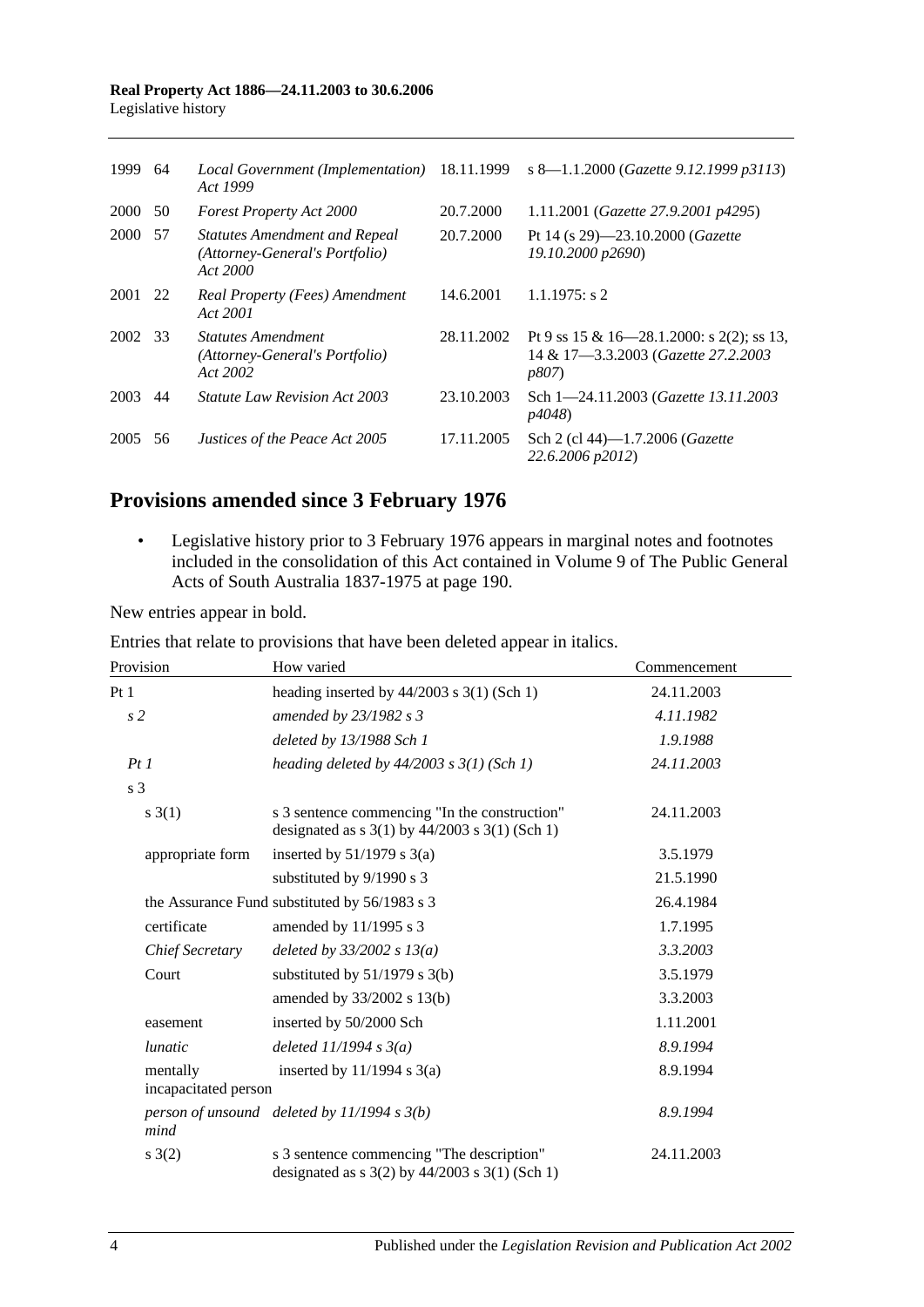| 1999 64 |      | Local Government (Implementation)<br>Act 1999                                      | 18.11.1999 | s 8—1.1.2000 (Gazette 9.12.1999 p3113)                                                             |
|---------|------|------------------------------------------------------------------------------------|------------|----------------------------------------------------------------------------------------------------|
| 2000 50 |      | <b>Forest Property Act 2000</b>                                                    | 20.7.2000  | 1.11.2001 (Gazette 27.9.2001 p4295)                                                                |
| 2000    | - 57 | <b>Statutes Amendment and Repeal</b><br>(Attorney-General's Portfolio)<br>Act 2000 | 20.7.2000  | Pt 14 (s 29)-23.10.2000 (Gazette<br>19.10.2000 p2690)                                              |
| 2001 22 |      | Real Property (Fees) Amendment<br>Act 2001                                         | 14.6.2001  | $1.1.1975$ : s 2                                                                                   |
| 2002 33 |      | <i>Statutes Amendment</i><br>(Attorney-General's Portfolio)<br>Act 2002            | 28.11.2002 | Pt 9 ss 15 & 16—28.1.2000: s 2(2); ss 13,<br>14 & 17-3.3.2003 (Gazette 27.2.2003)<br><i>p807</i> ) |
| 2003    | 44   | <i>Statute Law Revision Act 2003</i>                                               | 23.10.2003 | Sch 1-24.11.2003 (Gazette 13.11.2003)<br><i>p4048</i> )                                            |
| 2005    | 56   | Justices of the Peace Act 2005                                                     | 17.11.2005 | Sch 2 (cl 44)-1.7.2006 ( <i>Gazette</i><br>22.6.2006 p2012)                                        |

# **Provisions amended since 3 February 1976**

• Legislative history prior to 3 February 1976 appears in marginal notes and footnotes included in the consolidation of this Act contained in Volume 9 of The Public General Acts of South Australia 1837-1975 at page 190.

New entries appear in bold.

| Provision                        | How varied                                                                                          | Commencement |
|----------------------------------|-----------------------------------------------------------------------------------------------------|--------------|
| Pt1                              | heading inserted by $44/2003$ s 3(1) (Sch 1)                                                        | 24.11.2003   |
| s2                               | amended by 23/1982 s 3                                                                              | 4.11.1982    |
|                                  | deleted by 13/1988 Sch 1                                                                            | 1.9.1988     |
| PtI                              | heading deleted by $44/2003$ s $3(1)$ (Sch 1)                                                       | 24.11.2003   |
| s <sub>3</sub>                   |                                                                                                     |              |
| s(3(1))                          | s 3 sentence commencing "In the construction"<br>designated as $s$ 3(1) by 44/2003 $s$ 3(1) (Sch 1) | 24.11.2003   |
| appropriate form                 | inserted by $51/1979$ s $3(a)$                                                                      | 3.5.1979     |
|                                  | substituted by 9/1990 s 3                                                                           | 21.5.1990    |
|                                  | the Assurance Fund substituted by 56/1983 s 3                                                       | 26.4.1984    |
| certificate                      | amended by 11/1995 s 3                                                                              | 1.7.1995     |
| Chief Secretary                  | deleted by $33/2002 s 13(a)$                                                                        | 3.3.2003     |
| Court                            | substituted by $51/1979$ s 3(b)                                                                     | 3.5.1979     |
|                                  | amended by 33/2002 s 13(b)                                                                          | 3.3.2003     |
| easement                         | inserted by 50/2000 Sch                                                                             | 1.11.2001    |
| <i>lunatic</i>                   | deleted $11/1994 s 3(a)$                                                                            | 8.9.1994     |
| mentally<br>incapacitated person | inserted by $11/1994$ s $3(a)$                                                                      | 8.9.1994     |
| mind                             | person of unsound deleted by $11/1994 s 3(b)$                                                       | 8.9.1994     |
| s(2)                             | s 3 sentence commencing "The description"<br>designated as $s$ 3(2) by 44/2003 $s$ 3(1) (Sch 1)     | 24.11.2003   |

Entries that relate to provisions that have been deleted appear in italics.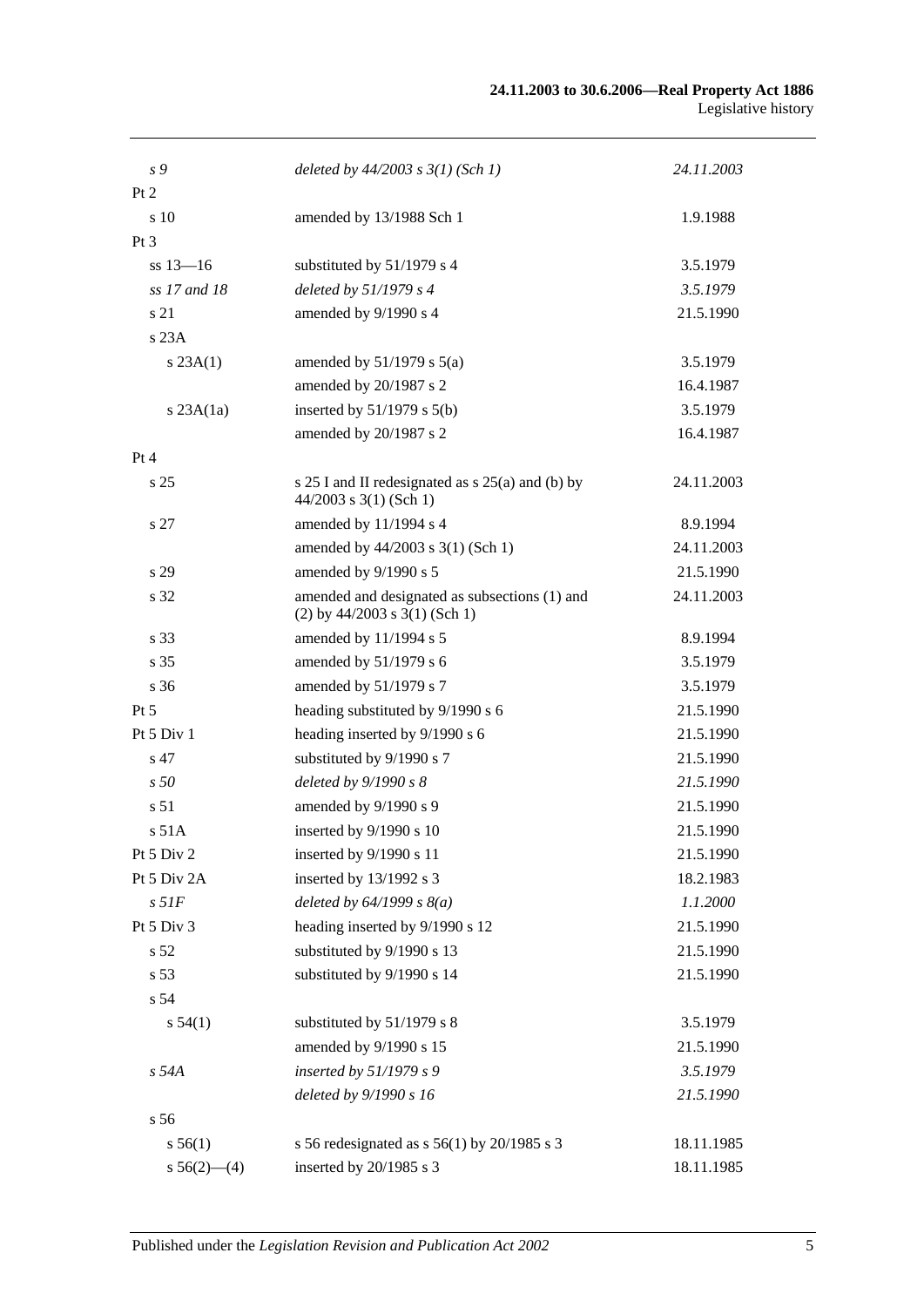| deleted by $44/2003$ s $3(1)$ (Sch 1)                                            | 24.11.2003                                                                                                                    |
|----------------------------------------------------------------------------------|-------------------------------------------------------------------------------------------------------------------------------|
|                                                                                  |                                                                                                                               |
| amended by 13/1988 Sch 1                                                         | 1.9.1988                                                                                                                      |
|                                                                                  |                                                                                                                               |
| substituted by 51/1979 s 4                                                       | 3.5.1979                                                                                                                      |
| deleted by $51/1979 s 4$                                                         | 3.5.1979                                                                                                                      |
| amended by 9/1990 s 4                                                            | 21.5.1990                                                                                                                     |
|                                                                                  |                                                                                                                               |
| amended by $51/1979$ s $5(a)$                                                    | 3.5.1979                                                                                                                      |
| amended by 20/1987 s 2                                                           | 16.4.1987                                                                                                                     |
| inserted by $51/1979$ s $5(b)$                                                   | 3.5.1979                                                                                                                      |
| amended by 20/1987 s 2                                                           | 16.4.1987                                                                                                                     |
|                                                                                  |                                                                                                                               |
| s $25 I$ and II redesignated as s $25(a)$ and (b) by<br>$44/2003$ s 3(1) (Sch 1) | 24.11.2003                                                                                                                    |
| amended by 11/1994 s 4                                                           | 8.9.1994                                                                                                                      |
| amended by 44/2003 s 3(1) (Sch 1)                                                | 24.11.2003                                                                                                                    |
| amended by 9/1990 s 5                                                            | 21.5.1990                                                                                                                     |
| amended and designated as subsections (1) and<br>$(2)$ by 44/2003 s 3(1) (Sch 1) | 24.11.2003                                                                                                                    |
| amended by 11/1994 s 5                                                           | 8.9.1994                                                                                                                      |
| amended by 51/1979 s 6                                                           | 3.5.1979                                                                                                                      |
| amended by 51/1979 s 7                                                           | 3.5.1979                                                                                                                      |
| heading substituted by 9/1990 s 6                                                | 21.5.1990                                                                                                                     |
| heading inserted by 9/1990 s 6                                                   | 21.5.1990                                                                                                                     |
| substituted by 9/1990 s 7                                                        | 21.5.1990                                                                                                                     |
| deleted by 9/1990 s 8                                                            | 21.5.1990                                                                                                                     |
| amended by 9/1990 s 9                                                            | 21.5.1990                                                                                                                     |
| inserted by 9/1990 s 10                                                          | 21.5.1990                                                                                                                     |
| inserted by 9/1990 s 11                                                          | 21.5.1990                                                                                                                     |
| inserted by 13/1992 s 3                                                          | 18.2.1983                                                                                                                     |
| deleted by $64/1999 s 8(a)$                                                      | 1.1.2000                                                                                                                      |
| heading inserted by 9/1990 s 12                                                  | 21.5.1990                                                                                                                     |
| substituted by 9/1990 s 13                                                       | 21.5.1990                                                                                                                     |
| substituted by 9/1990 s 14                                                       | 21.5.1990                                                                                                                     |
|                                                                                  |                                                                                                                               |
| substituted by 51/1979 s 8                                                       | 3.5.1979                                                                                                                      |
| amended by 9/1990 s 15                                                           | 21.5.1990                                                                                                                     |
|                                                                                  | 3.5.1979                                                                                                                      |
|                                                                                  | 21.5.1990                                                                                                                     |
|                                                                                  |                                                                                                                               |
|                                                                                  | 18.11.1985                                                                                                                    |
|                                                                                  | 18.11.1985                                                                                                                    |
|                                                                                  | inserted by 51/1979 s 9<br>deleted by 9/1990 s 16<br>s 56 redesignated as s $56(1)$ by 20/1985 s 3<br>inserted by 20/1985 s 3 |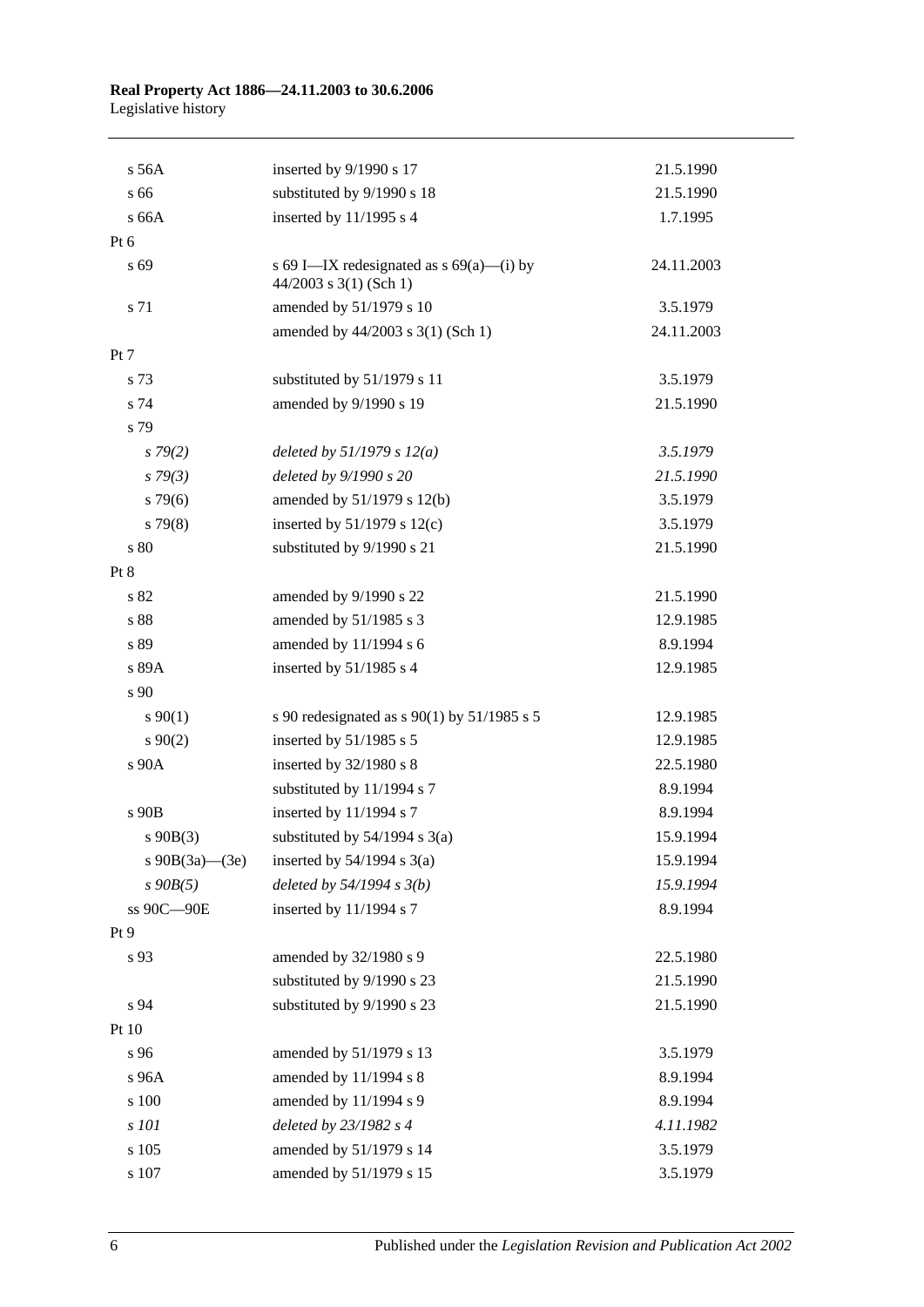| s 56A             | inserted by 9/1990 s 17                                                | 21.5.1990  |
|-------------------|------------------------------------------------------------------------|------------|
| s 66              | substituted by 9/1990 s 18                                             | 21.5.1990  |
| s 66A             | inserted by 11/1995 s 4                                                | 1.7.1995   |
| Pt 6              |                                                                        |            |
| s 69              | s 69 I—IX redesignated as $s$ 69(a)—(i) by<br>$44/2003$ s 3(1) (Sch 1) | 24.11.2003 |
| s 71              | amended by 51/1979 s 10                                                | 3.5.1979   |
|                   | amended by 44/2003 s 3(1) (Sch 1)                                      | 24.11.2003 |
| Pt 7              |                                                                        |            |
| s 73              | substituted by 51/1979 s 11                                            | 3.5.1979   |
| s 74              | amended by 9/1990 s 19                                                 | 21.5.1990  |
| s 79              |                                                                        |            |
| $s\,79(2)$        | deleted by $51/1979 s 12(a)$                                           | 3.5.1979   |
| s79(3)            | deleted by 9/1990 s 20                                                 | 21.5.1990  |
| $s\,79(6)$        | amended by 51/1979 s 12(b)                                             | 3.5.1979   |
| $s\,79(8)$        | inserted by $51/1979$ s $12(c)$                                        | 3.5.1979   |
| s 80              | substituted by 9/1990 s 21                                             | 21.5.1990  |
| Pt 8              |                                                                        |            |
| s 82              | amended by 9/1990 s 22                                                 | 21.5.1990  |
| s 88              | amended by 51/1985 s 3                                                 | 12.9.1985  |
| s 89              | amended by 11/1994 s 6                                                 | 8.9.1994   |
| s 89A             | inserted by 51/1985 s 4                                                | 12.9.1985  |
| s 90              |                                                                        |            |
| $s\,90(1)$        | s 90 redesignated as s 90(1) by 51/1985 s 5                            | 12.9.1985  |
| $s\,90(2)$        | inserted by $51/1985$ s 5                                              | 12.9.1985  |
| s 90A             | inserted by 32/1980 s 8                                                | 22.5.1980  |
|                   | substituted by 11/1994 s 7                                             | 8.9.1994   |
| s 90B             | inserted by 11/1994 s 7                                                | 8.9.1994   |
| $s\ 90B(3)$       | substituted by $54/1994$ s $3(a)$                                      | 15.9.1994  |
| s $90B(3a)$ —(3e) | inserted by $54/1994$ s $3(a)$                                         | 15.9.1994  |
| $s$ 90 $B(5)$     | deleted by $54/1994 s 3(b)$                                            | 15.9.1994  |
| ss 90C-90E        | inserted by 11/1994 s 7                                                | 8.9.1994   |
| Pt 9              |                                                                        |            |
| s 93              | amended by 32/1980 s 9                                                 | 22.5.1980  |
|                   | substituted by 9/1990 s 23                                             | 21.5.1990  |
| s 94              | substituted by 9/1990 s 23                                             | 21.5.1990  |
| Pt 10             |                                                                        |            |
| s 96              | amended by 51/1979 s 13                                                | 3.5.1979   |
| s 96A             | amended by 11/1994 s 8                                                 | 8.9.1994   |
| s 100             | amended by 11/1994 s 9                                                 | 8.9.1994   |
| s 101             | deleted by 23/1982 s 4                                                 | 4.11.1982  |
| s 105             | amended by 51/1979 s 14                                                | 3.5.1979   |
| s 107             | amended by 51/1979 s 15                                                | 3.5.1979   |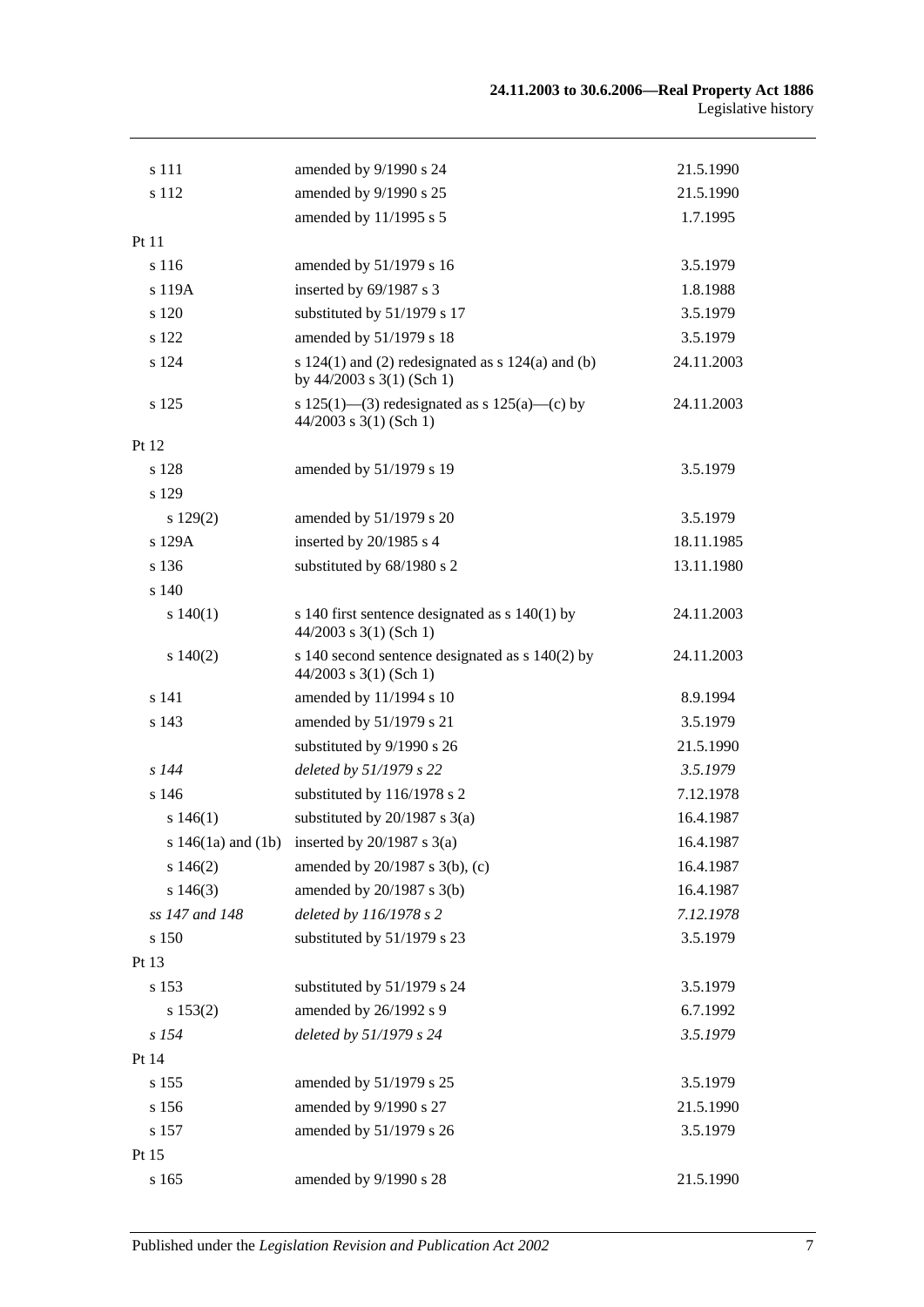| s 111                  | amended by 9/1990 s 24                                                                 | 21.5.1990  |
|------------------------|----------------------------------------------------------------------------------------|------------|
| s 112                  | amended by 9/1990 s 25                                                                 | 21.5.1990  |
|                        | amended by 11/1995 s 5                                                                 | 1.7.1995   |
| Pt 11                  |                                                                                        |            |
| s 116                  | amended by 51/1979 s 16                                                                | 3.5.1979   |
| s 119A                 | inserted by 69/1987 s 3                                                                | 1.8.1988   |
| s 120                  | substituted by 51/1979 s 17                                                            | 3.5.1979   |
| s 122                  | amended by 51/1979 s 18                                                                | 3.5.1979   |
| s 124                  | s $124(1)$ and (2) redesignated as s $124(a)$ and (b)<br>by $44/2003$ s $3(1)$ (Sch 1) | 24.11.2003 |
| s 125                  | s 125(1)—(3) redesignated as s 125(a)—(c) by<br>$44/2003$ s 3(1) (Sch 1)               | 24.11.2003 |
| Pt 12                  |                                                                                        |            |
| s 128                  | amended by 51/1979 s 19                                                                | 3.5.1979   |
| s 129                  |                                                                                        |            |
| s 129(2)               | amended by 51/1979 s 20                                                                | 3.5.1979   |
| s 129A                 | inserted by 20/1985 s 4                                                                | 18.11.1985 |
| s 136                  | substituted by 68/1980 s 2                                                             | 13.11.1980 |
| s 140                  |                                                                                        |            |
| s 140(1)               | s 140 first sentence designated as $s$ 140(1) by<br>$44/2003$ s 3(1) (Sch 1)           | 24.11.2003 |
| $s\ 140(2)$            | s 140 second sentence designated as s 140(2) by<br>$44/2003$ s 3(1) (Sch 1)            | 24.11.2003 |
| s 141                  | amended by 11/1994 s 10                                                                | 8.9.1994   |
| s 143                  | amended by 51/1979 s 21                                                                | 3.5.1979   |
|                        | substituted by 9/1990 s 26                                                             | 21.5.1990  |
| $s$ 144                | deleted by 51/1979 s 22                                                                | 3.5.1979   |
| s 146                  | substituted by 116/1978 s 2                                                            | 7.12.1978  |
| s 146(1)               | substituted by $20/1987$ s $3(a)$                                                      | 16.4.1987  |
| s $146(1a)$ and $(1b)$ | inserted by $20/1987$ s $3(a)$                                                         | 16.4.1987  |
| s 146(2)               | amended by $20/1987$ s $3(b)$ , (c)                                                    | 16.4.1987  |
| s 146(3)               | amended by 20/1987 s 3(b)                                                              | 16.4.1987  |
| ss 147 and 148         | deleted by 116/1978 s 2                                                                | 7.12.1978  |
| s 150                  | substituted by 51/1979 s 23                                                            | 3.5.1979   |
| Pt 13                  |                                                                                        |            |
| s 153                  | substituted by 51/1979 s 24                                                            | 3.5.1979   |
| s 153(2)               | amended by 26/1992 s 9                                                                 | 6.7.1992   |
| s 154                  | deleted by 51/1979 s 24                                                                | 3.5.1979   |
| Pt 14                  |                                                                                        |            |
| s 155                  | amended by 51/1979 s 25                                                                | 3.5.1979   |
| s 156                  | amended by 9/1990 s 27                                                                 | 21.5.1990  |
| s 157                  | amended by 51/1979 s 26                                                                | 3.5.1979   |
| Pt 15                  |                                                                                        |            |
| s 165                  | amended by 9/1990 s 28                                                                 | 21.5.1990  |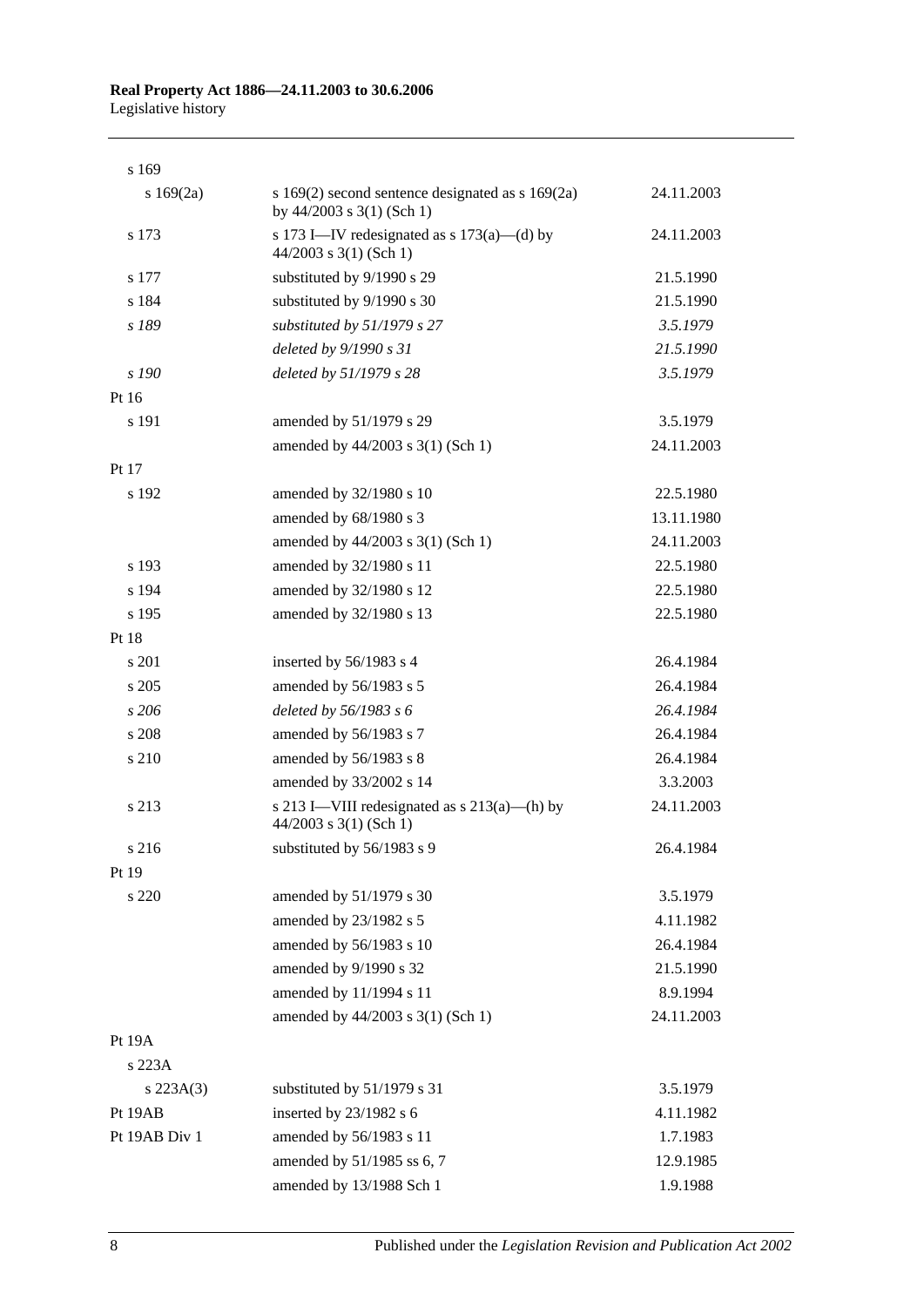| s 169            |                                                                                     |            |
|------------------|-------------------------------------------------------------------------------------|------------|
| s $169(2a)$      | s $169(2)$ second sentence designated as s $169(2a)$<br>by $44/2003$ s 3(1) (Sch 1) | 24.11.2003 |
| s 173            | s 173 I—IV redesignated as s $173(a)$ —(d) by<br>$44/2003$ s 3(1) (Sch 1)           | 24.11.2003 |
| s 177            | substituted by 9/1990 s 29                                                          | 21.5.1990  |
| s 184            | substituted by 9/1990 s 30                                                          | 21.5.1990  |
| s 189            | substituted by $51/1979$ s 27                                                       | 3.5.1979   |
|                  | deleted by 9/1990 s 31                                                              | 21.5.1990  |
| s 190            | deleted by 51/1979 s 28                                                             | 3.5.1979   |
| Pt 16            |                                                                                     |            |
| s 191            | amended by 51/1979 s 29                                                             | 3.5.1979   |
|                  | amended by 44/2003 s 3(1) (Sch 1)                                                   | 24.11.2003 |
| Pt 17            |                                                                                     |            |
| s 192            | amended by 32/1980 s 10                                                             | 22.5.1980  |
|                  | amended by 68/1980 s 3                                                              | 13.11.1980 |
|                  | amended by 44/2003 s 3(1) (Sch 1)                                                   | 24.11.2003 |
| s 193            | amended by 32/1980 s 11                                                             | 22.5.1980  |
| s 194            | amended by 32/1980 s 12                                                             | 22.5.1980  |
| s 195            | amended by 32/1980 s 13                                                             | 22.5.1980  |
| Pt 18            |                                                                                     |            |
| s 201            | inserted by 56/1983 s 4                                                             | 26.4.1984  |
| s 205            | amended by 56/1983 s 5                                                              | 26.4.1984  |
| s206             | deleted by $56/1983$ s 6                                                            | 26.4.1984  |
| s 208            | amended by 56/1983 s 7                                                              | 26.4.1984  |
| s 210            | amended by 56/1983 s 8                                                              | 26.4.1984  |
|                  | amended by 33/2002 s 14                                                             | 3.3.2003   |
| s 213            | s 213 I—VIII redesignated as $s$ 213(a)—(h) by<br>$44/2003$ s 3(1) (Sch 1)          | 24.11.2003 |
| s 216            | substituted by 56/1983 s 9                                                          | 26.4.1984  |
| Pt 19            |                                                                                     |            |
| s 220            | amended by 51/1979 s 30                                                             | 3.5.1979   |
|                  | amended by 23/1982 s 5                                                              | 4.11.1982  |
|                  | amended by 56/1983 s 10                                                             | 26.4.1984  |
|                  | amended by 9/1990 s 32                                                              | 21.5.1990  |
|                  | amended by 11/1994 s 11                                                             | 8.9.1994   |
|                  | amended by 44/2003 s 3(1) (Sch 1)                                                   | 24.11.2003 |
| Pt 19A<br>s 223A |                                                                                     |            |
| $s\,223A(3)$     | substituted by 51/1979 s 31                                                         | 3.5.1979   |
| Pt 19AB          | inserted by 23/1982 s 6                                                             | 4.11.1982  |
| Pt 19AB Div 1    | amended by 56/1983 s 11                                                             | 1.7.1983   |
|                  | amended by 51/1985 ss 6, 7                                                          | 12.9.1985  |
|                  | amended by 13/1988 Sch 1                                                            | 1.9.1988   |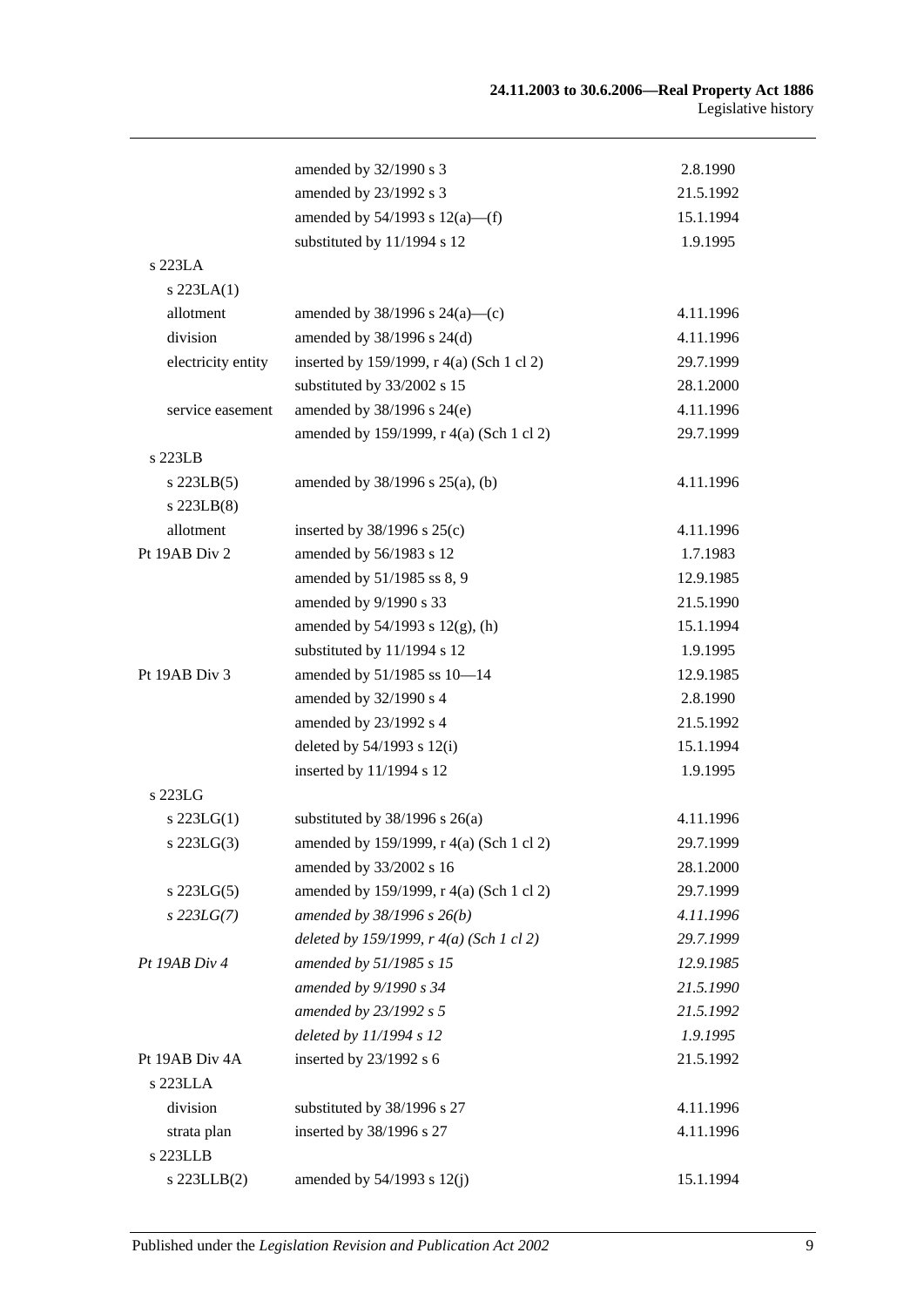|                    | amended by 32/1990 s 3                    | 2.8.1990  |
|--------------------|-------------------------------------------|-----------|
|                    | amended by 23/1992 s 3                    | 21.5.1992 |
|                    | amended by $54/1993$ s $12(a)$ —(f)       | 15.1.1994 |
|                    | substituted by 11/1994 s 12               | 1.9.1995  |
| s 223LA            |                                           |           |
| $s$ 223LA $(1)$    |                                           |           |
| allotment          | amended by $38/1996$ s $24(a)$ —(c)       | 4.11.1996 |
| division           | amended by $38/1996$ s $24(d)$            | 4.11.1996 |
| electricity entity | inserted by 159/1999, r 4(a) (Sch 1 cl 2) | 29.7.1999 |
|                    | substituted by 33/2002 s 15               | 28.1.2000 |
| service easement   | amended by 38/1996 s 24(e)                | 4.11.1996 |
|                    | amended by 159/1999, r 4(a) (Sch 1 cl 2)  | 29.7.1999 |
| s 223LB            |                                           |           |
| $s$ 223LB $(5)$    | amended by 38/1996 s 25(a), (b)           | 4.11.1996 |
| $s$ 223LB $(8)$    |                                           |           |
| allotment          | inserted by $38/1996$ s $25(c)$           | 4.11.1996 |
| Pt 19AB Div 2      | amended by 56/1983 s 12                   | 1.7.1983  |
|                    | amended by 51/1985 ss 8, 9                | 12.9.1985 |
|                    | amended by 9/1990 s 33                    | 21.5.1990 |
|                    | amended by $54/1993$ s $12(g)$ , (h)      | 15.1.1994 |
|                    | substituted by 11/1994 s 12               | 1.9.1995  |
| Pt 19AB Div 3      | amended by 51/1985 ss 10-14               | 12.9.1985 |
|                    | amended by 32/1990 s 4                    | 2.8.1990  |
|                    | amended by 23/1992 s 4                    | 21.5.1992 |
|                    | deleted by 54/1993 s 12(i)                | 15.1.1994 |
|                    | inserted by 11/1994 s 12                  | 1.9.1995  |
| s 223LG            |                                           |           |
| $s$ 223LG(1)       | substituted by $38/1996$ s $26(a)$        | 4.11.1996 |
| $s$ 223LG $(3)$    | amended by 159/1999, r 4(a) (Sch 1 cl 2)  | 29.7.1999 |
|                    | amended by 33/2002 s 16                   | 28.1.2000 |
| $s$ 223LG $(5)$    | amended by 159/1999, r 4(a) (Sch 1 cl 2)  | 29.7.1999 |
| $s$ 223LG(7)       | amended by $38/1996 s 26(b)$              | 4.11.1996 |
|                    | deleted by 159/1999, r 4(a) (Sch 1 cl 2)  | 29.7.1999 |
| Pt 19AB Div 4      | amended by 51/1985 s 15                   | 12.9.1985 |
|                    | amended by 9/1990 s 34                    | 21.5.1990 |
|                    | amended by 23/1992 s 5                    | 21.5.1992 |
|                    | deleted by 11/1994 s 12                   | 1.9.1995  |
| Pt 19AB Div 4A     | inserted by $23/1992$ s 6                 | 21.5.1992 |
| s 223LLA           |                                           |           |
| division           | substituted by 38/1996 s 27               | 4.11.1996 |
| strata plan        | inserted by 38/1996 s 27                  | 4.11.1996 |
| s 223LLB           |                                           |           |
| $s$ 223LLB $(2)$   | amended by $54/1993$ s $12(j)$            | 15.1.1994 |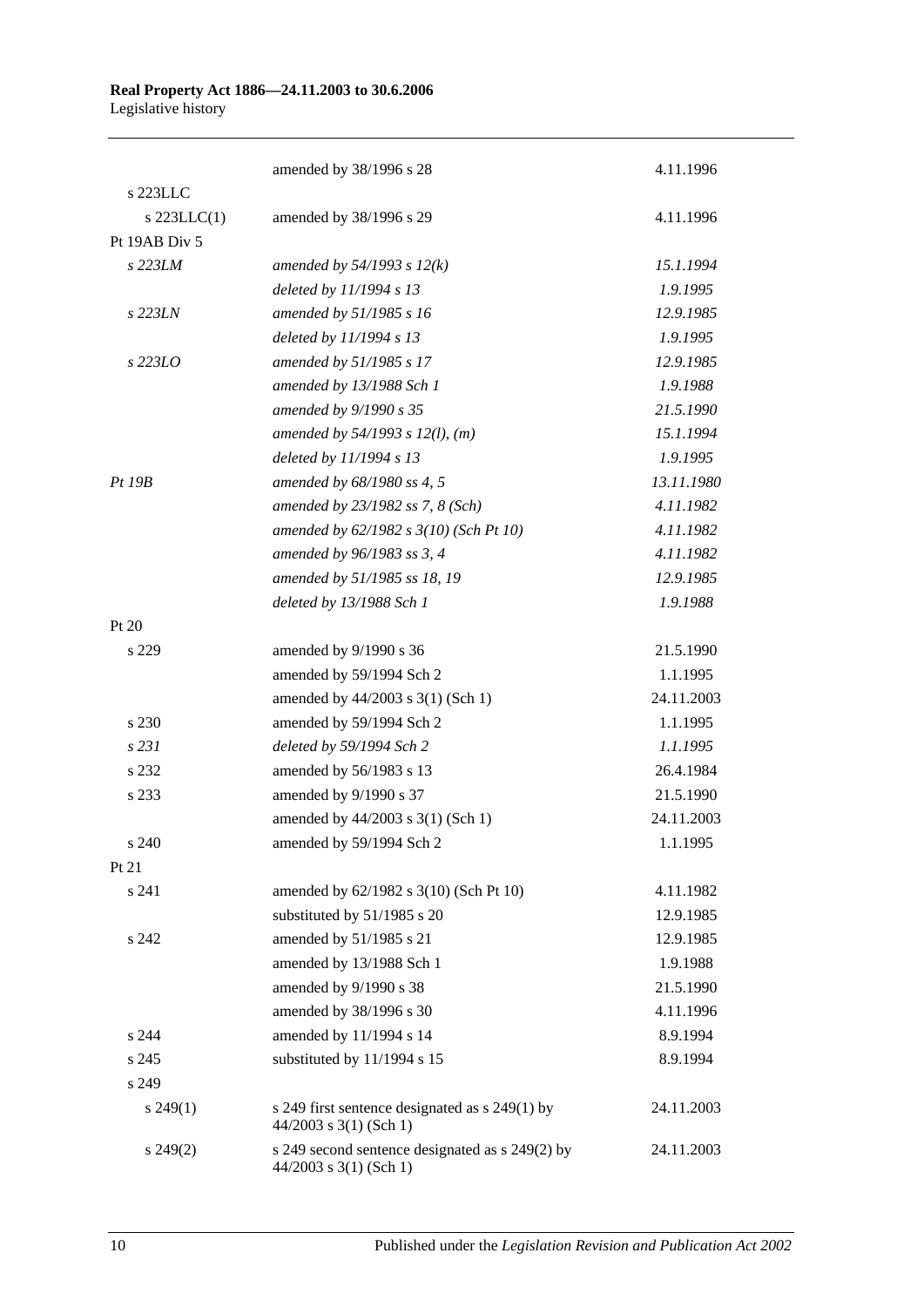|                  | amended by 38/1996 s 28                                                     | 4.11.1996  |
|------------------|-----------------------------------------------------------------------------|------------|
| s 223LLC         |                                                                             |            |
| $s$ 223LLC $(1)$ | amended by 38/1996 s 29                                                     | 4.11.1996  |
| Pt 19AB Div 5    |                                                                             |            |
| s 223LM          | amended by $54/1993 s 12(k)$                                                | 15.1.1994  |
|                  | deleted by 11/1994 s 13                                                     | 1.9.1995   |
| s 223LN          | amended by 51/1985 s 16                                                     | 12.9.1985  |
|                  | deleted by 11/1994 s 13                                                     | 1.9.1995   |
| s 223LO          | amended by 51/1985 s 17                                                     | 12.9.1985  |
|                  | amended by 13/1988 Sch 1                                                    | 1.9.1988   |
|                  | amended by 9/1990 s 35                                                      | 21.5.1990  |
|                  | amended by $54/1993$ s $12(l)$ , (m)                                        | 15.1.1994  |
|                  | deleted by 11/1994 s 13                                                     | 1.9.1995   |
| Pt 19B           | amended by 68/1980 ss 4, 5                                                  | 13.11.1980 |
|                  | amended by 23/1982 ss 7, 8 (Sch)                                            | 4.11.1982  |
|                  | amended by 62/1982 s 3(10) (Sch Pt 10)                                      | 4.11.1982  |
|                  | amended by 96/1983 ss 3, 4                                                  | 4.11.1982  |
|                  | amended by 51/1985 ss 18, 19                                                | 12.9.1985  |
|                  | deleted by 13/1988 Sch 1                                                    | 1.9.1988   |
| Pt $20$          |                                                                             |            |
| s 229            | amended by 9/1990 s 36                                                      | 21.5.1990  |
|                  | amended by 59/1994 Sch 2                                                    | 1.1.1995   |
|                  | amended by 44/2003 s 3(1) (Sch 1)                                           | 24.11.2003 |
| s 230            | amended by 59/1994 Sch 2                                                    | 1.1.1995   |
| s 231            | deleted by 59/1994 Sch 2                                                    | 1.1.1995   |
| s 232            | amended by 56/1983 s 13                                                     | 26.4.1984  |
| s 233            | amended by 9/1990 s 37                                                      | 21.5.1990  |
|                  | amended by 44/2003 s 3(1) (Sch 1)                                           | 24.11.2003 |
| s 240            | amended by 59/1994 Sch 2                                                    | 1.1.1995   |
| Pt 21            |                                                                             |            |
| s 241            | amended by 62/1982 s 3(10) (Sch Pt 10)                                      | 4.11.1982  |
|                  | substituted by 51/1985 s 20                                                 | 12.9.1985  |
| s 242            | amended by 51/1985 s 21                                                     | 12.9.1985  |
|                  | amended by 13/1988 Sch 1                                                    | 1.9.1988   |
|                  | amended by 9/1990 s 38                                                      | 21.5.1990  |
|                  | amended by 38/1996 s 30                                                     | 4.11.1996  |
| s 244            | amended by 11/1994 s 14                                                     | 8.9.1994   |
| s 245            | substituted by 11/1994 s 15                                                 | 8.9.1994   |
| s 249            |                                                                             |            |
| $s\,249(1)$      | s 249 first sentence designated as s 249(1) by<br>$44/2003$ s 3(1) (Sch 1)  | 24.11.2003 |
| $s\,249(2)$      | s 249 second sentence designated as s 249(2) by<br>$44/2003$ s 3(1) (Sch 1) | 24.11.2003 |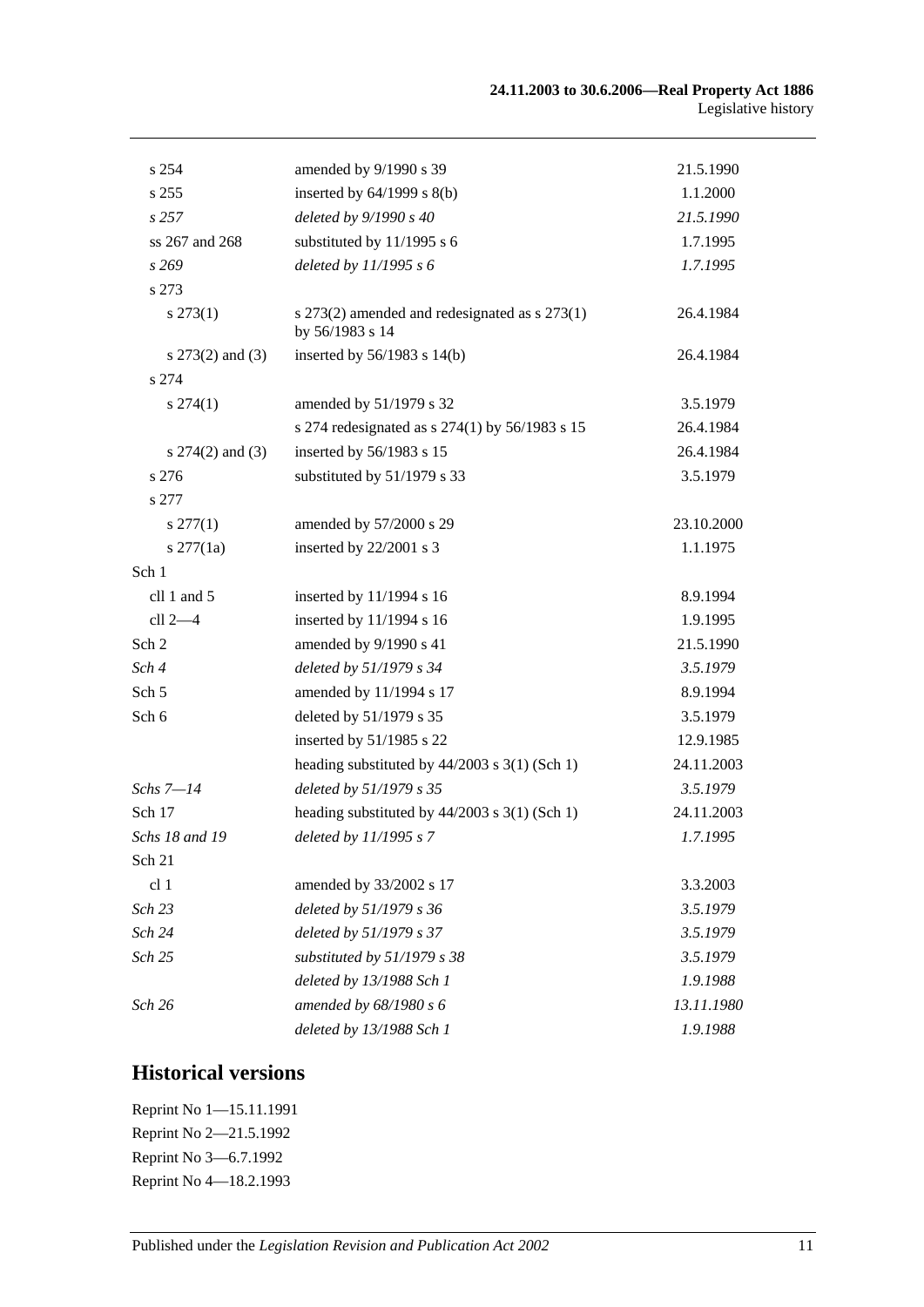| s 254                | amended by 9/1990 s 39                                           | 21.5.1990  |
|----------------------|------------------------------------------------------------------|------------|
| s 255                | inserted by $64/1999$ s $8(b)$                                   | 1.1.2000   |
| s257                 | deleted by 9/1990 s 40                                           | 21.5.1990  |
| ss 267 and 268       | substituted by 11/1995 s 6                                       | 1.7.1995   |
| s 269                | deleted by $11/1995 s 6$                                         | 1.7.1995   |
| s 273                |                                                                  |            |
| $s\,273(1)$          | s 273(2) amended and redesignated as s 273(1)<br>by 56/1983 s 14 | 26.4.1984  |
| s $273(2)$ and $(3)$ | inserted by $56/1983$ s $14(b)$                                  | 26.4.1984  |
| s 274                |                                                                  |            |
| $s\,274(1)$          | amended by 51/1979 s 32                                          | 3.5.1979   |
|                      | s 274 redesignated as s $274(1)$ by 56/1983 s 15                 | 26.4.1984  |
| s $274(2)$ and $(3)$ | inserted by 56/1983 s 15                                         | 26.4.1984  |
| s 276                | substituted by 51/1979 s 33                                      | 3.5.1979   |
| s 277                |                                                                  |            |
| $s\,277(1)$          | amended by 57/2000 s 29                                          | 23.10.2000 |
| $s \, 277(1a)$       | inserted by 22/2001 s 3                                          | 1.1.1975   |
| Sch 1                |                                                                  |            |
| cll 1 and 5          | inserted by 11/1994 s 16                                         | 8.9.1994   |
| cll 2-4              | inserted by 11/1994 s 16                                         | 1.9.1995   |
| Sch 2                | amended by 9/1990 s 41                                           | 21.5.1990  |
| Sch 4                | deleted by 51/1979 s 34                                          | 3.5.1979   |
| Sch <sub>5</sub>     | amended by 11/1994 s 17                                          | 8.9.1994   |
| Sch 6                | deleted by 51/1979 s 35                                          | 3.5.1979   |
|                      | inserted by 51/1985 s 22                                         | 12.9.1985  |
|                      | heading substituted by $44/2003$ s 3(1) (Sch 1)                  | 24.11.2003 |
| Schs 7-14            | deleted by 51/1979 s 35                                          | 3.5.1979   |
| Sch 17               | heading substituted by $44/2003$ s $3(1)$ (Sch 1)                | 24.11.2003 |
| Schs 18 and 19       | deleted by 11/1995 s 7                                           | 1.7.1995   |
| Sch 21               |                                                                  |            |
| cl 1                 | amended by 33/2002 s 17                                          | 3.3.2003   |
| Sch 23               | deleted by 51/1979 s 36                                          | 3.5.1979   |
| Sch 24               | deleted by 51/1979 s 37                                          | 3.5.1979   |
| Sch 25               | substituted by 51/1979 s 38                                      | 3.5.1979   |
|                      | deleted by 13/1988 Sch 1                                         | 1.9.1988   |
| Sch 26               | amended by 68/1980 s 6                                           | 13.11.1980 |
|                      | deleted by 13/1988 Sch 1                                         | 1.9.1988   |

# **Historical versions**

| Reprint No 1-15.11.1991 |
|-------------------------|
| Reprint No 2-21.5.1992  |
| Reprint No 3-6.7.1992   |
| Reprint No 4-18.2.1993  |